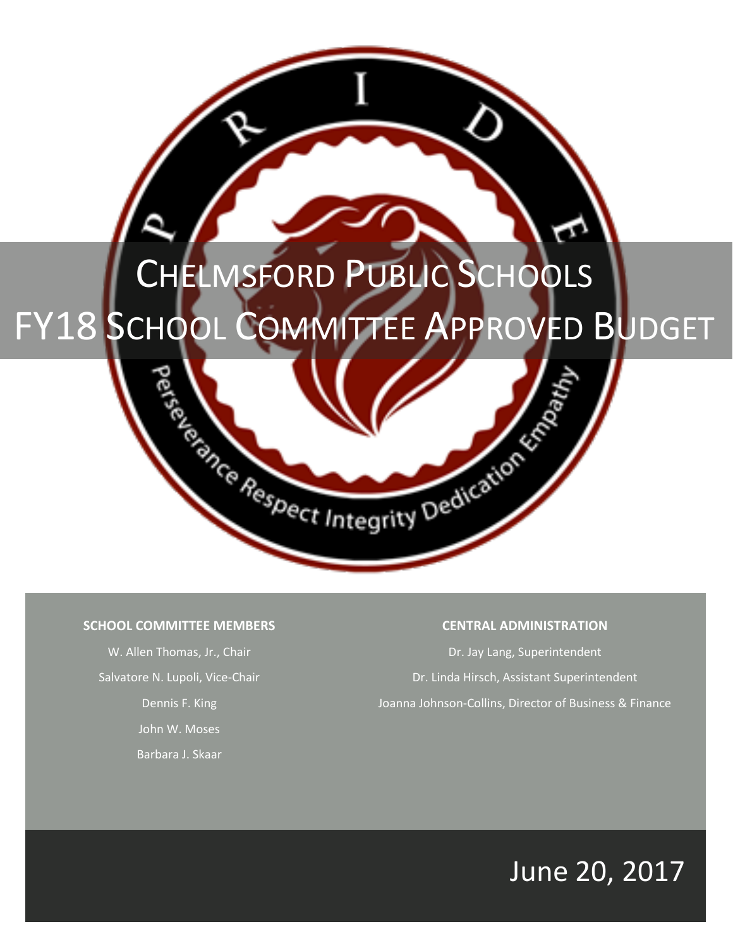# CHELMSFORD PUBLIC SCHOOLS

# FY18 SCHOOL COMMITTEE APPROVED BUDGET

Respect Integrity Dedication

# **SCHOOL COMMITTEE MEMBERS**

W. Allen Thomas, Jr., Chair Salvatore N. Lupoli, Vice-Chair Dennis F. King John W. Moses Barbara J. Skaar

# **CENTRAL ADMINISTRATION**

Dr. Jay Lang, Superintendent Dr. Linda Hirsch, Assistant Superintendent Joanna Johnson-Collins, Director of Business & Finance

# June 20, 2017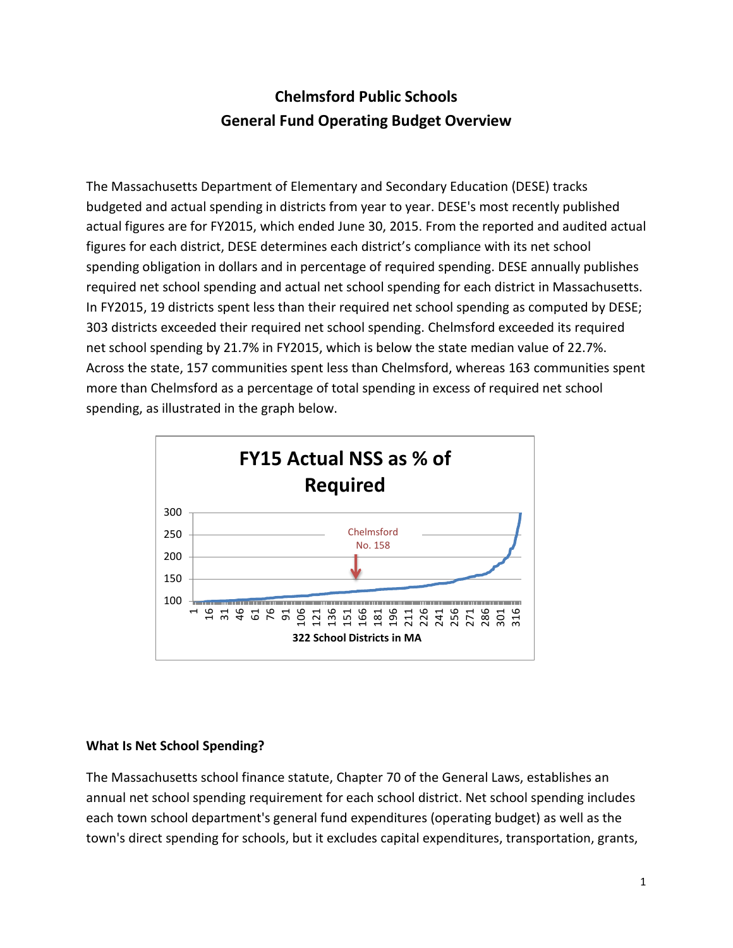# **Chelmsford Public Schools General Fund Operating Budget Overview**

The Massachusetts Department of Elementary and Secondary Education (DESE) tracks budgeted and actual spending in districts from year to year. DESE's most recently published actual figures are for FY2015, which ended June 30, 2015. From the reported and audited actual figures for each district, DESE determines each district's compliance with its net school spending obligation in dollars and in percentage of required spending. DESE annually publishes required net school spending and actual net school spending for each district in Massachusetts. In FY2015, 19 districts spent less than their required net school spending as computed by DESE; 303 districts exceeded their required net school spending. Chelmsford exceeded its required net school spending by 21.7% in FY2015, which is below the state median value of 22.7%. Across the state, 157 communities spent less than Chelmsford, whereas 163 communities spent more than Chelmsford as a percentage of total spending in excess of required net school spending, as illustrated in the graph below.



# **What Is Net School Spending?**

The Massachusetts school finance statute, Chapter 70 of the General Laws, establishes an annual net school spending requirement for each school district. Net school spending includes each town school department's general fund expenditures (operating budget) as well as the town's direct spending for schools, but it excludes capital expenditures, transportation, grants,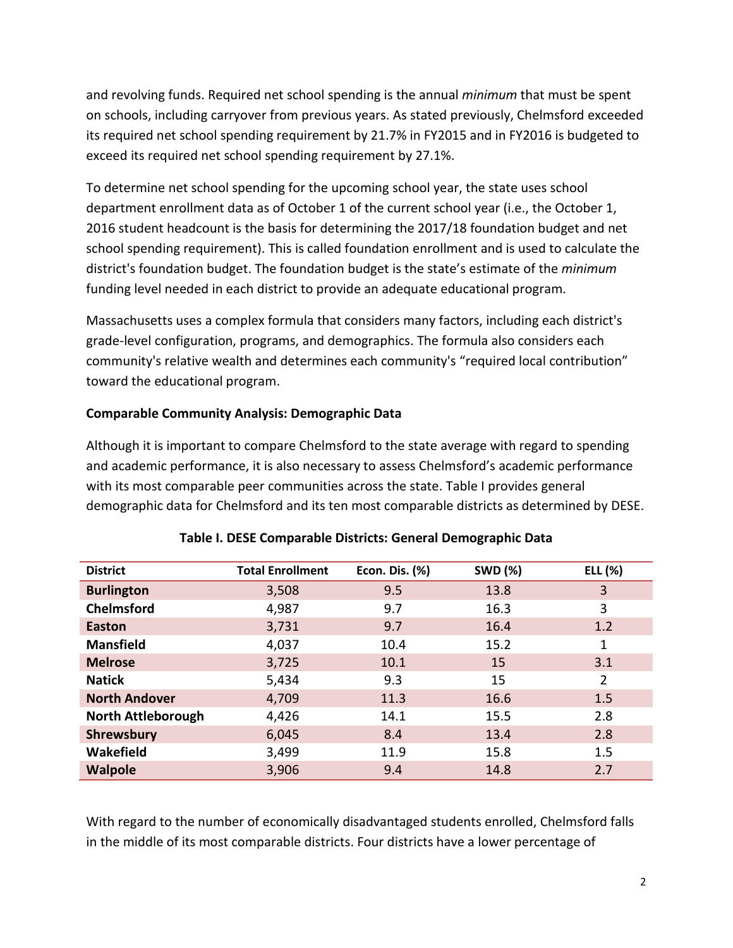and revolving funds. Required net school spending is the annual *minimum* that must be spent on schools, including carryover from previous years. As stated previously, Chelmsford exceeded its required net school spending requirement by 21.7% in FY2015 and in FY2016 is budgeted to exceed its required net school spending requirement by 27.1%.

To determine net school spending for the upcoming school year, the state uses school department enrollment data as of October 1 of the current school year (i.e., the October 1, 2016 student headcount is the basis for determining the 2017/18 foundation budget and net school spending requirement). This is called foundation enrollment and is used to calculate the district's foundation budget. The foundation budget is the state's estimate of the *minimum* funding level needed in each district to provide an adequate educational program.

Massachusetts uses a complex formula that considers many factors, including each district's grade-level configuration, programs, and demographics. The formula also considers each community's relative wealth and determines each community's "required local contribution" toward the educational program.

# **Comparable Community Analysis: Demographic Data**

Although it is important to compare Chelmsford to the state average with regard to spending and academic performance, it is also necessary to assess Chelmsford's academic performance with its most comparable peer communities across the state. Table I provides general demographic data for Chelmsford and its ten most comparable districts as determined by DESE.

| <b>District</b>           | <b>Total Enrollment</b> | <b>SWD (%)</b><br>Econ. Dis. (%) |      | ELL (%)        |
|---------------------------|-------------------------|----------------------------------|------|----------------|
| <b>Burlington</b>         | 3,508                   | 9.5                              | 13.8 | 3              |
| <b>Chelmsford</b>         | 4,987                   | 9.7                              | 16.3 | 3              |
| <b>Easton</b>             | 3,731                   | 9.7                              | 16.4 | 1.2            |
| <b>Mansfield</b>          | 4,037                   | 10.4                             | 15.2 | 1              |
| <b>Melrose</b>            | 3,725                   | 10.1                             | 15   | 3.1            |
| <b>Natick</b>             | 5,434                   | 9.3                              | 15   | $\overline{2}$ |
| <b>North Andover</b>      | 4,709                   | 11.3                             | 16.6 | 1.5            |
| <b>North Attleborough</b> | 4,426                   | 14.1                             | 15.5 | 2.8            |
| Shrewsbury                | 6,045                   | 8.4                              | 13.4 | 2.8            |
| Wakefield                 | 3,499                   | 11.9                             | 15.8 | 1.5            |
| <b>Walpole</b>            | 3,906                   | 9.4                              | 14.8 | 2.7            |

# **Table I. DESE Comparable Districts: General Demographic Data**

With regard to the number of economically disadvantaged students enrolled, Chelmsford falls in the middle of its most comparable districts. Four districts have a lower percentage of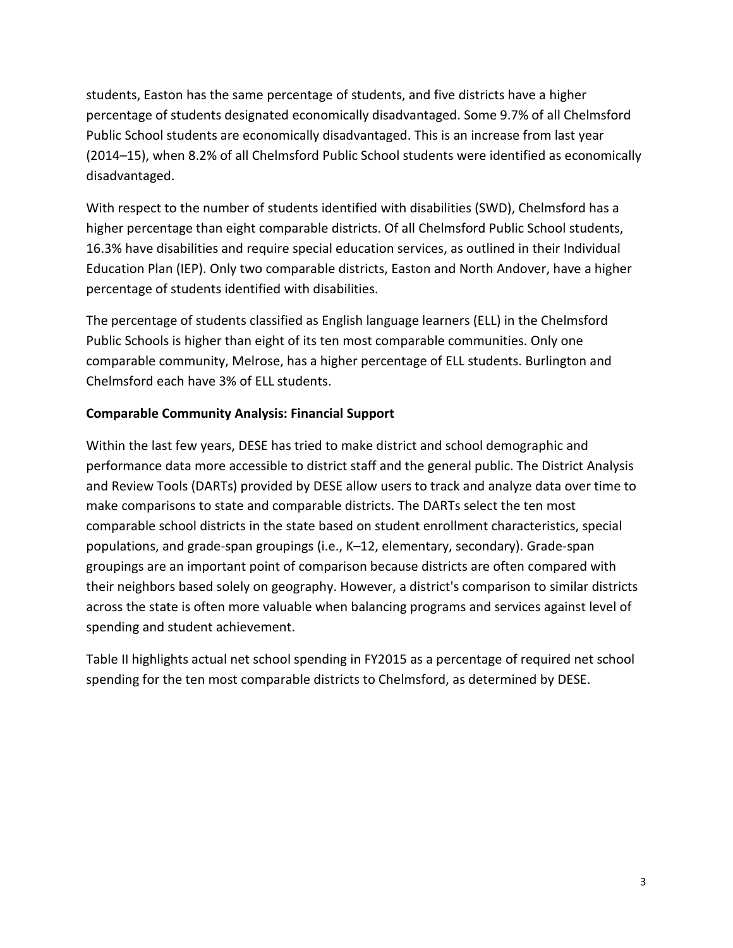students, Easton has the same percentage of students, and five districts have a higher percentage of students designated economically disadvantaged. Some 9.7% of all Chelmsford Public School students are economically disadvantaged. This is an increase from last year (2014–15), when 8.2% of all Chelmsford Public School students were identified as economically disadvantaged.

With respect to the number of students identified with disabilities (SWD), Chelmsford has a higher percentage than eight comparable districts. Of all Chelmsford Public School students, 16.3% have disabilities and require special education services, as outlined in their Individual Education Plan (IEP). Only two comparable districts, Easton and North Andover, have a higher percentage of students identified with disabilities.

The percentage of students classified as English language learners (ELL) in the Chelmsford Public Schools is higher than eight of its ten most comparable communities. Only one comparable community, Melrose, has a higher percentage of ELL students. Burlington and Chelmsford each have 3% of ELL students.

# **Comparable Community Analysis: Financial Support**

Within the last few years, DESE has tried to make district and school demographic and performance data more accessible to district staff and the general public. The District Analysis and Review Tools (DARTs) provided by DESE allow users to track and analyze data over time to make comparisons to state and comparable districts. The DARTs select the ten most comparable school districts in the state based on student enrollment characteristics, special populations, and grade-span groupings (i.e., K–12, elementary, secondary). Grade-span groupings are an important point of comparison because districts are often compared with their neighbors based solely on geography. However, a district's comparison to similar districts across the state is often more valuable when balancing programs and services against level of spending and student achievement.

Table II highlights actual net school spending in FY2015 as a percentage of required net school spending for the ten most comparable districts to Chelmsford, as determined by DESE.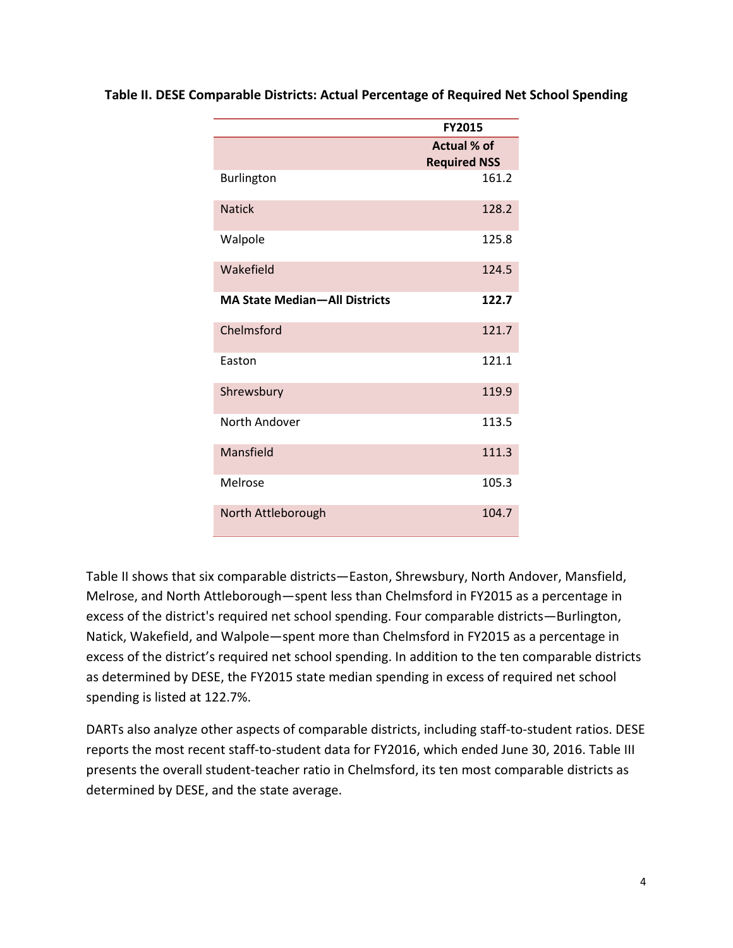|                                      | <b>FY2015</b>                             |
|--------------------------------------|-------------------------------------------|
|                                      | <b>Actual % of</b><br><b>Required NSS</b> |
| Burlington                           | 161.2                                     |
| <b>Natick</b>                        | 128.2                                     |
| Walpole                              | 125.8                                     |
| Wakefield                            | 124.5                                     |
| <b>MA State Median-All Districts</b> | 122.7                                     |
| Chelmsford                           | 121.7                                     |
| Easton                               | 121.1                                     |
| Shrewsbury                           | 119.9                                     |
| North Andover                        | 113.5                                     |
| Mansfield                            | 111.3                                     |
| Melrose                              | 105.3                                     |
| North Attleborough                   | 104.7                                     |

**Table II. DESE Comparable Districts: Actual Percentage of Required Net School Spending**

Table II shows that six comparable districts—Easton, Shrewsbury, North Andover, Mansfield, Melrose, and North Attleborough—spent less than Chelmsford in FY2015 as a percentage in excess of the district's required net school spending. Four comparable districts—Burlington, Natick, Wakefield, and Walpole—spent more than Chelmsford in FY2015 as a percentage in excess of the district's required net school spending. In addition to the ten comparable districts as determined by DESE, the FY2015 state median spending in excess of required net school spending is listed at 122.7%.

DARTs also analyze other aspects of comparable districts, including staff-to-student ratios. DESE reports the most recent staff-to-student data for FY2016, which ended June 30, 2016. Table III presents the overall student-teacher ratio in Chelmsford, its ten most comparable districts as determined by DESE, and the state average.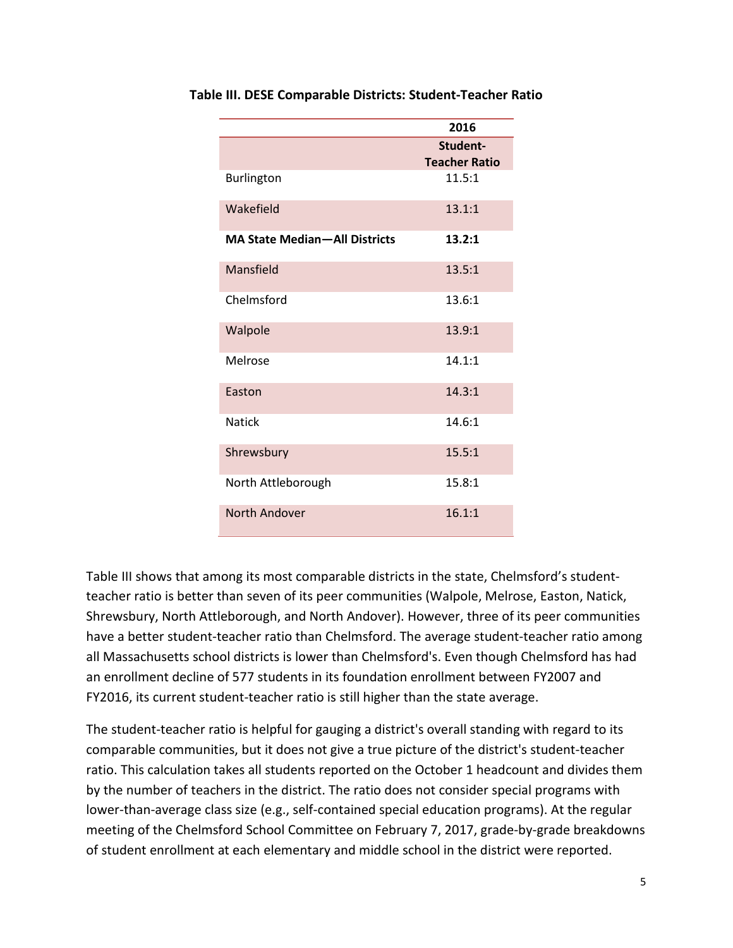|                                      | 2016                 |
|--------------------------------------|----------------------|
|                                      | Student-             |
|                                      | <b>Teacher Ratio</b> |
| Burlington                           | 11.5:1               |
| Wakefield                            | 13.1:1               |
| <b>MA State Median-All Districts</b> | 13.2:1               |
| Mansfield                            | 13.5:1               |
| Chelmsford                           | 13.6:1               |
| Walpole                              | 13.9:1               |
| Melrose                              | 14.1:1               |
| Easton                               | 14.3:1               |
| <b>Natick</b>                        | 14.6:1               |
| Shrewsbury                           | 15.5:1               |
| North Attleborough                   | 15.8:1               |
| North Andover                        | 16.1:1               |

**Table III. DESE Comparable Districts: Student-Teacher Ratio**

Table III shows that among its most comparable districts in the state, Chelmsford's studentteacher ratio is better than seven of its peer communities (Walpole, Melrose, Easton, Natick, Shrewsbury, North Attleborough, and North Andover). However, three of its peer communities have a better student-teacher ratio than Chelmsford. The average student-teacher ratio among all Massachusetts school districts is lower than Chelmsford's. Even though Chelmsford has had an enrollment decline of 577 students in its foundation enrollment between FY2007 and FY2016, its current student-teacher ratio is still higher than the state average.

The student-teacher ratio is helpful for gauging a district's overall standing with regard to its comparable communities, but it does not give a true picture of the district's student-teacher ratio. This calculation takes all students reported on the October 1 headcount and divides them by the number of teachers in the district. The ratio does not consider special programs with lower-than-average class size (e.g., self-contained special education programs). At the regular meeting of the Chelmsford School Committee on February 7, 2017, grade-by-grade breakdowns of student enrollment at each elementary and middle school in the district were reported.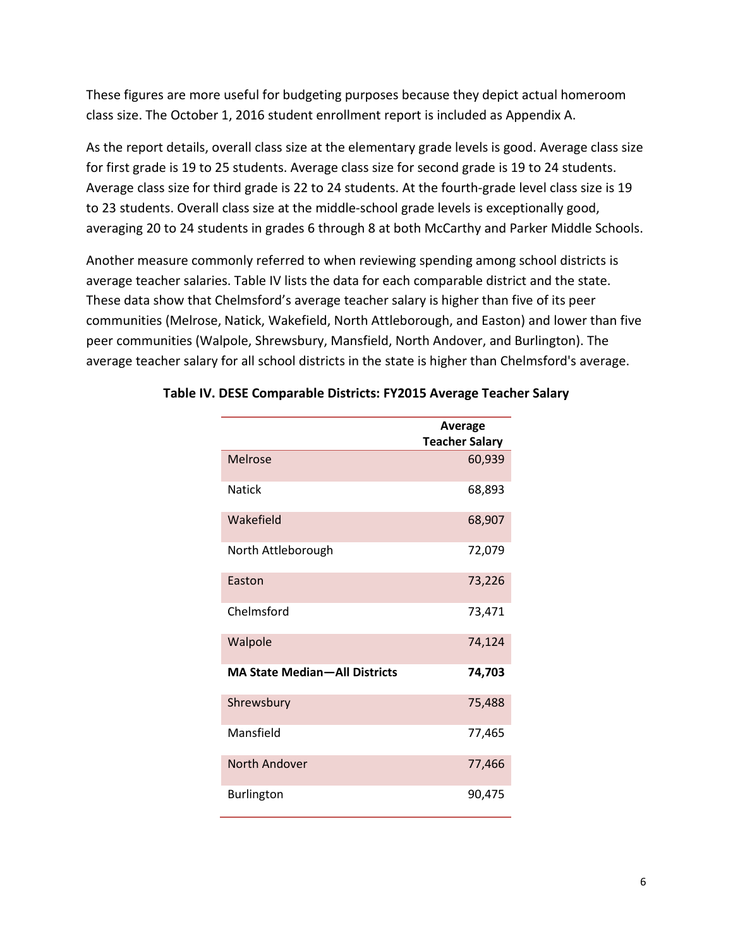These figures are more useful for budgeting purposes because they depict actual homeroom class size. The October 1, 2016 student enrollment report is included as Appendix A.

As the report details, overall class size at the elementary grade levels is good. Average class size for first grade is 19 to 25 students. Average class size for second grade is 19 to 24 students. Average class size for third grade is 22 to 24 students. At the fourth-grade level class size is 19 to 23 students. Overall class size at the middle-school grade levels is exceptionally good, averaging 20 to 24 students in grades 6 through 8 at both McCarthy and Parker Middle Schools.

Another measure commonly referred to when reviewing spending among school districts is average teacher salaries. Table IV lists the data for each comparable district and the state. These data show that Chelmsford's average teacher salary is higher than five of its peer communities (Melrose, Natick, Wakefield, North Attleborough, and Easton) and lower than five peer communities (Walpole, Shrewsbury, Mansfield, North Andover, and Burlington). The average teacher salary for all school districts in the state is higher than Chelmsford's average.

|                                      | Average<br><b>Teacher Salary</b> |
|--------------------------------------|----------------------------------|
| Melrose                              | 60,939                           |
| <b>Natick</b>                        | 68,893                           |
| Wakefield                            | 68,907                           |
| North Attleborough                   | 72,079                           |
| Easton                               | 73,226                           |
| Chelmsford                           | 73,471                           |
| Walpole                              | 74,124                           |
| <b>MA State Median-All Districts</b> | 74,703                           |
| Shrewsbury                           | 75,488                           |
| Mansfield                            | 77,465                           |
| North Andover                        | 77,466                           |
| <b>Burlington</b>                    | 90,475                           |

# **Table IV. DESE Comparable Districts: FY2015 Average Teacher Salary**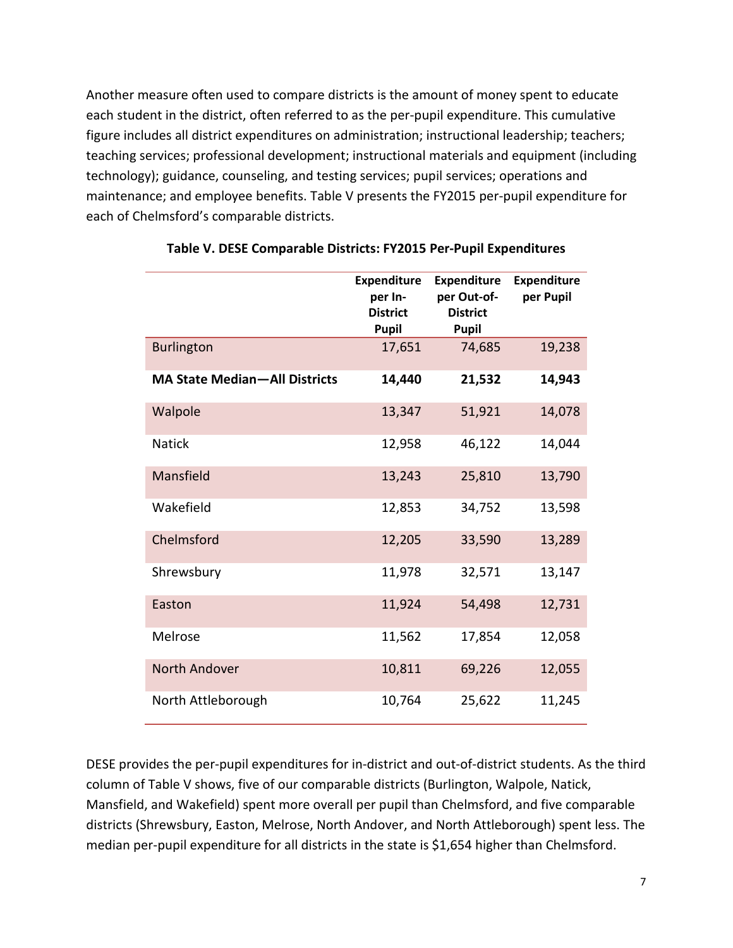Another measure often used to compare districts is the amount of money spent to educate each student in the district, often referred to as the per-pupil expenditure. This cumulative figure includes all district expenditures on administration; instructional leadership; teachers; teaching services; professional development; instructional materials and equipment (including technology); guidance, counseling, and testing services; pupil services; operations and maintenance; and employee benefits. Table V presents the FY2015 per-pupil expenditure for each of Chelmsford's comparable districts.

|                                      | <b>Expenditure</b><br>per In-<br><b>District</b><br>Pupil | <b>Expenditure</b><br>per Out-of-<br><b>District</b><br><b>Pupil</b> | <b>Expenditure</b><br>per Pupil |
|--------------------------------------|-----------------------------------------------------------|----------------------------------------------------------------------|---------------------------------|
| <b>Burlington</b>                    | 17,651                                                    | 74,685                                                               | 19,238                          |
| <b>MA State Median-All Districts</b> | 14,440                                                    | 21,532                                                               | 14,943                          |
| Walpole                              | 13,347                                                    | 51,921                                                               | 14,078                          |
| <b>Natick</b>                        | 12,958                                                    | 46,122                                                               | 14,044                          |
| Mansfield                            | 13,243                                                    | 25,810                                                               | 13,790                          |
| Wakefield                            | 12,853                                                    | 34,752                                                               | 13,598                          |
| Chelmsford                           | 12,205                                                    | 33,590                                                               | 13,289                          |
| Shrewsbury                           | 11,978                                                    | 32,571                                                               | 13,147                          |
| Easton                               | 11,924                                                    | 54,498                                                               | 12,731                          |
| Melrose                              | 11,562                                                    | 17,854                                                               | 12,058                          |
| North Andover                        | 10,811                                                    | 69,226                                                               | 12,055                          |
| North Attleborough                   | 10,764                                                    | 25,622                                                               | 11,245                          |

# **Table V. DESE Comparable Districts: FY2015 Per-Pupil Expenditures**

DESE provides the per-pupil expenditures for in-district and out-of-district students. As the third column of Table V shows, five of our comparable districts (Burlington, Walpole, Natick, Mansfield, and Wakefield) spent more overall per pupil than Chelmsford, and five comparable districts (Shrewsbury, Easton, Melrose, North Andover, and North Attleborough) spent less. The median per-pupil expenditure for all districts in the state is \$1,654 higher than Chelmsford.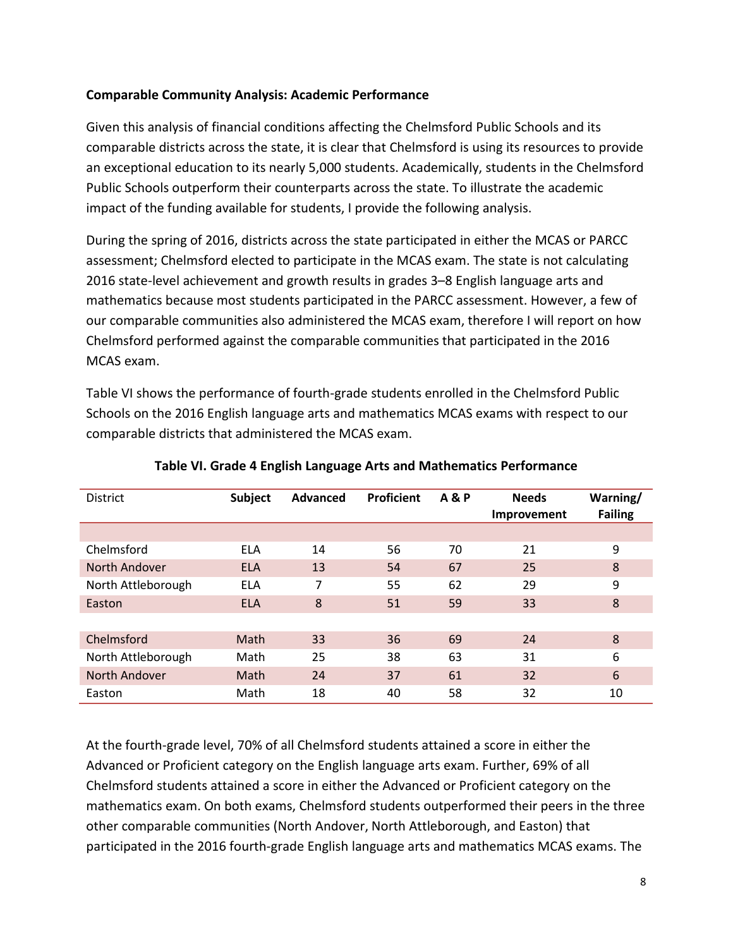# **Comparable Community Analysis: Academic Performance**

Given this analysis of financial conditions affecting the Chelmsford Public Schools and its comparable districts across the state, it is clear that Chelmsford is using its resources to provide an exceptional education to its nearly 5,000 students. Academically, students in the Chelmsford Public Schools outperform their counterparts across the state. To illustrate the academic impact of the funding available for students, I provide the following analysis.

During the spring of 2016, districts across the state participated in either the MCAS or PARCC assessment; Chelmsford elected to participate in the MCAS exam. The state is not calculating 2016 state-level achievement and growth results in grades 3–8 English language arts and mathematics because most students participated in the PARCC assessment. However, a few of our comparable communities also administered the MCAS exam, therefore I will report on how Chelmsford performed against the comparable communities that participated in the 2016 MCAS exam.

Table VI shows the performance of fourth-grade students enrolled in the Chelmsford Public Schools on the 2016 English language arts and mathematics MCAS exams with respect to our comparable districts that administered the MCAS exam.

| <b>District</b>    | Subject    | Advanced | <b>Proficient</b> | <b>A&amp;P</b> | <b>Needs</b><br>Improvement | Warning/<br><b>Failing</b> |
|--------------------|------------|----------|-------------------|----------------|-----------------------------|----------------------------|
|                    |            |          |                   |                |                             |                            |
| Chelmsford         | <b>ELA</b> | 14       | 56                | 70             | 21                          | 9                          |
| North Andover      | <b>ELA</b> | 13       | 54                | 67             | 25                          | 8                          |
| North Attleborough | ELA        | 7        | 55                | 62             | 29                          | 9                          |
| Easton             | <b>ELA</b> | 8        | 51                | 59             | 33                          | 8                          |
|                    |            |          |                   |                |                             |                            |
| Chelmsford         | Math       | 33       | 36                | 69             | 24                          | 8                          |
| North Attleborough | Math       | 25       | 38                | 63             | 31                          | 6                          |
| North Andover      | Math       | 24       | 37                | 61             | 32                          | 6                          |
| Easton             | Math       | 18       | 40                | 58             | 32                          | 10                         |

# **Table VI. Grade 4 English Language Arts and Mathematics Performance**

At the fourth-grade level, 70% of all Chelmsford students attained a score in either the Advanced or Proficient category on the English language arts exam. Further, 69% of all Chelmsford students attained a score in either the Advanced or Proficient category on the mathematics exam. On both exams, Chelmsford students outperformed their peers in the three other comparable communities (North Andover, North Attleborough, and Easton) that participated in the 2016 fourth-grade English language arts and mathematics MCAS exams. The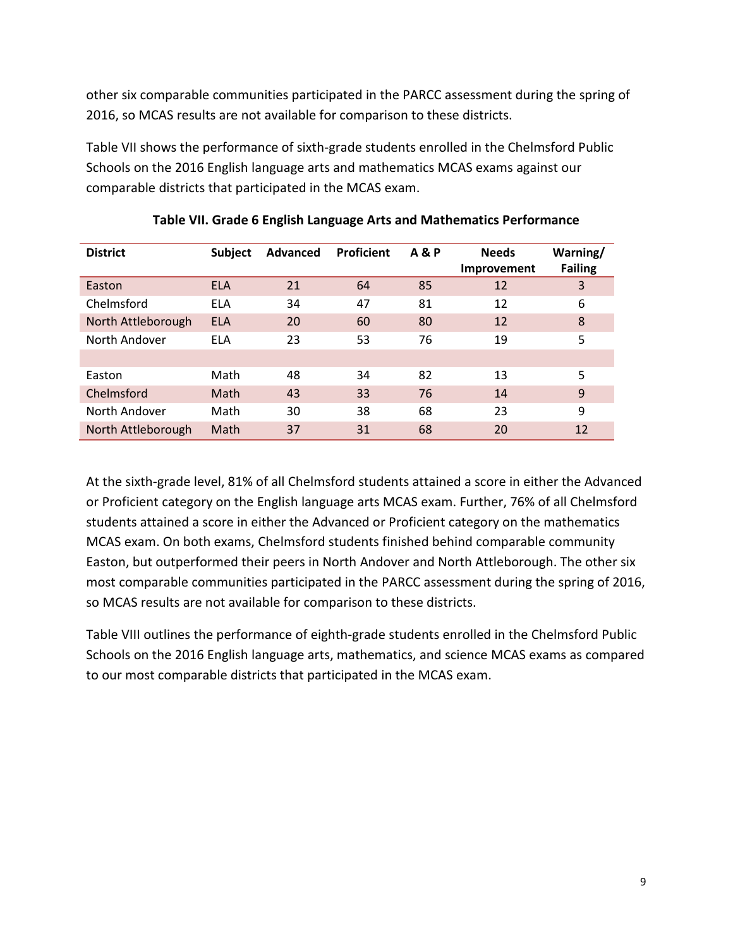other six comparable communities participated in the PARCC assessment during the spring of 2016, so MCAS results are not available for comparison to these districts.

Table VII shows the performance of sixth-grade students enrolled in the Chelmsford Public Schools on the 2016 English language arts and mathematics MCAS exams against our comparable districts that participated in the MCAS exam.

| <b>District</b>    | <b>Subject</b> | <b>Advanced</b> | <b>Proficient</b> | <b>A&amp;P</b> | <b>Needs</b><br>Improvement | Warning/<br><b>Failing</b> |
|--------------------|----------------|-----------------|-------------------|----------------|-----------------------------|----------------------------|
| Easton             | <b>ELA</b>     | 21              | 64                | 85             | 12                          | 3                          |
| Chelmsford         | <b>ELA</b>     | 34              | 47                | 81             | 12                          | 6                          |
| North Attleborough | <b>ELA</b>     | 20              | 60                | 80             | 12                          | 8                          |
| North Andover      | ELA            | 23              | 53                | 76             | 19                          | 5                          |
|                    |                |                 |                   |                |                             |                            |
| Easton             | Math           | 48              | 34                | 82             | 13                          | 5                          |
| Chelmsford         | Math           | 43              | 33                | 76             | 14                          | 9                          |
| North Andover      | Math           | 30              | 38                | 68             | 23                          | 9                          |
| North Attleborough | Math           | 37              | 31                | 68             | 20                          | 12                         |

**Table VII. Grade 6 English Language Arts and Mathematics Performance**

At the sixth-grade level, 81% of all Chelmsford students attained a score in either the Advanced or Proficient category on the English language arts MCAS exam. Further, 76% of all Chelmsford students attained a score in either the Advanced or Proficient category on the mathematics MCAS exam. On both exams, Chelmsford students finished behind comparable community Easton, but outperformed their peers in North Andover and North Attleborough. The other six most comparable communities participated in the PARCC assessment during the spring of 2016, so MCAS results are not available for comparison to these districts.

Table VIII outlines the performance of eighth-grade students enrolled in the Chelmsford Public Schools on the 2016 English language arts, mathematics, and science MCAS exams as compared to our most comparable districts that participated in the MCAS exam.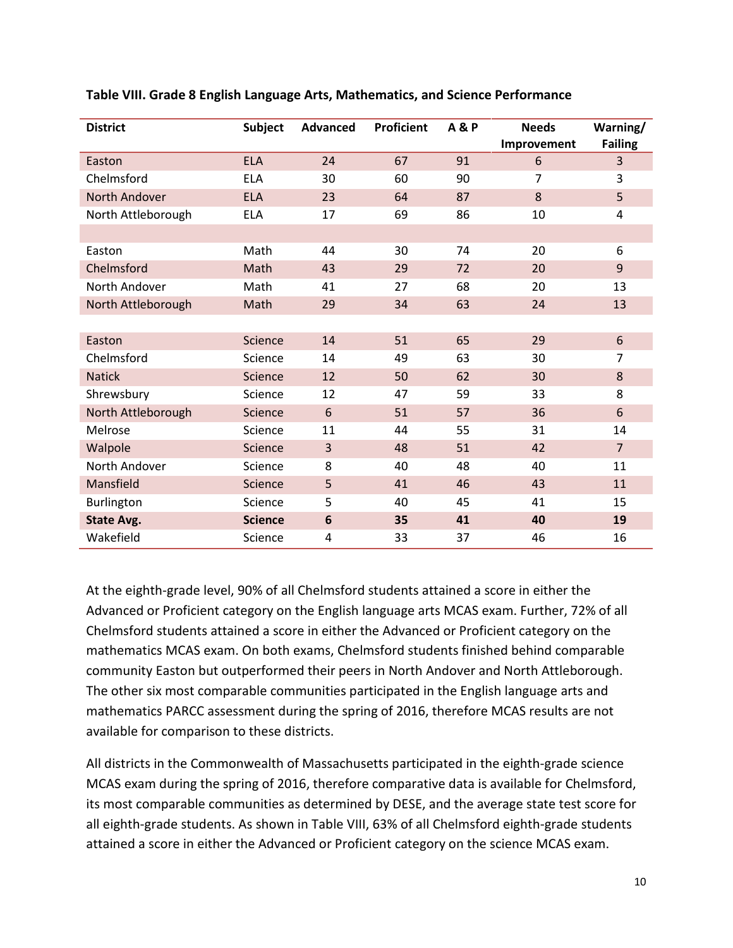| <b>District</b>      | <b>Subject</b> | <b>Advanced</b> | <b>Proficient</b> | <b>A&amp;P</b> | <b>Needs</b><br>Improvement | Warning/<br><b>Failing</b> |
|----------------------|----------------|-----------------|-------------------|----------------|-----------------------------|----------------------------|
| Easton               | <b>ELA</b>     | 24              | 67                | 91             | 6                           | 3                          |
| Chelmsford           | <b>ELA</b>     | 30              | 60                | 90             | $\overline{7}$              | 3                          |
| <b>North Andover</b> | <b>ELA</b>     | 23              | 64                | 87             | 8                           | 5                          |
| North Attleborough   | <b>ELA</b>     | 17              | 69                | 86             | 10                          | 4                          |
|                      |                |                 |                   |                |                             |                            |
| Easton               | Math           | 44              | 30                | 74             | 20                          | 6                          |
| Chelmsford           | Math           | 43              | 29                | 72             | 20                          | $\overline{9}$             |
| North Andover        | Math           | 41              | 27                | 68             | 20                          | 13                         |
| North Attleborough   | Math           | 29              | 34                | 63             | 24                          | 13                         |
|                      |                |                 |                   |                |                             |                            |
| Easton               | Science        | 14              | 51                | 65             | 29                          | 6                          |
| Chelmsford           | Science        | 14              | 49                | 63             | 30                          | $\overline{7}$             |
| <b>Natick</b>        | Science        | 12              | 50                | 62             | 30                          | 8                          |
| Shrewsbury           | Science        | 12              | 47                | 59             | 33                          | 8                          |
| North Attleborough   | <b>Science</b> | 6               | 51                | 57             | 36                          | 6                          |
| Melrose              | Science        | 11              | 44                | 55             | 31                          | 14                         |
| Walpole              | <b>Science</b> | $\overline{3}$  | 48                | 51             | 42                          | $\overline{7}$             |
| North Andover        | Science        | 8               | 40                | 48             | 40                          | 11                         |
| Mansfield            | <b>Science</b> | 5               | 41                | 46             | 43                          | 11                         |
| Burlington           | Science        | 5               | 40                | 45             | 41                          | 15                         |
| <b>State Avg.</b>    | <b>Science</b> | $6\phantom{1}6$ | 35                | 41             | 40                          | 19                         |
| Wakefield            | Science        | $\overline{a}$  | 33                | 37             | 46                          | 16                         |

**Table VIII. Grade 8 English Language Arts, Mathematics, and Science Performance**

At the eighth-grade level, 90% of all Chelmsford students attained a score in either the Advanced or Proficient category on the English language arts MCAS exam. Further, 72% of all Chelmsford students attained a score in either the Advanced or Proficient category on the mathematics MCAS exam. On both exams, Chelmsford students finished behind comparable community Easton but outperformed their peers in North Andover and North Attleborough. The other six most comparable communities participated in the English language arts and mathematics PARCC assessment during the spring of 2016, therefore MCAS results are not available for comparison to these districts.

All districts in the Commonwealth of Massachusetts participated in the eighth-grade science MCAS exam during the spring of 2016, therefore comparative data is available for Chelmsford, its most comparable communities as determined by DESE, and the average state test score for all eighth-grade students. As shown in Table VIII, 63% of all Chelmsford eighth-grade students attained a score in either the Advanced or Proficient category on the science MCAS exam.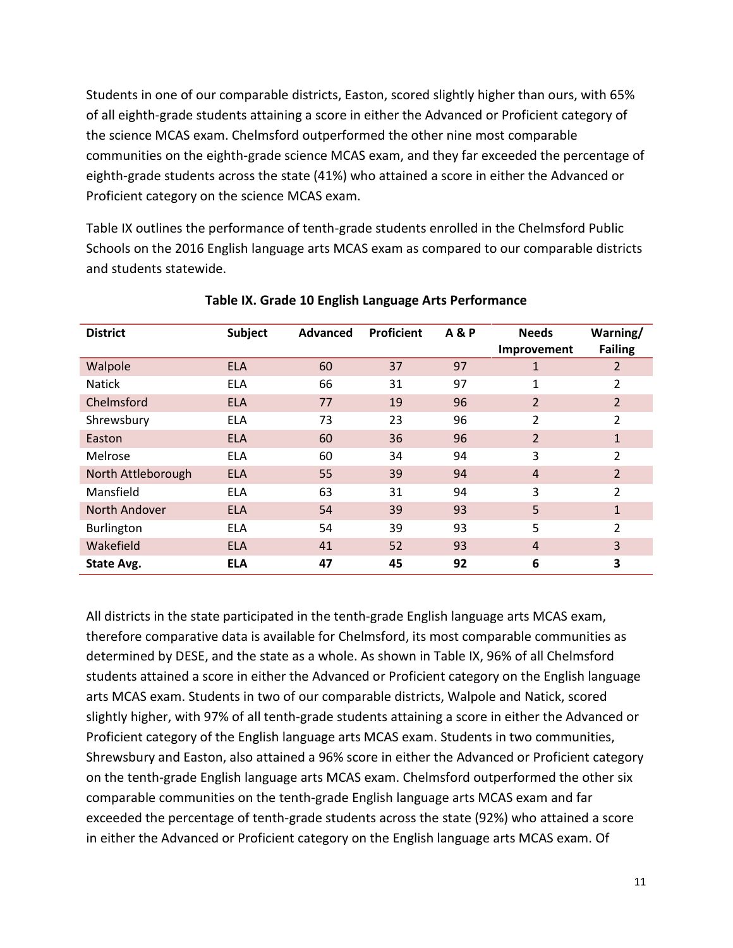Students in one of our comparable districts, Easton, scored slightly higher than ours, with 65% of all eighth-grade students attaining a score in either the Advanced or Proficient category of the science MCAS exam. Chelmsford outperformed the other nine most comparable communities on the eighth-grade science MCAS exam, and they far exceeded the percentage of eighth-grade students across the state (41%) who attained a score in either the Advanced or Proficient category on the science MCAS exam.

Table IX outlines the performance of tenth-grade students enrolled in the Chelmsford Public Schools on the 2016 English language arts MCAS exam as compared to our comparable districts and students statewide.

| <b>District</b>    | Subject    | Advanced | Proficient | <b>A&amp;P</b> | <b>Needs</b><br>Improvement | Warning/<br><b>Failing</b> |
|--------------------|------------|----------|------------|----------------|-----------------------------|----------------------------|
| Walpole            | <b>ELA</b> | 60       | 37         | 97             | 1                           | 2                          |
| <b>Natick</b>      | <b>ELA</b> | 66       | 31         | 97             | 1                           | 2                          |
| Chelmsford         | <b>ELA</b> | 77       | 19         | 96             | $\overline{2}$              | $\overline{2}$             |
| Shrewsbury         | <b>ELA</b> | 73       | 23         | 96             | 2                           | $\overline{2}$             |
| Easton             | <b>ELA</b> | 60       | 36         | 96             | $\overline{2}$              | 1                          |
| Melrose            | <b>ELA</b> | 60       | 34         | 94             | 3                           | 2                          |
| North Attleborough | <b>ELA</b> | 55       | 39         | 94             | $\overline{4}$              | $\overline{2}$             |
| Mansfield          | <b>ELA</b> | 63       | 31         | 94             | 3                           | 2                          |
| North Andover      | <b>ELA</b> | 54       | 39         | 93             | 5                           | 1                          |
| Burlington         | <b>ELA</b> | 54       | 39         | 93             | 5                           | 2                          |
| Wakefield          | <b>ELA</b> | 41       | 52         | 93             | $\overline{4}$              | 3                          |
| State Avg.         | <b>ELA</b> | 47       | 45         | 92             | 6                           | 3                          |

# **Table IX. Grade 10 English Language Arts Performance**

All districts in the state participated in the tenth-grade English language arts MCAS exam, therefore comparative data is available for Chelmsford, its most comparable communities as determined by DESE, and the state as a whole. As shown in Table IX, 96% of all Chelmsford students attained a score in either the Advanced or Proficient category on the English language arts MCAS exam. Students in two of our comparable districts, Walpole and Natick, scored slightly higher, with 97% of all tenth-grade students attaining a score in either the Advanced or Proficient category of the English language arts MCAS exam. Students in two communities, Shrewsbury and Easton, also attained a 96% score in either the Advanced or Proficient category on the tenth-grade English language arts MCAS exam. Chelmsford outperformed the other six comparable communities on the tenth-grade English language arts MCAS exam and far exceeded the percentage of tenth-grade students across the state (92%) who attained a score in either the Advanced or Proficient category on the English language arts MCAS exam. Of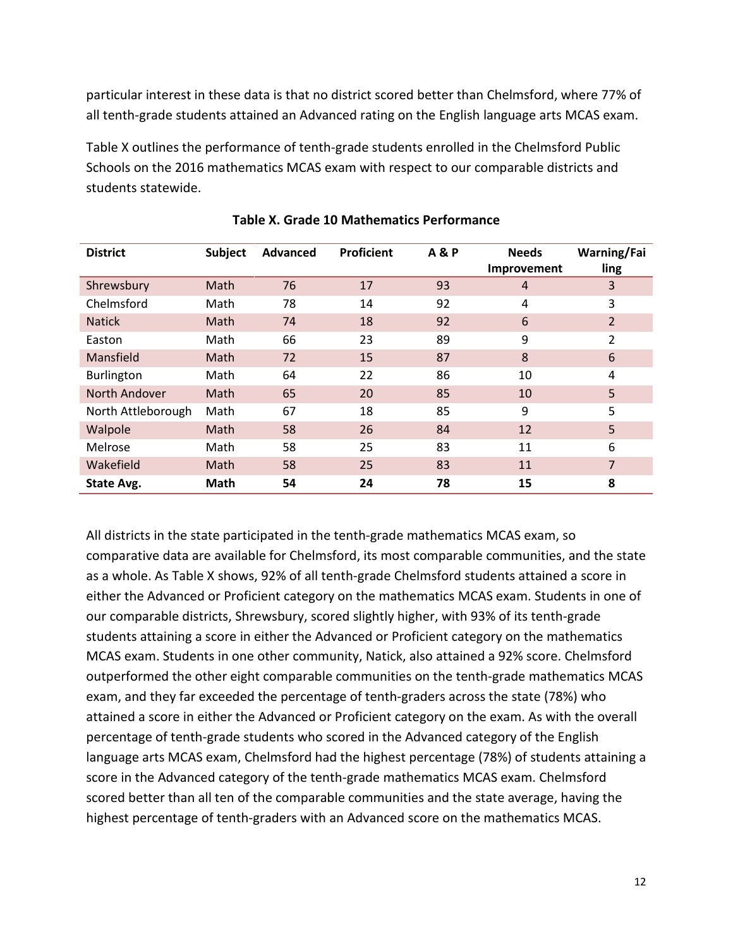particular interest in these data is that no district scored better than Chelmsford, where 77% of all tenth-grade students attained an Advanced rating on the English language arts MCAS exam.

Table X outlines the performance of tenth-grade students enrolled in the Chelmsford Public Schools on the 2016 mathematics MCAS exam with respect to our comparable districts and students statewide.

| <b>District</b>    | <b>Subject</b> | <b>Advanced</b> | <b>Proficient</b> | <b>A&amp;P</b> | <b>Needs</b><br>Improvement | Warning/Fai<br>ling |
|--------------------|----------------|-----------------|-------------------|----------------|-----------------------------|---------------------|
| Shrewsbury         | Math           | 76              | 17                | 93             | $\overline{4}$              | 3                   |
| Chelmsford         | Math           | 78              | 14                | 92             | 4                           | 3                   |
| <b>Natick</b>      | Math           | 74              | 18                | 92             | 6                           | 2                   |
| Easton             | Math           | 66              | 23                | 89             | 9                           | 2                   |
| Mansfield          | Math           | 72              | 15                | 87             | 8                           | 6                   |
| Burlington         | Math           | 64              | 22                | 86             | 10                          | 4                   |
| North Andover      | Math           | 65              | 20                | 85             | 10                          | 5                   |
| North Attleborough | Math           | 67              | 18                | 85             | 9                           | 5                   |
| Walpole            | Math           | 58              | 26                | 84             | 12                          | 5                   |
| Melrose            | Math           | 58              | 25                | 83             | 11                          | 6                   |
| Wakefield          | Math           | 58              | 25                | 83             | 11                          | 7                   |
| State Avg.         | Math           | 54              | 24                | 78             | 15                          | 8                   |

| Table X. Grade 10 Mathematics Performance |
|-------------------------------------------|
|                                           |

All districts in the state participated in the tenth-grade mathematics MCAS exam, so comparative data are available for Chelmsford, its most comparable communities, and the state as a whole. As Table X shows, 92% of all tenth-grade Chelmsford students attained a score in either the Advanced or Proficient category on the mathematics MCAS exam. Students in one of our comparable districts, Shrewsbury, scored slightly higher, with 93% of its tenth-grade students attaining a score in either the Advanced or Proficient category on the mathematics MCAS exam. Students in one other community, Natick, also attained a 92% score. Chelmsford outperformed the other eight comparable communities on the tenth-grade mathematics MCAS exam, and they far exceeded the percentage of tenth-graders across the state (78%) who attained a score in either the Advanced or Proficient category on the exam. As with the overall percentage of tenth-grade students who scored in the Advanced category of the English language arts MCAS exam, Chelmsford had the highest percentage (78%) of students attaining a score in the Advanced category of the tenth-grade mathematics MCAS exam. Chelmsford scored better than all ten of the comparable communities and the state average, having the highest percentage of tenth-graders with an Advanced score on the mathematics MCAS.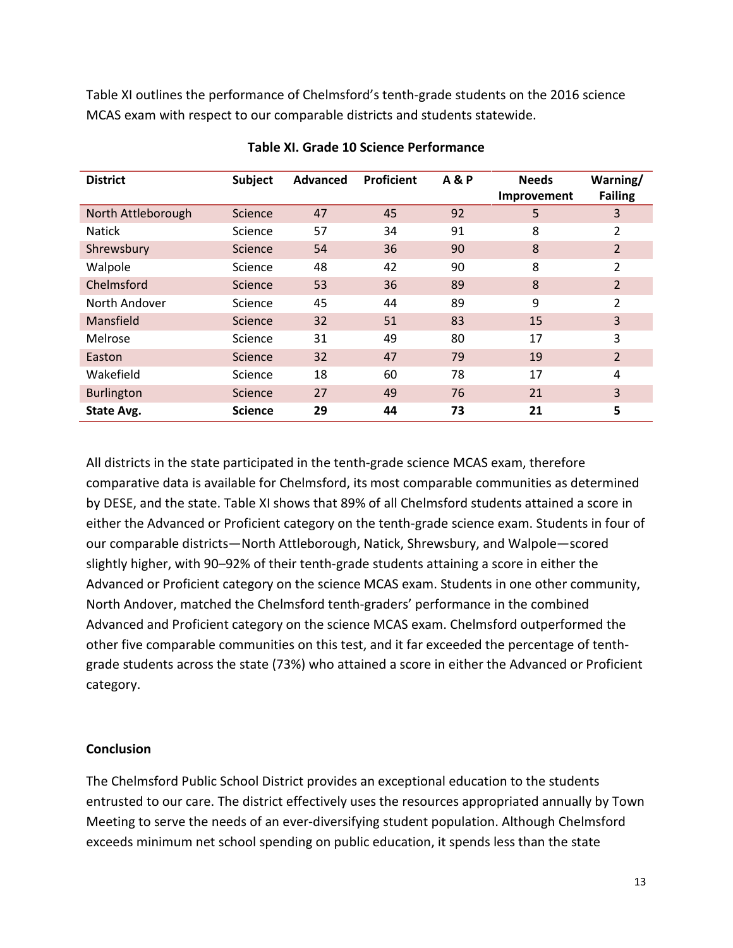Table XI outlines the performance of Chelmsford's tenth-grade students on the 2016 science MCAS exam with respect to our comparable districts and students statewide.

| <b>District</b>    | <b>Subject</b> | <b>Advanced</b> | Proficient | <b>A&amp;P</b> | <b>Needs</b><br>Improvement | Warning/<br><b>Failing</b> |
|--------------------|----------------|-----------------|------------|----------------|-----------------------------|----------------------------|
| North Attleborough | <b>Science</b> | 47              | 45         | 92             | 5                           | 3                          |
| <b>Natick</b>      | Science        | 57              | 34         | 91             | 8                           | $\overline{2}$             |
| Shrewsbury         | <b>Science</b> | 54              | 36         | 90             | 8                           | $\overline{2}$             |
| Walpole            | Science        | 48              | 42         | 90             | 8                           | $\overline{2}$             |
| Chelmsford         | Science        | 53              | 36         | 89             | 8                           | $\overline{2}$             |
| North Andover      | Science        | 45              | 44         | 89             | 9                           | 2                          |
| Mansfield          | <b>Science</b> | 32              | 51         | 83             | 15                          | 3                          |
| Melrose            | Science        | 31              | 49         | 80             | 17                          | 3                          |
| Easton             | Science        | 32              | 47         | 79             | 19                          | $\overline{2}$             |
| Wakefield          | Science        | 18              | 60         | 78             | 17                          | 4                          |
| <b>Burlington</b>  | <b>Science</b> | 27              | 49         | 76             | 21                          | 3                          |
| State Avg.         | <b>Science</b> | 29              | 44         | 73             | 21                          | 5                          |

# **Table XI. Grade 10 Science Performance**

All districts in the state participated in the tenth-grade science MCAS exam, therefore comparative data is available for Chelmsford, its most comparable communities as determined by DESE, and the state. Table XI shows that 89% of all Chelmsford students attained a score in either the Advanced or Proficient category on the tenth-grade science exam. Students in four of our comparable districts—North Attleborough, Natick, Shrewsbury, and Walpole—scored slightly higher, with 90–92% of their tenth-grade students attaining a score in either the Advanced or Proficient category on the science MCAS exam. Students in one other community, North Andover, matched the Chelmsford tenth-graders' performance in the combined Advanced and Proficient category on the science MCAS exam. Chelmsford outperformed the other five comparable communities on this test, and it far exceeded the percentage of tenthgrade students across the state (73%) who attained a score in either the Advanced or Proficient category.

# **Conclusion**

The Chelmsford Public School District provides an exceptional education to the students entrusted to our care. The district effectively uses the resources appropriated annually by Town Meeting to serve the needs of an ever-diversifying student population. Although Chelmsford exceeds minimum net school spending on public education, it spends less than the state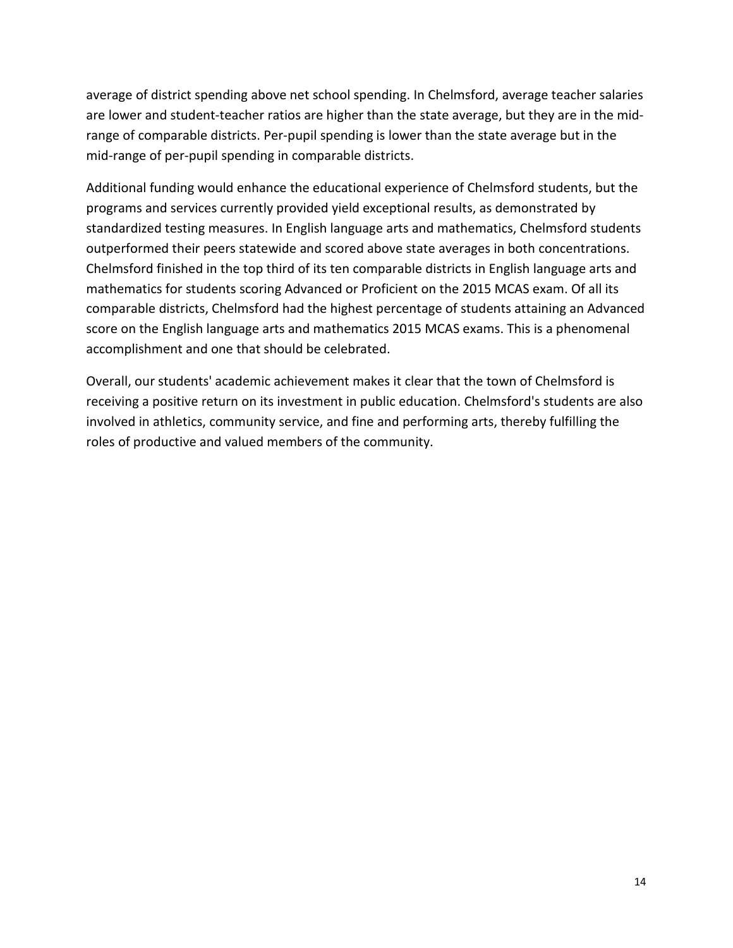average of district spending above net school spending. In Chelmsford, average teacher salaries are lower and student-teacher ratios are higher than the state average, but they are in the midrange of comparable districts. Per-pupil spending is lower than the state average but in the mid-range of per-pupil spending in comparable districts.

Additional funding would enhance the educational experience of Chelmsford students, but the programs and services currently provided yield exceptional results, as demonstrated by standardized testing measures. In English language arts and mathematics, Chelmsford students outperformed their peers statewide and scored above state averages in both concentrations. Chelmsford finished in the top third of its ten comparable districts in English language arts and mathematics for students scoring Advanced or Proficient on the 2015 MCAS exam. Of all its comparable districts, Chelmsford had the highest percentage of students attaining an Advanced score on the English language arts and mathematics 2015 MCAS exams. This is a phenomenal accomplishment and one that should be celebrated.

Overall, our students' academic achievement makes it clear that the town of Chelmsford is receiving a positive return on its investment in public education. Chelmsford's students are also involved in athletics, community service, and fine and performing arts, thereby fulfilling the roles of productive and valued members of the community.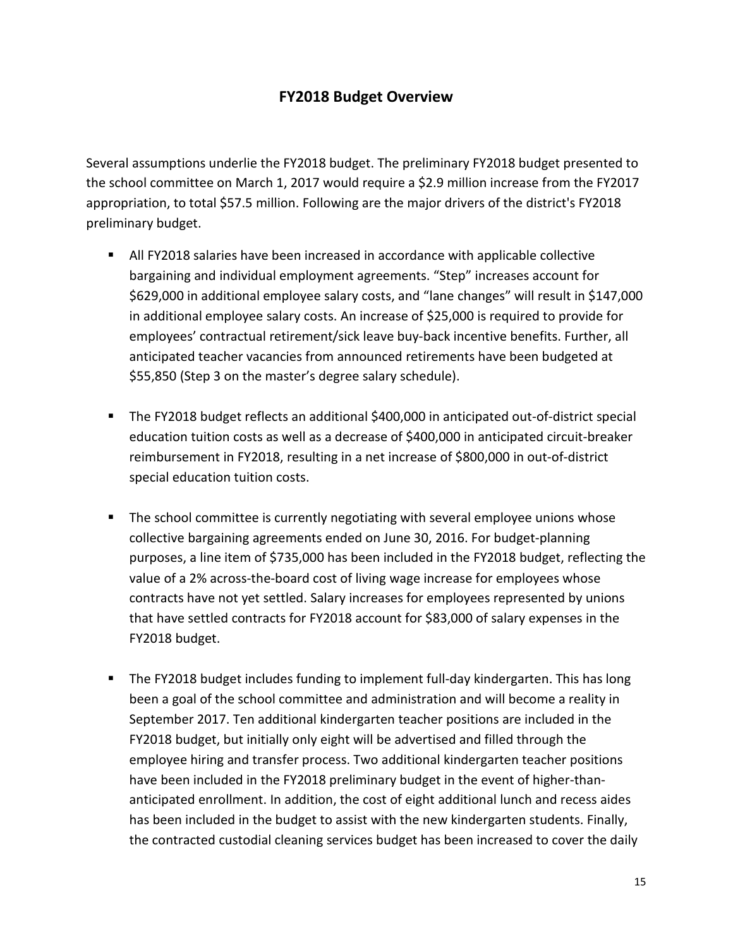# **FY2018 Budget Overview**

Several assumptions underlie the FY2018 budget. The preliminary FY2018 budget presented to the school committee on March 1, 2017 would require a \$2.9 million increase from the FY2017 appropriation, to total \$57.5 million. Following are the major drivers of the district's FY2018 preliminary budget.

- All FY2018 salaries have been increased in accordance with applicable collective bargaining and individual employment agreements. "Step" increases account for \$629,000 in additional employee salary costs, and "lane changes" will result in \$147,000 in additional employee salary costs. An increase of \$25,000 is required to provide for employees' contractual retirement/sick leave buy-back incentive benefits. Further, all anticipated teacher vacancies from announced retirements have been budgeted at \$55,850 (Step 3 on the master's degree salary schedule).
- The FY2018 budget reflects an additional \$400,000 in anticipated out-of-district special education tuition costs as well as a decrease of \$400,000 in anticipated circuit-breaker reimbursement in FY2018, resulting in a net increase of \$800,000 in out-of-district special education tuition costs.
- **The school committee is currently negotiating with several employee unions whose** collective bargaining agreements ended on June 30, 2016. For budget-planning purposes, a line item of \$735,000 has been included in the FY2018 budget, reflecting the value of a 2% across-the-board cost of living wage increase for employees whose contracts have not yet settled. Salary increases for employees represented by unions that have settled contracts for FY2018 account for \$83,000 of salary expenses in the FY2018 budget.
- The FY2018 budget includes funding to implement full-day kindergarten. This has long been a goal of the school committee and administration and will become a reality in September 2017. Ten additional kindergarten teacher positions are included in the FY2018 budget, but initially only eight will be advertised and filled through the employee hiring and transfer process. Two additional kindergarten teacher positions have been included in the FY2018 preliminary budget in the event of higher-thananticipated enrollment. In addition, the cost of eight additional lunch and recess aides has been included in the budget to assist with the new kindergarten students. Finally, the contracted custodial cleaning services budget has been increased to cover the daily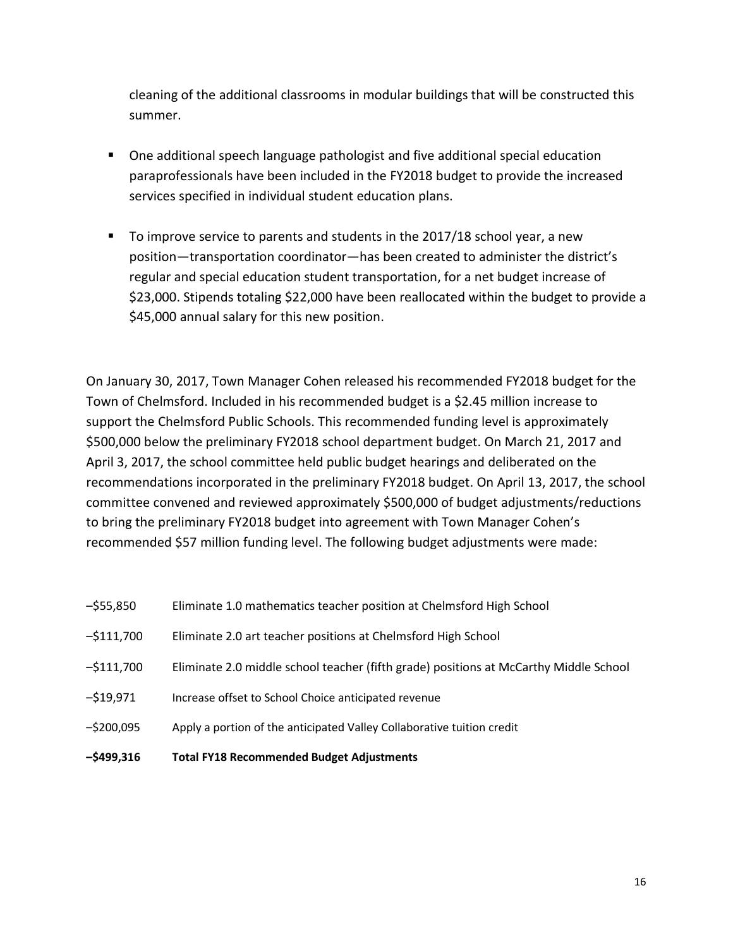cleaning of the additional classrooms in modular buildings that will be constructed this summer.

- One additional speech language pathologist and five additional special education paraprofessionals have been included in the FY2018 budget to provide the increased services specified in individual student education plans.
- To improve service to parents and students in the 2017/18 school year, a new position—transportation coordinator—has been created to administer the district's regular and special education student transportation, for a net budget increase of \$23,000. Stipends totaling \$22,000 have been reallocated within the budget to provide a \$45,000 annual salary for this new position.

On January 30, 2017, Town Manager Cohen released his recommended FY2018 budget for the Town of Chelmsford. Included in his recommended budget is a \$2.45 million increase to support the Chelmsford Public Schools. This recommended funding level is approximately \$500,000 below the preliminary FY2018 school department budget. On March 21, 2017 and April 3, 2017, the school committee held public budget hearings and deliberated on the recommendations incorporated in the preliminary FY2018 budget. On April 13, 2017, the school committee convened and reviewed approximately \$500,000 of budget adjustments/reductions to bring the preliminary FY2018 budget into agreement with Town Manager Cohen's recommended \$57 million funding level. The following budget adjustments were made:

| Eliminate 1.0 mathematics teacher position at Chelmsford High School |
|----------------------------------------------------------------------|
|                                                                      |

- –\$111,700 Eliminate 2.0 art teacher positions at Chelmsford High School
- –\$111,700 Eliminate 2.0 middle school teacher (fifth grade) positions at McCarthy Middle School
- –\$19,971 Increase offset to School Choice anticipated revenue
- –\$200,095 Apply a portion of the anticipated Valley Collaborative tuition credit
- **–\$499,316 Total FY18 Recommended Budget Adjustments**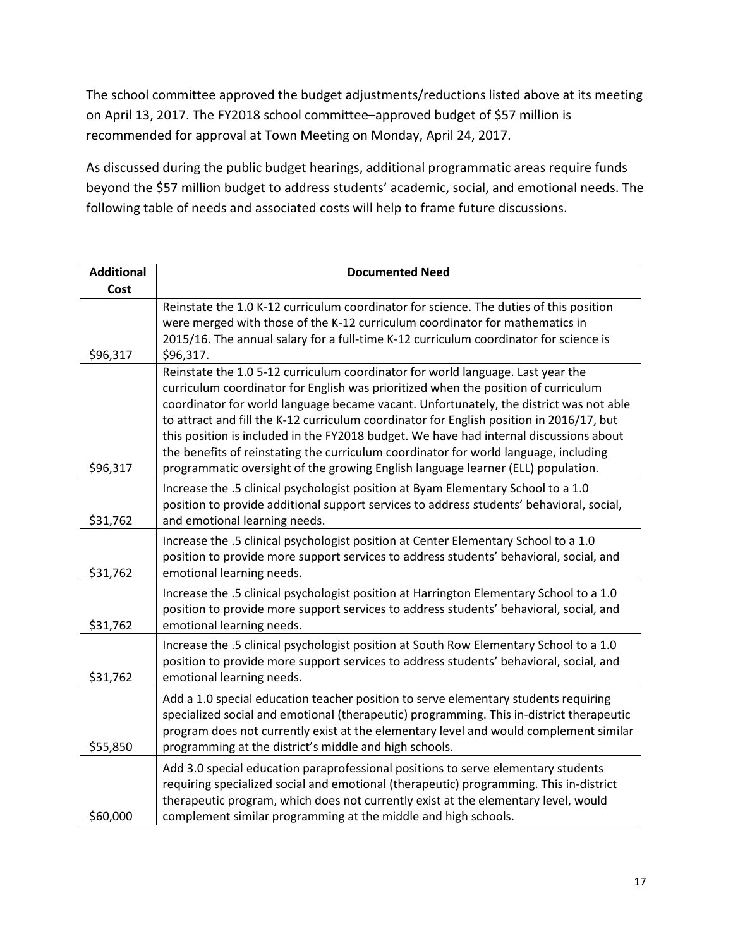The school committee approved the budget adjustments/reductions listed above at its meeting on April 13, 2017. The FY2018 school committee–approved budget of \$57 million is recommended for approval at Town Meeting on Monday, April 24, 2017.

As discussed during the public budget hearings, additional programmatic areas require funds beyond the \$57 million budget to address students' academic, social, and emotional needs. The following table of needs and associated costs will help to frame future discussions.

| <b>Additional</b> | <b>Documented Need</b>                                                                                                                                                                                                                                                                                                                                                                                                                                                                                                                                                                                                            |
|-------------------|-----------------------------------------------------------------------------------------------------------------------------------------------------------------------------------------------------------------------------------------------------------------------------------------------------------------------------------------------------------------------------------------------------------------------------------------------------------------------------------------------------------------------------------------------------------------------------------------------------------------------------------|
| Cost              |                                                                                                                                                                                                                                                                                                                                                                                                                                                                                                                                                                                                                                   |
| \$96,317          | Reinstate the 1.0 K-12 curriculum coordinator for science. The duties of this position<br>were merged with those of the K-12 curriculum coordinator for mathematics in<br>2015/16. The annual salary for a full-time K-12 curriculum coordinator for science is<br>\$96,317.                                                                                                                                                                                                                                                                                                                                                      |
| \$96,317          | Reinstate the 1.0 5-12 curriculum coordinator for world language. Last year the<br>curriculum coordinator for English was prioritized when the position of curriculum<br>coordinator for world language became vacant. Unfortunately, the district was not able<br>to attract and fill the K-12 curriculum coordinator for English position in 2016/17, but<br>this position is included in the FY2018 budget. We have had internal discussions about<br>the benefits of reinstating the curriculum coordinator for world language, including<br>programmatic oversight of the growing English language learner (ELL) population. |
| \$31,762          | Increase the .5 clinical psychologist position at Byam Elementary School to a 1.0<br>position to provide additional support services to address students' behavioral, social,<br>and emotional learning needs.                                                                                                                                                                                                                                                                                                                                                                                                                    |
| \$31,762          | Increase the .5 clinical psychologist position at Center Elementary School to a 1.0<br>position to provide more support services to address students' behavioral, social, and<br>emotional learning needs.                                                                                                                                                                                                                                                                                                                                                                                                                        |
| \$31,762          | Increase the .5 clinical psychologist position at Harrington Elementary School to a 1.0<br>position to provide more support services to address students' behavioral, social, and<br>emotional learning needs.                                                                                                                                                                                                                                                                                                                                                                                                                    |
| \$31,762          | Increase the .5 clinical psychologist position at South Row Elementary School to a 1.0<br>position to provide more support services to address students' behavioral, social, and<br>emotional learning needs.                                                                                                                                                                                                                                                                                                                                                                                                                     |
| \$55,850          | Add a 1.0 special education teacher position to serve elementary students requiring<br>specialized social and emotional (therapeutic) programming. This in-district therapeutic<br>program does not currently exist at the elementary level and would complement similar<br>programming at the district's middle and high schools.                                                                                                                                                                                                                                                                                                |
| \$60,000          | Add 3.0 special education paraprofessional positions to serve elementary students<br>requiring specialized social and emotional (therapeutic) programming. This in-district<br>therapeutic program, which does not currently exist at the elementary level, would<br>complement similar programming at the middle and high schools.                                                                                                                                                                                                                                                                                               |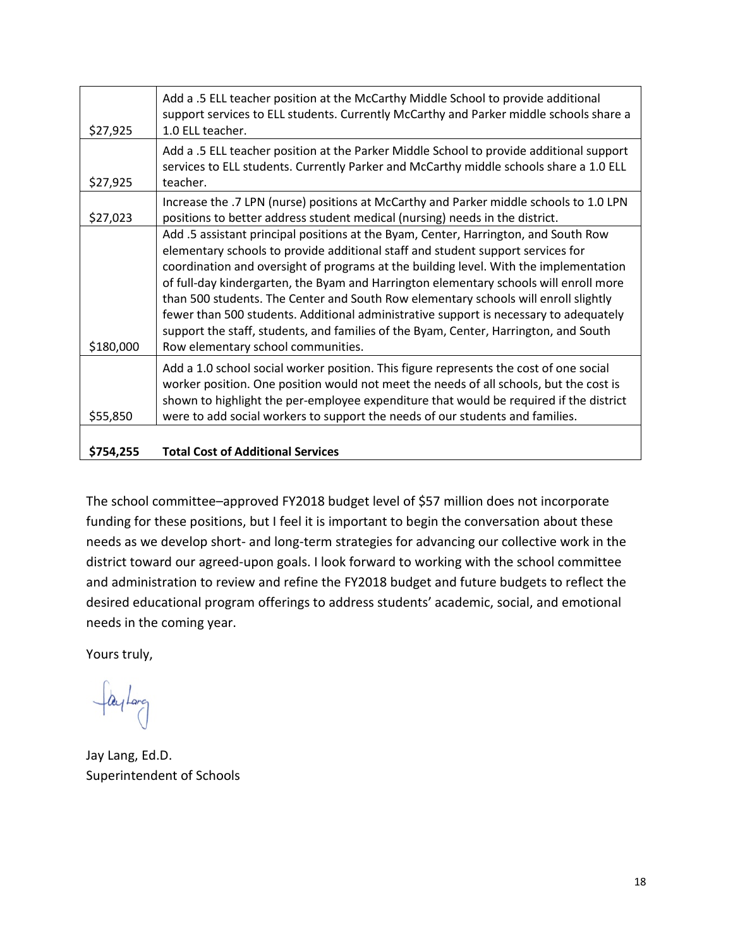| \$27,925  | Add a .5 ELL teacher position at the McCarthy Middle School to provide additional<br>support services to ELL students. Currently McCarthy and Parker middle schools share a<br>1.0 ELL teacher.                                                                                                                                                                                                                                                                                                                                                                                                                                                                        |
|-----------|------------------------------------------------------------------------------------------------------------------------------------------------------------------------------------------------------------------------------------------------------------------------------------------------------------------------------------------------------------------------------------------------------------------------------------------------------------------------------------------------------------------------------------------------------------------------------------------------------------------------------------------------------------------------|
| \$27,925  | Add a .5 ELL teacher position at the Parker Middle School to provide additional support<br>services to ELL students. Currently Parker and McCarthy middle schools share a 1.0 ELL<br>teacher.                                                                                                                                                                                                                                                                                                                                                                                                                                                                          |
| \$27,023  | Increase the .7 LPN (nurse) positions at McCarthy and Parker middle schools to 1.0 LPN<br>positions to better address student medical (nursing) needs in the district.                                                                                                                                                                                                                                                                                                                                                                                                                                                                                                 |
| \$180,000 | Add .5 assistant principal positions at the Byam, Center, Harrington, and South Row<br>elementary schools to provide additional staff and student support services for<br>coordination and oversight of programs at the building level. With the implementation<br>of full-day kindergarten, the Byam and Harrington elementary schools will enroll more<br>than 500 students. The Center and South Row elementary schools will enroll slightly<br>fewer than 500 students. Additional administrative support is necessary to adequately<br>support the staff, students, and families of the Byam, Center, Harrington, and South<br>Row elementary school communities. |
| \$55,850  | Add a 1.0 school social worker position. This figure represents the cost of one social<br>worker position. One position would not meet the needs of all schools, but the cost is<br>shown to highlight the per-employee expenditure that would be required if the district<br>were to add social workers to support the needs of our students and families.                                                                                                                                                                                                                                                                                                            |
| \$754,255 | <b>Total Cost of Additional Services</b>                                                                                                                                                                                                                                                                                                                                                                                                                                                                                                                                                                                                                               |

# The school committee–approved FY2018 budget level of \$57 million does not incorporate funding for these positions, but I feel it is important to begin the conversation about these needs as we develop short- and long-term strategies for advancing our collective work in the district toward our agreed-upon goals. I look forward to working with the school committee and administration to review and refine the FY2018 budget and future budgets to reflect the desired educational program offerings to address students' academic, social, and emotional needs in the coming year.

Yours truly,

faylarg

Jay Lang, Ed.D. Superintendent of Schools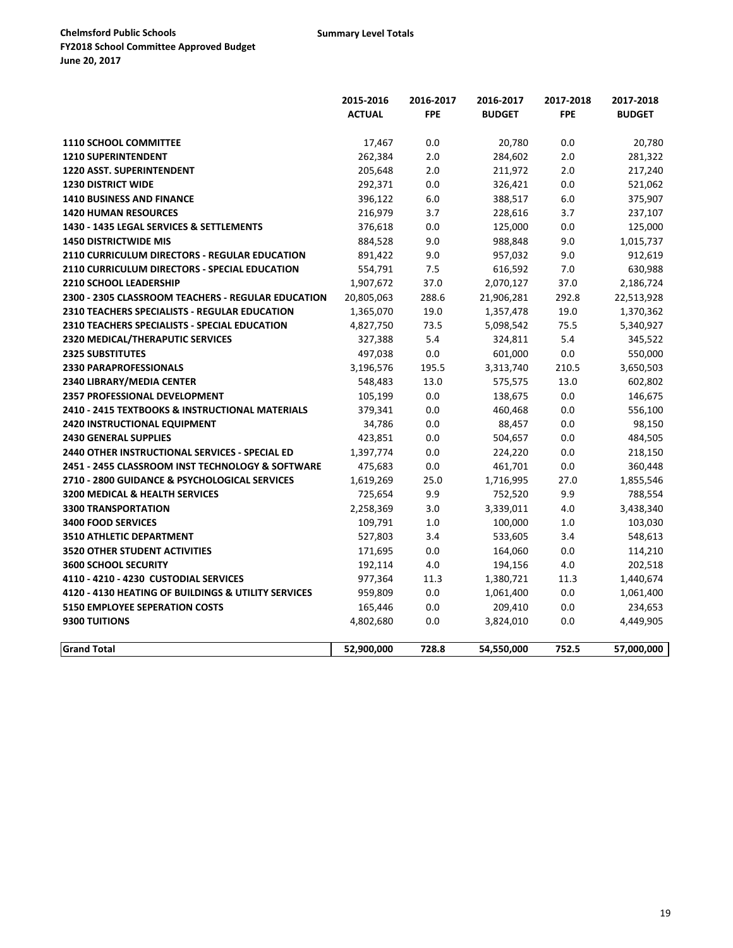|                                                       | 2015-2016     | 2016-2017  | 2016-2017     | 2017-2018  | 2017-2018     |
|-------------------------------------------------------|---------------|------------|---------------|------------|---------------|
|                                                       | <b>ACTUAL</b> | <b>FPE</b> | <b>BUDGET</b> | <b>FPE</b> | <b>BUDGET</b> |
|                                                       |               |            |               |            |               |
| <b>1110 SCHOOL COMMITTEE</b>                          | 17,467        | 0.0        | 20,780        | 0.0        | 20,780        |
| <b>1210 SUPERINTENDENT</b>                            | 262,384       | 2.0        | 284,602       | 2.0        | 281,322       |
| <b>1220 ASST. SUPERINTENDENT</b>                      | 205,648       | 2.0        | 211,972       | 2.0        | 217,240       |
| <b>1230 DISTRICT WIDE</b>                             | 292,371       | 0.0        | 326,421       | 0.0        | 521,062       |
| <b>1410 BUSINESS AND FINANCE</b>                      | 396,122       | 6.0        | 388,517       | 6.0        | 375,907       |
| <b>1420 HUMAN RESOURCES</b>                           | 216,979       | 3.7        | 228,616       | 3.7        | 237,107       |
| 1430 - 1435 LEGAL SERVICES & SETTLEMENTS              | 376,618       | 0.0        | 125,000       | 0.0        | 125,000       |
| <b>1450 DISTRICTWIDE MIS</b>                          | 884,528       | 9.0        | 988,848       | 9.0        | 1,015,737     |
| 2110 CURRICULUM DIRECTORS - REGULAR EDUCATION         | 891,422       | 9.0        | 957,032       | 9.0        | 912,619       |
| 2110 CURRICULUM DIRECTORS - SPECIAL EDUCATION         | 554,791       | 7.5        | 616,592       | 7.0        | 630,988       |
| <b>2210 SCHOOL LEADERSHIP</b>                         | 1,907,672     | 37.0       | 2,070,127     | 37.0       | 2,186,724     |
| 2300 - 2305 CLASSROOM TEACHERS - REGULAR EDUCATION    | 20,805,063    | 288.6      | 21,906,281    | 292.8      | 22,513,928    |
| <b>2310 TEACHERS SPECIALISTS - REGULAR EDUCATION</b>  | 1,365,070     | 19.0       | 1,357,478     | 19.0       | 1,370,362     |
| 2310 TEACHERS SPECIALISTS - SPECIAL EDUCATION         | 4,827,750     | 73.5       | 5,098,542     | 75.5       | 5,340,927     |
| <b>2320 MEDICAL/THERAPUTIC SERVICES</b>               | 327,388       | 5.4        | 324,811       | 5.4        | 345,522       |
| <b>2325 SUBSTITUTES</b>                               | 497,038       | 0.0        | 601,000       | 0.0        | 550,000       |
| <b>2330 PARAPROFESSIONALS</b>                         | 3,196,576     | 195.5      | 3,313,740     | 210.5      | 3,650,503     |
| 2340 LIBRARY/MEDIA CENTER                             | 548,483       | 13.0       | 575,575       | 13.0       | 602,802       |
| <b>2357 PROFESSIONAL DEVELOPMENT</b>                  | 105,199       | 0.0        | 138,675       | 0.0        | 146,675       |
| 2410 - 2415 TEXTBOOKS & INSTRUCTIONAL MATERIALS       | 379,341       | 0.0        | 460,468       | 0.0        | 556,100       |
| <b>2420 INSTRUCTIONAL EQUIPMENT</b>                   | 34,786        | 0.0        | 88,457        | 0.0        | 98,150        |
| <b>2430 GENERAL SUPPLIES</b>                          | 423,851       | 0.0        | 504,657       | 0.0        | 484,505       |
| <b>2440 OTHER INSTRUCTIONAL SERVICES - SPECIAL ED</b> | 1,397,774     | 0.0        | 224,220       | 0.0        | 218,150       |
| 2451 - 2455 CLASSROOM INST TECHNOLOGY & SOFTWARE      | 475,683       | 0.0        | 461,701       | 0.0        | 360,448       |
| 2710 - 2800 GUIDANCE & PSYCHOLOGICAL SERVICES         | 1,619,269     | 25.0       | 1,716,995     | 27.0       | 1,855,546     |
| 3200 MEDICAL & HEALTH SERVICES                        | 725,654       | 9.9        | 752,520       | 9.9        | 788,554       |
| <b>3300 TRANSPORTATION</b>                            | 2,258,369     | 3.0        | 3,339,011     | 4.0        | 3,438,340     |
| <b>3400 FOOD SERVICES</b>                             | 109,791       | 1.0        | 100,000       | 1.0        | 103,030       |
| 3510 ATHLETIC DEPARTMENT                              | 527,803       | 3.4        | 533,605       | 3.4        | 548,613       |
| <b>3520 OTHER STUDENT ACTIVITIES</b>                  | 171,695       | 0.0        | 164,060       | 0.0        | 114,210       |
| <b>3600 SCHOOL SECURITY</b>                           | 192,114       | 4.0        | 194,156       | 4.0        | 202,518       |
| 4110 - 4210 - 4230 CUSTODIAL SERVICES                 | 977,364       | 11.3       | 1,380,721     | 11.3       | 1,440,674     |
| 4120 - 4130 HEATING OF BUILDINGS & UTILITY SERVICES   | 959,809       | 0.0        | 1,061,400     | 0.0        | 1,061,400     |
| <b>5150 EMPLOYEE SEPERATION COSTS</b>                 | 165,446       | 0.0        | 209,410       | 0.0        | 234,653       |
| 9300 TUITIONS                                         | 4,802,680     | 0.0        | 3,824,010     | 0.0        | 4,449,905     |
|                                                       |               |            |               |            |               |
| <b>Grand Total</b>                                    | 52,900,000    | 728.8      | 54,550,000    | 752.5      | 57,000,000    |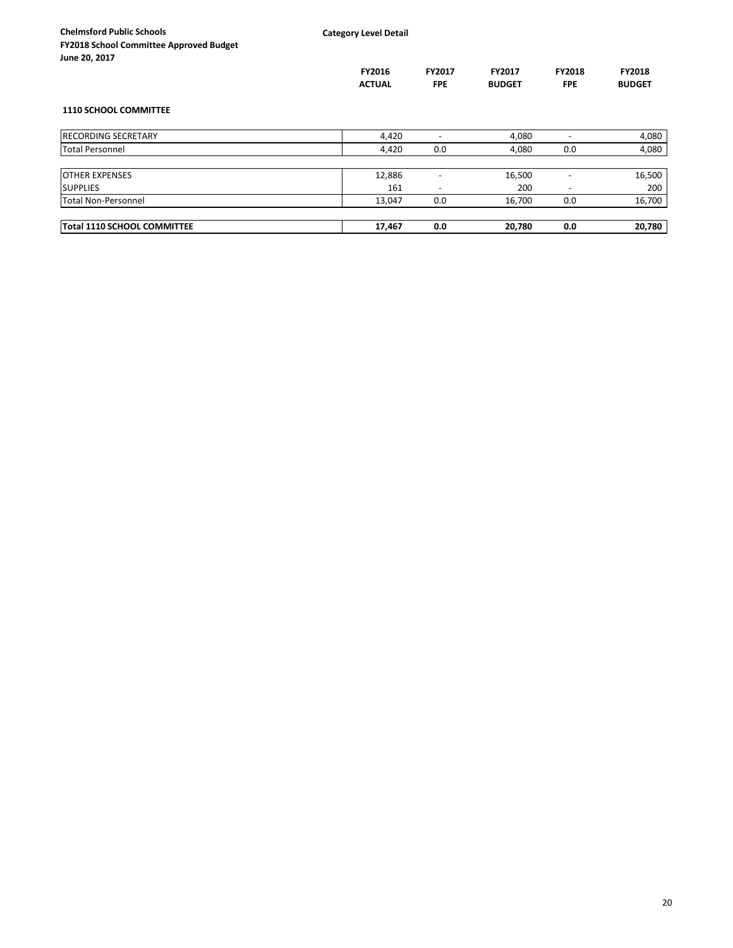| <b>Chelmsford Public Schools</b><br><b>FY2018 School Committee Approved Budget</b><br>June 20, 2017 | <b>Category Level Detail</b> |                             |                                |                             |                                |
|-----------------------------------------------------------------------------------------------------|------------------------------|-----------------------------|--------------------------------|-----------------------------|--------------------------------|
|                                                                                                     | FY2016<br><b>ACTUAL</b>      | <b>FY2017</b><br><b>FPE</b> | <b>FY2017</b><br><b>BUDGET</b> | <b>FY2018</b><br><b>FPE</b> | <b>FY2018</b><br><b>BUDGET</b> |
| <b>1110 SCHOOL COMMITTEE</b>                                                                        |                              |                             |                                |                             |                                |
| <b>RECORDING SECRETARY</b>                                                                          | 4,420                        |                             | 4,080                          |                             | 4,080                          |
| <b>Total Personnel</b>                                                                              | 4,420                        | 0.0                         | 4,080                          | 0.0                         | 4,080                          |
| <b>OTHER EXPENSES</b>                                                                               | 12,886                       | $\overline{\phantom{a}}$    | 16,500                         |                             | 16,500                         |
| <b>SUPPLIES</b>                                                                                     | 161                          |                             | 200                            |                             | 200                            |
| Total Non-Personnel                                                                                 | 13,047                       | 0.0                         | 16,700                         | 0.0                         | 16,700                         |
| <b>Total 1110 SCHOOL COMMITTEE</b>                                                                  | 17,467                       | 0.0                         | 20,780                         | 0.0                         | 20,780                         |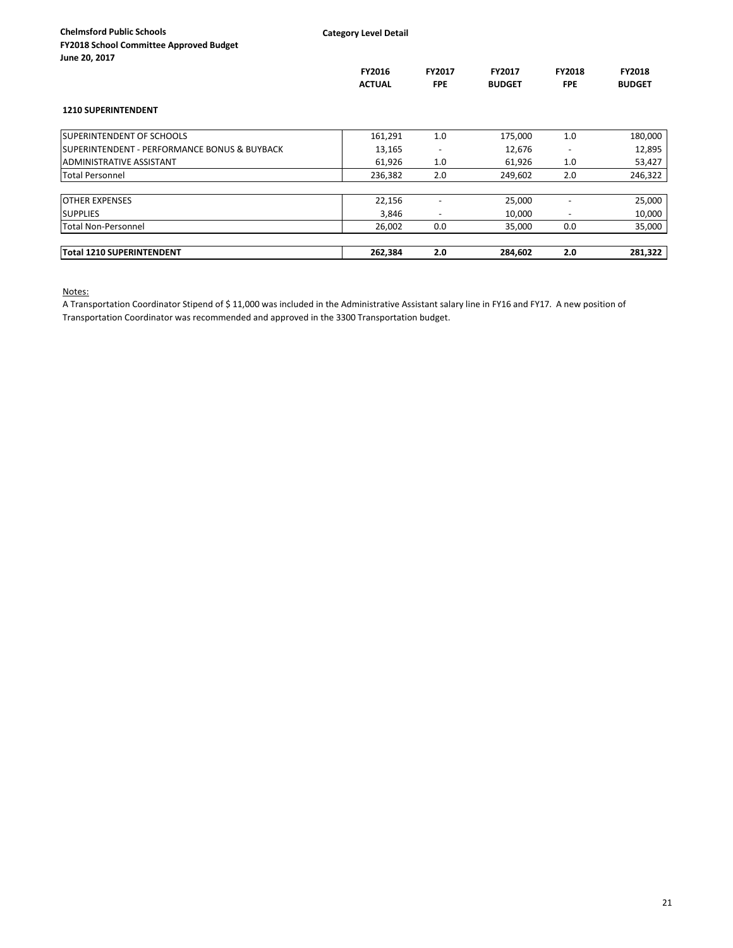|              | Y2018 School Committee Approved Budget |  |
|--------------|----------------------------------------|--|
| une 20, 2017 |                                        |  |

|                                                         | FY2016<br><b>ACTUAL</b> | <b>FY2017</b><br><b>FPE</b> | <b>FY2017</b><br><b>BUDGET</b> | FY2018<br><b>FPE</b>     | FY2018<br><b>BUDGET</b> |
|---------------------------------------------------------|-------------------------|-----------------------------|--------------------------------|--------------------------|-------------------------|
| <b>1210 SUPERINTENDENT</b>                              |                         |                             |                                |                          |                         |
| <b>SUPERINTENDENT OF SCHOOLS</b>                        | 161,291                 | 1.0                         | 175,000                        | 1.0                      | 180,000                 |
| <b>SUPERINTENDENT - PERFORMANCE BONUS &amp; BUYBACK</b> | 13,165                  | $\overline{\phantom{0}}$    | 12,676                         | $\overline{\phantom{a}}$ | 12,895                  |
| <b>ADMINISTRATIVE ASSISTANT</b>                         | 61,926                  | 1.0                         | 61,926                         | 1.0                      | 53,427                  |
| <b>Total Personnel</b>                                  | 236,382                 | 2.0                         | 249,602                        | 2.0                      | 246,322                 |
| <b>OTHER EXPENSES</b>                                   | 22,156                  |                             | 25,000                         |                          | 25,000                  |
| <b>SUPPLIES</b>                                         | 3,846                   |                             | 10,000                         |                          | 10,000                  |
| <b>Total Non-Personnel</b>                              | 26,002                  | 0.0                         | 35,000                         | 0.0                      | 35,000                  |
| Total 1210 SUPERINTENDENT                               | 262,384                 | 2.0                         | 284,602                        | 2.0                      | 281,322                 |

Notes:

A Transportation Coordinator Stipend of \$ 11,000 was included in the Administrative Assistant salary line in FY16 and FY17. A new position of Transportation Coordinator was recommended and approved in the 3300 Transportation budget.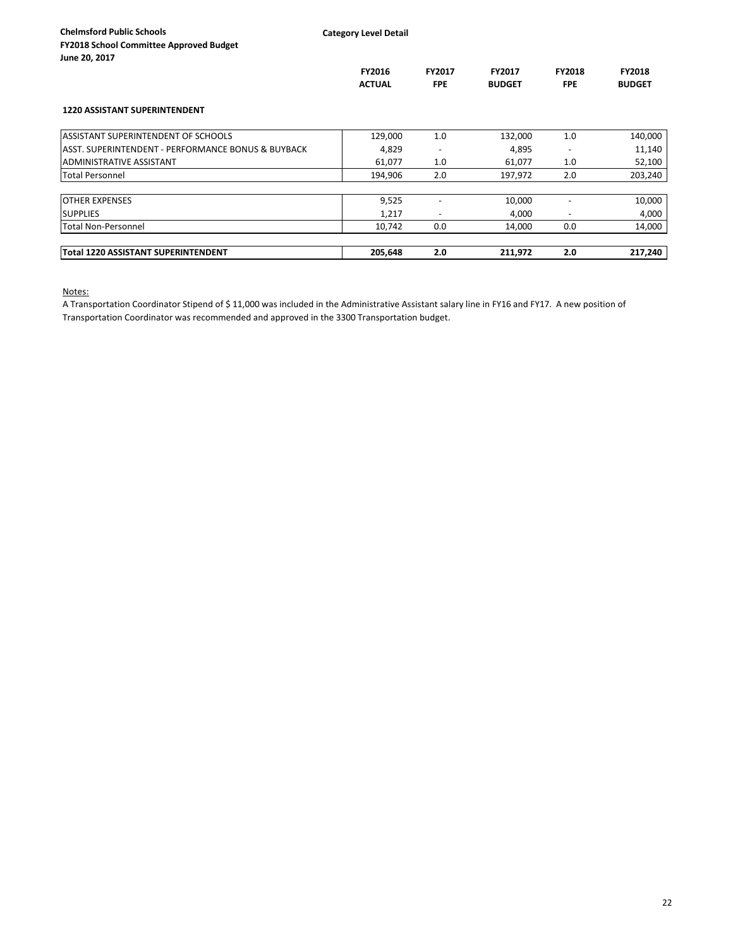|                                                    | FY2016<br><b>ACTUAL</b> | <b>FY2017</b><br><b>FPE</b> | FY2017<br><b>BUDGET</b> | FY2018<br><b>FPE</b> | <b>FY2018</b><br><b>BUDGET</b> |
|----------------------------------------------------|-------------------------|-----------------------------|-------------------------|----------------------|--------------------------------|
| <b>1220 ASSISTANT SUPERINTENDENT</b>               |                         |                             |                         |                      |                                |
| <b>ASSISTANT SUPERINTENDENT OF SCHOOLS</b>         | 129,000                 | 1.0                         | 132,000                 | 1.0                  | 140,000                        |
| ASST, SUPERINTENDENT - PERFORMANCE BONUS & BUYBACK | 4,829                   | $\overline{\phantom{a}}$    | 4,895                   |                      | 11,140                         |
| ADMINISTRATIVE ASSISTANT                           | 61,077                  | 1.0                         | 61,077                  | 1.0                  | 52,100                         |
| <b>Total Personnel</b>                             | 194,906                 | 2.0                         | 197,972                 | 2.0                  | 203,240                        |
| <b>OTHER EXPENSES</b>                              | 9,525                   |                             | 10,000                  |                      | 10,000                         |
| <b>SUPPLIES</b>                                    | 1,217                   |                             | 4,000                   | ٠                    | 4,000                          |
| <b>Total Non-Personnel</b>                         | 10,742                  | 0.0                         | 14,000                  | 0.0                  | 14,000                         |
| <b>Total 1220 ASSISTANT SUPERINTENDENT</b>         | 205.648                 | 2.0                         | 211,972                 | 2.0                  | 217,240                        |

Notes:

A Transportation Coordinator Stipend of \$ 11,000 was included in the Administrative Assistant salary line in FY16 and FY17. A new position of Transportation Coordinator was recommended and approved in the 3300 Transportation budget.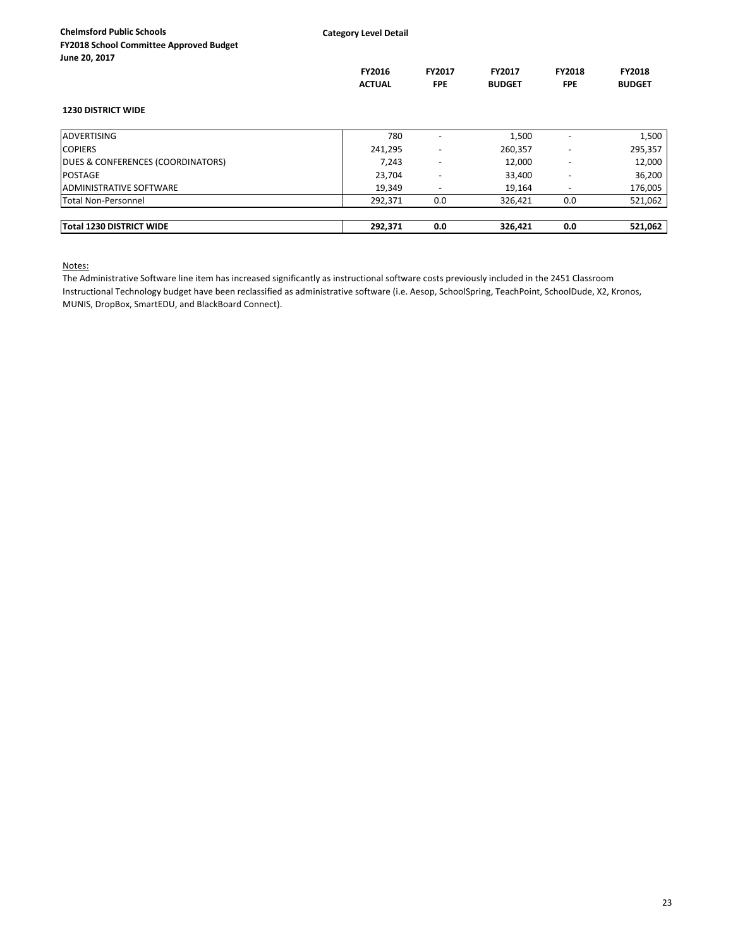**Category Level Detail**

| FY2018 School Committee Approved Budget |  |
|-----------------------------------------|--|
| June 20, 2017                           |  |

|                                   | <b>FY2016</b><br><b>ACTUAL</b> | <b>FY2017</b><br><b>FPE</b> | FY2017<br><b>BUDGET</b> | <b>FY2018</b><br><b>FPE</b> | <b>FY2018</b><br><b>BUDGET</b> |
|-----------------------------------|--------------------------------|-----------------------------|-------------------------|-----------------------------|--------------------------------|
| <b>1230 DISTRICT WIDE</b>         |                                |                             |                         |                             |                                |
| <b>ADVERTISING</b>                | 780                            | $\overline{\phantom{a}}$    | 1,500                   | $\overline{\phantom{a}}$    | 1,500                          |
| <b>COPIERS</b>                    | 241.295                        | $\overline{\phantom{a}}$    | 260,357                 | $\overline{\phantom{a}}$    | 295,357                        |
| DUES & CONFERENCES (COORDINATORS) | 7,243                          | $\overline{\phantom{a}}$    | 12,000                  | $\overline{\phantom{a}}$    | 12,000                         |
| <b>POSTAGE</b>                    | 23,704                         | $\overline{\phantom{a}}$    | 33,400                  | $\overline{\phantom{a}}$    | 36,200                         |
| <b>ADMINISTRATIVE SOFTWARE</b>    | 19,349                         |                             | 19,164                  | $\overline{\phantom{a}}$    | 176,005                        |
| <b>Total Non-Personnel</b>        | 292,371                        | 0.0                         | 326,421                 | 0.0                         | 521,062                        |
| <b>Total 1230 DISTRICT WIDE</b>   | 292.371                        | 0.0                         | 326,421                 | 0.0                         | 521.062                        |

Notes:

The Administrative Software line item has increased significantly as instructional software costs previously included in the 2451 Classroom Instructional Technology budget have been reclassified as administrative software (i.e. Aesop, SchoolSpring, TeachPoint, SchoolDude, X2, Kronos, MUNIS, DropBox, SmartEDU, and BlackBoard Connect).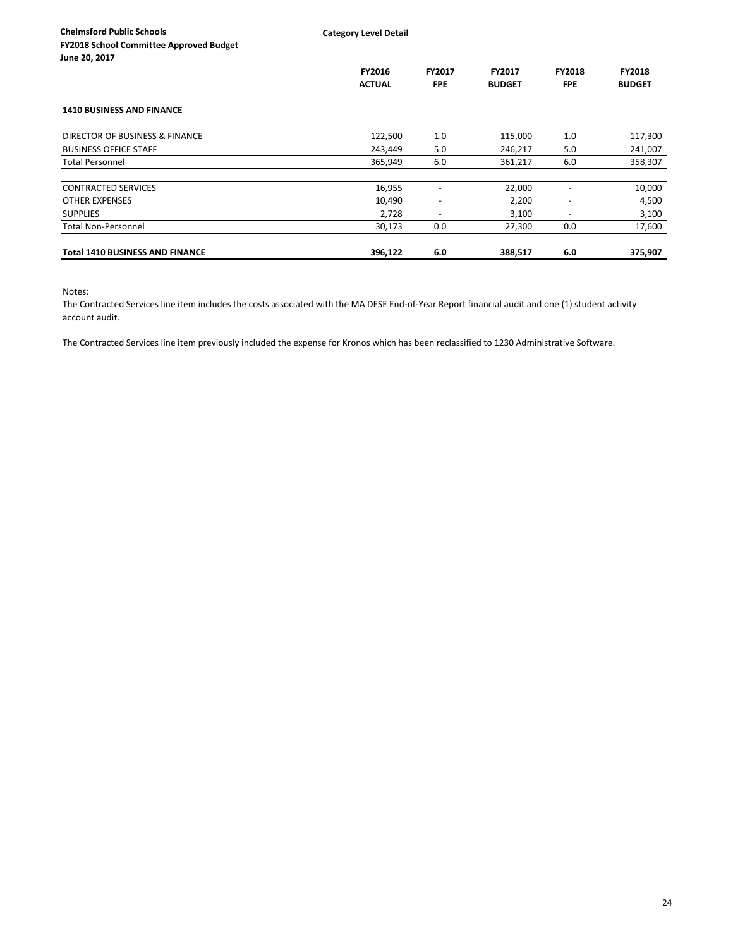|                                        | FY2016<br><b>ACTUAL</b> | FY2017<br><b>FPE</b>     | FY2017<br><b>BUDGET</b> | <b>FY2018</b><br><b>FPE</b> | <b>FY2018</b><br><b>BUDGET</b> |
|----------------------------------------|-------------------------|--------------------------|-------------------------|-----------------------------|--------------------------------|
| <b>1410 BUSINESS AND FINANCE</b>       |                         |                          |                         |                             |                                |
| DIRECTOR OF BUSINESS & FINANCE         | 122,500                 | 1.0                      | 115,000                 | 1.0                         | 117,300                        |
| <b>BUSINESS OFFICE STAFF</b>           | 243,449                 | 5.0                      | 246,217                 | 5.0                         | 241,007                        |
| <b>Total Personnel</b>                 | 365,949                 | 6.0                      | 361,217                 | 6.0                         | 358,307                        |
| <b>CONTRACTED SERVICES</b>             | 16,955                  |                          | 22,000                  |                             | 10,000                         |
| <b>OTHER EXPENSES</b>                  | 10,490                  | $\overline{\phantom{0}}$ | 2,200                   |                             | 4,500                          |
| <b>SUPPLIES</b>                        | 2,728                   | $\overline{\phantom{0}}$ | 3,100                   |                             | 3,100                          |
| <b>Total Non-Personnel</b>             | 30,173                  | 0.0                      | 27,300                  | 0.0                         | 17,600                         |
| <b>Total 1410 BUSINESS AND FINANCE</b> | 396,122                 | 6.0                      | 388,517                 | 6.0                         | 375,907                        |

Notes:

The Contracted Services line item includes the costs associated with the MA DESE End-of-Year Report financial audit and one (1) student activity account audit.

The Contracted Services line item previously included the expense for Kronos which has been reclassified to 1230 Administrative Software.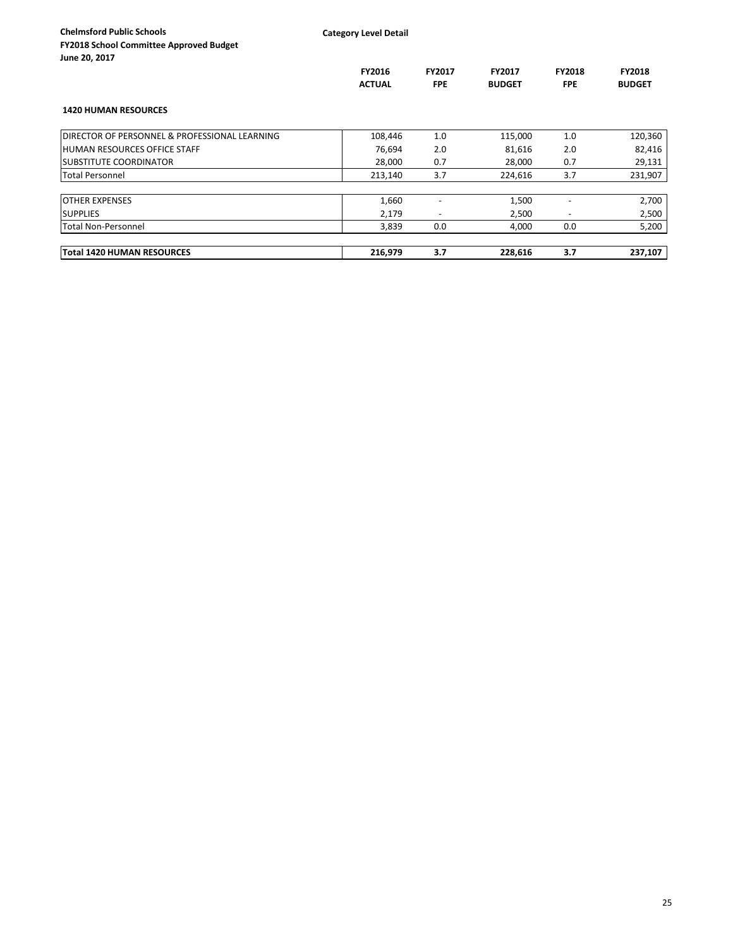**Category Level Detail**

|                                                           | FY2016<br><b>ACTUAL</b> | FY2017<br><b>FPE</b>     | FY2017<br><b>BUDGET</b> | <b>FY2018</b><br><b>FPE</b> | <b>FY2018</b><br><b>BUDGET</b> |
|-----------------------------------------------------------|-------------------------|--------------------------|-------------------------|-----------------------------|--------------------------------|
| <b>1420 HUMAN RESOURCES</b>                               |                         |                          |                         |                             |                                |
| <b>IDIRECTOR OF PERSONNEL &amp; PROFESSIONAL LEARNING</b> | 108,446                 | 1.0                      | 115,000                 | 1.0                         | 120,360                        |
| <b>HUMAN RESOURCES OFFICE STAFF</b>                       | 76,694                  | 2.0                      | 81,616                  | 2.0                         | 82,416                         |
| <b>ISUBSTITUTE COORDINATOR</b>                            | 28,000                  | 0.7                      | 28,000                  | 0.7                         | 29,131                         |
| <b>Total Personnel</b>                                    | 213,140                 | 3.7                      | 224,616                 | 3.7                         | 231,907                        |
| <b>OTHER EXPENSES</b>                                     | 1,660                   |                          | 1,500                   |                             | 2,700                          |
| <b>SUPPLIES</b>                                           | 2,179                   | $\overline{\phantom{a}}$ | 2,500                   | $\overline{\phantom{a}}$    | 2,500                          |
| <b>Total Non-Personnel</b>                                | 3,839                   | 0.0                      | 4,000                   | 0.0                         | 5,200                          |
| Total 1420 HUMAN RESOURCES                                | 216.979                 | 3.7                      | 228.616                 | 3.7                         | 237,107                        |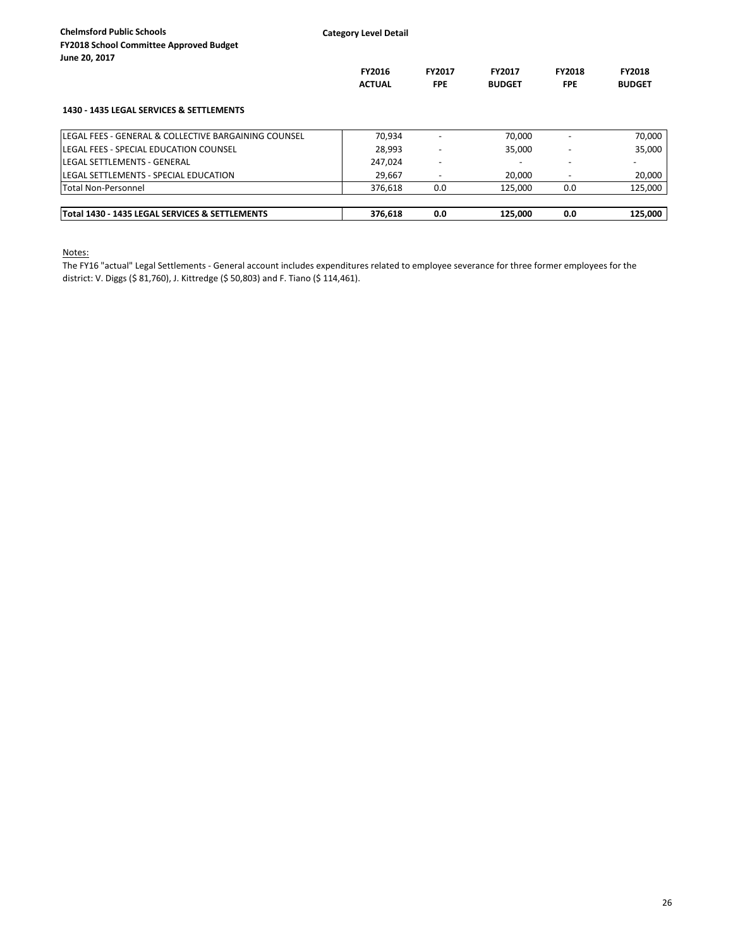|                                                      | <b>FY2016</b><br><b>ACTUAL</b> | <b>FY2017</b><br><b>FPE</b> | <b>FY2017</b><br><b>BUDGET</b> | <b>FY2018</b><br><b>FPE</b> | <b>FY2018</b><br><b>BUDGET</b> |
|------------------------------------------------------|--------------------------------|-----------------------------|--------------------------------|-----------------------------|--------------------------------|
| 1430 - 1435 LEGAL SERVICES & SETTLEMENTS             |                                |                             |                                |                             |                                |
| LEGAL FEES - GENERAL & COLLECTIVE BARGAINING COUNSEL | 70.934                         |                             | 70.000                         |                             | 70,000                         |
| LEGAL FEES - SPECIAL EDUCATION COUNSEL               | 28.993                         |                             | 35,000                         |                             | 35.000                         |
| <b>LEGAL SETTLEMENTS - GENERAL</b>                   | 247.024                        |                             |                                |                             |                                |
| LEGAL SETTLEMENTS - SPECIAL EDUCATION                | 29.667                         |                             | 20,000                         |                             | 20,000                         |
| <b>Total Non-Personnel</b>                           | 376.618                        | 0.0                         | 125.000                        | 0.0                         | 125.000                        |
| Total 1430 - 1435 LEGAL SERVICES & SETTLEMENTS       | 376.618                        | 0.0                         | 125.000                        | 0.0                         | 125.000                        |

Notes:

The FY16 "actual" Legal Settlements - General account includes expenditures related to employee severance for three former employees for the district: V. Diggs (\$ 81,760), J. Kittredge (\$ 50,803) and F. Tiano (\$ 114,461).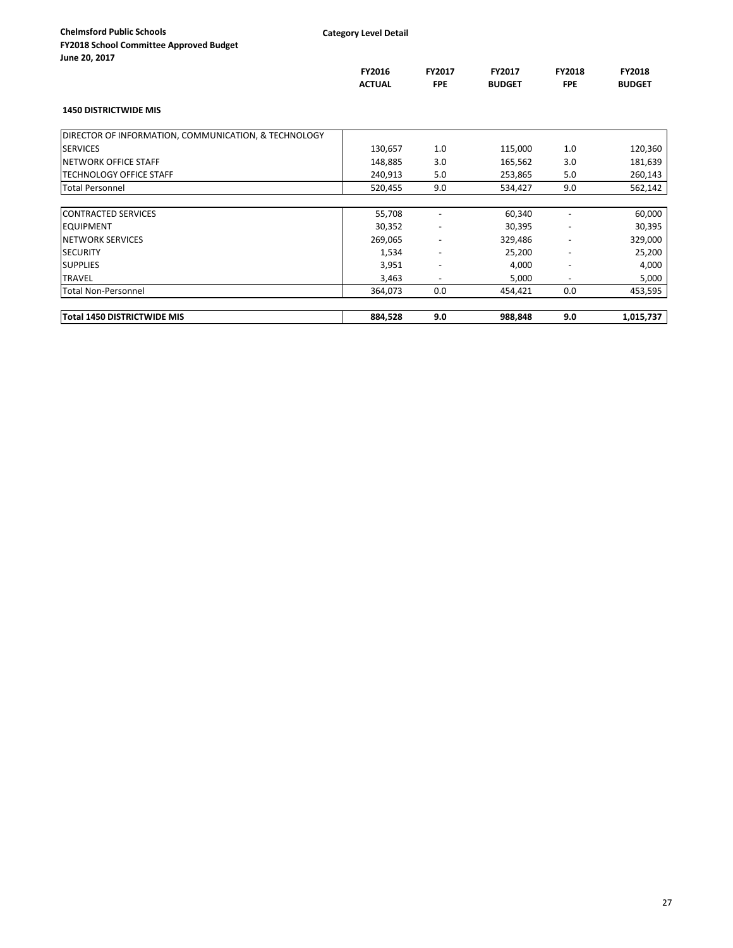| JUNG LU, LULI                                        | FY2016        | FY2017                   | FY2017        | <b>FY2018</b>            | <b>FY2018</b> |
|------------------------------------------------------|---------------|--------------------------|---------------|--------------------------|---------------|
|                                                      | <b>ACTUAL</b> | <b>FPE</b>               | <b>BUDGET</b> | <b>FPE</b>               | <b>BUDGET</b> |
| <b>1450 DISTRICTWIDE MIS</b>                         |               |                          |               |                          |               |
| DIRECTOR OF INFORMATION, COMMUNICATION, & TECHNOLOGY |               |                          |               |                          |               |
| <b>SERVICES</b>                                      | 130,657       | 1.0                      | 115,000       | 1.0                      | 120,360       |
| <b>NETWORK OFFICE STAFF</b>                          | 148,885       | 3.0                      | 165,562       | 3.0                      | 181,639       |
| <b>TECHNOLOGY OFFICE STAFF</b>                       | 240,913       | 5.0                      | 253,865       | 5.0                      | 260,143       |
| <b>Total Personnel</b>                               | 520,455       | 9.0                      | 534,427       | 9.0                      | 562,142       |
|                                                      |               |                          |               |                          |               |
| <b>CONTRACTED SERVICES</b>                           | 55,708        |                          | 60,340        |                          | 60,000        |
| <b>EQUIPMENT</b>                                     | 30,352        | $\overline{\phantom{a}}$ | 30,395        | $\overline{\phantom{a}}$ | 30,395        |
| <b>NETWORK SERVICES</b>                              | 269,065       | $\overline{\phantom{a}}$ | 329,486       |                          | 329,000       |
| <b>SECURITY</b>                                      | 1,534         | $\overline{\phantom{a}}$ | 25,200        | $\overline{\phantom{0}}$ | 25,200        |
| <b>SUPPLIES</b>                                      | 3,951         | $\overline{\phantom{a}}$ | 4,000         | $\overline{\phantom{a}}$ | 4,000         |
| <b>TRAVEL</b>                                        | 3,463         | $\overline{\phantom{a}}$ | 5,000         |                          | 5,000         |
| <b>Total Non-Personnel</b>                           | 364,073       | 0.0                      | 454,421       | 0.0                      | 453,595       |
|                                                      |               |                          |               |                          |               |
| Total 1450 DISTRICTWIDE MIS                          | 884,528       | 9.0                      | 988,848       | 9.0                      | 1,015,737     |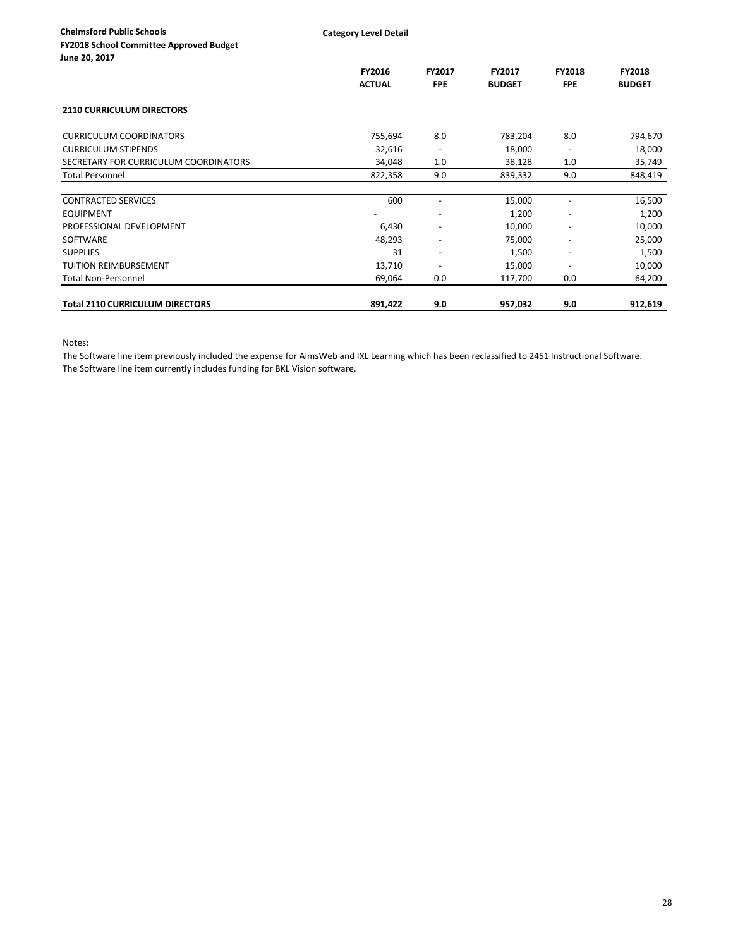| June zu, zui <i>i</i>                  |               |                          |               |                          |               |
|----------------------------------------|---------------|--------------------------|---------------|--------------------------|---------------|
|                                        | FY2016        | FY2017                   | FY2017        | <b>FY2018</b>            | FY2018        |
|                                        | <b>ACTUAL</b> | <b>FPE</b>               | <b>BUDGET</b> | <b>FPE</b>               | <b>BUDGET</b> |
| <b>2110 CURRICULUM DIRECTORS</b>       |               |                          |               |                          |               |
| <b>CURRICULUM COORDINATORS</b>         | 755,694       | 8.0                      | 783,204       | 8.0                      | 794,670       |
| <b>CURRICULUM STIPENDS</b>             | 32,616        |                          | 18,000        |                          | 18,000        |
| SECRETARY FOR CURRICULUM COORDINATORS  | 34,048        | 1.0                      | 38,128        | 1.0                      | 35,749        |
| <b>Total Personnel</b>                 | 822,358       | 9.0                      | 839,332       | 9.0                      | 848,419       |
| <b>CONTRACTED SERVICES</b>             | 600           |                          | 15,000        |                          | 16,500        |
| <b>EQUIPMENT</b>                       |               |                          | 1,200         |                          | 1,200         |
| PROFESSIONAL DEVELOPMENT               | 6,430         |                          | 10,000        |                          | 10,000        |
| <b>SOFTWARE</b>                        | 48,293        |                          | 75,000        |                          | 25,000        |
| <b>SUPPLIES</b>                        | 31            | $\overline{\phantom{a}}$ | 1,500         | $\overline{\phantom{a}}$ | 1,500         |
| <b>TUITION REIMBURSEMENT</b>           | 13,710        | $\overline{\phantom{a}}$ | 15,000        |                          | 10,000        |
| <b>Total Non-Personnel</b>             | 69,064        | 0.0                      | 117,700       | 0.0                      | 64,200        |
| <b>Total 2110 CURRICULUM DIRECTORS</b> | 891,422       | 9.0                      | 957,032       | 9.0                      | 912,619       |

Notes:

The Software line item previously included the expense for AimsWeb and IXL Learning which has been reclassified to 2451 Instructional Software. The Software line item currently includes funding for BKL Vision software.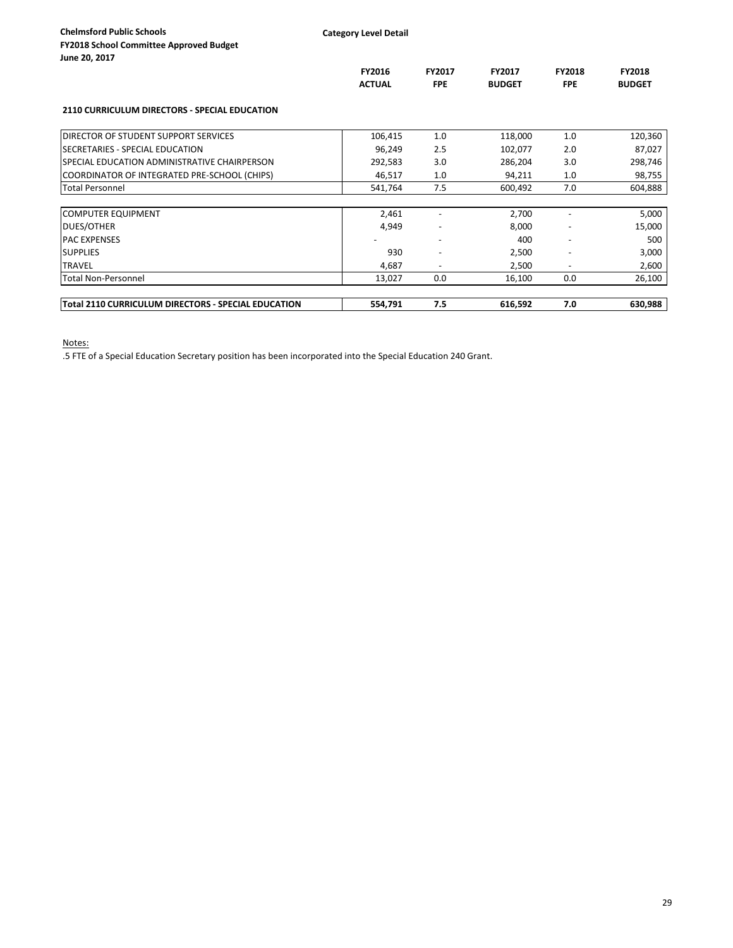| <b>Chelmsford Public Schools</b>               |
|------------------------------------------------|
| <b>FY2018 School Committee Approved Budget</b> |
| June 20, 2017                                  |

|                                                      | FY2016<br><b>ACTUAL</b> | FY2017<br><b>FPE</b>     | FY2017<br><b>BUDGET</b> | <b>FY2018</b><br><b>FPE</b> | FY2018<br><b>BUDGET</b> |
|------------------------------------------------------|-------------------------|--------------------------|-------------------------|-----------------------------|-------------------------|
| <b>2110 CURRICULUM DIRECTORS - SPECIAL EDUCATION</b> |                         |                          |                         |                             |                         |
| DIRECTOR OF STUDENT SUPPORT SERVICES                 | 106,415                 | 1.0                      | 118,000                 | 1.0                         | 120,360                 |
| SECRETARIES - SPECIAL EDUCATION                      | 96,249                  | 2.5                      | 102,077                 | 2.0                         | 87,027                  |
| SPECIAL EDUCATION ADMINISTRATIVE CHAIRPERSON         | 292,583                 | 3.0                      | 286,204                 | 3.0                         | 298,746                 |
| COORDINATOR OF INTEGRATED PRE-SCHOOL (CHIPS)         | 46,517                  | 1.0                      | 94,211                  | 1.0                         | 98,755                  |
| <b>Total Personnel</b>                               | 541,764                 | 7.5                      | 600,492                 | 7.0                         | 604,888                 |
|                                                      |                         |                          |                         |                             |                         |
| <b>COMPUTER EQUIPMENT</b>                            | 2,461                   |                          | 2,700                   |                             | 5,000                   |
| <b>DUES/OTHER</b>                                    | 4,949                   |                          | 8,000                   |                             | 15,000                  |
| <b>PAC EXPENSES</b>                                  |                         | $\overline{\phantom{a}}$ | 400                     | $\overline{\phantom{0}}$    | 500                     |
| <b>SUPPLIES</b>                                      | 930                     | $\overline{\phantom{a}}$ | 2,500                   |                             | 3,000                   |
| <b>TRAVEL</b>                                        | 4,687                   | $\overline{\phantom{a}}$ | 2,500                   | $\overline{\phantom{a}}$    | 2,600                   |
| <b>Total Non-Personnel</b>                           | 13,027                  | 0.0                      | 16,100                  | 0.0                         | 26,100                  |
| Total 2110 CURRICULUM DIRECTORS - SPECIAL EDUCATION  | 554,791                 | 7.5                      | 616,592                 | 7.0                         | 630,988                 |

Notes:

.5 FTE of a Special Education Secretary position has been incorporated into the Special Education 240 Grant.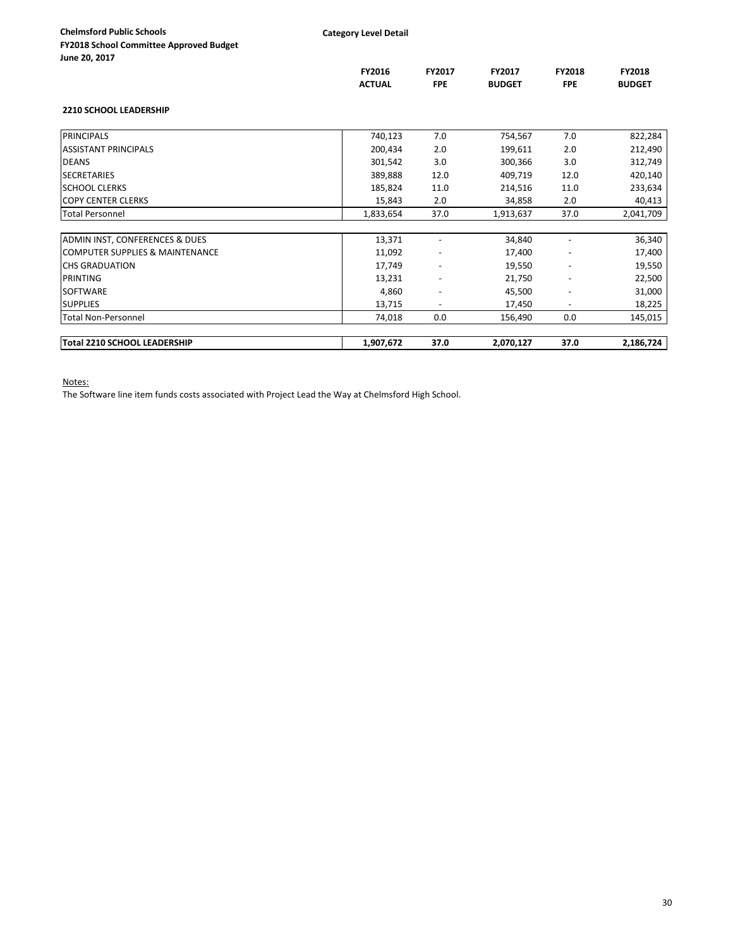|  |  | e 20, 2017 |  |
|--|--|------------|--|
|--|--|------------|--|

|                                            | FY2016        | FY2017                   | FY2017        | FY2018                   | FY2018        |
|--------------------------------------------|---------------|--------------------------|---------------|--------------------------|---------------|
|                                            | <b>ACTUAL</b> | <b>FPE</b>               | <b>BUDGET</b> | <b>FPE</b>               | <b>BUDGET</b> |
| <b>2210 SCHOOL LEADERSHIP</b>              |               |                          |               |                          |               |
| <b>PRINCIPALS</b>                          | 740,123       | 7.0                      | 754,567       | 7.0                      | 822,284       |
| <b>ASSISTANT PRINCIPALS</b>                | 200,434       | 2.0                      | 199,611       | 2.0                      | 212,490       |
| <b>DEANS</b>                               | 301,542       | 3.0                      | 300,366       | 3.0                      | 312,749       |
| <b>SECRETARIES</b>                         | 389,888       | 12.0                     | 409,719       | 12.0                     | 420,140       |
| <b>SCHOOL CLERKS</b>                       | 185,824       | 11.0                     | 214,516       | 11.0                     | 233,634       |
| <b>COPY CENTER CLERKS</b>                  | 15,843        | 2.0                      | 34,858        | 2.0                      | 40,413        |
| <b>Total Personnel</b>                     | 1,833,654     | 37.0                     | 1,913,637     | 37.0                     | 2,041,709     |
|                                            |               |                          |               |                          |               |
| ADMIN INST, CONFERENCES & DUES             | 13,371        | $\overline{\phantom{a}}$ | 34,840        |                          | 36,340        |
| <b>COMPUTER SUPPLIES &amp; MAINTENANCE</b> | 11,092        |                          | 17,400        |                          | 17,400        |
| <b>CHS GRADUATION</b>                      | 17,749        | $\overline{\phantom{a}}$ | 19,550        | $\overline{\phantom{a}}$ | 19,550        |
| PRINTING                                   | 13,231        | $\overline{\phantom{a}}$ | 21,750        |                          | 22,500        |
| <b>SOFTWARE</b>                            | 4,860         |                          | 45,500        |                          | 31,000        |
| <b>SUPPLIES</b>                            | 13,715        | $\overline{\phantom{a}}$ | 17,450        | $\overline{\phantom{a}}$ | 18,225        |
| <b>Total Non-Personnel</b>                 | 74,018        | 0.0                      | 156,490       | 0.0                      | 145,015       |
| Total 2210 SCHOOL LEADERSHIP               | 1,907,672     | 37.0                     | 2,070,127     | 37.0                     | 2,186,724     |

Notes:

The Software line item funds costs associated with Project Lead the Way at Chelmsford High School.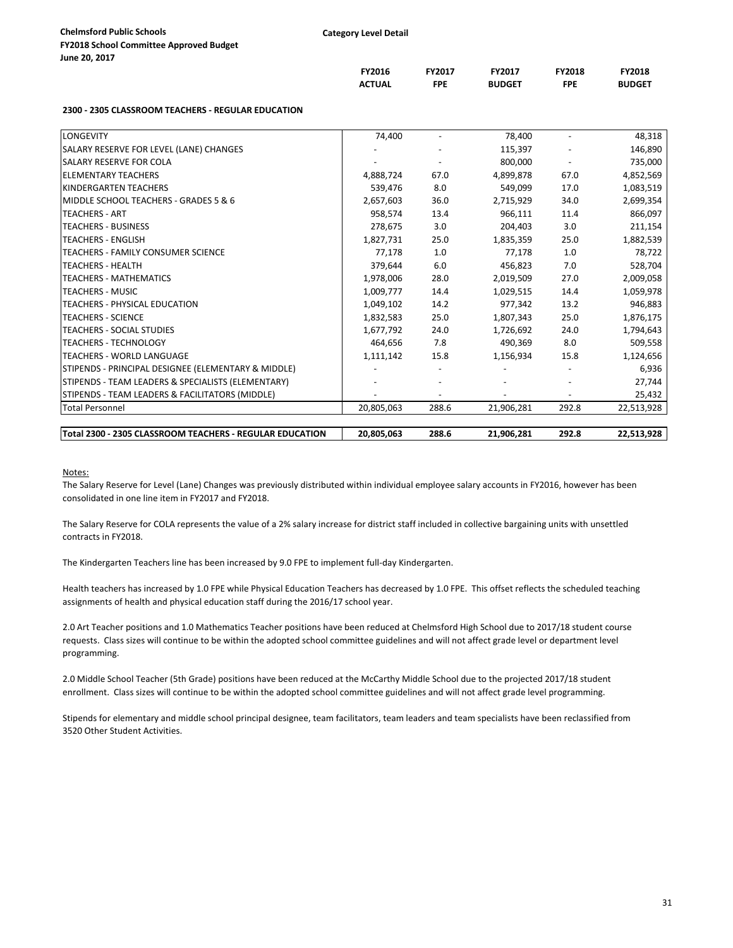| ne zu, zui <i>r</i> |  |  |  |
|---------------------|--|--|--|
|                     |  |  |  |
|                     |  |  |  |

|                                                          | FY2016<br><b>ACTUAL</b> | FY2017<br><b>FPE</b> | FY2017<br><b>BUDGET</b> | FY2018<br><b>FPE</b> | FY2018<br><b>BUDGET</b> |
|----------------------------------------------------------|-------------------------|----------------------|-------------------------|----------------------|-------------------------|
|                                                          |                         |                      |                         |                      |                         |
| 2300 - 2305 CLASSROOM TEACHERS - REGULAR EDUCATION       |                         |                      |                         |                      |                         |
| LONGEVITY                                                | 74,400                  |                      | 78,400                  |                      | 48,318                  |
| SALARY RESERVE FOR LEVEL (LANE) CHANGES                  |                         |                      | 115,397                 |                      | 146,890                 |
| <b>SALARY RESERVE FOR COLA</b>                           |                         |                      | 800,000                 |                      | 735,000                 |
| <b>ELEMENTARY TEACHERS</b>                               | 4,888,724               | 67.0                 | 4,899,878               | 67.0                 | 4,852,569               |
| <b>KINDERGARTEN TEACHERS</b>                             | 539,476                 | 8.0                  | 549,099                 | 17.0                 | 1,083,519               |
| MIDDLE SCHOOL TEACHERS - GRADES 5 & 6                    | 2,657,603               | 36.0                 | 2,715,929               | 34.0                 | 2,699,354               |
| <b>TEACHERS - ART</b>                                    | 958,574                 | 13.4                 | 966,111                 | 11.4                 | 866,097                 |
| <b>TEACHERS - BUSINESS</b>                               | 278,675                 | 3.0                  | 204,403                 | 3.0                  | 211,154                 |
| <b>TEACHERS - ENGLISH</b>                                | 1,827,731               | 25.0                 | 1,835,359               | 25.0                 | 1,882,539               |
| TEACHERS - FAMILY CONSUMER SCIENCE                       | 77.178                  | 1.0                  | 77,178                  | 1.0                  | 78,722                  |
| <b>TEACHERS - HEALTH</b>                                 | 379,644                 | 6.0                  | 456,823                 | 7.0                  | 528,704                 |
| <b>TEACHERS - MATHEMATICS</b>                            | 1,978,006               | 28.0                 | 2,019,509               | 27.0                 | 2,009,058               |
| <b>TEACHERS - MUSIC</b>                                  | 1,009,777               | 14.4                 | 1,029,515               | 14.4                 | 1,059,978               |
| TEACHERS - PHYSICAL EDUCATION                            | 1,049,102               | 14.2                 | 977,342                 | 13.2                 | 946,883                 |
| <b>TEACHERS - SCIENCE</b>                                | 1,832,583               | 25.0                 | 1,807,343               | 25.0                 | 1,876,175               |
| <b>TEACHERS - SOCIAL STUDIES</b>                         | 1,677,792               | 24.0                 | 1,726,692               | 24.0                 | 1,794,643               |
| <b>TEACHERS - TECHNOLOGY</b>                             | 464,656                 | 7.8                  | 490,369                 | 8.0                  | 509,558                 |
| <b>TEACHERS - WORLD LANGUAGE</b>                         | 1,111,142               | 15.8                 | 1,156,934               | 15.8                 | 1,124,656               |
| STIPENDS - PRINCIPAL DESIGNEE (ELEMENTARY & MIDDLE)      |                         |                      |                         |                      | 6,936                   |
| STIPENDS - TEAM LEADERS & SPECIALISTS (ELEMENTARY)       |                         |                      |                         |                      | 27,744                  |
| STIPENDS - TEAM LEADERS & FACILITATORS (MIDDLE)          |                         |                      |                         |                      | 25,432                  |
| <b>Total Personnel</b>                                   | 20,805,063              | 288.6                | 21,906,281              | 292.8                | 22,513,928              |
| Total 2300 - 2305 CLASSROOM TEACHERS - REGULAR EDUCATION | 20,805,063              | 288.6                | 21,906,281              | 292.8                | 22,513,928              |

Notes:

The Salary Reserve for Level (Lane) Changes was previously distributed within individual employee salary accounts in FY2016, however has been consolidated in one line item in FY2017 and FY2018.

The Salary Reserve for COLA represents the value of a 2% salary increase for district staff included in collective bargaining units with unsettled contracts in FY2018.

The Kindergarten Teachers line has been increased by 9.0 FPE to implement full-day Kindergarten.

Health teachers has increased by 1.0 FPE while Physical Education Teachers has decreased by 1.0 FPE. This offset reflects the scheduled teaching assignments of health and physical education staff during the 2016/17 school year.

2.0 Art Teacher positions and 1.0 Mathematics Teacher positions have been reduced at Chelmsford High School due to 2017/18 student course requests. Class sizes will continue to be within the adopted school committee guidelines and will not affect grade level or department level programming.

2.0 Middle School Teacher (5th Grade) positions have been reduced at the McCarthy Middle School due to the projected 2017/18 student enrollment. Class sizes will continue to be within the adopted school committee guidelines and will not affect grade level programming.

Stipends for elementary and middle school principal designee, team facilitators, team leaders and team specialists have been reclassified from 3520 Other Student Activities.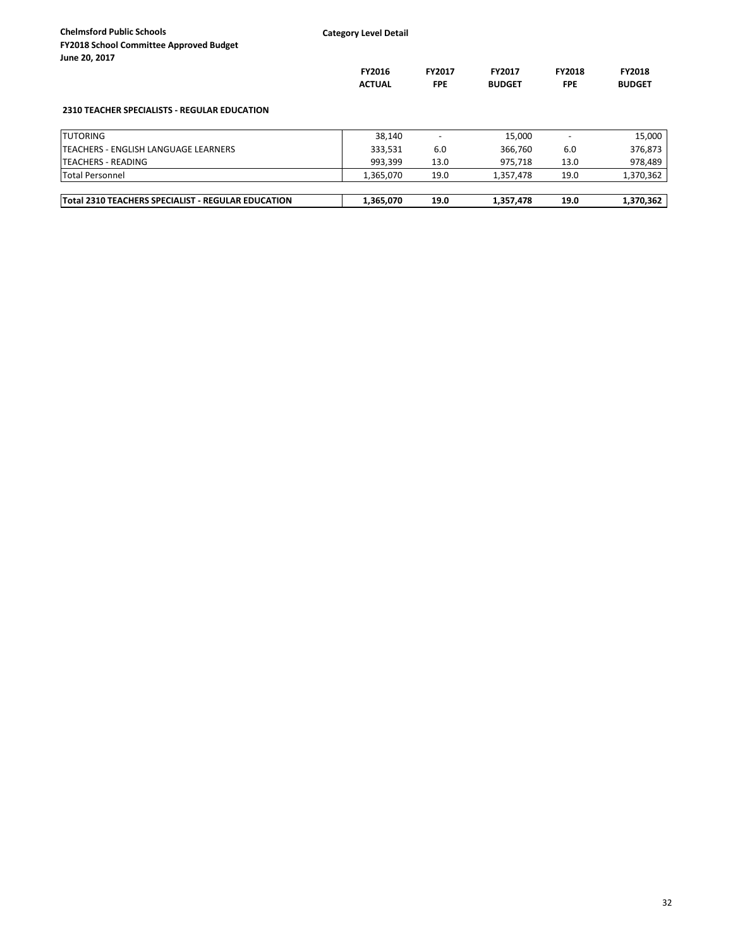| <b>Chelmsford Public Schools</b><br><b>FY2018 School Committee Approved Budget</b><br>June 20, 2017 | <b>Category Level Detail</b>   |                             |                                |                             |                         |
|-----------------------------------------------------------------------------------------------------|--------------------------------|-----------------------------|--------------------------------|-----------------------------|-------------------------|
|                                                                                                     | <b>FY2016</b><br><b>ACTUAL</b> | <b>FY2017</b><br><b>FPE</b> | <b>FY2017</b><br><b>BUDGET</b> | <b>FY2018</b><br><b>FPE</b> | FY2018<br><b>BUDGET</b> |
| <b>2310 TEACHER SPECIALISTS - REGULAR EDUCATION</b>                                                 |                                |                             |                                |                             |                         |
| <b>TUTORING</b>                                                                                     | 38,140                         |                             | 15,000                         |                             | 15,000                  |
| <b>ITEACHERS - ENGLISH LANGUAGE LEARNERS</b>                                                        | 333,531                        | 6.0                         | 366.760                        | 6.0                         | 376,873                 |
| <b>TEACHERS - READING</b>                                                                           | 993,399                        | 13.0                        | 975,718                        | 13.0                        | 978,489                 |
| <b>Total Personnel</b>                                                                              | 1,365,070                      | 19.0                        | 1,357,478                      | 19.0                        | 1,370,362               |
| Total 2310 TEACHERS SPECIALIST - REGULAR EDUCATION                                                  | 1,365,070                      | 19.0                        | 1,357,478                      | 19.0                        | 1,370,362               |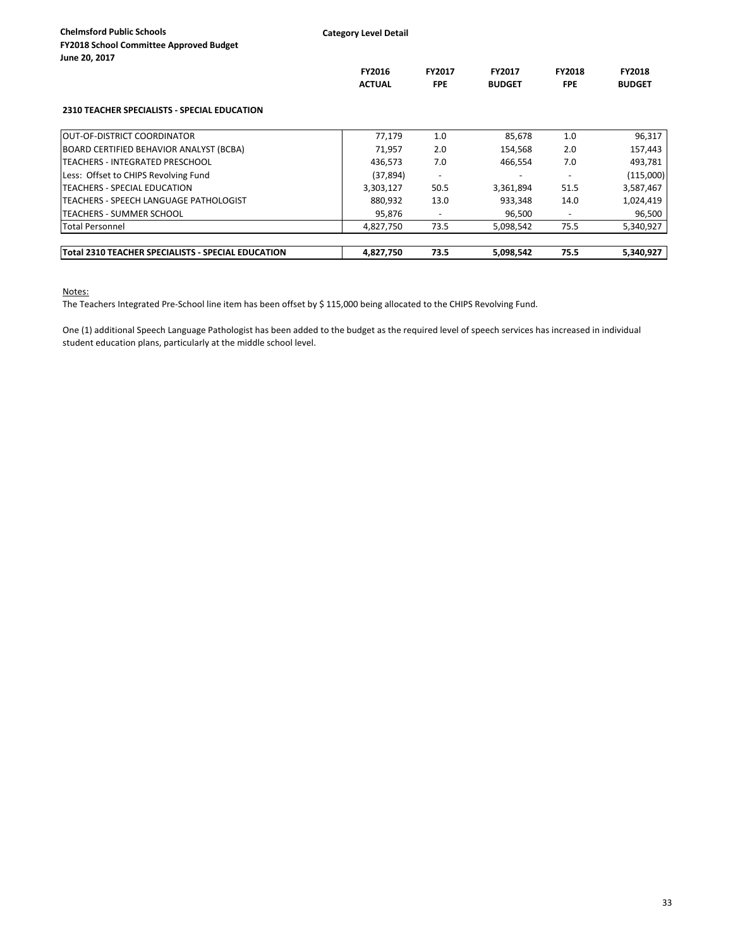| <b>Chelmsford Public Schools</b><br><b>FY2018 School Committee Approved Budget</b><br>June 20, 2017 | <b>Category Level Detail</b> |               |               |                          |               |
|-----------------------------------------------------------------------------------------------------|------------------------------|---------------|---------------|--------------------------|---------------|
|                                                                                                     | <b>FY2016</b>                | <b>FY2017</b> | <b>FY2017</b> | <b>FY2018</b>            | <b>FY2018</b> |
|                                                                                                     | <b>ACTUAL</b>                | <b>FPE</b>    | <b>BUDGET</b> | <b>FPE</b>               | <b>BUDGET</b> |
| <b>2310 TEACHER SPECIALISTS - SPECIAL EDUCATION</b>                                                 |                              |               |               |                          |               |
| <b>IOUT-OF-DISTRICT COORDINATOR</b>                                                                 | 77,179                       | 1.0           | 85,678        | 1.0                      | 96,317        |
| BOARD CERTIFIED BEHAVIOR ANALYST (BCBA)                                                             | 71,957                       | 2.0           | 154,568       | 2.0                      | 157,443       |
| <b>TEACHERS - INTEGRATED PRESCHOOL</b>                                                              | 436,573                      | 7.0           | 466,554       | 7.0                      | 493,781       |
| Less: Offset to CHIPS Revolving Fund                                                                | (37, 894)                    |               |               |                          | (115,000)     |
| TEACHERS - SPECIAL EDUCATION                                                                        | 3,303,127                    | 50.5          | 3,361,894     | 51.5                     | 3,587,467     |
| ITEACHERS - SPEECH LANGUAGE PATHOLOGIST                                                             | 880,932                      | 13.0          | 933,348       | 14.0                     | 1,024,419     |
| TEACHERS - SUMMER SCHOOL                                                                            | 95,876                       |               | 96,500        | $\overline{\phantom{a}}$ | 96,500        |
| <b>Total Personnel</b>                                                                              | 4,827,750                    | 73.5          | 5,098,542     | 75.5                     | 5,340,927     |
| Total 2310 TEACHER SPECIALISTS - SPECIAL EDUCATION                                                  | 4,827,750                    | 73.5          | 5.098.542     | 75.5                     | 5.340.927     |

Notes:

The Teachers Integrated Pre-School line item has been offset by \$ 115,000 being allocated to the CHIPS Revolving Fund.

One (1) additional Speech Language Pathologist has been added to the budget as the required level of speech services has increased in individual student education plans, particularly at the middle school level.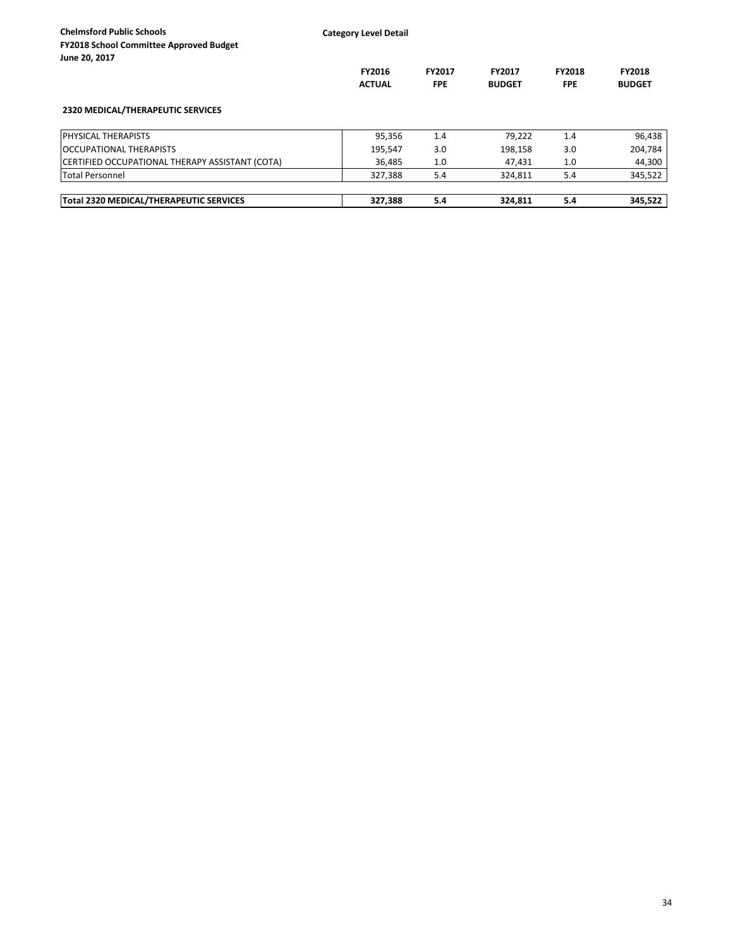| <b>Chelmsford Public Schools</b><br><b>FY2018 School Committee Approved Budget</b><br>June 20, 2017 | <b>Category Level Detail</b>   |                             |                                |                      |                                |
|-----------------------------------------------------------------------------------------------------|--------------------------------|-----------------------------|--------------------------------|----------------------|--------------------------------|
|                                                                                                     | <b>FY2016</b><br><b>ACTUAL</b> | <b>FY2017</b><br><b>FPE</b> | <b>FY2017</b><br><b>BUDGET</b> | FY2018<br><b>FPE</b> | <b>FY2018</b><br><b>BUDGET</b> |
| <b>2320 MEDICAL/THERAPEUTIC SERVICES</b>                                                            |                                |                             |                                |                      |                                |
| <b>PHYSICAL THERAPISTS</b>                                                                          | 95,356                         | 1.4                         | 79,222                         | 1.4                  | 96,438                         |
| <b>OCCUPATIONAL THERAPISTS</b>                                                                      | 195,547                        | 3.0                         | 198,158                        | 3.0                  | 204,784                        |
| CERTIFIED OCCUPATIONAL THERAPY ASSISTANT (COTA)                                                     | 36,485                         | 1.0                         | 47,431                         | 1.0                  | 44,300                         |
| <b>Total Personnel</b>                                                                              | 327,388                        | 5.4                         | 324,811                        | 5.4                  | 345,522                        |
| Total 2320 MEDICAL/THERAPEUTIC SERVICES                                                             | 327,388                        | 5.4                         | 324,811                        | 5.4                  | 345,522                        |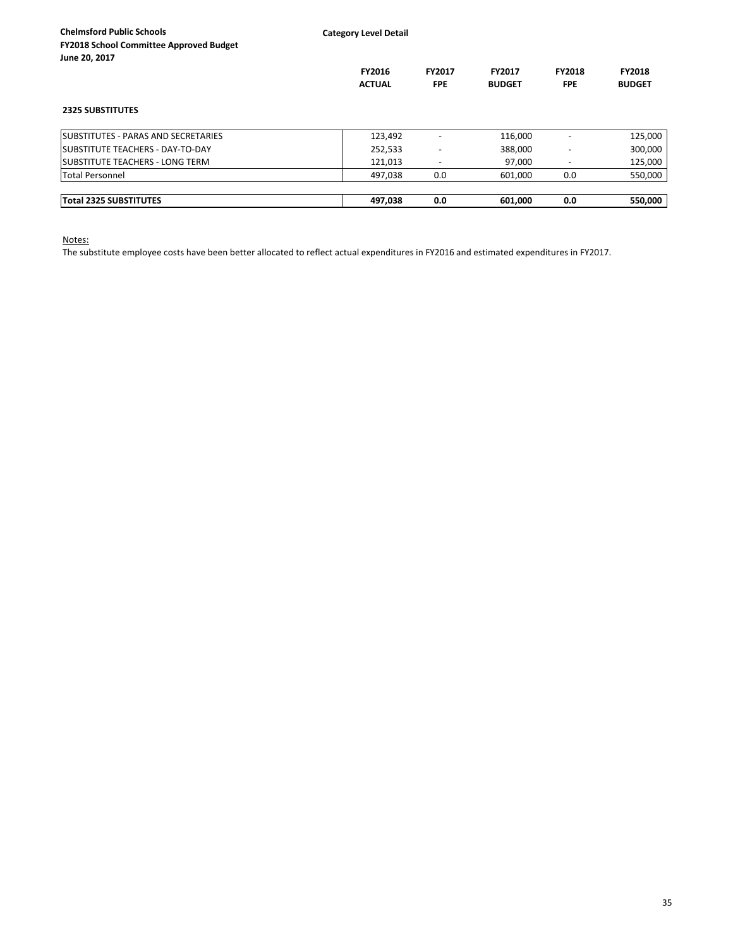| <b>Chelmsford Public Schools</b><br>FY2018 School Committee Approved Budget<br>June 20, 2017 | <b>Category Level Detail</b>   |                          |                                |                             |                                |
|----------------------------------------------------------------------------------------------|--------------------------------|--------------------------|--------------------------------|-----------------------------|--------------------------------|
|                                                                                              | <b>FY2016</b><br><b>ACTUAL</b> | FY2017<br><b>FPE</b>     | <b>FY2017</b><br><b>BUDGET</b> | <b>FY2018</b><br><b>FPE</b> | <b>FY2018</b><br><b>BUDGET</b> |
| <b>2325 SUBSTITUTES</b>                                                                      |                                |                          |                                |                             |                                |
| <b>SUBSTITUTES - PARAS AND SECRETARIES</b>                                                   | 123,492                        |                          | 116,000                        |                             | 125,000                        |
| <b>ISUBSTITUTE TEACHERS - DAY-TO-DAY</b>                                                     | 252,533                        | $\overline{\phantom{a}}$ | 388,000                        |                             | 300,000                        |
| <b>ISUBSTITUTE TEACHERS - LONG TERM</b>                                                      | 121,013                        | $\overline{\phantom{a}}$ | 97,000                         | $\overline{\phantom{0}}$    | 125,000                        |
| Total Personnel                                                                              | 497,038                        | 0.0                      | 601,000                        | 0.0                         | 550,000                        |
| <b>Total 2325 SUBSTITUTES</b>                                                                | 497,038                        | 0.0                      | 601,000                        | 0.0                         | 550,000                        |

Notes:

The substitute employee costs have been better allocated to reflect actual expenditures in FY2016 and estimated expenditures in FY2017.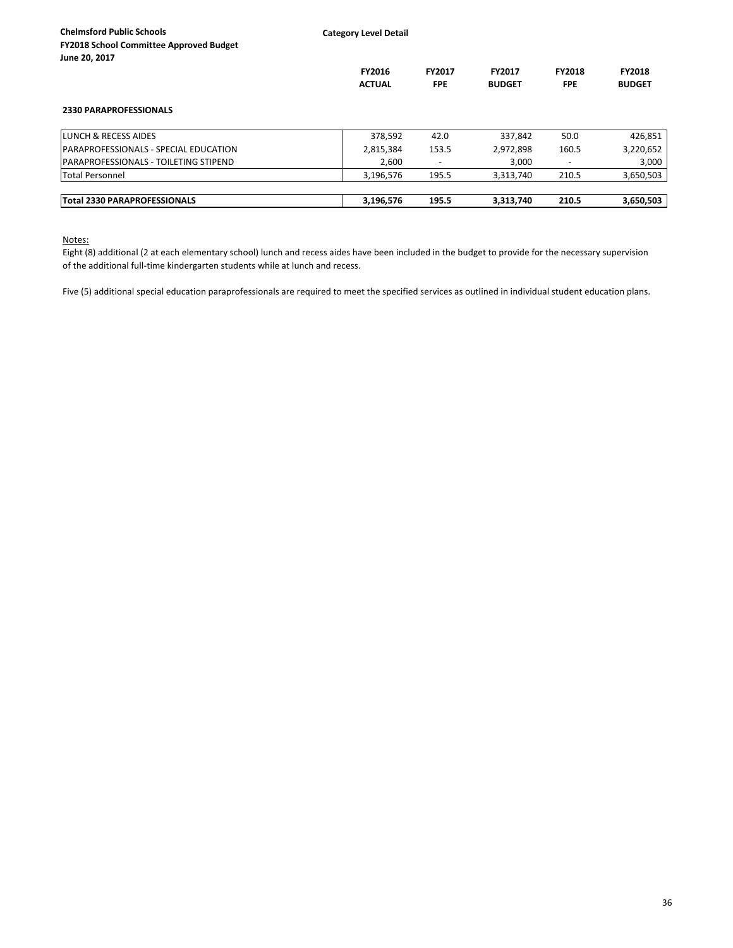**Category Level Detail**

| JUIIL LU, LUI <i>I</i>                 | <b>FY2016</b><br><b>ACTUAL</b> | <b>FY2017</b><br><b>FPE</b> | FY2017<br><b>BUDGET</b> | <b>FY2018</b><br><b>FPE</b> | <b>FY2018</b><br><b>BUDGET</b> |
|----------------------------------------|--------------------------------|-----------------------------|-------------------------|-----------------------------|--------------------------------|
| <b>2330 PARAPROFESSIONALS</b>          |                                |                             |                         |                             |                                |
| LUNCH & RECESS AIDES                   | 378,592                        | 42.0                        | 337,842                 | 50.0                        | 426,851                        |
| PARAPROFESSIONALS - SPECIAL EDUCATION  | 2,815,384                      | 153.5                       | 2,972,898               | 160.5                       | 3,220,652                      |
| IPARAPROFESSIONALS - TOILETING STIPEND | 2.600                          |                             | 3,000                   |                             | 3,000                          |
| <b>Total Personnel</b>                 | 3,196,576                      | 195.5                       | 3,313,740               | 210.5                       | 3,650,503                      |
| <b>Total 2330 PARAPROFESSIONALS</b>    | 3,196,576                      | 195.5                       | 3,313,740               | 210.5                       | 3,650,503                      |

Notes:

Eight (8) additional (2 at each elementary school) lunch and recess aides have been included in the budget to provide for the necessary supervision of the additional full-time kindergarten students while at lunch and recess.

Five (5) additional special education paraprofessionals are required to meet the specified services as outlined in individual student education plans.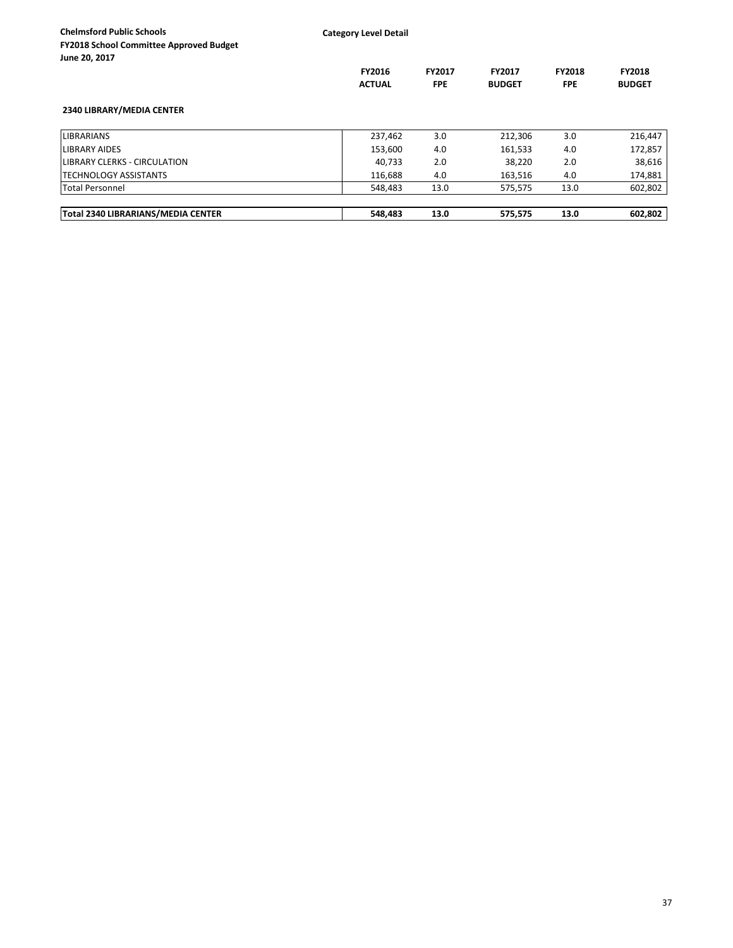| <b>Chelmsford Public Schools</b><br><b>FY2018 School Committee Approved Budget</b><br>June 20, 2017 | <b>Category Level Detail</b>   |                             |                                |                             |                                |
|-----------------------------------------------------------------------------------------------------|--------------------------------|-----------------------------|--------------------------------|-----------------------------|--------------------------------|
|                                                                                                     | <b>FY2016</b><br><b>ACTUAL</b> | <b>FY2017</b><br><b>FPE</b> | <b>FY2017</b><br><b>BUDGET</b> | <b>FY2018</b><br><b>FPE</b> | <b>FY2018</b><br><b>BUDGET</b> |
| 2340 LIBRARY/MEDIA CENTER                                                                           |                                |                             |                                |                             |                                |
| <b>LIBRARIANS</b>                                                                                   | 237,462                        | 3.0                         | 212,306                        | 3.0                         | 216,447                        |
| LIBRARY AIDES                                                                                       | 153,600                        | 4.0                         | 161,533                        | 4.0                         | 172,857                        |
| LIBRARY CLERKS - CIRCULATION                                                                        | 40,733                         | 2.0                         | 38,220                         | 2.0                         | 38,616                         |
| ITECHNOLOGY ASSISTANTS                                                                              | 116,688                        | 4.0                         | 163,516                        | 4.0                         | 174,881                        |
| <b>Total Personnel</b>                                                                              | 548,483                        | 13.0                        | 575,575                        | 13.0                        | 602,802                        |
| Total 2340 LIBRARIANS/MEDIA CENTER                                                                  | 548,483                        | 13.0                        | 575,575                        | 13.0                        | 602,802                        |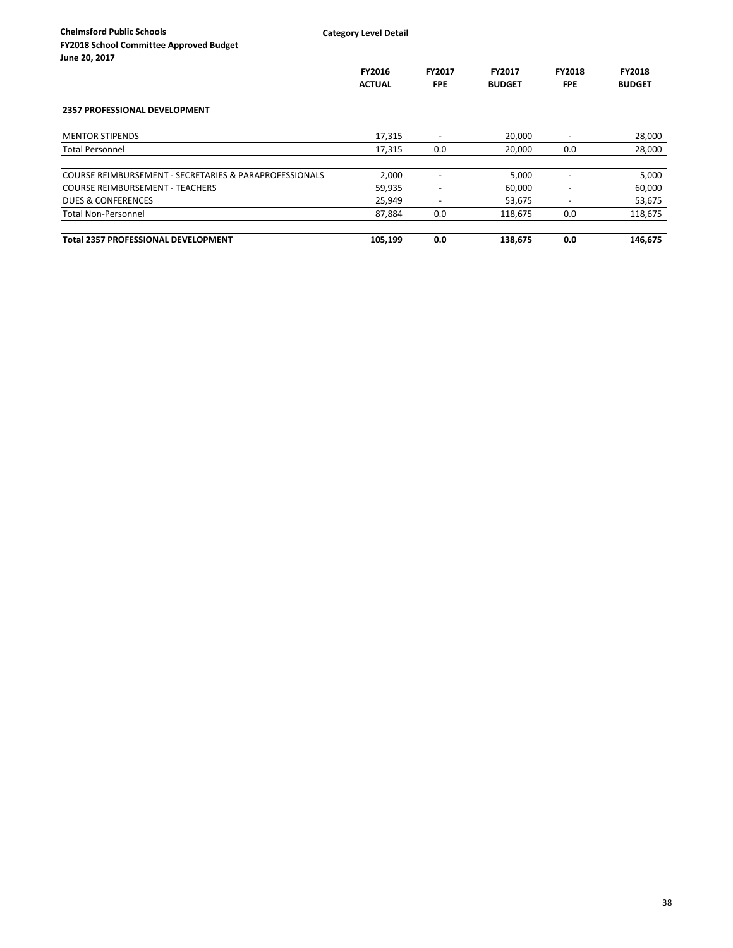**Category Level Detail**

| JUILE ZU, ZUIT                                          |               |                          |               |                          |               |
|---------------------------------------------------------|---------------|--------------------------|---------------|--------------------------|---------------|
|                                                         | <b>FY2016</b> | <b>FY2017</b>            | <b>FY2017</b> | <b>FY2018</b>            | <b>FY2018</b> |
|                                                         | <b>ACTUAL</b> | <b>FPE</b>               | <b>BUDGET</b> | <b>FPE</b>               | <b>BUDGET</b> |
| <b>2357 PROFESSIONAL DEVELOPMENT</b>                    |               |                          |               |                          |               |
| <b>IMENTOR STIPENDS</b>                                 | 17,315        | $\overline{\phantom{a}}$ | 20,000        | $\overline{\phantom{a}}$ | 28,000        |
| <b>Total Personnel</b>                                  | 17,315        | 0.0                      | 20,000        | 0.0                      | 28,000        |
|                                                         |               |                          |               |                          |               |
| ICOURSE REIMBURSEMENT - SECRETARIES & PARAPROFESSIONALS | 2,000         | $\overline{\phantom{0}}$ | 5,000         | $\overline{\phantom{0}}$ | 5,000         |
| <b>COURSE REIMBURSEMENT - TEACHERS</b>                  | 59,935        | -                        | 60,000        |                          | 60,000        |
| <b>IDUES &amp; CONFERENCES</b>                          | 25,949        | $\overline{\phantom{0}}$ | 53,675        |                          | 53,675        |
| Total Non-Personnel                                     | 87,884        | 0.0                      | 118,675       | 0.0                      | 118,675       |

| <b>Total 2357 PROFESSIONAL DEVELOPMENT</b> | 105,199 | 0.0 | 138,675 | 0.0 | 146.675 |
|--------------------------------------------|---------|-----|---------|-----|---------|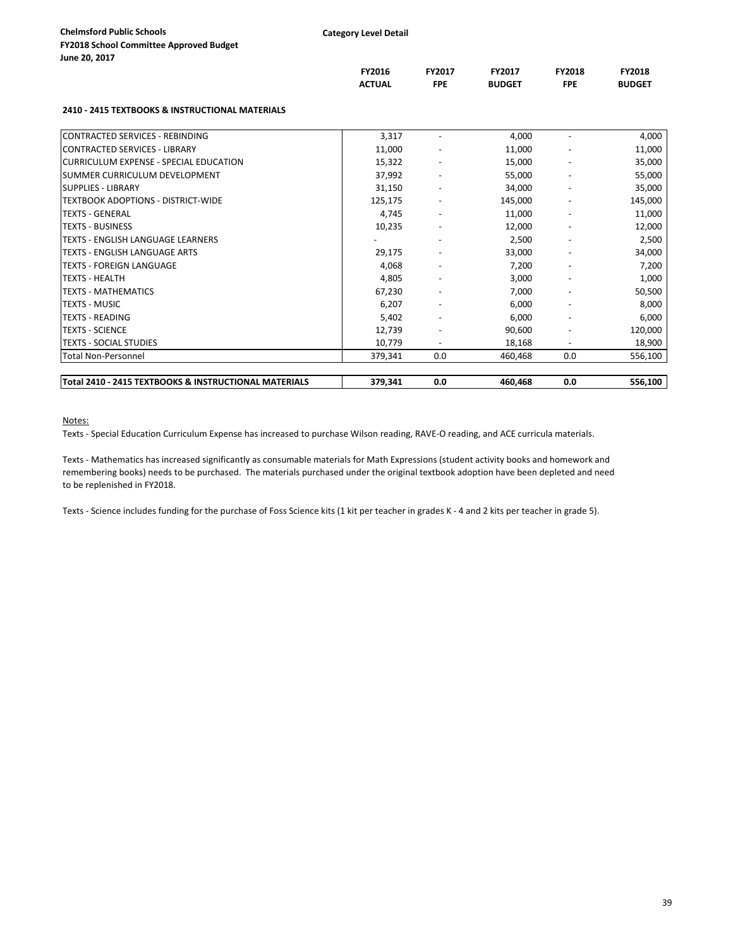|                                                       | FY2016<br><b>ACTUAL</b> | FY2017<br><b>FPE</b>     | FY2017<br><b>BUDGET</b> | FY2018<br><b>FPE</b> | FY2018<br><b>BUDGET</b> |
|-------------------------------------------------------|-------------------------|--------------------------|-------------------------|----------------------|-------------------------|
| 2410 - 2415 TEXTBOOKS & INSTRUCTIONAL MATERIALS       |                         |                          |                         |                      |                         |
| CONTRACTED SERVICES - REBINDING                       | 3,317                   |                          | 4,000                   |                      | 4,000                   |
| <b>CONTRACTED SERVICES - LIBRARY</b>                  | 11,000                  |                          | 11,000                  |                      | 11,000                  |
| CURRICULUM EXPENSE - SPECIAL EDUCATION                | 15,322                  |                          | 15,000                  |                      | 35,000                  |
| <b>SUMMER CURRICULUM DEVELOPMENT</b>                  | 37,992                  |                          | 55,000                  |                      | 55,000                  |
| <b>SUPPLIES - LIBRARY</b>                             | 31,150                  |                          | 34,000                  |                      | 35,000                  |
| TEXTBOOK ADOPTIONS - DISTRICT-WIDE                    | 125,175                 |                          | 145,000                 |                      | 145,000                 |
| <b>TEXTS - GENERAL</b>                                | 4,745                   |                          | 11,000                  |                      | 11,000                  |
| <b>TEXTS - BUSINESS</b>                               | 10,235                  |                          | 12,000                  |                      | 12,000                  |
| <b>TEXTS - ENGLISH LANGUAGE LEARNERS</b>              |                         |                          | 2,500                   |                      | 2,500                   |
| <b>TEXTS - ENGLISH LANGUAGE ARTS</b>                  | 29,175                  |                          | 33,000                  |                      | 34,000                  |
| <b>TEXTS - FOREIGN LANGUAGE</b>                       | 4,068                   |                          | 7,200                   |                      | 7,200                   |
| <b>TEXTS - HEALTH</b>                                 | 4,805                   |                          | 3,000                   |                      | 1,000                   |
| <b>TEXTS - MATHEMATICS</b>                            | 67,230                  |                          | 7,000                   |                      | 50,500                  |
| <b>TEXTS - MUSIC</b>                                  | 6,207                   |                          | 6,000                   |                      | 8,000                   |
| <b>TEXTS - READING</b>                                | 5,402                   |                          | 6,000                   |                      | 6,000                   |
| <b>ITEXTS - SCIENCE</b>                               | 12,739                  |                          | 90,600                  |                      | 120,000                 |
| <b>TEXTS - SOCIAL STUDIES</b>                         | 10.779                  | $\overline{\phantom{a}}$ | 18,168                  |                      | 18,900                  |
| Total Non-Personnel                                   | 379,341                 | 0.0                      | 460,468                 | 0.0                  | 556,100                 |
| Total 2410 - 2415 TEXTBOOKS & INSTRUCTIONAL MATERIALS | 379,341                 | 0.0                      | 460,468                 | 0.0                  | 556,100                 |

Notes:

Texts - Special Education Curriculum Expense has increased to purchase Wilson reading, RAVE-O reading, and ACE curricula materials.

Texts - Mathematics has increased significantly as consumable materials for Math Expressions (student activity books and homework and remembering books) needs to be purchased. The materials purchased under the original textbook adoption have been depleted and need to be replenished in FY2018.

Texts - Science includes funding for the purchase of Foss Science kits (1 kit per teacher in grades K - 4 and 2 kits per teacher in grade 5).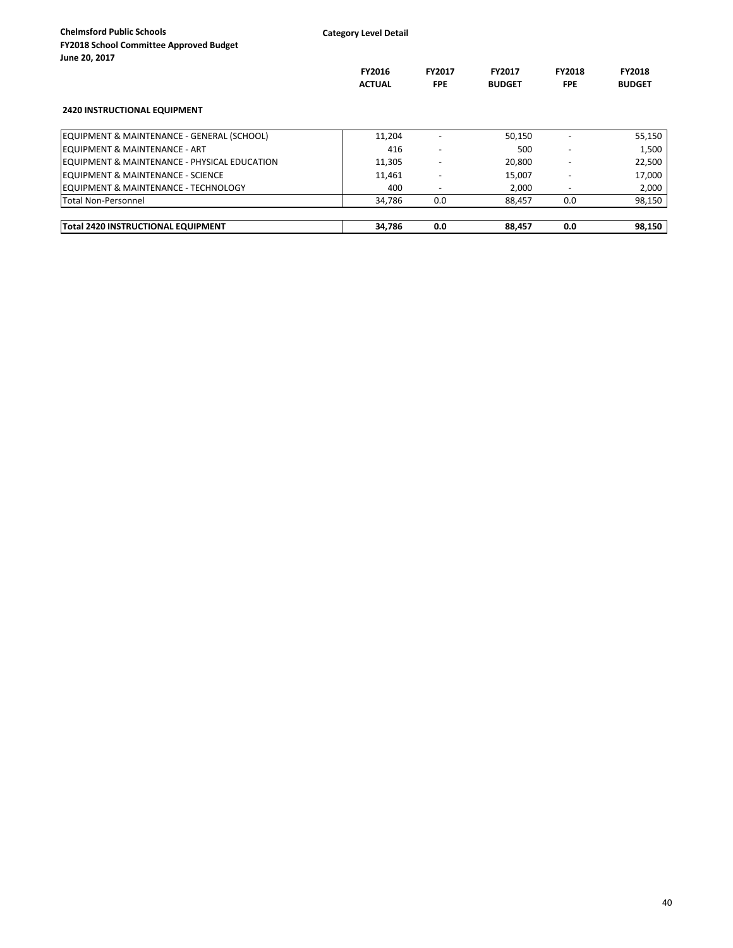| <b>Chelmsford Public Schools</b>                         | <b>Category Level Detail</b> |                          |               |                          |               |
|----------------------------------------------------------|------------------------------|--------------------------|---------------|--------------------------|---------------|
| <b>FY2018 School Committee Approved Budget</b>           |                              |                          |               |                          |               |
| June 20, 2017                                            |                              |                          |               |                          |               |
|                                                          | <b>FY2016</b>                | <b>FY2017</b>            | <b>FY2017</b> | <b>FY2018</b>            | <b>FY2018</b> |
|                                                          | <b>ACTUAL</b>                | <b>FPE</b>               | <b>BUDGET</b> |                          | <b>BUDGET</b> |
| <b>2420 INSTRUCTIONAL EQUIPMENT</b>                      |                              |                          |               |                          |               |
| EQUIPMENT & MAINTENANCE - GENERAL (SCHOOL)               | 11,204                       |                          | 50,150        |                          | 55,150        |
| <b>IEQUIPMENT &amp; MAINTENANCE - ART</b>                | 416                          | $\overline{\phantom{a}}$ | 500           | $\overline{\phantom{a}}$ | 1,500         |
| <b>IEQUIPMENT &amp; MAINTENANCE - PHYSICAL EDUCATION</b> | 11,305                       |                          | 20,800        |                          | 22,500        |
| <b>IEQUIPMENT &amp; MAINTENANCE - SCIENCE</b>            | 11,461                       |                          | 15,007        |                          | 17,000        |
| <b>IEQUIPMENT &amp; MAINTENANCE - TECHNOLOGY</b>         | 400                          | $\overline{\phantom{a}}$ | 2,000         |                          | 2,000         |
| Total Non-Personnel                                      | 34,786                       | 0.0                      | 88,457        | 0.0                      | 98,150        |
| Total 2420 INSTRUCTIONAL EQUIPMENT                       | 34,786                       | 0.0                      | 88,457        | 0.0                      | 98,150        |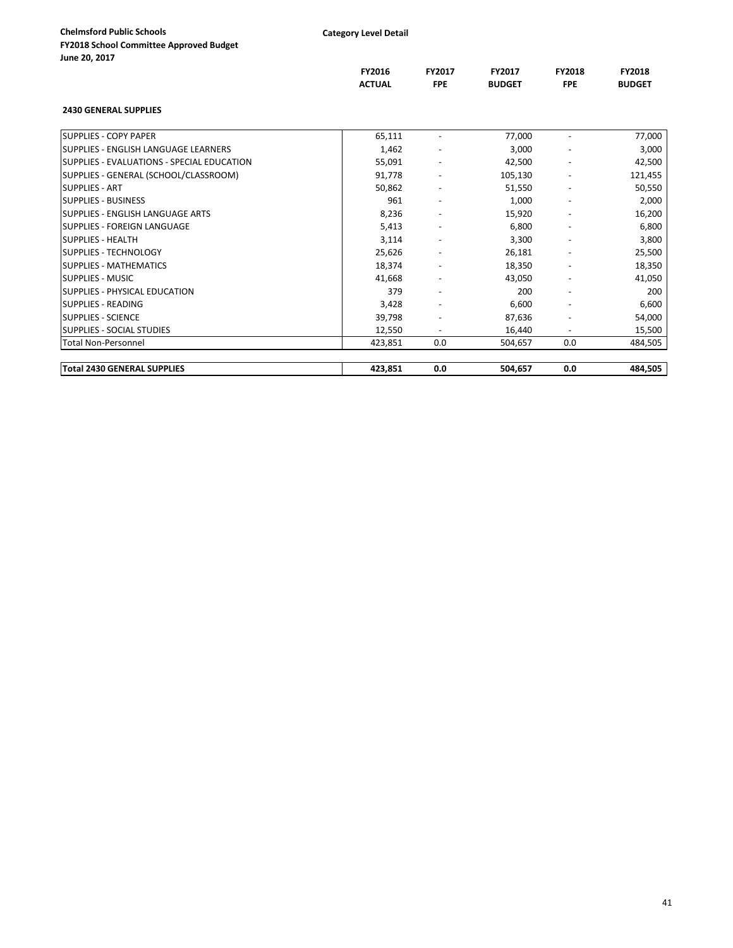|                                             | FY2016        | FY2017     | <b>FY2017</b> | <b>FY2018</b>            | <b>FY2018</b> |
|---------------------------------------------|---------------|------------|---------------|--------------------------|---------------|
|                                             | <b>ACTUAL</b> | <b>FPE</b> | <b>BUDGET</b> | <b>FPE</b>               | <b>BUDGET</b> |
| <b>2430 GENERAL SUPPLIES</b>                |               |            |               |                          |               |
| <b>SUPPLIES - COPY PAPER</b>                | 65,111        |            | 77,000        |                          | 77,000        |
| <b>SUPPLIES - ENGLISH LANGUAGE LEARNERS</b> | 1,462         |            | 3,000         |                          | 3,000         |
| SUPPLIES - EVALUATIONS - SPECIAL EDUCATION  | 55,091        |            | 42,500        | $\overline{\phantom{a}}$ | 42,500        |
| SUPPLIES - GENERAL (SCHOOL/CLASSROOM)       | 91,778        |            | 105,130       |                          | 121,455       |
| <b>SUPPLIES - ART</b>                       | 50,862        |            | 51,550        |                          | 50,550        |
| <b>SUPPLIES - BUSINESS</b>                  | 961           |            | 1,000         |                          | 2,000         |
| SUPPLIES - ENGLISH LANGUAGE ARTS            | 8,236         |            | 15,920        |                          | 16,200        |
| SUPPLIES - FOREIGN LANGUAGE                 | 5,413         |            | 6,800         |                          | 6,800         |
| <b>SUPPLIES - HEALTH</b>                    | 3,114         |            | 3,300         |                          | 3,800         |
| <b>SUPPLIES - TECHNOLOGY</b>                | 25,626        |            | 26,181        |                          | 25,500        |
| <b>SUPPLIES - MATHEMATICS</b>               | 18,374        |            | 18,350        | $\overline{\phantom{a}}$ | 18,350        |
| <b>SUPPLIES - MUSIC</b>                     | 41,668        |            | 43,050        |                          | 41,050        |
| SUPPLIES - PHYSICAL EDUCATION               | 379           |            | 200           |                          | 200           |
| <b>SUPPLIES - READING</b>                   | 3,428         |            | 6,600         |                          | 6,600         |
| <b>SUPPLIES - SCIENCE</b>                   | 39,798        |            | 87,636        |                          | 54,000        |
| <b>SUPPLIES - SOCIAL STUDIES</b>            | 12,550        |            | 16,440        |                          | 15,500        |
| Total Non-Personnel                         | 423,851       | 0.0        | 504,657       | 0.0                      | 484,505       |
| <b>Total 2430 GENERAL SUPPLIES</b>          | 423,851       | 0.0        | 504,657       | 0.0                      | 484,505       |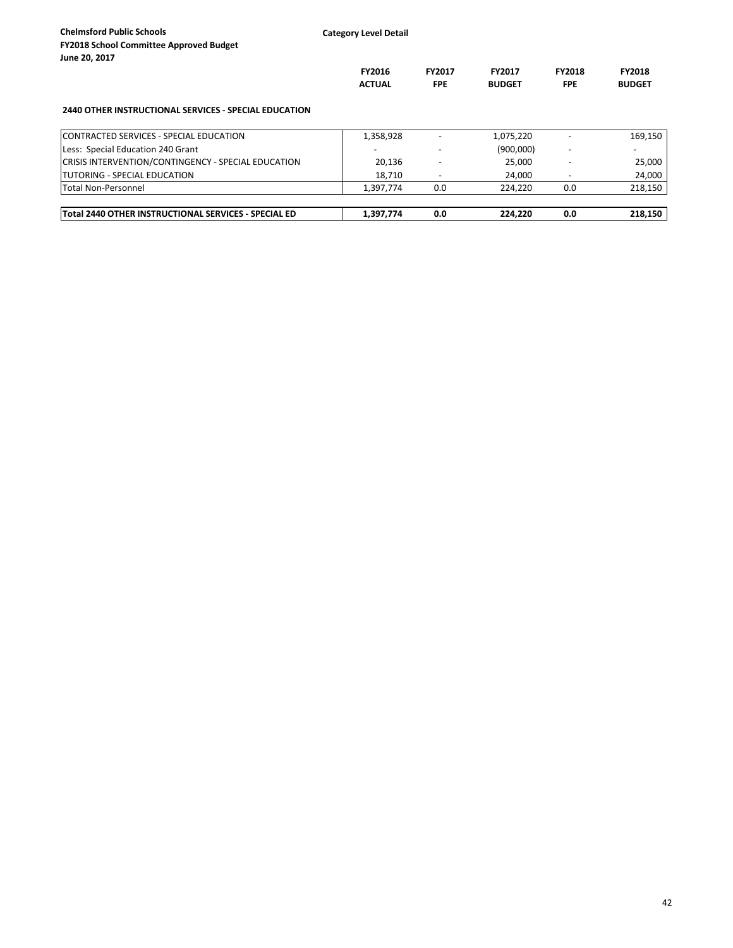| <b>Chelmsford Public Schools</b><br><b>FY2018 School Committee Approved Budget</b><br>June 20, 2017 | <b>Category Level Detail</b>   |                             |                                |                             |                                |
|-----------------------------------------------------------------------------------------------------|--------------------------------|-----------------------------|--------------------------------|-----------------------------|--------------------------------|
|                                                                                                     | <b>FY2016</b><br><b>ACTUAL</b> | <b>FY2017</b><br><b>FPE</b> | <b>FY2017</b><br><b>BUDGET</b> | <b>FY2018</b><br><b>FPE</b> | <b>FY2018</b><br><b>BUDGET</b> |
| <b>2440 OTHER INSTRUCTIONAL SERVICES - SPECIAL EDUCATION</b>                                        |                                |                             |                                |                             |                                |
| <b>ICONTRACTED SERVICES - SPECIAL EDUCATION</b>                                                     | 1,358,928                      |                             | 1,075,220                      |                             | 169,150                        |
| Less: Special Education 240 Grant                                                                   |                                |                             | (900,000)                      |                             |                                |
| CRISIS INTERVENTION/CONTINGENCY - SPECIAL EDUCATION                                                 | 20,136                         |                             | 25,000                         |                             | 25,000                         |
| <b>ITUTORING - SPECIAL EDUCATION</b>                                                                | 18.710                         |                             | 24.000                         |                             | 24,000                         |
| Total Non-Personnel                                                                                 | 1,397,774                      | 0.0                         | 224,220                        | 0.0                         | 218,150                        |
| Total 2440 OTHER INSTRUCTIONAL SERVICES - SPECIAL ED                                                | 1,397,774                      | 0.0                         | 224,220                        | 0.0                         | 218.150                        |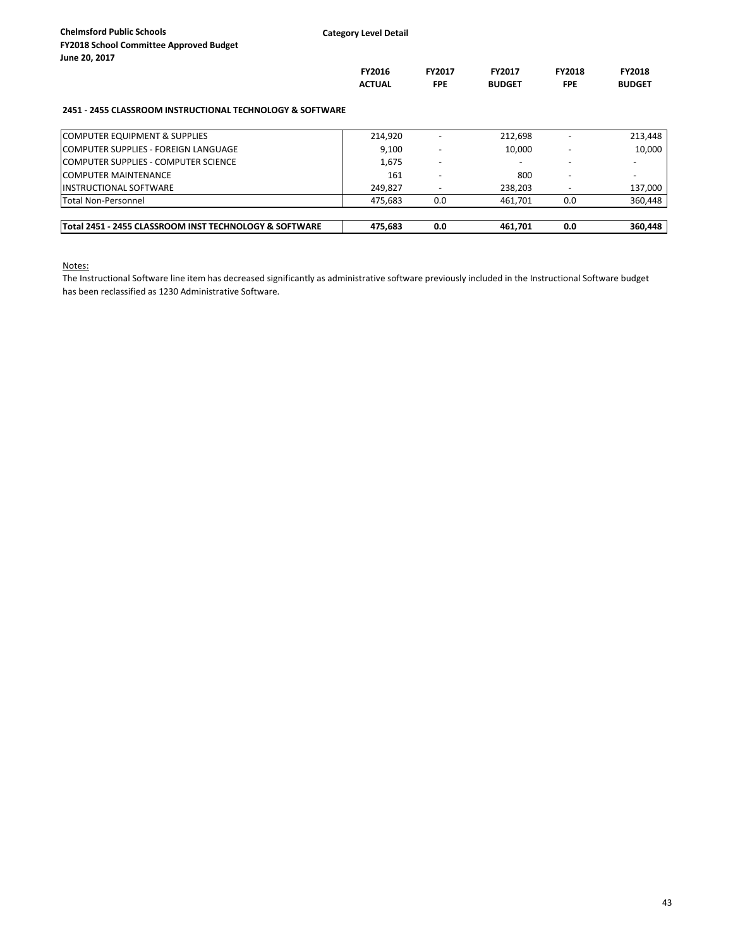| June 20, 2017                                             |               |               |               |               |               |
|-----------------------------------------------------------|---------------|---------------|---------------|---------------|---------------|
|                                                           | <b>FY2016</b> | <b>FY2017</b> | <b>FY2017</b> | <b>FY2018</b> | <b>FY2018</b> |
|                                                           | <b>ACTUAL</b> | <b>FPE</b>    | <b>BUDGET</b> | <b>FPE</b>    | <b>BUDGET</b> |
| 2451 - 2455 CLASSROOM INSTRUCTIONAL TECHNOLOGY & SOFTWARE |               |               |               |               |               |
| COMPUTER EQUIPMENT & SUPPLIES                             | 214,920       |               | 212,698       |               | 213,448       |
| lCOMPUTER SUPPLIES - FOREIGN LANGUAGE                     | 9.100         |               | 10.000        |               | 10,000        |
| ICOMPUTER SUPPLIES - COMPUTER SCIENCE                     | 1,675         |               |               |               |               |
| <b>COMPUTER MAINTENANCE</b>                               | 161           |               | 800           |               |               |
| <b>IINSTRUCTIONAL SOFTWARE</b>                            | 249.827       |               | 238.203       |               | 137.000       |

Total Non-Personnel 475,683 0.0 461,701 0.0 360,448 **Total 2451 - 2455 CLASSROOM INST TECHNOLOGY & SOFTWARE 475,683 0.0 461,701 0.0 360,448**

Notes:

The Instructional Software line item has decreased significantly as administrative software previously included in the Instructional Software budget has been reclassified as 1230 Administrative Software.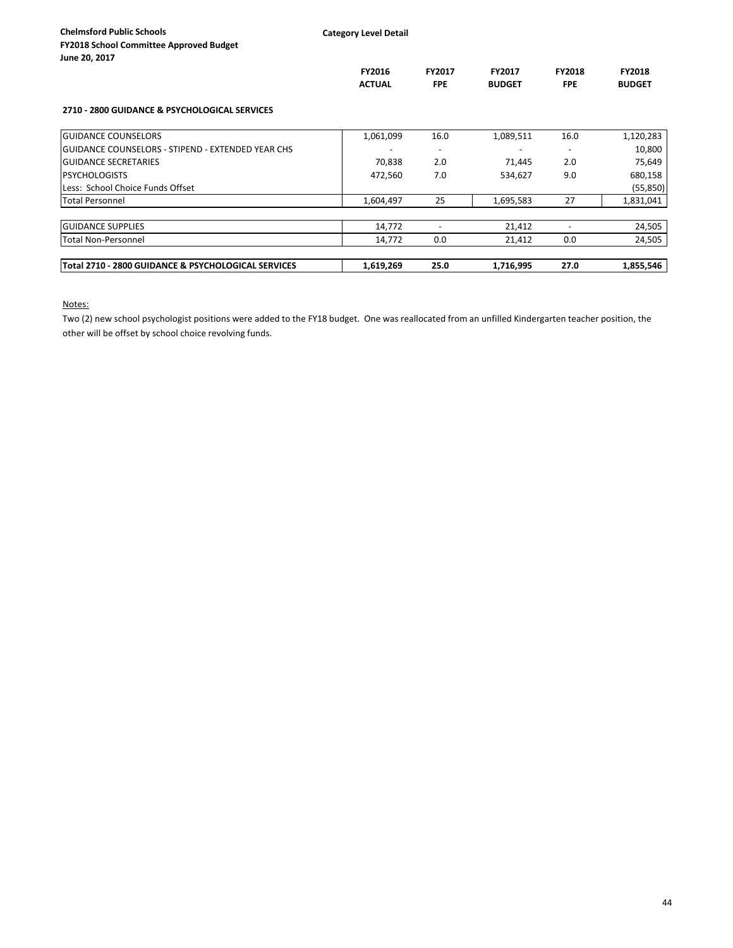**Category Level Detail**

|                                                     | FY2016<br><b>ACTUAL</b> | <b>FY2017</b><br><b>FPE</b> | FY2017<br><b>BUDGET</b> | FY2018<br><b>FPE</b> | <b>FY2018</b><br><b>BUDGET</b> |
|-----------------------------------------------------|-------------------------|-----------------------------|-------------------------|----------------------|--------------------------------|
| 2710 - 2800 GUIDANCE & PSYCHOLOGICAL SERVICES       |                         |                             |                         |                      |                                |
| <b>GUIDANCE COUNSELORS</b>                          | 1,061,099               | 16.0                        | 1,089,511               | 16.0                 | 1,120,283                      |
| GUIDANCE COUNSELORS - STIPEND - EXTENDED YEAR CHS   |                         | $\overline{\phantom{a}}$    |                         |                      | 10,800                         |
| <b>GUIDANCE SECRETARIES</b>                         | 70,838                  | 2.0                         | 71,445                  | 2.0                  | 75,649                         |
| <b>PSYCHOLOGISTS</b>                                | 472,560                 | 7.0                         | 534,627                 | 9.0                  | 680,158                        |
| Less: School Choice Funds Offset                    |                         |                             |                         |                      | (55, 850)                      |
| <b>Total Personnel</b>                              | 1,604,497               | 25                          | 1,695,583               | 27                   | 1,831,041                      |
| <b>GUIDANCE SUPPLIES</b>                            | 14,772                  |                             | 21,412                  |                      | 24,505                         |
| <b>Total Non-Personnel</b>                          | 14,772                  | 0.0                         | 21,412                  | 0.0                  | 24,505                         |
| Total 2710 - 2800 GUIDANCE & PSYCHOLOGICAL SERVICES | 1,619,269               | 25.0                        | 1,716,995               | 27.0                 | 1,855,546                      |

Notes:

Two (2) new school psychologist positions were added to the FY18 budget. One was reallocated from an unfilled Kindergarten teacher position, the other will be offset by school choice revolving funds.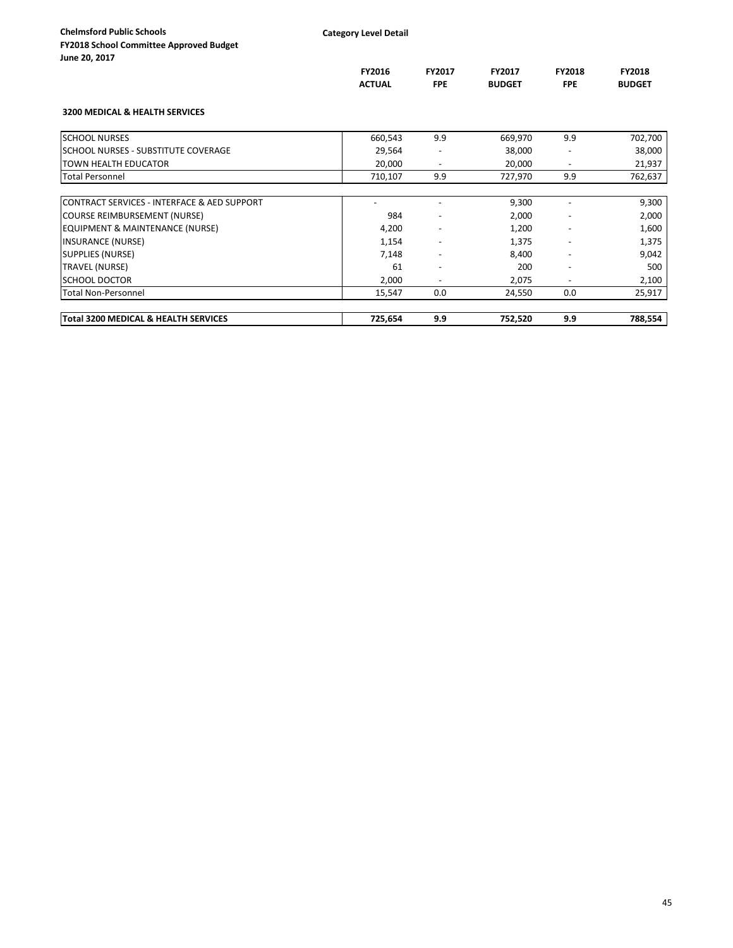**FY2016 FY2017 FY2017 FY2018 FY2018**

**ACTUAL FPE BUDGET FPE BUDGET**

|         | . . | $\tilde{\phantom{a}}$ |               |
|---------|-----|-----------------------|---------------|
| 0, 2017 |     |                       |               |
|         |     |                       | FY2016        |
|         |     |                       | <b>ACTUAL</b> |

## **3200 MEDICAL & HEALTH SERVICES**

| Total 3200 MEDICAL & HEALTH SERVICES        | 725,654 | 9.9                      | 752,520 | 9.9                      | 788,554 |
|---------------------------------------------|---------|--------------------------|---------|--------------------------|---------|
| Total Non-Personnel                         | 15,547  | 0.0                      | 24,550  | 0.0                      | 25,917  |
| ISCHOOL DOCTOR                              | 2,000   |                          | 2,075   |                          | 2,100   |
| <b>TRAVEL (NURSE)</b>                       | 61      | $\overline{\phantom{a}}$ | 200     | $\overline{\phantom{a}}$ | 500     |
| <b>SUPPLIES (NURSE)</b>                     | 7,148   |                          | 8,400   |                          | 9,042   |
| <b>INSURANCE (NURSE)</b>                    | 1,154   | $\overline{\phantom{a}}$ | 1,375   | $\overline{\phantom{a}}$ | 1,375   |
| <b>EQUIPMENT &amp; MAINTENANCE (NURSE)</b>  | 4,200   |                          | 1,200   |                          | 1,600   |
| COURSE REIMBURSEMENT (NURSE)                | 984     |                          | 2,000   |                          | 2,000   |
| CONTRACT SERVICES - INTERFACE & AED SUPPORT |         |                          | 9,300   |                          | 9,300   |
| <b>Total Personnel</b>                      | 710,107 | 9.9                      | 727,970 | 9.9                      | 762,637 |
| <b>TOWN HEALTH EDUCATOR</b>                 | 20,000  | $\overline{\phantom{a}}$ | 20,000  | $\overline{\phantom{a}}$ | 21,937  |
| lschool nurses - Substitute Coverage        | 29,564  |                          | 38,000  |                          | 38,000  |
| <b>SCHOOL NURSES</b>                        | 660,543 | 9.9                      | 669,970 | 9.9                      | 702,700 |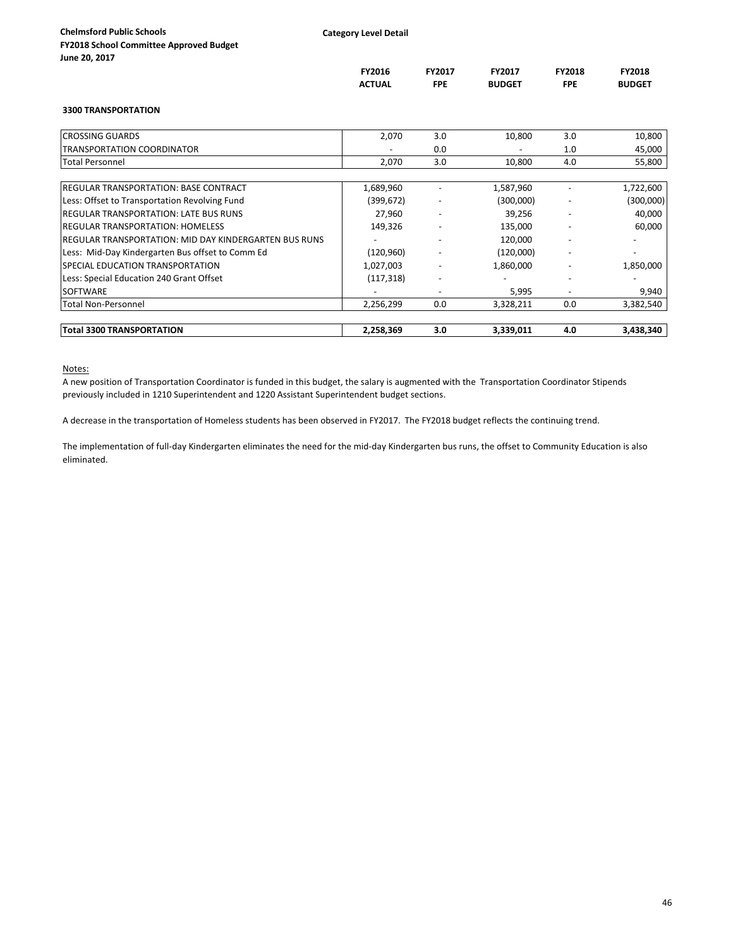|                                                        | FY2016<br><b>ACTUAL</b> | FY2017<br><b>FPE</b>     | FY2017<br><b>BUDGET</b> | <b>FY2018</b><br><b>FPE</b>  | FY2018<br><b>BUDGET</b> |
|--------------------------------------------------------|-------------------------|--------------------------|-------------------------|------------------------------|-------------------------|
| <b>3300 TRANSPORTATION</b>                             |                         |                          |                         |                              |                         |
| <b>CROSSING GUARDS</b>                                 | 2,070                   | 3.0                      | 10,800                  | 3.0                          | 10,800                  |
| <b>TRANSPORTATION COORDINATOR</b>                      |                         | 0.0                      |                         | 1.0                          | 45,000                  |
| <b>Total Personnel</b>                                 | 2,070                   | 3.0                      | 10,800                  | 4.0                          | 55,800                  |
| <b>IREGULAR TRANSPORTATION: BASE CONTRACT</b>          | 1,689,960               |                          | 1,587,960               |                              | 1,722,600               |
| Less: Offset to Transportation Revolving Fund          | (399, 672)              |                          | (300,000)               |                              | (300,000)               |
| <b>IREGULAR TRANSPORTATION: LATE BUS RUNS</b>          | 27,960                  | -                        | 39,256                  | $\overline{\phantom{a}}$     | 40,000                  |
| <b>IREGULAR TRANSPORTATION: HOMELESS</b>               | 149,326                 |                          | 135,000                 |                              | 60,000                  |
| IREGULAR TRANSPORTATION: MID DAY KINDERGARTEN BUS RUNS |                         |                          | 120,000                 |                              |                         |
| Less: Mid-Day Kindergarten Bus offset to Comm Ed       | (120, 960)              |                          | (120,000)               | $\qquad \qquad \blacksquare$ |                         |
| SPECIAL EDUCATION TRANSPORTATION                       | 1,027,003               |                          | 1,860,000               |                              | 1,850,000               |
| Less: Special Education 240 Grant Offset               | (117, 318)              | $\overline{\phantom{0}}$ |                         |                              |                         |
| <b>SOFTWARE</b>                                        |                         |                          | 5,995                   |                              | 9,940                   |
| <b>Total Non-Personnel</b>                             | 2,256,299               | 0.0                      | 3,328,211               | 0.0                          | 3,382,540               |
| <b>Total 3300 TRANSPORTATION</b>                       | 2,258,369               | 3.0                      | 3,339,011               | 4.0                          | 3,438,340               |

### Notes:

A new position of Transportation Coordinator is funded in this budget, the salary is augmented with the Transportation Coordinator Stipends previously included in 1210 Superintendent and 1220 Assistant Superintendent budget sections.

A decrease in the transportation of Homeless students has been observed in FY2017. The FY2018 budget reflects the continuing trend.

The implementation of full-day Kindergarten eliminates the need for the mid-day Kindergarten bus runs, the offset to Community Education is also eliminated.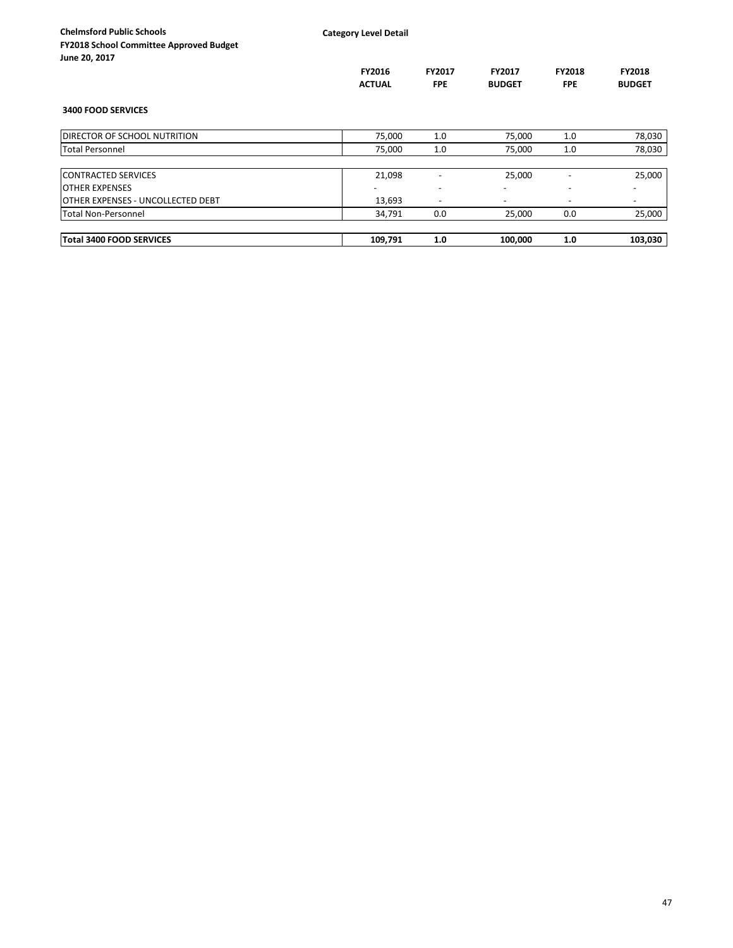| <b>Chelmsford Public Schools</b><br><b>FY2018 School Committee Approved Budget</b><br>June 20, 2017 | <b>Category Level Detail</b> |                             |                                |                             |                         |
|-----------------------------------------------------------------------------------------------------|------------------------------|-----------------------------|--------------------------------|-----------------------------|-------------------------|
|                                                                                                     | FY2016<br><b>ACTUAL</b>      | <b>FY2017</b><br><b>FPE</b> | <b>FY2017</b><br><b>BUDGET</b> | <b>FY2018</b><br><b>FPE</b> | FY2018<br><b>BUDGET</b> |
| <b>3400 FOOD SERVICES</b>                                                                           |                              |                             |                                |                             |                         |
| <b>DIRECTOR OF SCHOOL NUTRITION</b>                                                                 | 75,000                       | $1.0\,$                     | 75,000                         | 1.0                         | 78,030                  |
| <b>Total Personnel</b>                                                                              | 75,000                       | 1.0                         | 75,000                         | 1.0                         | 78,030                  |
| <b>CONTRACTED SERVICES</b>                                                                          | 21,098                       |                             | 25,000                         |                             | 25,000                  |
| <b>OTHER EXPENSES</b>                                                                               |                              |                             |                                |                             |                         |
| <b>IOTHER EXPENSES - UNCOLLECTED DEBT</b>                                                           | 13,693                       | $\overline{\phantom{a}}$    |                                |                             |                         |
| Total Non-Personnel                                                                                 | 34,791                       | 0.0                         | 25,000                         | 0.0                         | 25,000                  |
| Total 3400 FOOD SERVICES                                                                            | 109,791                      | 1.0                         | 100,000                        | 1.0                         | 103,030                 |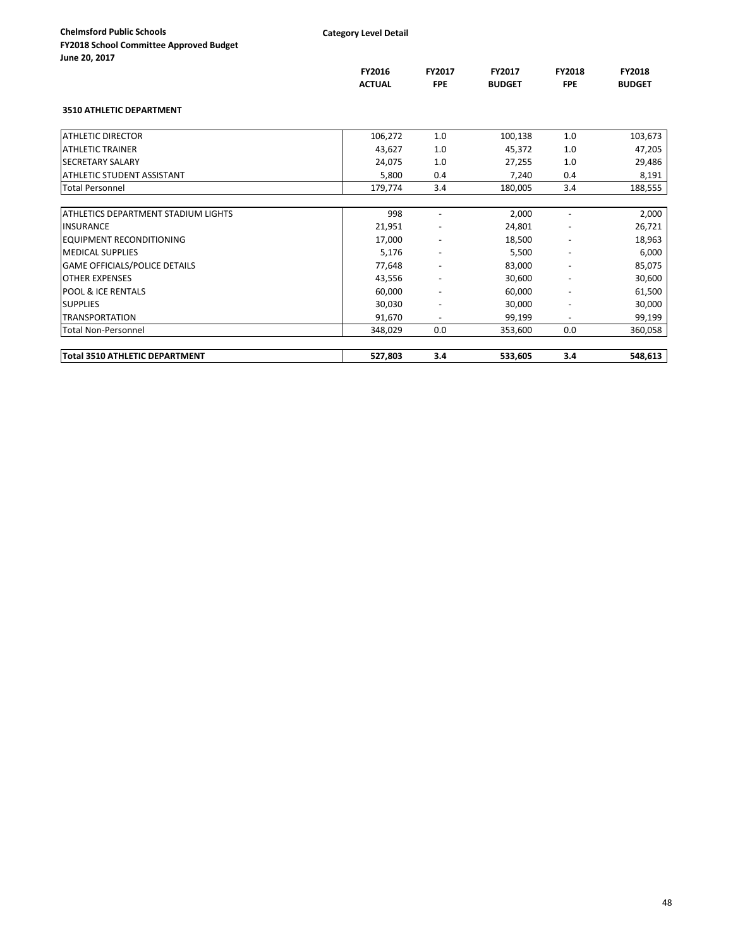| <b>Chelmsford Public Schools</b>               |  |
|------------------------------------------------|--|
| <b>FY2018 School Committee Approved Budget</b> |  |
| June 20, 2017                                  |  |

| June Zu, Zull                         |               |                          |               |                          |               |
|---------------------------------------|---------------|--------------------------|---------------|--------------------------|---------------|
|                                       | FY2016        | <b>FY2017</b>            | <b>FY2017</b> | <b>FY2018</b>            | FY2018        |
|                                       | <b>ACTUAL</b> | <b>FPE</b>               | <b>BUDGET</b> | <b>FPE</b>               | <b>BUDGET</b> |
| <b>3510 ATHLETIC DEPARTMENT</b>       |               |                          |               |                          |               |
| <b>ATHLETIC DIRECTOR</b>              | 106,272       | 1.0                      | 100,138       | 1.0                      | 103,673       |
| <b>ATHLETIC TRAINER</b>               | 43,627        | 1.0                      | 45,372        | 1.0                      | 47,205        |
| <b>SECRETARY SALARY</b>               | 24,075        | 1.0                      | 27,255        | 1.0                      | 29,486        |
| <b>ATHLETIC STUDENT ASSISTANT</b>     | 5,800         | 0.4                      | 7,240         | 0.4                      | 8,191         |
| <b>Total Personnel</b>                | 179,774       | 3.4                      | 180,005       | 3.4                      | 188,555       |
|                                       |               |                          |               |                          |               |
| ATHLETICS DEPARTMENT STADIUM LIGHTS   | 998           |                          | 2,000         |                          | 2,000         |
| <b>INSURANCE</b>                      | 21,951        |                          | 24,801        |                          | 26,721        |
| <b>EQUIPMENT RECONDITIONING</b>       | 17,000        | $\overline{\phantom{a}}$ | 18,500        |                          | 18,963        |
| <b>MEDICAL SUPPLIES</b>               | 5,176         | $\overline{\phantom{a}}$ | 5,500         | $\overline{\phantom{a}}$ | 6,000         |
| <b>GAME OFFICIALS/POLICE DETAILS</b>  | 77,648        |                          | 83,000        |                          | 85,075        |
| <b>OTHER EXPENSES</b>                 | 43,556        |                          | 30,600        |                          | 30,600        |
| <b>POOL &amp; ICE RENTALS</b>         | 60,000        |                          | 60,000        |                          | 61,500        |
| <b>SUPPLIES</b>                       | 30,030        |                          | 30,000        |                          | 30,000        |
| <b>TRANSPORTATION</b>                 | 91,670        | $\overline{\phantom{a}}$ | 99,199        | $\overline{\phantom{a}}$ | 99,199        |
| <b>Total Non-Personnel</b>            | 348,029       | 0.0                      | 353,600       | 0.0                      | 360,058       |
| <b>Total 3510 ATHLETIC DEPARTMENT</b> | 527,803       | 3.4                      | 533,605       | 3.4                      | 548,613       |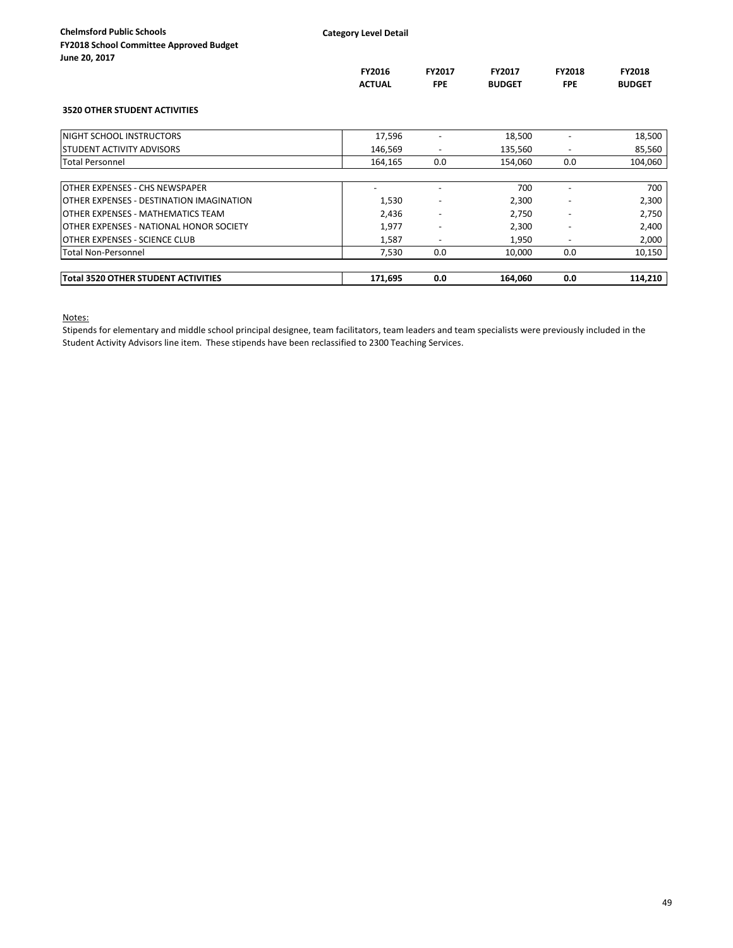|                                            | <b>FY2016</b><br><b>ACTUAL</b> | FY2017<br><b>FPE</b> | <b>FY2017</b><br><b>BUDGET</b> | <b>FY2018</b><br><b>FPE</b> | <b>FY2018</b><br><b>BUDGET</b> |
|--------------------------------------------|--------------------------------|----------------------|--------------------------------|-----------------------------|--------------------------------|
| <b>3520 OTHER STUDENT ACTIVITIES</b>       |                                |                      |                                |                             |                                |
| NIGHT SCHOOL INSTRUCTORS                   | 17,596                         |                      | 18,500                         |                             | 18,500                         |
| STUDENT ACTIVITY ADVISORS                  | 146,569                        |                      | 135,560                        |                             | 85,560                         |
| <b>Total Personnel</b>                     | 164,165                        | 0.0                  | 154,060                        | 0.0                         | 104,060                        |
|                                            |                                |                      |                                |                             |                                |
| OTHER EXPENSES - CHS NEWSPAPER             |                                |                      | 700                            |                             | 700                            |
| OTHER EXPENSES - DESTINATION IMAGINATION   | 1,530                          |                      | 2,300                          |                             | 2,300                          |
| OTHER EXPENSES - MATHEMATICS TEAM          | 2,436                          |                      | 2,750                          |                             | 2,750                          |
| OTHER EXPENSES - NATIONAL HONOR SOCIETY    | 1,977                          |                      | 2,300                          |                             | 2,400                          |
| OTHER EXPENSES - SCIENCE CLUB              | 1,587                          |                      | 1,950                          |                             | 2,000                          |
| <b>Total Non-Personnel</b>                 | 7,530                          | 0.0                  | 10,000                         | 0.0                         | 10,150                         |
| <b>Total 3520 OTHER STUDENT ACTIVITIES</b> | 171,695                        | 0.0                  | 164,060                        | 0.0                         | 114,210                        |

Notes:

Stipends for elementary and middle school principal designee, team facilitators, team leaders and team specialists were previously included in the Student Activity Advisors line item. These stipends have been reclassified to 2300 Teaching Services.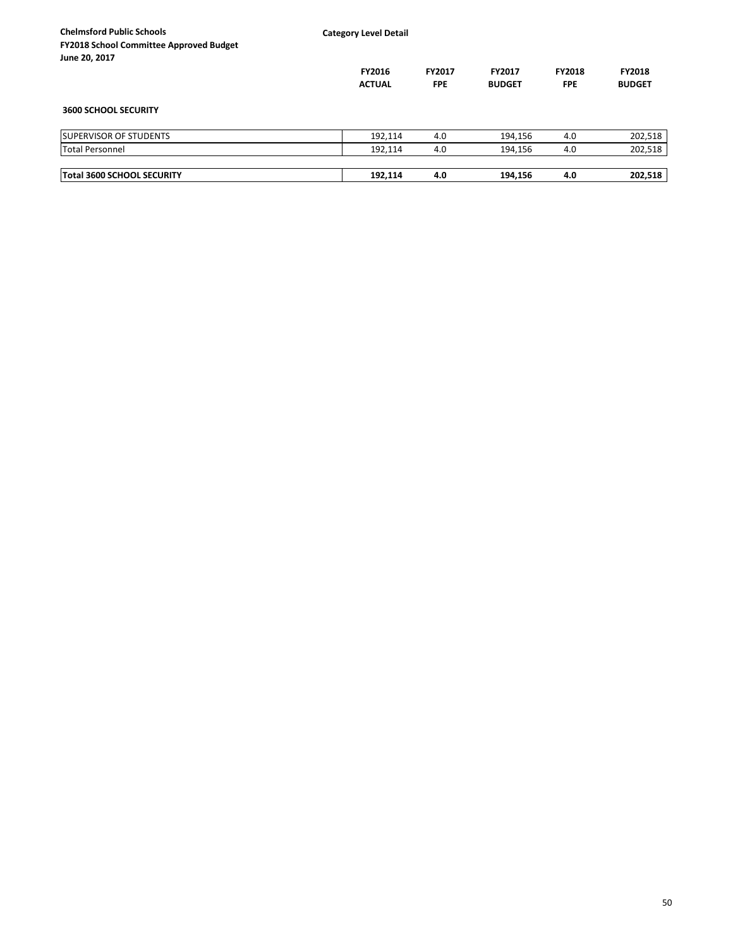| <b>Chelmsford Public Schools</b><br><b>FY2018 School Committee Approved Budget</b><br>June 20, 2017 | <b>Category Level Detail</b>   |                             |                         |                             |                                |
|-----------------------------------------------------------------------------------------------------|--------------------------------|-----------------------------|-------------------------|-----------------------------|--------------------------------|
|                                                                                                     | <b>FY2016</b><br><b>ACTUAL</b> | <b>FY2017</b><br><b>FPE</b> | FY2017<br><b>BUDGET</b> | <b>FY2018</b><br><b>FPE</b> | <b>FY2018</b><br><b>BUDGET</b> |
| <b>3600 SCHOOL SECURITY</b>                                                                         |                                |                             |                         |                             |                                |
| <b>ISUPERVISOR OF STUDENTS</b>                                                                      | 192,114                        | 4.0                         | 194,156                 | 4.0                         | 202,518                        |
| <b>Total Personnel</b>                                                                              | 192,114                        | 4.0                         | 194,156                 | 4.0                         | 202,518                        |
| <b>Total 3600 SCHOOL SECURITY</b>                                                                   | 192,114                        | 4.0                         | 194,156                 | 4.0                         | 202,518                        |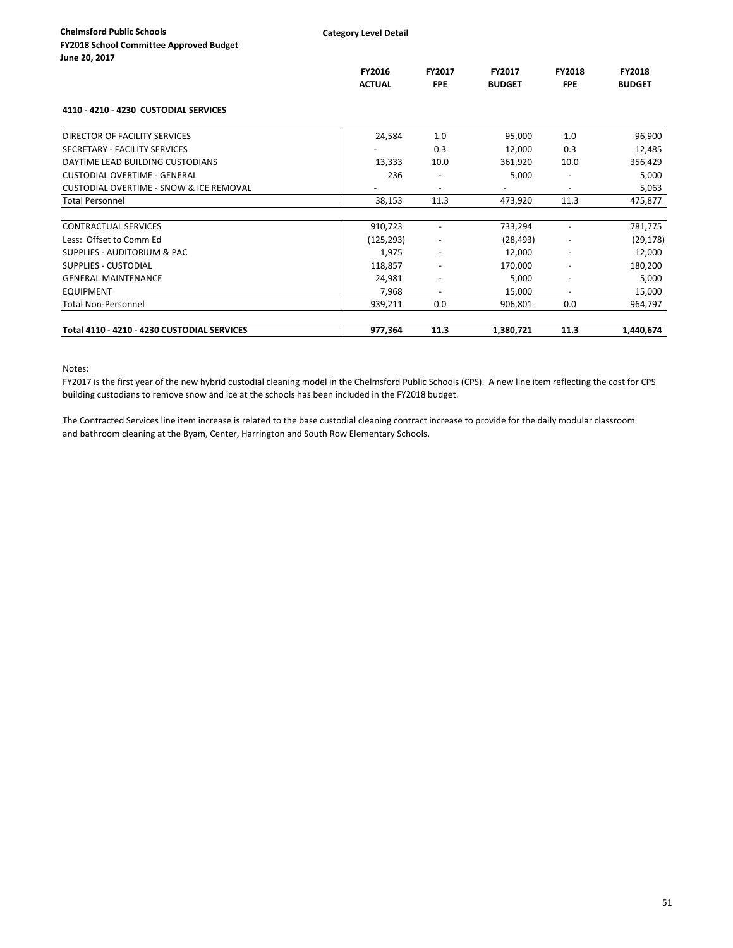|                                             | FY2016<br><b>ACTUAL</b> | FY2017<br><b>FPE</b>     | FY2017<br><b>BUDGET</b> | <b>FY2018</b><br><b>FPE</b> | <b>FY2018</b><br><b>BUDGET</b> |
|---------------------------------------------|-------------------------|--------------------------|-------------------------|-----------------------------|--------------------------------|
| 4110 - 4210 - 4230 CUSTODIAL SERVICES       |                         |                          |                         |                             |                                |
| <b>DIRECTOR OF FACILITY SERVICES</b>        | 24,584                  | 1.0                      | 95,000                  | 1.0                         | 96,900                         |
| <b>ISECRETARY - FACILITY SERVICES</b>       |                         | 0.3                      | 12,000                  | 0.3                         | 12,485                         |
| DAYTIME LEAD BUILDING CUSTODIANS            | 13,333                  | 10.0                     | 361,920                 | 10.0                        | 356,429                        |
| <b>lCUSTODIAL OVERTIME - GENERAL</b>        | 236                     | $\overline{\phantom{a}}$ | 5,000                   | $\overline{\phantom{a}}$    | 5,000                          |
| CUSTODIAL OVERTIME - SNOW & ICE REMOVAL     |                         | $\overline{\phantom{a}}$ |                         |                             | 5,063                          |
| <b>Total Personnel</b>                      | 38,153                  | 11.3                     | 473,920                 | 11.3                        | 475,877                        |
| <b>CONTRACTUAL SERVICES</b>                 | 910,723                 |                          | 733,294                 |                             | 781,775                        |
| Less: Offset to Comm Ed                     | (125, 293)              | $\overline{\phantom{a}}$ | (28, 493)               |                             | (29, 178)                      |
| ISUPPLIES - AUDITORIUM & PAC                | 1,975                   |                          | 12,000                  |                             | 12,000                         |
| <b>ISUPPLIES - CUSTODIAL</b>                | 118,857                 |                          | 170,000                 |                             | 180,200                        |
| <b>GENERAL MAINTENANCE</b>                  | 24,981                  |                          | 5,000                   |                             | 5,000                          |
| <b>EQUIPMENT</b>                            | 7,968                   | $\overline{\phantom{a}}$ | 15,000                  | $\overline{\phantom{a}}$    | 15,000                         |
| <b>Total Non-Personnel</b>                  | 939,211                 | 0.0                      | 906,801                 | 0.0                         | 964,797                        |
| Total 4110 - 4210 - 4230 CUSTODIAL SERVICES | 977,364                 | 11.3                     | 1,380,721               | 11.3                        | 1,440,674                      |

### Notes:

FY2017 is the first year of the new hybrid custodial cleaning model in the Chelmsford Public Schools (CPS). A new line item reflecting the cost for CPS building custodians to remove snow and ice at the schools has been included in the FY2018 budget.

The Contracted Services line item increase is related to the base custodial cleaning contract increase to provide for the daily modular classroom and bathroom cleaning at the Byam, Center, Harrington and South Row Elementary Schools.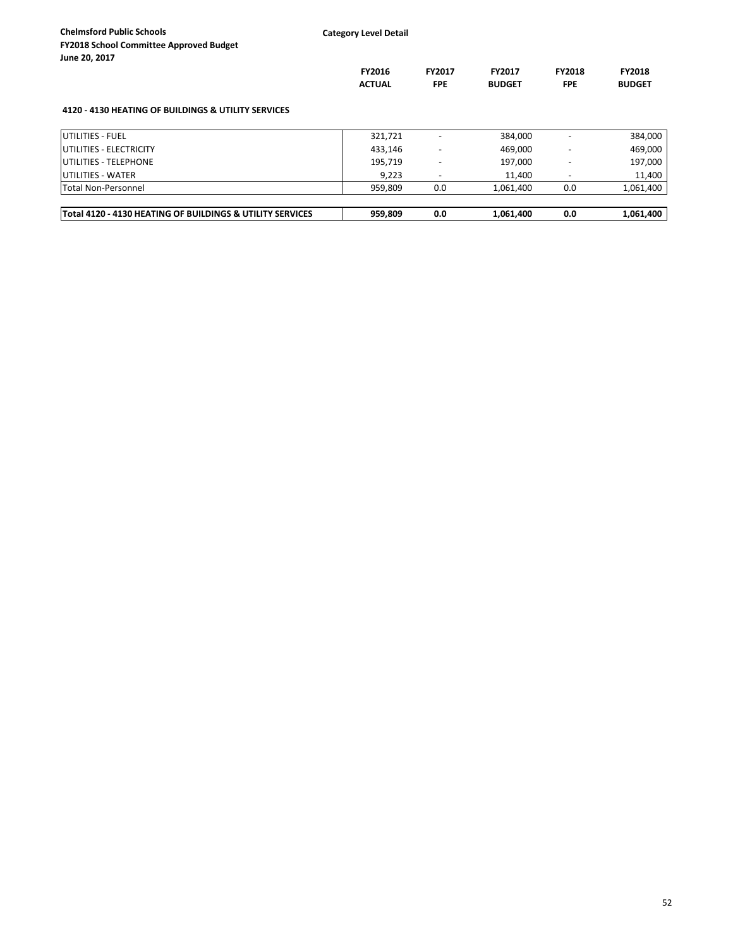| 3011C 40, 4017                                            | <b>FY2016</b><br><b>ACTUAL</b> | <b>FY2017</b><br><b>FPE</b> | <b>FY2017</b><br><b>BUDGET</b> | <b>FY2018</b><br><b>FPE</b> | <b>FY2018</b><br><b>BUDGET</b> |
|-----------------------------------------------------------|--------------------------------|-----------------------------|--------------------------------|-----------------------------|--------------------------------|
| 4120 - 4130 HEATING OF BUILDINGS & UTILITY SERVICES       |                                |                             |                                |                             |                                |
| <b>IUTILITIES - FUEL</b>                                  | 321,721                        |                             | 384,000                        |                             | 384,000                        |
| <b>UTILITIES - ELECTRICITY</b>                            | 433,146                        |                             | 469,000                        |                             | 469,000                        |
| <b>IUTILITIES - TELEPHONE</b>                             | 195,719                        |                             | 197,000                        |                             | 197,000                        |
| UTILITIES - WATER                                         | 9,223                          |                             | 11,400                         |                             | 11,400                         |
| Total Non-Personnel                                       | 959,809                        | 0.0                         | 1,061,400                      | 0.0                         | 1,061,400                      |
| Total 4120 - 4130 HEATING OF BUILDINGS & UTILITY SERVICES | 959,809                        | 0.0                         | 1,061,400                      | 0.0                         | 1,061,400                      |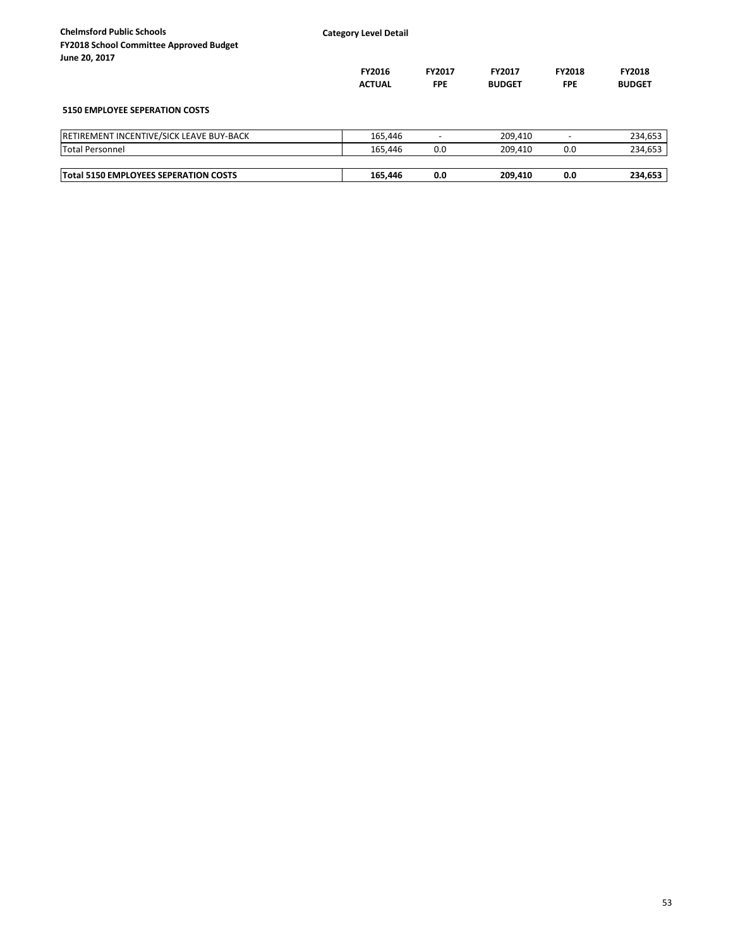| <b>Chelmsford Public Schools</b><br><b>FY2018 School Committee Approved Budget</b> | <b>Category Level Detail</b> |               |               |               |               |
|------------------------------------------------------------------------------------|------------------------------|---------------|---------------|---------------|---------------|
| June 20, 2017                                                                      |                              |               |               |               |               |
|                                                                                    | <b>FY2016</b>                | <b>FY2017</b> | <b>FY2017</b> | <b>FY2018</b> | <b>FY2018</b> |
|                                                                                    | <b>ACTUAL</b>                | <b>FPE</b>    | <b>BUDGET</b> | <b>FPE</b>    | <b>BUDGET</b> |
| <b>5150 EMPLOYEE SEPERATION COSTS</b>                                              |                              |               |               |               |               |
| RETIREMENT INCENTIVE/SICK LEAVE BUY-BACK                                           | 165,446                      |               | 209.410       |               | 234,653       |
| <b>Total Personnel</b>                                                             | 165,446                      | 0.0           | 209,410       | 0.0           | 234,653       |
|                                                                                    |                              |               |               |               | 234,653       |
| Total 5150 EMPLOYEES SEPERATION COSTS                                              | 165.446                      | 0.0           | 209,410       | 0.0           |               |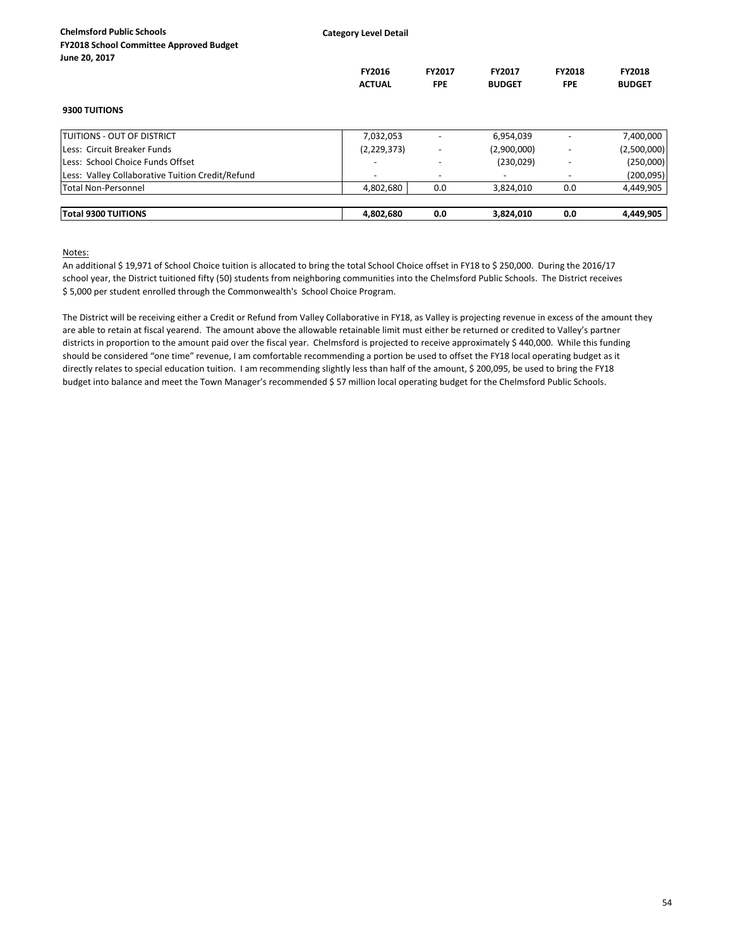**Category Level Detail**

|                                                  | <b>FY2016</b><br><b>ACTUAL</b> | <b>FY2017</b><br><b>FPE</b> | <b>FY2017</b><br><b>BUDGET</b> | <b>FY2018</b><br><b>FPE</b> | <b>FY2018</b><br><b>BUDGET</b> |
|--------------------------------------------------|--------------------------------|-----------------------------|--------------------------------|-----------------------------|--------------------------------|
| <b>9300 TUITIONS</b>                             |                                |                             |                                |                             |                                |
| <b>ITUITIONS - OUT OF DISTRICT</b>               | 7,032,053                      |                             | 6,954,039                      |                             | 7,400,000                      |
| Less: Circuit Breaker Funds                      | (2, 229, 373)                  |                             | (2,900,000)                    |                             | (2,500,000)                    |
| Less: School Choice Funds Offset                 |                                |                             | (230, 029)                     |                             | (250,000)                      |
| Less: Valley Collaborative Tuition Credit/Refund | $\overline{\phantom{a}}$       |                             |                                |                             | (200, 095)                     |
| <b>Total Non-Personnel</b>                       | 4,802,680                      | 0.0                         | 3,824,010                      | 0.0                         | 4,449,905                      |
| <b>Total 9300 TUITIONS</b>                       | 4,802,680                      | 0.0                         | 3,824,010                      | 0.0                         | 4,449,905                      |

Notes:

An additional \$19,971 of School Choice tuition is allocated to bring the total School Choice offset in FY18 to \$250,000. During the 2016/17 school year, the District tuitioned fifty (50) students from neighboring communities into the Chelmsford Public Schools. The District receives \$ 5,000 per student enrolled through the Commonwealth's School Choice Program.

The District will be receiving either a Credit or Refund from Valley Collaborative in FY18, as Valley is projecting revenue in excess of the amount they are able to retain at fiscal yearend. The amount above the allowable retainable limit must either be returned or credited to Valley's partner districts in proportion to the amount paid over the fiscal year. Chelmsford is projected to receive approximately \$ 440,000. While this funding should be considered "one time" revenue, I am comfortable recommending a portion be used to offset the FY18 local operating budget as it directly relates to special education tuition. I am recommending slightly less than half of the amount, \$ 200,095, be used to bring the FY18 budget into balance and meet the Town Manager's recommended \$ 57 million local operating budget for the Chelmsford Public Schools.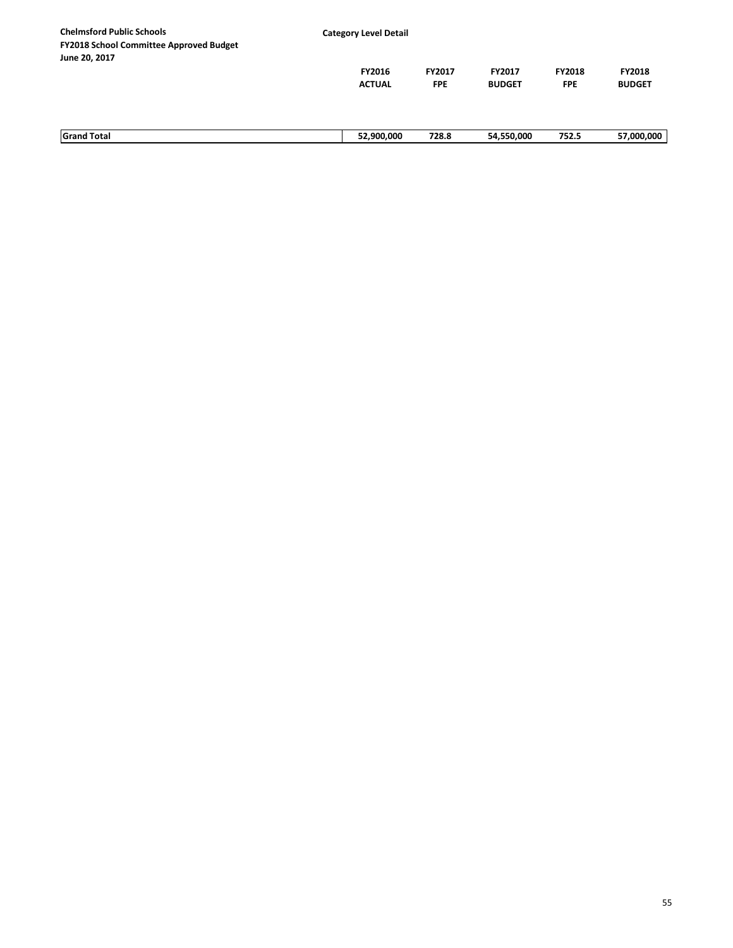| <b>Chelmsford Public Schools</b>                                | <b>Category Level Detail</b> |            |               |               |               |
|-----------------------------------------------------------------|------------------------------|------------|---------------|---------------|---------------|
| <b>FY2018 School Committee Approved Budget</b><br>June 20, 2017 |                              |            |               |               |               |
|                                                                 | FY2016                       | FY2017     | <b>FY2017</b> | <b>FY2018</b> | <b>FY2018</b> |
|                                                                 | <b>ACTUAL</b>                | <b>FPE</b> | <b>BUDGET</b> | <b>FPE</b>    | <b>BUDGET</b> |
|                                                                 |                              |            |               |               |               |
|                                                                 |                              |            |               |               |               |
| <b>Grand Total</b>                                              | 52,900,000                   | 728.8      | 54,550,000    | 752.5         | 57,000,000    |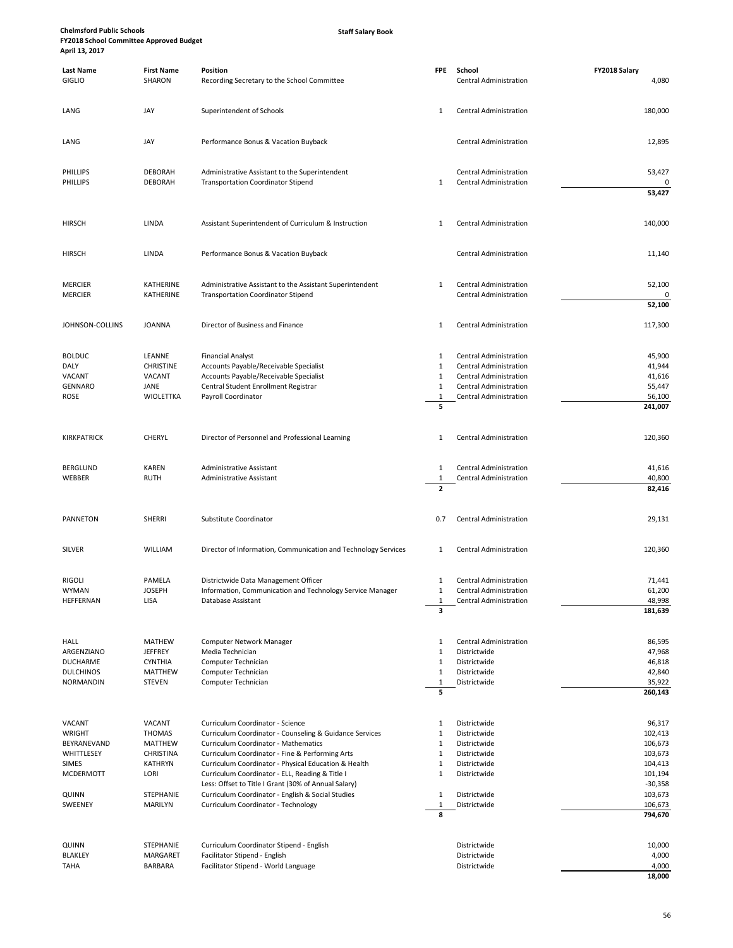**Staff Salary Book**

| <b>Last Name</b>              | <b>First Name</b>          | Position                                                                                                  | <b>FPE</b>                  | School                                                         | FY2018 Salary        |
|-------------------------------|----------------------------|-----------------------------------------------------------------------------------------------------------|-----------------------------|----------------------------------------------------------------|----------------------|
| <b>GIGLIO</b>                 | SHARON                     | Recording Secretary to the School Committee                                                               |                             | Central Administration                                         | 4,080                |
|                               |                            |                                                                                                           |                             |                                                                |                      |
| LANG                          | JAY                        | Superintendent of Schools                                                                                 | 1                           | Central Administration                                         | 180,000              |
|                               |                            |                                                                                                           |                             |                                                                |                      |
| LANG                          | JAY                        | Performance Bonus & Vacation Buyback                                                                      |                             | Central Administration                                         | 12,895               |
|                               |                            |                                                                                                           |                             |                                                                |                      |
|                               |                            |                                                                                                           |                             |                                                                |                      |
| PHILLIPS                      | <b>DEBORAH</b>             | Administrative Assistant to the Superintendent                                                            |                             | Central Administration                                         | 53,427               |
| PHILLIPS                      | <b>DEBORAH</b>             | <b>Transportation Coordinator Stipend</b>                                                                 | $\mathbf{1}$                | Central Administration                                         | 0<br>53,427          |
|                               |                            |                                                                                                           |                             |                                                                |                      |
|                               |                            |                                                                                                           |                             |                                                                |                      |
| <b>HIRSCH</b>                 | LINDA                      | Assistant Superintendent of Curriculum & Instruction                                                      | 1                           | <b>Central Administration</b>                                  | 140,000              |
|                               |                            |                                                                                                           |                             |                                                                |                      |
| <b>HIRSCH</b>                 | LINDA                      | Performance Bonus & Vacation Buyback                                                                      |                             | <b>Central Administration</b>                                  | 11,140               |
|                               |                            |                                                                                                           |                             |                                                                |                      |
| <b>MERCIER</b>                | <b>KATHERINE</b>           | Administrative Assistant to the Assistant Superintendent                                                  | 1                           | Central Administration                                         | 52,100               |
| <b>MERCIER</b>                | <b>KATHERINE</b>           | <b>Transportation Coordinator Stipend</b>                                                                 |                             | Central Administration                                         |                      |
|                               |                            |                                                                                                           |                             |                                                                | 52,100               |
| JOHNSON-COLLINS               | <b>JOANNA</b>              | Director of Business and Finance                                                                          | 1                           | <b>Central Administration</b>                                  | 117,300              |
|                               |                            |                                                                                                           |                             |                                                                |                      |
|                               |                            |                                                                                                           |                             |                                                                |                      |
| <b>BOLDUC</b>                 | LEANNE<br><b>CHRISTINE</b> | <b>Financial Analyst</b>                                                                                  | 1<br>$\mathbf{1}$           | <b>Central Administration</b><br><b>Central Administration</b> | 45,900<br>41,944     |
| DALY<br>VACANT                | VACANT                     | Accounts Payable/Receivable Specialist<br>Accounts Payable/Receivable Specialist                          | $\mathbf{1}$                | Central Administration                                         | 41,616               |
| GENNARO                       | JANE                       | Central Student Enrollment Registrar                                                                      | $\mathbf{1}$                | <b>Central Administration</b>                                  | 55,447               |
| ROSE                          | <b>WIOLETTKA</b>           | Payroll Coordinator                                                                                       | $\mathbf{1}$                | Central Administration                                         | 56,100               |
|                               |                            |                                                                                                           | 5                           |                                                                | 241,007              |
|                               |                            |                                                                                                           |                             |                                                                |                      |
| KIRKPATRICK                   | <b>CHERYL</b>              | Director of Personnel and Professional Learning                                                           | 1                           | Central Administration                                         | 120,360              |
|                               |                            |                                                                                                           |                             |                                                                |                      |
| <b>BERGLUND</b>               | <b>KAREN</b>               | Administrative Assistant                                                                                  | $\mathbf{1}$                | Central Administration                                         | 41,616               |
| WEBBER                        | <b>RUTH</b>                | Administrative Assistant                                                                                  | 1                           | Central Administration                                         | 40,800               |
|                               |                            |                                                                                                           | $\overline{\mathbf{z}}$     |                                                                | 82,416               |
|                               |                            |                                                                                                           |                             |                                                                |                      |
| <b>PANNETON</b>               | <b>SHERRI</b>              | Substitute Coordinator                                                                                    | 0.7                         | <b>Central Administration</b>                                  | 29,131               |
|                               |                            |                                                                                                           |                             |                                                                |                      |
| SILVER                        | WILLIAM                    | Director of Information, Communication and Technology Services                                            | 1                           | <b>Central Administration</b>                                  | 120,360              |
|                               |                            |                                                                                                           |                             |                                                                |                      |
|                               |                            |                                                                                                           |                             |                                                                |                      |
| <b>RIGOLI</b><br><b>WYMAN</b> | PAMELA<br><b>JOSEPH</b>    | Districtwide Data Management Officer<br>Information, Communication and Technology Service Manager         | 1<br>$\mathbf{1}$           | Central Administration                                         | 71,441<br>61,200     |
| HEFFERNAN                     | LISA                       | Database Assistant                                                                                        |                             | Central Administration<br>Central Administration               | 48,998               |
|                               |                            |                                                                                                           | 3                           |                                                                | 181,639              |
|                               |                            |                                                                                                           |                             |                                                                |                      |
| <b>HALL</b>                   | <b>MATHEW</b>              | Computer Network Manager                                                                                  | $\mathbf{1}$                | <b>Central Administration</b>                                  | 86,595               |
| ARGENZIANO                    | <b>JEFFREY</b>             | Media Technician                                                                                          | $\mathbf{1}$                | Districtwide                                                   | 47,968               |
| <b>DUCHARME</b>               | <b>CYNTHIA</b>             | Computer Technician                                                                                       | $\mathbf{1}$                | Districtwide                                                   | 46,818               |
| <b>DULCHINOS</b>              | MATTHEW                    | Computer Technician                                                                                       | $\mathbf{1}$                | Districtwide                                                   | 42,840               |
| <b>NORMANDIN</b>              | <b>STEVEN</b>              | Computer Technician                                                                                       | $\mathbf 1$<br>5            | Districtwide                                                   | 35,922<br>260,143    |
|                               |                            |                                                                                                           |                             |                                                                |                      |
|                               |                            |                                                                                                           |                             |                                                                |                      |
| VACANT<br>WRIGHT              | VACANT<br><b>THOMAS</b>    | Curriculum Coordinator - Science<br>Curriculum Coordinator - Counseling & Guidance Services               | $\mathbf{1}$<br>$\mathbf 1$ | Districtwide<br>Districtwide                                   | 96,317<br>102,413    |
| BEYRANEVAND                   | <b>MATTHEW</b>             | <b>Curriculum Coordinator - Mathematics</b>                                                               | $\mathbf{1}$                | Districtwide                                                   | 106,673              |
| WHITTLESEY                    | CHRISTINA                  | Curriculum Coordinator - Fine & Performing Arts                                                           | $\mathbf 1$                 | Districtwide                                                   | 103,673              |
| <b>SIMES</b>                  | <b>KATHRYN</b>             | Curriculum Coordinator - Physical Education & Health                                                      | $\mathbf{1}$                | Districtwide                                                   | 104,413              |
| <b>MCDERMOTT</b>              | LORI                       | Curriculum Coordinator - ELL, Reading & Title I                                                           | $\mathbf{1}$                | Districtwide                                                   | 101,194              |
| QUINN                         | STEPHANIE                  | Less: Offset to Title I Grant (30% of Annual Salary)<br>Curriculum Coordinator - English & Social Studies | $\mathbf{1}$                | Districtwide                                                   | $-30,358$<br>103,673 |
| SWEENEY                       | MARILYN                    | Curriculum Coordinator - Technology                                                                       | $\mathbf 1$                 | Districtwide                                                   | 106,673              |
|                               |                            |                                                                                                           | 8                           |                                                                | 794,670              |
|                               |                            |                                                                                                           |                             |                                                                |                      |
| QUINN                         | STEPHANIE                  | Curriculum Coordinator Stipend - English                                                                  |                             | Districtwide                                                   | 10,000               |
| BLAKLEY                       | MARGARET                   | Facilitator Stipend - English                                                                             |                             | Districtwide                                                   | 4,000                |
| TAHA                          | <b>BARBARA</b>             | Facilitator Stipend - World Language                                                                      |                             | Districtwide                                                   | 4,000                |
|                               |                            |                                                                                                           |                             |                                                                | 18,000               |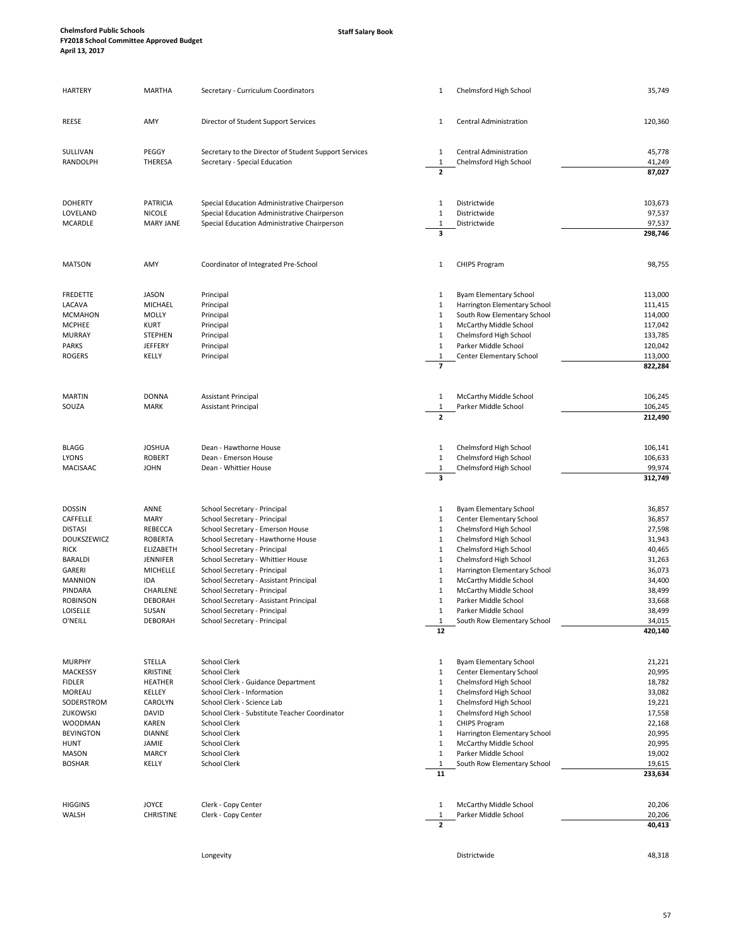| REESE<br>SULLIVAN<br>RANDOLPH<br><b>DOHERTY</b><br>LOVELAND<br><b>MCARDLE</b> | AMY<br>PEGGY<br><b>THERESA</b> | Director of Student Support Services<br>Secretary to the Director of Student Support Services<br>Secretary - Special Education | 1<br>1                       | Central Administration                                    | 120,360            |
|-------------------------------------------------------------------------------|--------------------------------|--------------------------------------------------------------------------------------------------------------------------------|------------------------------|-----------------------------------------------------------|--------------------|
|                                                                               |                                |                                                                                                                                |                              |                                                           |                    |
|                                                                               |                                |                                                                                                                                |                              | Central Administration                                    | 45,778             |
|                                                                               |                                |                                                                                                                                | $\mathbf{1}$                 | Chelmsford High School                                    | 41,249             |
|                                                                               |                                |                                                                                                                                | $\mathbf{2}$                 |                                                           | 87,027             |
|                                                                               | PATRICIA                       | Special Education Administrative Chairperson                                                                                   | 1                            | Districtwide                                              | 103,673            |
|                                                                               | <b>NICOLE</b>                  | Special Education Administrative Chairperson                                                                                   | 1                            | Districtwide                                              | 97,537             |
|                                                                               | <b>MARY JANE</b>               | Special Education Administrative Chairperson                                                                                   | 1<br>3                       | Districtwide                                              | 97,537<br>298,746  |
|                                                                               |                                |                                                                                                                                |                              |                                                           |                    |
| <b>MATSON</b>                                                                 | AMY                            | Coordinator of Integrated Pre-School                                                                                           | 1                            | <b>CHIPS Program</b>                                      | 98,755             |
| <b>FREDETTE</b>                                                               | <b>JASON</b>                   | Principal                                                                                                                      | 1                            | Byam Elementary School                                    | 113,000            |
| LACAVA                                                                        | MICHAEL                        | Principal                                                                                                                      | 1                            | Harrington Elementary School                              | 111,415            |
| <b>MCMAHON</b><br><b>MCPHEE</b>                                               | <b>MOLLY</b><br><b>KURT</b>    | Principal<br>Principal                                                                                                         | 1<br>1                       | South Row Elementary School<br>McCarthy Middle School     | 114,000<br>117,042 |
| <b>MURRAY</b>                                                                 | <b>STEPHEN</b>                 | Principal                                                                                                                      | 1                            | Chelmsford High School                                    | 133,785            |
| <b>PARKS</b>                                                                  | <b>JEFFERY</b>                 | Principal                                                                                                                      | $\mathbf{1}$                 | Parker Middle School                                      | 120,042            |
| <b>ROGERS</b>                                                                 | KELLY                          | Principal                                                                                                                      | 1                            | Center Elementary School                                  | 113,000            |
|                                                                               |                                |                                                                                                                                | $\overline{z}$               |                                                           | 822,284            |
| <b>MARTIN</b>                                                                 | <b>DONNA</b>                   | <b>Assistant Principal</b>                                                                                                     | 1                            | McCarthy Middle School                                    | 106,245            |
| SOUZA                                                                         | <b>MARK</b>                    | <b>Assistant Principal</b>                                                                                                     | 1                            | Parker Middle School                                      | 106,245            |
|                                                                               |                                |                                                                                                                                | $\overline{2}$               |                                                           | 212,490            |
| <b>BLAGG</b>                                                                  | <b>JOSHUA</b>                  | Dean - Hawthorne House                                                                                                         | 1                            | Chelmsford High School                                    | 106,141            |
| <b>LYONS</b>                                                                  | <b>ROBERT</b>                  | Dean - Emerson House                                                                                                           | 1                            | Chelmsford High School                                    | 106,633            |
| MACISAAC                                                                      | <b>JOHN</b>                    | Dean - Whittier House                                                                                                          | 1<br>3                       | Chelmsford High School                                    | 99,974<br>312,749  |
|                                                                               |                                |                                                                                                                                |                              |                                                           |                    |
| <b>DOSSIN</b><br>CAFFELLE                                                     | ANNE<br>MARY                   | School Secretary - Principal<br>School Secretary - Principal                                                                   | 1<br>$\mathbf{1}$            | <b>Byam Elementary School</b><br>Center Elementary School | 36,857<br>36,857   |
| <b>DISTASI</b>                                                                | REBECCA                        | School Secretary - Emerson House                                                                                               | 1                            | Chelmsford High School                                    | 27,598             |
| DOUKSZEWICZ                                                                   | <b>ROBERTA</b>                 | School Secretary - Hawthorne House                                                                                             | $\mathbf{1}$                 | Chelmsford High School                                    | 31,943             |
| RICK                                                                          | ELIZABETH                      | School Secretary - Principal                                                                                                   | $\mathbf{1}$                 | Chelmsford High School                                    | 40,465             |
| <b>BARALDI</b>                                                                | JENNIFER                       | School Secretary - Whittier House                                                                                              | $\mathbf{1}$                 | Chelmsford High School                                    | 31,263             |
| GARERI<br><b>MANNION</b>                                                      | MICHELLE<br>IDA                | School Secretary - Principal<br>School Secretary - Assistant Principal                                                         | $\mathbf{1}$<br>1            | Harrington Elementary School<br>McCarthy Middle School    | 36,073<br>34,400   |
| PINDARA                                                                       | CHARLENE                       | School Secretary - Principal                                                                                                   | 1                            | McCarthy Middle School                                    | 38,499             |
| <b>ROBINSON</b>                                                               | <b>DEBORAH</b>                 | School Secretary - Assistant Principal                                                                                         | 1                            | Parker Middle School                                      | 33,668             |
| LOISELLE                                                                      | SUSAN                          | School Secretary - Principal                                                                                                   | $\mathbf{1}$                 | Parker Middle School                                      | 38,499             |
| O'NEILL                                                                       | DEBORAH                        | School Secretary - Principal                                                                                                   | 1<br>12                      | South Row Elementary School                               | 34,015<br>420,140  |
|                                                                               |                                |                                                                                                                                |                              |                                                           |                    |
| <b>MURPHY</b>                                                                 | STELLA                         | School Clerk                                                                                                                   | 1                            | <b>Byam Elementary School</b>                             | 21,221             |
| MACKESSY                                                                      | <b>KRISTINE</b>                | <b>School Clerk</b>                                                                                                            | $\mathbf{1}$                 | Center Elementary School                                  | 20,995             |
| <b>FIDLER</b>                                                                 | <b>HEATHER</b>                 | School Clerk - Guidance Department                                                                                             | $\mathbf{1}$                 | Chelmsford High School                                    | 18,782             |
| <b>MOREAU</b><br>SODERSTROM                                                   | KELLEY<br>CAROLYN              | School Clerk - Information<br>School Clerk - Science Lab                                                                       | $\mathbf{1}$<br>$\mathbf{1}$ | Chelmsford High School<br>Chelmsford High School          | 33,082<br>19,221   |
| ZUKOWSKI                                                                      | <b>DAVID</b>                   | School Clerk - Substitute Teacher Coordinator                                                                                  | 1                            | Chelmsford High School                                    | 17,558             |
| <b>WOODMAN</b>                                                                | <b>KAREN</b>                   | School Clerk                                                                                                                   | $\mathbf{1}$                 | <b>CHIPS Program</b>                                      | 22,168             |
| <b>BEVINGTON</b>                                                              | <b>DIANNE</b>                  | School Clerk                                                                                                                   | $\mathbf{1}$                 | Harrington Elementary School                              | 20,995             |
| HUNT                                                                          | JAMIE                          | <b>School Clerk</b>                                                                                                            | $\mathbf{1}$                 | McCarthy Middle School                                    | 20,995             |
| <b>MASON</b><br><b>BOSHAR</b>                                                 | <b>MARCY</b><br>KELLY          | School Clerk<br>School Clerk                                                                                                   | $\mathbf{1}$<br>1            | Parker Middle School<br>South Row Elementary School       | 19,002<br>19,615   |
|                                                                               |                                |                                                                                                                                | 11                           |                                                           | 233,634            |
|                                                                               |                                |                                                                                                                                |                              |                                                           |                    |
| <b>HIGGINS</b><br>WALSH                                                       | <b>JOYCE</b><br>CHRISTINE      | Clerk - Copy Center<br>Clerk - Copy Center                                                                                     | 1<br>$\mathbf{1}$            | McCarthy Middle School<br>Parker Middle School            | 20,206<br>20,206   |
|                                                                               |                                |                                                                                                                                | $\overline{2}$               |                                                           | 40,413             |

Longevity Districtwide 48,318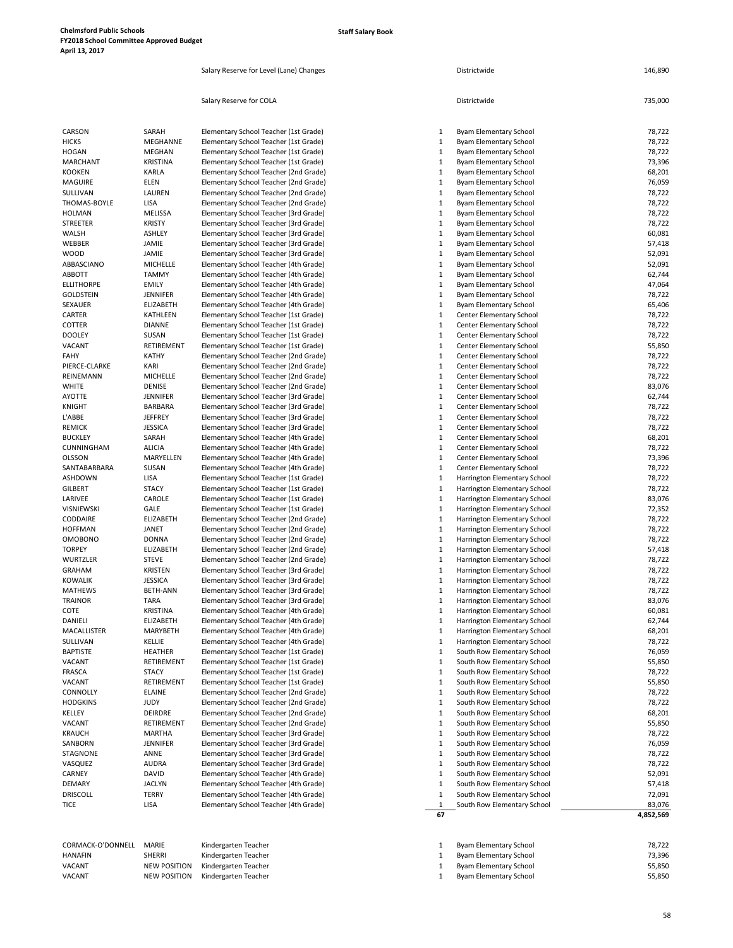Salary Reserve for Level (Lane) Changes **District Wilde** Districtwide **District Wilde** 146,890

|                           |                         | Salary Reserve for COLA                                                        |                              | Districtwide                                                   | 735,000          |
|---------------------------|-------------------------|--------------------------------------------------------------------------------|------------------------------|----------------------------------------------------------------|------------------|
| CARSON                    | SARAH                   | Elementary School Teacher (1st Grade)                                          | 1                            | Byam Elementary School                                         | 78,722           |
| <b>HICKS</b>              | MEGHANNE                | Elementary School Teacher (1st Grade)                                          | $\mathbf{1}$                 | <b>Byam Elementary School</b>                                  | 78,722           |
| <b>HOGAN</b>              | MEGHAN                  | Elementary School Teacher (1st Grade)                                          | 1                            | Byam Elementary School                                         | 78,722           |
| <b>MARCHANT</b>           | <b>KRISTINA</b>         | Elementary School Teacher (1st Grade)                                          | $\mathbf{1}$                 | Byam Elementary School                                         | 73,396           |
| <b>KOOKEN</b>             | KARLA                   | Elementary School Teacher (2nd Grade)                                          | 1                            | Byam Elementary School                                         | 68,201           |
| <b>MAGUIRE</b>            | ELEN                    | Elementary School Teacher (2nd Grade)                                          | $\mathbf{1}$                 | <b>Byam Elementary School</b>                                  | 76,059           |
| SULLIVAN                  | LAUREN                  | Elementary School Teacher (2nd Grade)                                          | $\mathbf{1}$                 | Byam Elementary School                                         | 78,722           |
| THOMAS-BOYLE              | LISA                    | Elementary School Teacher (2nd Grade)                                          | $\mathbf{1}$                 | <b>Byam Elementary School</b>                                  | 78,722           |
| <b>HOLMAN</b>             | MELISSA                 | Elementary School Teacher (3rd Grade)                                          | $\mathbf{1}$                 | Byam Elementary School                                         | 78,722           |
| STREETER<br>WALSH         | <b>KRISTY</b><br>ASHLEY | Elementary School Teacher (3rd Grade)                                          | $\mathbf{1}$<br>1            | <b>Byam Elementary School</b><br><b>Byam Elementary School</b> | 78,722<br>60,081 |
| WEBBER                    | JAMIE                   | Elementary School Teacher (3rd Grade)<br>Elementary School Teacher (3rd Grade) | $\mathbf{1}$                 | <b>Byam Elementary School</b>                                  | 57,418           |
| <b>WOOD</b>               | JAMIE                   | Elementary School Teacher (3rd Grade)                                          | $\mathbf{1}$                 | <b>Byam Elementary School</b>                                  | 52,091           |
| ABBASCIANO                | MICHELLE                | Elementary School Teacher (4th Grade)                                          | $\mathbf{1}$                 | Byam Elementary School                                         | 52,091           |
| <b>ABBOTT</b>             | <b>TAMMY</b>            | Elementary School Teacher (4th Grade)                                          | $\mathbf{1}$                 | Byam Elementary School                                         | 62,744           |
| <b>ELLITHORPE</b>         | <b>EMILY</b>            | Elementary School Teacher (4th Grade)                                          | $\mathbf{1}$                 | <b>Byam Elementary School</b>                                  | 47,064           |
| <b>GOLDSTEIN</b>          | JENNIFER                | Elementary School Teacher (4th Grade)                                          | $\mathbf{1}$                 | Byam Elementary School                                         | 78,722           |
| SEXAUER                   | ELIZABETH               | Elementary School Teacher (4th Grade)                                          | $\mathbf{1}$                 | Byam Elementary School                                         | 65,406           |
| CARTER                    | <b>KATHLEEN</b>         | Elementary School Teacher (1st Grade)                                          | $\mathbf{1}$                 | <b>Center Elementary School</b>                                | 78,722           |
| COTTER                    | <b>DIANNE</b>           | Elementary School Teacher (1st Grade)                                          | $\mathbf{1}$                 | Center Elementary School                                       | 78,722           |
| <b>DOOLEY</b>             | SUSAN                   | Elementary School Teacher (1st Grade)                                          | $\mathbf{1}$                 | Center Elementary School                                       | 78,722           |
| VACANT                    | RETIREMENT              | Elementary School Teacher (1st Grade)                                          | $\mathbf{1}$                 | Center Elementary School                                       | 55,850           |
| FAHY<br>PIERCE-CLARKE     | <b>KATHY</b>            | Elementary School Teacher (2nd Grade)                                          | $\mathbf{1}$<br>1            | Center Elementary School                                       | 78,722           |
| REINEMANN                 | KARI<br>MICHELLE        | Elementary School Teacher (2nd Grade)<br>Elementary School Teacher (2nd Grade) | $\mathbf{1}$                 | Center Elementary School<br>Center Elementary School           | 78,722<br>78,722 |
| <b>WHITE</b>              | <b>DENISE</b>           | Elementary School Teacher (2nd Grade)                                          | $\mathbf{1}$                 | Center Elementary School                                       | 83,076           |
| AYOTTE                    | <b>JENNIFER</b>         | Elementary School Teacher (3rd Grade)                                          | $\mathbf{1}$                 | Center Elementary School                                       | 62,744           |
| <b>KNIGHT</b>             | <b>BARBARA</b>          | Elementary School Teacher (3rd Grade)                                          | $\mathbf{1}$                 | Center Elementary School                                       | 78,722           |
| L'ABBE                    | <b>JEFFREY</b>          | Elementary School Teacher (3rd Grade)                                          | 1                            | Center Elementary School                                       | 78,722           |
| <b>REMICK</b>             | <b>JESSICA</b>          | Elementary School Teacher (3rd Grade)                                          | $\mathbf{1}$                 | Center Elementary School                                       | 78,722           |
| <b>BUCKLEY</b>            | SARAH                   | Elementary School Teacher (4th Grade)                                          | $\mathbf{1}$                 | Center Elementary School                                       | 68,201           |
| CUNNINGHAM                | <b>ALICIA</b>           | Elementary School Teacher (4th Grade)                                          | $\mathbf{1}$                 | <b>Center Elementary School</b>                                | 78,722           |
| <b>OLSSON</b>             | MARYELLEN               | Elementary School Teacher (4th Grade)                                          | $\mathbf{1}$                 | Center Elementary School                                       | 73,396           |
| SANTABARBARA              | SUSAN                   | Elementary School Teacher (4th Grade)                                          | $\mathbf{1}$                 | <b>Center Elementary School</b>                                | 78,722           |
| <b>ASHDOWN</b>            | LISA                    | Elementary School Teacher (1st Grade)                                          | $\mathbf{1}$                 | Harrington Elementary School                                   | 78,722           |
| <b>GILBERT</b><br>LARIVEE | <b>STACY</b><br>CAROLE  | Elementary School Teacher (1st Grade)                                          | 1<br>$\mathbf{1}$            | Harrington Elementary School                                   | 78,722<br>83,076 |
| VISNIEWSKI                | GALE                    | Elementary School Teacher (1st Grade)<br>Elementary School Teacher (1st Grade) | $\mathbf{1}$                 | Harrington Elementary School<br>Harrington Elementary School   | 72,352           |
| CODDAIRE                  | <b>ELIZABETH</b>        | Elementary School Teacher (2nd Grade)                                          | $\mathbf{1}$                 | Harrington Elementary School                                   | 78,722           |
| <b>HOFFMAN</b>            | JANET                   | Elementary School Teacher (2nd Grade)                                          | $\mathbf{1}$                 | Harrington Elementary School                                   | 78,722           |
| <b>OMOBONO</b>            | <b>DONNA</b>            | Elementary School Teacher (2nd Grade)                                          | $\mathbf{1}$                 | Harrington Elementary School                                   | 78,722           |
| <b>TORPEY</b>             | ELIZABETH               | Elementary School Teacher (2nd Grade)                                          | $\mathbf{1}$                 | Harrington Elementary School                                   | 57,418           |
| <b>WURTZLER</b>           | <b>STEVE</b>            | Elementary School Teacher (2nd Grade)                                          | 1                            | Harrington Elementary School                                   | 78,722           |
| <b>GRAHAM</b>             | <b>KRISTEN</b>          | Elementary School Teacher (3rd Grade)                                          | $\mathbf{1}$                 | Harrington Elementary School                                   | 78,722           |
| <b>KOWALIK</b>            | <b>JESSICA</b>          | Elementary School Teacher (3rd Grade)                                          | $\mathbf{1}$                 | Harrington Elementary School                                   | 78,722           |
| <b>MATHEWS</b>            | <b>BETH-ANN</b>         | Elementary School Teacher (3rd Grade)                                          | 1                            | Harrington Elementary School                                   | 78,722           |
| <b>TRAINOR</b>            | <b>TARA</b>             | Elementary School Teacher (3rd Grade)                                          | 1                            | Harrington Elementary School                                   | 83,076           |
| COTE                      | <b>KRISTINA</b>         | Elementary School Teacher (4th Grade)                                          | 1                            | Harrington Elementary School                                   | 60,081           |
| DANIELI                   | ELIZABETH               | Elementary School Teacher (4th Grade)                                          | $\mathbf{1}$                 | Harrington Elementary School                                   | 62,744           |
| MACALLISTER<br>SULLIVAN   | MARYBETH<br>KELLIE      | Elementary School Teacher (4th Grade)<br>Elementary School Teacher (4th Grade) | $\mathbf{1}$<br>$\mathbf{1}$ | Harrington Elementary School<br>Harrington Elementary School   | 68,201<br>78,722 |
| <b>BAPTISTE</b>           | HEATHER                 | Elementary School Teacher (1st Grade)                                          | 1                            | South Row Elementary School                                    | 76,059           |
| VACANT                    | RETIREMENT              | Elementary School Teacher (1st Grade)                                          | $\mathbf{1}$                 | South Row Elementary School                                    | 55,850           |
| FRASCA                    | <b>STACY</b>            | Elementary School Teacher (1st Grade)                                          | $\mathbf{1}$                 | South Row Elementary School                                    | 78,722           |
| VACANT                    | RETIREMENT              | Elementary School Teacher (1st Grade)                                          | 1                            | South Row Elementary School                                    | 55,850           |
| CONNOLLY                  | ELAINE                  | Elementary School Teacher (2nd Grade)                                          | $\mathbf{1}$                 | South Row Elementary School                                    | 78,722           |
| <b>HODGKINS</b>           | <b>JUDY</b>             | Elementary School Teacher (2nd Grade)                                          | 1                            | South Row Elementary School                                    | 78,722           |
| KELLEY                    | DEIRDRE                 | Elementary School Teacher (2nd Grade)                                          | $\mathbf{1}$                 | South Row Elementary School                                    | 68,201           |
| VACANT                    | RETIREMENT              | Elementary School Teacher (2nd Grade)                                          | $\mathbf{1}$                 | South Row Elementary School                                    | 55,850           |
| <b>KRAUCH</b>             | <b>MARTHA</b>           | Elementary School Teacher (3rd Grade)                                          | 1                            | South Row Elementary School                                    | 78,722           |
| SANBORN                   | <b>JENNIFER</b>         | Elementary School Teacher (3rd Grade)                                          | 1                            | South Row Elementary School                                    | 76,059           |
| STAGNONE                  | ANNE                    | Elementary School Teacher (3rd Grade)                                          | 1                            | South Row Elementary School                                    | 78,722           |
| VASQUEZ<br>CARNEY         | <b>AUDRA</b><br>DAVID   | Elementary School Teacher (3rd Grade)<br>Elementary School Teacher (4th Grade) | $\mathbf{1}$<br>1            | South Row Elementary School<br>South Row Elementary School     | 78,722<br>52,091 |
| DEMARY                    | <b>JACLYN</b>           | Elementary School Teacher (4th Grade)                                          | 1                            | South Row Elementary School                                    | 57,418           |
| <b>DRISCOLL</b>           | <b>TERRY</b>            | Elementary School Teacher (4th Grade)                                          | $\mathbf{1}$                 | South Row Elementary School                                    | 72,091           |
| <b>TICE</b>               | LISA                    | Elementary School Teacher (4th Grade)                                          | 1                            | South Row Elementary School                                    | 83,076           |
|                           |                         |                                                                                | 67                           |                                                                | 4,852,569        |
| CORMACK-O'DONNELL         | MARIE                   | Kindergarten Teacher                                                           | 1                            | Byam Elementary School                                         | 78,722           |
| <b>HANAFIN</b>            | <b>SHERRI</b>           | Kindergarten Teacher                                                           | 1                            | <b>Byam Elementary School</b>                                  | 73,396           |
| VACANT                    | <b>NEW POSITION</b>     | Kindergarten Teacher                                                           | $\mathbf{1}$                 | Byam Elementary School                                         | 55,850           |
| VACANT                    | <b>NEW POSITION</b>     | Kindergarten Teacher                                                           | 1                            | Byam Elementary School                                         | 55,850           |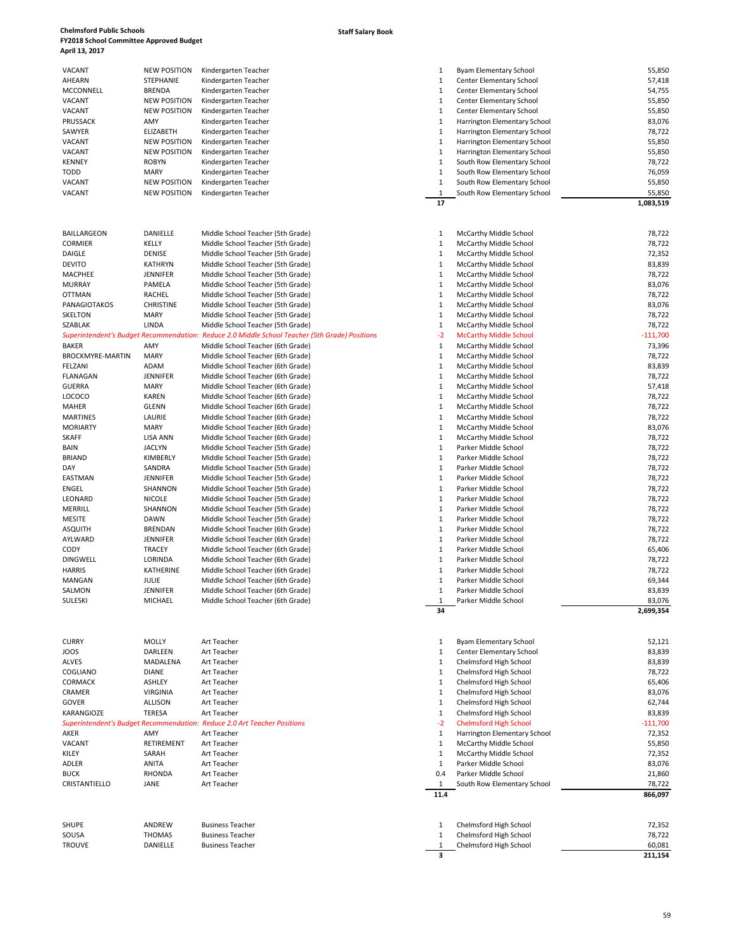## VACANT NEW POSITION Kindergarten Teacher 1 Byam Elementary School 55,850 AHEARN STEPHANIE Kindergarten Teacher 1 Center Elementary School 57,418<br>MCCONNELL BRENDA Kindergarten Teacher 1 Center Elementary School 54,755 MCCONNELL BRENDA Kindergarten Teacher 1 Center Elementary School 54,755<br>1 Center Elementary School 55,850 NACANT NEW POSITION Kindergarten Teacher VACANT NEW POSITION Kindergarten Teacher 1 Center Elementary School 55,850 55,850<br>1 Center Elementary School 55,850 55,850 55,850 55,850 55,850 55,850 55,850 55,850 55,850 55,850 55,850 55,850 VACANT 1 NEW POSITION Kindergarten Teacher 1 Center Elementary School 55,850 55,850<br>1 Harrington Elementary School 53,076 1 Narrington Elementary School 53,076 PRUSSACK 1984 AMY AMY Kindergarten Teacher 1 Harrington Elementary School 83,076<br>1 Harrington Elementary School 1 Harrington Elementary School 78,722 SAWYER ELIZABETH Kindergarten Teacher 1 Harrington Elementary School (SALEX 1 Harrington Elementary School 1 Harrington Elementary School 1 Harrington Elementary School 7 VACANT NEW POSITION Kindergarten Teacher<br>1 NEW POSITION Kindergarten Teacher

|                  |                  |                                                                                                | 17           |                               | 1,083,51.  |
|------------------|------------------|------------------------------------------------------------------------------------------------|--------------|-------------------------------|------------|
|                  |                  |                                                                                                |              |                               |            |
| BAILLARGEON      | DANIELLE         | Middle School Teacher (5th Grade)                                                              | 1            | McCarthy Middle School        | 78,722     |
| CORMIER          | KELLY            | Middle School Teacher (5th Grade)                                                              | $\mathbf{1}$ | McCarthy Middle School        | 78,722     |
| DAIGLE           | DENISE           | Middle School Teacher (5th Grade)                                                              | 1            | McCarthy Middle School        | 72,352     |
| DEVITO           | <b>KATHRYN</b>   | Middle School Teacher (5th Grade)                                                              | $\mathbf{1}$ | McCarthy Middle School        | 83,839     |
| MACPHEE          | <b>JENNIFER</b>  | Middle School Teacher (5th Grade)                                                              | 1            | McCarthy Middle School        | 78,722     |
| MURRAY           | PAMELA           | Middle School Teacher (5th Grade)                                                              | $\mathbf{1}$ | McCarthy Middle School        | 83,076     |
| OTTMAN           | RACHEL           | Middle School Teacher (5th Grade)                                                              | $\mathbf{1}$ | McCarthy Middle School        | 78,722     |
| PANAGIOTAKOS     | <b>CHRISTINE</b> | Middle School Teacher (5th Grade)                                                              | 1            | McCarthy Middle School        | 83,076     |
| SKELTON          | MARY             | Middle School Teacher (5th Grade)                                                              | $\mathbf{1}$ | McCarthy Middle School        | 78,722     |
| SZABLAK          | LINDA            | Middle School Teacher (5th Grade)                                                              | $\mathbf{1}$ | McCarthy Middle School        | 78,722     |
|                  |                  | Superintendent's Budget Recommendation: Reduce 2.0 Middle School Teacher (5th Grade) Positions | $-2$         | <b>McCarthy Middle School</b> | $-111,700$ |
| BAKER            | AMY              | Middle School Teacher (6th Grade)                                                              | $\mathbf{1}$ | McCarthy Middle School        | 73,396     |
| BROCKMYRE-MARTIN | <b>MARY</b>      | Middle School Teacher (6th Grade)                                                              | $\mathbf{1}$ | McCarthy Middle School        | 78,722     |
| FELZANI          | ADAM             | Middle School Teacher (6th Grade)                                                              | $\mathbf{1}$ | McCarthy Middle School        | 83,839     |
| FLANAGAN         | <b>JENNIFER</b>  | Middle School Teacher (6th Grade)                                                              | $\mathbf{1}$ | McCarthy Middle School        | 78,722     |
| GUERRA           | MARY             | Middle School Teacher (6th Grade)                                                              | $\mathbf{1}$ | McCarthy Middle School        | 57,418     |
| LOCOCO           | <b>KAREN</b>     | Middle School Teacher (6th Grade)                                                              | $\mathbf{1}$ | McCarthy Middle School        | 78,722     |
| MAHER            | <b>GLENN</b>     | Middle School Teacher (6th Grade)                                                              | $\mathbf{1}$ | McCarthy Middle School        | 78,722     |
| <b>MARTINES</b>  | LAURIE           | Middle School Teacher (6th Grade)                                                              | $\mathbf{1}$ | McCarthy Middle School        | 78,722     |
| <b>MORIARTY</b>  | MARY             | Middle School Teacher (6th Grade)                                                              | $\mathbf{1}$ | McCarthy Middle School        | 83,076     |
| SKAFF            | <b>LISA ANN</b>  | Middle School Teacher (6th Grade)                                                              | $\mathbf{1}$ | McCarthy Middle School        | 78,722     |
| BAIN             | <b>JACLYN</b>    | Middle School Teacher (5th Grade)                                                              | 1            | Parker Middle School          | 78,722     |
| BRIAND           | KIMBERLY         | Middle School Teacher (5th Grade)                                                              | $\mathbf{1}$ | Parker Middle School          | 78,722     |
| DAY              | SANDRA           | Middle School Teacher (5th Grade)                                                              | $\mathbf{1}$ | Parker Middle School          | 78,722     |
| EASTMAN          | <b>JENNIFER</b>  | Middle School Teacher (5th Grade)                                                              | 1            | Parker Middle School          | 78,722     |
| ENGEL            | SHANNON          | Middle School Teacher (5th Grade)                                                              | $\mathbf{1}$ | Parker Middle School          | 78,722     |
| LEONARD          | <b>NICOLE</b>    | Middle School Teacher (5th Grade)                                                              | $\mathbf{1}$ | Parker Middle School          | 78,722     |
| MERRILL          | SHANNON          | Middle School Teacher (5th Grade)                                                              | 1            | Parker Middle School          | 78,722     |
| MESITE           | <b>DAWN</b>      | Middle School Teacher (5th Grade)                                                              | 1            | Parker Middle School          | 78,722     |
| ASQUITH          | <b>BRENDAN</b>   | Middle School Teacher (6th Grade)                                                              | $\mathbf{1}$ | Parker Middle School          | 78,722     |
| AYLWARD          | <b>JENNIFER</b>  | Middle School Teacher (6th Grade)                                                              | $\mathbf{1}$ | Parker Middle School          | 78,722     |
| CODY             | <b>TRACEY</b>    | Middle School Teacher (6th Grade)                                                              | 1            | Parker Middle School          | 65,406     |
| <b>DINGWELL</b>  | LORINDA          | Middle School Teacher (6th Grade)                                                              | $\mathbf{1}$ | Parker Middle School          | 78,722     |
| HARRIS           | KATHERINE        | Middle School Teacher (6th Grade)                                                              | $\mathbf{1}$ | Parker Middle School          | 78,722     |
| MANGAN           | JULIE            | Middle School Teacher (6th Grade)                                                              | 1            | Parker Middle School          | 69,344     |
| SALMON           | <b>JENNIFER</b>  | Middle School Teacher (6th Grade)                                                              | $\mathbf{1}$ | Parker Middle School          | 83,839     |
| SULESKI          | MICHAEL          | Middle School Teacher (6th Grade)                                                              | 1            | Parker Middle School          | 83,076     |
|                  |                  |                                                                                                | 34           |                               | 2,699,35/  |
|                  |                  |                                                                                                |              |                               |            |
| CURRY            | <b>MOLLY</b>     | Art Teacher                                                                                    | $\mathbf{1}$ | <b>Byam Elementary School</b> | 52,121     |
| JOOS             | DARLEEN          | Art Teacher                                                                                    | 1            | Center Elementary School      | 83,839     |
| ALVES            | MADALENA         | Art Teacher                                                                                    | $\mathbf{1}$ | Chelmsford High School        | 83,839     |
| COGLIANO         | <b>DIANE</b>     | Art Teacher                                                                                    | 1            | Chelmsford High School        | 78,722     |
| <b>CORMACK</b>   | ASHLEY           | Art Teacher                                                                                    | $\mathbf{1}$ | Chelmsford High School        | 65,406     |
| CRAMER           | <b>VIRGINIA</b>  | Art Teacher                                                                                    | 1            | Chelmsford High School        | 83,076     |
| GOVER            | ALLISON          | Art Teacher                                                                                    | $\mathbf{1}$ | Chelmsford High School        | 62,744     |
| KARANGIOZE       | <b>TERESA</b>    | Art Teacher                                                                                    | $\mathbf{1}$ | Chelmsford High School        | 83,839     |
|                  |                  | Superintendent's Budget Recommendation: Reduce 2.0 Art Teacher Positions                       | $-2$         | <b>Chelmsford High School</b> | $-111,700$ |
| AKER             | AMY              | Art Teacher                                                                                    | $\mathbf{1}$ | Harrington Elementary School  | 72,352     |
|                  |                  |                                                                                                |              |                               |            |

| VACANT           | NEW POSITION        | Kindergarten Teacher                                                                            | 1            | Harrington Elementary School    | 55,850     |
|------------------|---------------------|-------------------------------------------------------------------------------------------------|--------------|---------------------------------|------------|
| VACANT           | <b>NEW POSITION</b> | Kindergarten Teacher                                                                            | 1            | Harrington Elementary School    | 55,850     |
| KENNEY           | <b>ROBYN</b>        | Kindergarten Teacher                                                                            | $\mathbf{1}$ | South Row Elementary School     | 78,722     |
|                  |                     |                                                                                                 |              |                                 |            |
| TODD             | MARY                | Kindergarten Teacher                                                                            | $\mathbf{1}$ | South Row Elementary School     | 76,059     |
| VACANT           | <b>NEW POSITION</b> | Kindergarten Teacher                                                                            | $\mathbf{1}$ | South Row Elementary School     | 55,850     |
| VACANT           | <b>NEW POSITION</b> | Kindergarten Teacher                                                                            | $\mathbf{1}$ | South Row Elementary School     | 55,850     |
|                  |                     |                                                                                                 | 17           |                                 | 1,083,519  |
|                  |                     |                                                                                                 |              |                                 |            |
|                  |                     |                                                                                                 |              |                                 |            |
|                  |                     |                                                                                                 |              |                                 |            |
| BAILLARGEON      | DANIELLE            | Middle School Teacher (5th Grade)                                                               | $\mathbf{1}$ | McCarthy Middle School          | 78,722     |
| CORMIER          | KELLY               | Middle School Teacher (5th Grade)                                                               | $\mathbf{1}$ | McCarthy Middle School          | 78,722     |
| DAIGLE           | DENISE              | Middle School Teacher (5th Grade)                                                               | $\mathbf{1}$ | McCarthy Middle School          | 72,352     |
| DEVITO           | <b>KATHRYN</b>      | Middle School Teacher (5th Grade)                                                               | $\mathbf{1}$ | McCarthy Middle School          | 83,839     |
| MACPHEE          | <b>JENNIFER</b>     | Middle School Teacher (5th Grade)                                                               | $\mathbf{1}$ | McCarthy Middle School          | 78,722     |
| MURRAY           | PAMELA              | Middle School Teacher (5th Grade)                                                               | $\mathbf{1}$ | <b>McCarthy Middle School</b>   | 83,076     |
|                  |                     |                                                                                                 |              |                                 |            |
| OTTMAN           | RACHEL              | Middle School Teacher (5th Grade)                                                               | $\mathbf{1}$ | McCarthy Middle School          | 78,722     |
| PANAGIOTAKOS     | <b>CHRISTINE</b>    | Middle School Teacher (5th Grade)                                                               | 1            | McCarthy Middle School          | 83,076     |
| SKELTON          | <b>MARY</b>         | Middle School Teacher (5th Grade)                                                               | $\mathbf{1}$ | McCarthy Middle School          | 78,722     |
| SZABLAK          | LINDA               | Middle School Teacher (5th Grade)                                                               | $\mathbf{1}$ | McCarthy Middle School          | 78,722     |
|                  |                     | Superintendent's Budget Recommendation:  Reduce 2.0 Middle School Teacher (5th Grade) Positions | $-2$         | <b>McCarthy Middle School</b>   | $-111,700$ |
| BAKER            | AMY                 | Middle School Teacher (6th Grade)                                                               | 1            | McCarthy Middle School          | 73,396     |
| BROCKMYRE-MARTIN | <b>MARY</b>         | Middle School Teacher (6th Grade)                                                               | $\mathbf{1}$ | McCarthy Middle School          | 78,722     |
|                  |                     |                                                                                                 |              |                                 |            |
| FELZANI          | ADAM                | Middle School Teacher (6th Grade)                                                               | $\mathbf{1}$ | McCarthy Middle School          | 83,839     |
| FLANAGAN         | <b>JENNIFER</b>     | Middle School Teacher (6th Grade)                                                               | $\mathbf{1}$ | McCarthy Middle School          | 78,722     |
| GUERRA           | <b>MARY</b>         | Middle School Teacher (6th Grade)                                                               | $\mathbf{1}$ | McCarthy Middle School          | 57,418     |
| LOCOCO           | <b>KAREN</b>        | Middle School Teacher (6th Grade)                                                               | $\mathbf{1}$ | McCarthy Middle School          | 78,722     |
| MAHER            | <b>GLENN</b>        | Middle School Teacher (6th Grade)                                                               | $\mathbf{1}$ | McCarthy Middle School          | 78,722     |
| MARTINES         | LAURIE              | Middle School Teacher (6th Grade)                                                               | $\mathbf{1}$ | McCarthy Middle School          | 78,722     |
| MORIARTY         | MARY                | Middle School Teacher (6th Grade)                                                               | $\mathbf{1}$ | McCarthy Middle School          | 83,076     |
|                  | <b>LISA ANN</b>     |                                                                                                 | $\mathbf{1}$ |                                 |            |
| SKAFF            |                     | Middle School Teacher (6th Grade)                                                               |              | McCarthy Middle School          | 78,722     |
| BAIN             | <b>JACLYN</b>       | Middle School Teacher (5th Grade)                                                               | $\mathbf{1}$ | Parker Middle School            | 78,722     |
| BRIAND           | KIMBERLY            | Middle School Teacher (5th Grade)                                                               | $\mathbf{1}$ | Parker Middle School            | 78,722     |
| DAY              | SANDRA              | Middle School Teacher (5th Grade)                                                               | $\mathbf{1}$ | Parker Middle School            | 78,722     |
| EASTMAN          | <b>JENNIFER</b>     | Middle School Teacher (5th Grade)                                                               | 1            | Parker Middle School            | 78,722     |
| ENGEL            | SHANNON             | Middle School Teacher (5th Grade)                                                               | $\mathbf{1}$ | Parker Middle School            | 78,722     |
| LEONARD          | <b>NICOLE</b>       | Middle School Teacher (5th Grade)                                                               | $\mathbf{1}$ | Parker Middle School            | 78,722     |
| MERRILL          | SHANNON             | Middle School Teacher (5th Grade)                                                               | $\mathbf{1}$ | Parker Middle School            | 78,722     |
| MESITE           | <b>DAWN</b>         | Middle School Teacher (5th Grade)                                                               | $\mathbf{1}$ | Parker Middle School            | 78,722     |
| ASQUITH          | <b>BRENDAN</b>      | Middle School Teacher (6th Grade)                                                               | 1            | Parker Middle School            | 78,722     |
|                  |                     |                                                                                                 |              |                                 |            |
| AYLWARD          | <b>JENNIFER</b>     | Middle School Teacher (6th Grade)                                                               | $\mathbf{1}$ | Parker Middle School            | 78,722     |
| CODY             | TRACEY              | Middle School Teacher (6th Grade)                                                               | $\mathbf{1}$ | Parker Middle School            | 65,406     |
| DINGWELL         | LORINDA             | Middle School Teacher (6th Grade)                                                               | $\mathbf{1}$ | Parker Middle School            | 78,722     |
| HARRIS           | KATHERINE           | Middle School Teacher (6th Grade)                                                               | $\mathbf{1}$ | Parker Middle School            | 78,722     |
| MANGAN           | JULIE               | Middle School Teacher (6th Grade)                                                               | $\mathbf{1}$ | Parker Middle School            | 69,344     |
| SALMON           | <b>JENNIFER</b>     | Middle School Teacher (6th Grade)                                                               | $\mathbf{1}$ | Parker Middle School            | 83,839     |
| SULESKI          | MICHAEL             | Middle School Teacher (6th Grade)                                                               | 1            | Parker Middle School            | 83,076     |
|                  |                     |                                                                                                 | 34           |                                 | 2,699,354  |
|                  |                     |                                                                                                 |              |                                 |            |
|                  |                     |                                                                                                 |              |                                 |            |
|                  |                     |                                                                                                 |              |                                 |            |
| CURRY            | <b>MOLLY</b>        | Art Teacher                                                                                     | 1            | Byam Elementary School          | 52,121     |
| JOOS             | DARLEEN             | Art Teacher                                                                                     | 1            | <b>Center Elementary School</b> | 83,839     |
| ALVES            | MADALENA            | Art Teacher                                                                                     | 1            | Chelmsford High School          | 83,839     |
| COGLIANO         | <b>DIANE</b>        | Art Teacher                                                                                     | $\mathbf{1}$ | Chelmsford High School          | 78,722     |
| CORMACK          | ASHLEY              | Art Teacher                                                                                     | 1            | Chelmsford High School          | 65,406     |
| CRAMER           | <b>VIRGINIA</b>     | Art Teacher                                                                                     | $\mathbf{1}$ | Chelmsford High School          | 83,076     |
|                  |                     |                                                                                                 |              |                                 |            |
| GOVER            | <b>ALLISON</b>      | Art Teacher                                                                                     | $\mathbf{1}$ | Chelmsford High School          | 62,744     |
| KARANGIOZE       | TERESA              | Art Teacher                                                                                     | 1            | Chelmsford High School          | 83,839     |
|                  |                     | Superintendent's Budget Recommendation: Reduce 2.0 Art Teacher Positions                        | $-2$         | <b>Chelmsford High School</b>   | $-111,700$ |
| AKER             | AMY                 | Art Teacher                                                                                     | $\mathbf{1}$ | Harrington Elementary School    | 72,352     |
| VACANT           | RETIREMENT          | Art Teacher                                                                                     | $\mathbf{1}$ | <b>McCarthy Middle School</b>   | 55,850     |
| KILEY            | SARAH               | Art Teacher                                                                                     | $\mathbf{1}$ | McCarthy Middle School          | 72,352     |
| ADLER            | ANITA               | Art Teacher                                                                                     | $\mathbf{1}$ | Parker Middle School            | 83,076     |
| BUCK             | <b>RHONDA</b>       | Art Teacher                                                                                     | 0.4          | Parker Middle School            | 21,860     |
| CRISTANTIELLO    | JANE                | Art Teacher                                                                                     | 1            | South Row Elementary School     | 78,722     |
|                  |                     |                                                                                                 | 11.4         |                                 | 866,097    |
|                  |                     |                                                                                                 |              |                                 |            |
|                  |                     |                                                                                                 |              |                                 |            |
|                  |                     |                                                                                                 |              |                                 |            |
| <b>SHUPE</b>     | ANDREW              | <b>Business Teacher</b>                                                                         | 1            | Chelmsford High School          | 72,352     |
| SOUSA            | <b>THOMAS</b>       | <b>Business Teacher</b>                                                                         | $\mathbf{1}$ | Chelmsford High School          | 78,722     |

**3 211,154**

### **Staff Salary Book**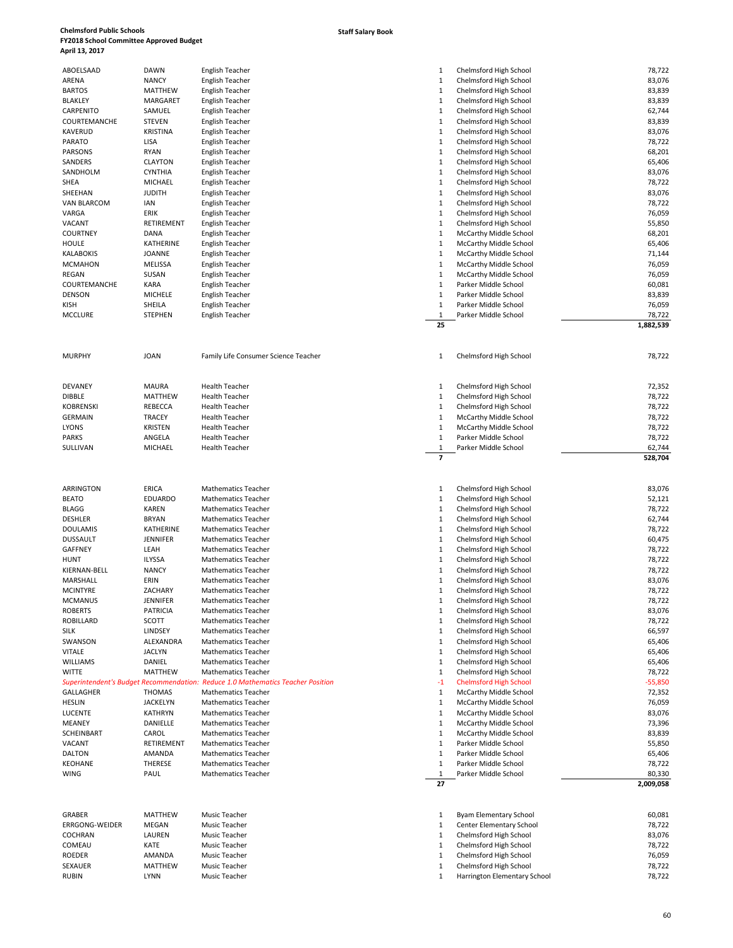### **Staff Salary Book**

| ABOELSAAD             | DAWN            | English Teacher                                                                 | 1              | Chelmsford High School        | 78,722    |
|-----------------------|-----------------|---------------------------------------------------------------------------------|----------------|-------------------------------|-----------|
| ARENA                 | <b>NANCY</b>    | English Teacher                                                                 | 1              | Chelmsford High School        | 83,076    |
| <b>BARTOS</b>         | <b>MATTHEW</b>  | English Teacher                                                                 | 1              | Chelmsford High School        | 83,839    |
| <b>BLAKLEY</b>        | MARGARET        | English Teacher                                                                 | 1              | Chelmsford High School        | 83,839    |
|                       |                 |                                                                                 |                |                               |           |
| CARPENITO             | SAMUEL          | English Teacher                                                                 | $\mathbf{1}$   | Chelmsford High School        | 62,744    |
| COURTEMANCHE          | <b>STEVEN</b>   | English Teacher                                                                 | $\mathbf{1}$   | Chelmsford High School        | 83,839    |
| <b>KAVERUD</b>        | <b>KRISTINA</b> | <b>English Teacher</b>                                                          | $\mathbf{1}$   | Chelmsford High School        | 83,076    |
| <b>PARATO</b>         | LISA            | English Teacher                                                                 | $\mathbf{1}$   | Chelmsford High School        | 78,722    |
| PARSONS               | <b>RYAN</b>     | English Teacher                                                                 | $\mathbf{1}$   | Chelmsford High School        | 68,201    |
| SANDERS               | <b>CLAYTON</b>  | English Teacher                                                                 | $\mathbf{1}$   | Chelmsford High School        | 65,406    |
| SANDHOLM              | <b>CYNTHIA</b>  | English Teacher                                                                 | $\mathbf{1}$   | Chelmsford High School        | 83,076    |
|                       |                 |                                                                                 |                |                               |           |
| SHEA                  | MICHAEL         | English Teacher                                                                 | $\mathbf{1}$   | Chelmsford High School        | 78,722    |
| SHEEHAN               | <b>JUDITH</b>   | English Teacher                                                                 | $\mathbf{1}$   | Chelmsford High School        | 83,076    |
| <b>VAN BLARCOM</b>    | IAN             | English Teacher                                                                 | $\mathbf{1}$   | Chelmsford High School        | 78,722    |
| VARGA                 | ERIK            | English Teacher                                                                 | $\mathbf{1}$   | Chelmsford High School        | 76,059    |
| VACANT                | RETIREMENT      | English Teacher                                                                 | 1              | Chelmsford High School        | 55,850    |
| <b>COURTNEY</b>       | DANA            | English Teacher                                                                 | $\mathbf{1}$   | McCarthy Middle School        | 68,201    |
| <b>HOULE</b>          | KATHERINE       | English Teacher                                                                 | $\mathbf{1}$   | McCarthy Middle School        | 65,406    |
|                       | <b>JOANNE</b>   |                                                                                 | $\mathbf{1}$   |                               |           |
| <b>KALABOKIS</b>      |                 | English Teacher                                                                 |                | McCarthy Middle School        | 71,144    |
| <b>MCMAHON</b>        | MELISSA         | English Teacher                                                                 | $\mathbf{1}$   | McCarthy Middle School        | 76,059    |
| REGAN                 | SUSAN           | English Teacher                                                                 | 1              | McCarthy Middle School        | 76,059    |
| COURTEMANCHE          | KARA            | English Teacher                                                                 | 1              | Parker Middle School          | 60,081    |
| <b>DENSON</b>         | MICHELE         | English Teacher                                                                 | 1              | Parker Middle School          | 83,839    |
| <b>KISH</b>           | SHEILA          | English Teacher                                                                 | $\mathbf{1}$   | Parker Middle School          | 76,059    |
| <b>MCCLURE</b>        | <b>STEPHEN</b>  | English Teacher                                                                 | 1              | Parker Middle School          | 78,722    |
|                       |                 |                                                                                 |                |                               |           |
|                       |                 |                                                                                 | 25             |                               | 1,882,539 |
|                       |                 |                                                                                 |                |                               |           |
|                       |                 |                                                                                 |                |                               |           |
| <b>MURPHY</b>         | <b>JOAN</b>     | Family Life Consumer Science Teacher                                            | 1              | Chelmsford High School        | 78,722    |
|                       |                 |                                                                                 |                |                               |           |
|                       |                 |                                                                                 |                |                               |           |
|                       | <b>MAURA</b>    | <b>Health Teacher</b>                                                           |                |                               | 72,352    |
| <b>DEVANEY</b>        |                 |                                                                                 | 1              | Chelmsford High School        |           |
| <b>DIBBLE</b>         | <b>MATTHEW</b>  | <b>Health Teacher</b>                                                           | $\mathbf{1}$   | Chelmsford High School        | 78,722    |
| <b>KOBRENSKI</b>      | <b>REBECCA</b>  | <b>Health Teacher</b>                                                           | $\mathbf{1}$   | Chelmsford High School        | 78,722    |
| <b>GERMAIN</b>        | <b>TRACEY</b>   | <b>Health Teacher</b>                                                           | 1              | McCarthy Middle School        | 78,722    |
| <b>LYONS</b>          | <b>KRISTEN</b>  | <b>Health Teacher</b>                                                           | $\mathbf{1}$   | McCarthy Middle School        | 78,722    |
| <b>PARKS</b>          | ANGELA          | <b>Health Teacher</b>                                                           | $\mathbf{1}$   | Parker Middle School          | 78,722    |
| SULLIVAN              | MICHAEL         | <b>Health Teacher</b>                                                           | $\mathbf{1}$   | Parker Middle School          | 62,744    |
|                       |                 |                                                                                 |                |                               |           |
|                       |                 |                                                                                 |                |                               |           |
|                       |                 |                                                                                 | $\overline{ }$ |                               | 528,704   |
|                       |                 |                                                                                 |                |                               |           |
|                       |                 |                                                                                 |                |                               |           |
|                       |                 |                                                                                 |                |                               |           |
| ARRINGTON             | <b>ERICA</b>    | <b>Mathematics Teacher</b>                                                      | 1              | Chelmsford High School        | 83,076    |
| <b>BEATO</b>          | <b>EDUARDO</b>  | <b>Mathematics Teacher</b>                                                      | $\mathbf{1}$   | Chelmsford High School        | 52,121    |
| BLAGG                 | <b>KAREN</b>    | <b>Mathematics Teacher</b>                                                      | $\mathbf{1}$   | Chelmsford High School        | 78,722    |
| <b>DESHLER</b>        | <b>BRYAN</b>    | <b>Mathematics Teacher</b>                                                      | $\mathbf{1}$   | Chelmsford High School        | 62,744    |
| <b>DOULAMIS</b>       | KATHERINE       | <b>Mathematics Teacher</b>                                                      | $\mathbf{1}$   | Chelmsford High School        | 78,722    |
| <b>DUSSAULT</b>       | <b>JENNIFER</b> | <b>Mathematics Teacher</b>                                                      | $\mathbf{1}$   | Chelmsford High School        | 60,475    |
| <b>GAFFNEY</b>        | LEAH            | <b>Mathematics Teacher</b>                                                      | $\mathbf{1}$   | Chelmsford High School        | 78,722    |
|                       |                 |                                                                                 |                |                               |           |
| <b>HUNT</b>           | <b>ILYSSA</b>   | <b>Mathematics Teacher</b>                                                      | 1              | Chelmsford High School        | 78,722    |
| KIERNAN-BELL          | <b>NANCY</b>    | <b>Mathematics Teacher</b>                                                      | $\mathbf{1}$   | Chelmsford High School        | 78,722    |
| MARSHALL              | ERIN            | <b>Mathematics Teacher</b>                                                      | $\mathbf{1}$   | Chelmsford High School        | 83,076    |
| <b>MCINTYRE</b>       | ZACHARY         | <b>Mathematics Teacher</b>                                                      | 1              | Chelmsford High School        | 78,722    |
| MCMANUS               | JENNIFER        | Mathematics Teacher                                                             |                | Chelmsford High School        | 78,722    |
| <b>ROBERTS</b>        | <b>PATRICIA</b> | <b>Mathematics Teacher</b>                                                      | 1              | Chelmsford High School        | 83,076    |
|                       |                 |                                                                                 |                |                               |           |
| <b>ROBILLARD</b>      | SCOTT           | <b>Mathematics Teacher</b>                                                      | $\mathbf{1}$   | Chelmsford High School        | 78,722    |
| <b>SILK</b>           | LINDSEY         | <b>Mathematics Teacher</b>                                                      | $\mathbf{1}$   | Chelmsford High School        | 66,597    |
| SWANSON               | ALEXANDRA       | <b>Mathematics Teacher</b>                                                      | $\mathbf{1}$   | Chelmsford High School        | 65,406    |
| <b>VITALE</b>         | <b>JACLYN</b>   | <b>Mathematics Teacher</b>                                                      | 1              | Chelmsford High School        | 65,406    |
| WILLIAMS              | DANIEL          | <b>Mathematics Teacher</b>                                                      | 1              | Chelmsford High School        | 65,406    |
| <b>WITTE</b>          | <b>MATTHEW</b>  | <b>Mathematics Teacher</b>                                                      | 1              | Chelmsford High School        | 78,722    |
|                       |                 | Superintendent's Budget Recommendation: Reduce 1.0 Mathematics Teacher Position | $-1$           |                               |           |
|                       |                 |                                                                                 |                | <b>Chelmsford High School</b> | $-55,850$ |
| GALLAGHER             | <b>THOMAS</b>   | <b>Mathematics Teacher</b>                                                      | $\mathbf{1}$   | McCarthy Middle School        | 72,352    |
| <b>HESLIN</b>         | <b>JACKELYN</b> | <b>Mathematics Teacher</b>                                                      | 1              | McCarthy Middle School        | 76,059    |
| LUCENTE               | <b>KATHRYN</b>  | <b>Mathematics Teacher</b>                                                      | $\mathbf{1}$   | McCarthy Middle School        | 83,076    |
| <b>MEANEY</b>         | DANIELLE        | <b>Mathematics Teacher</b>                                                      | $\mathbf{1}$   | McCarthy Middle School        | 73,396    |
| SCHEINBART            | CAROL           | <b>Mathematics Teacher</b>                                                      | 1              | McCarthy Middle School        | 83,839    |
| VACANT                | RETIREMENT      | <b>Mathematics Teacher</b>                                                      | 1              | Parker Middle School          | 55,850    |
|                       |                 |                                                                                 |                |                               |           |
| <b>DALTON</b>         | AMANDA          | <b>Mathematics Teacher</b>                                                      | 1              | Parker Middle School          | 65,406    |
| <b>KEOHANE</b>        | THERESE         | <b>Mathematics Teacher</b>                                                      | $\mathbf{1}$   | Parker Middle School          | 78,722    |
| <b>WING</b>           | PAUL            | <b>Mathematics Teacher</b>                                                      | 1              | Parker Middle School          | 80,330    |
|                       |                 |                                                                                 | 27             |                               | 2,009,058 |
|                       |                 |                                                                                 |                |                               |           |
|                       |                 |                                                                                 |                |                               |           |
| GRABER                | <b>MATTHEW</b>  | Music Teacher                                                                   | 1              | Byam Elementary School        | 60,081    |
|                       |                 |                                                                                 |                |                               |           |
| <b>ERRGONG-WEIDER</b> | MEGAN           | Music Teacher                                                                   | 1              | Center Elementary School      | 78,722    |
| <b>COCHRAN</b>        | LAUREN          | Music Teacher                                                                   | 1              | Chelmsford High School        | 83,076    |
| COMEAU                | KATE            | Music Teacher                                                                   | 1              | Chelmsford High School        | 78,722    |
| <b>ROEDER</b>         | AMANDA          | Music Teacher                                                                   | 1              | Chelmsford High School        | 76,059    |
| SEXAUER               | MATTHEW         | Music Teacher                                                                   | 1              | Chelmsford High School        | 78,722    |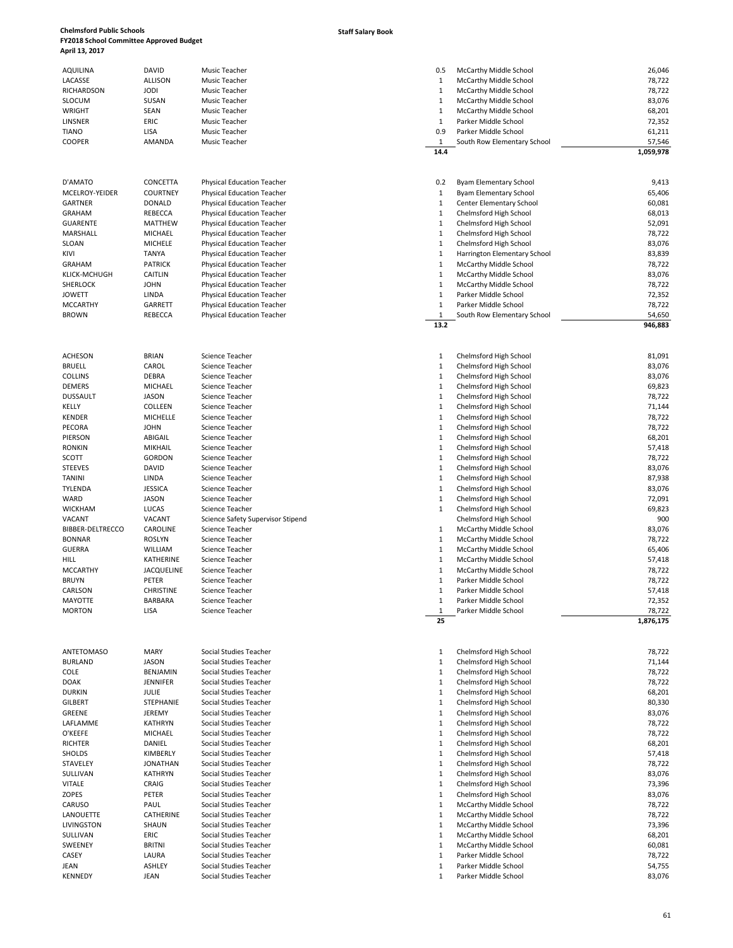**Staff Salary Book**

| <b>AQUILINA</b>        | <b>DAVID</b>            | Music Teacher                      | 0.5                         | McCarthy Middle School                           | 26,046           |
|------------------------|-------------------------|------------------------------------|-----------------------------|--------------------------------------------------|------------------|
| LACASSE                | <b>ALLISON</b>          | Music Teacher                      | $\mathbf{1}$                | McCarthy Middle School                           | 78,722           |
| RICHARDSON             | <b>JODI</b>             | Music Teacher                      | 1                           | McCarthy Middle School                           | 78,722           |
| <b>SLOCUM</b>          | SUSAN                   | Music Teacher                      | $\mathbf{1}$                | McCarthy Middle School                           | 83,076           |
| <b>WRIGHT</b>          | SEAN                    | Music Teacher                      | 1                           | McCarthy Middle School                           | 68,201           |
| LINSNER                | ERIC                    | Music Teacher                      | $\mathbf{1}$                | Parker Middle School                             | 72,352           |
| TIANO                  | LISA                    | Music Teacher                      | 0.9                         | Parker Middle School                             | 61,211           |
| <b>COOPER</b>          | AMANDA                  | Music Teacher                      | 1                           | South Row Elementary School                      | 57,546           |
|                        |                         |                                    | 14.4                        |                                                  | 1,059,978        |
|                        |                         |                                    |                             |                                                  |                  |
| D'AMATO                | CONCETTA                | <b>Physical Education Teacher</b>  | 0.2                         | Byam Elementary School                           | 9,413            |
| MCELROY-YEIDER         | <b>COURTNEY</b>         | Physical Education Teacher         | $\mathbf{1}$                | Byam Elementary School                           | 65,406           |
| <b>GARTNER</b>         | <b>DONALD</b>           | Physical Education Teacher         | $\mathbf{1}$                | Center Elementary School                         | 60,081           |
| <b>GRAHAM</b>          | <b>REBECCA</b>          | Physical Education Teacher         | $\mathbf{1}$                | Chelmsford High School                           | 68,013           |
| <b>GUARENTE</b>        | <b>MATTHEW</b>          | <b>Physical Education Teacher</b>  | $\mathbf{1}$                | Chelmsford High School                           | 52,091           |
| MARSHALL               | MICHAEL                 | Physical Education Teacher         | $\mathbf{1}$                | Chelmsford High School                           | 78,722           |
| SLOAN                  | MICHELE                 | Physical Education Teacher         | $\mathbf{1}$                | Chelmsford High School                           | 83,076           |
| KIVI                   | <b>TANYA</b>            | <b>Physical Education Teacher</b>  | $\mathbf{1}$                | Harrington Elementary School                     | 83,839           |
| GRAHAM                 | <b>PATRICK</b>          | Physical Education Teacher         | $\mathbf{1}$                | McCarthy Middle School                           | 78,722           |
| <b>KLICK-MCHUGH</b>    | <b>CAITLIN</b>          | Physical Education Teacher         | $\mathbf{1}$                | McCarthy Middle School                           | 83,076           |
| <b>SHERLOCK</b>        | <b>JOHN</b>             | <b>Physical Education Teacher</b>  | $1\,$                       | McCarthy Middle School                           | 78,722           |
| <b>JOWETT</b>          | LINDA                   | Physical Education Teacher         | $\mathbf 1$                 | Parker Middle School                             | 72,352           |
| <b>MCCARTHY</b>        | GARRETT                 | Physical Education Teacher         | $\mathbf{1}$                | Parker Middle School                             | 78,722           |
| <b>BROWN</b>           | <b>REBECCA</b>          | Physical Education Teacher         | $\mathbf{1}$                | South Row Elementary School                      | 54.650           |
|                        |                         |                                    | 13.2                        |                                                  | 946,883          |
|                        |                         |                                    |                             |                                                  |                  |
| <b>ACHESON</b>         | <b>BRIAN</b>            | Science Teacher                    | 1                           | Chelmsford High School                           | 81,091           |
| <b>BRUELL</b>          | CAROL                   | Science Teacher                    | 1<br>$\mathbf{1}$           | Chelmsford High School                           | 83,076           |
| <b>COLLINS</b>         | DEBRA                   | Science Teacher                    |                             | Chelmsford High School                           | 83,076           |
| <b>DEMERS</b>          | <b>MICHAEL</b>          | Science Teacher                    | $\mathbf{1}$                | Chelmsford High School                           | 69,823           |
| <b>DUSSAULT</b>        | <b>JASON</b><br>COLLEEN | Science Teacher<br>Science Teacher | $\mathbf{1}$<br>$\mathbf 1$ | Chelmsford High School<br>Chelmsford High School | 78,722<br>71,144 |
| KELLY<br><b>KENDER</b> | MICHELLE                | Science Teacher                    | $\mathbf 1$                 |                                                  | 78,722           |
| PECORA                 | <b>JOHN</b>             | Science Teacher                    | $\mathbf{1}$                | Chelmsford High School<br>Chelmsford High School | 78,722           |
| PIERSON                | ABIGAIL                 | Science Teacher                    | $\mathbf{1}$                | Chelmsford High School                           | 68,201           |
| <b>RONKIN</b>          | MIKHAIL                 | Science Teacher                    | $\mathbf{1}$                | Chelmsford High School                           | 57,418           |
| SCOTT                  | <b>GORDON</b>           | Science Teacher                    | $\mathbf{1}$                | Chelmsford High School                           | 78,722           |
| <b>STEEVES</b>         | <b>DAVID</b>            | Science Teacher                    | $\mathbf 1$                 | Chelmsford High School                           | 83,076           |
| TANINI                 | LINDA                   | Science Teacher                    | $\mathbf 1$                 | Chelmsford High School                           | 87,938           |
| TYLENDA                | <b>JESSICA</b>          | Science Teacher                    | $\mathbf{1}$                | Chelmsford High School                           | 83,076           |
| WARD                   | <b>JASON</b>            | Science Teacher                    | $\mathbf{1}$                | Chelmsford High School                           | 72,091           |
| <b>WICKHAM</b>         | LUCAS                   | Science Teacher                    | 1                           | Chelmsford High School                           | 69,823           |
| VACANT                 | VACANT                  | Science Safety Supervisor Stipend  |                             | Chelmsford High School                           | 900              |
| BIBBER-DELTRECCO       | CAROLINE                | Science Teacher                    | 1                           | McCarthy Middle School                           | 83,076           |
| <b>BONNAR</b>          | <b>ROSLYN</b>           | Science Teacher                    | $\mathbf{1}$                | McCarthy Middle School                           | 78,722           |
| <b>GUERRA</b>          | WILLIAM                 | Science Teacher                    | $\mathbf{1}$                | McCarthy Middle School                           | 65,406           |
| HILL                   | KATHERINE               | Science Teacher                    | $\mathbf{1}$                | McCarthy Middle School                           | 57,418           |
| <b>MCCARTHY</b>        | JACQUELINE              | Science Teacher                    | 1                           | McCarthy Middle School                           | 78,722           |
| <b>BRUYN</b>           | PETER                   | Science Teacher                    | $\mathbf{1}$                | Parker Middle School                             | 78,722           |
| CARLSON                | <b>CHRISTINE</b>        | Science Teacher                    | 1                           | Parker Middle School                             | 57,418           |
| MAYOTTE                | BARBARA                 | Science Teacher                    | 1                           | Parker Middle School                             | 72,352           |
| <b>MORTON</b>          | LISA                    | Science Teacher                    | $\mathbf{1}$                | Parker Middle School                             | 78,722           |
|                        |                         |                                    | 25                          |                                                  | 1,876,175        |
|                        |                         |                                    |                             |                                                  |                  |
| <b>ANTETOMASO</b>      | MARY                    | Social Studies Teacher             | $\mathbf{1}$                | Chelmsford High School                           | 78,722           |
| <b>BURLAND</b>         | <b>JASON</b>            | Social Studies Teacher             | $\mathbf{1}$                | Chelmsford High School                           | 71,144           |
| COLE                   | <b>BENJAMIN</b>         | Social Studies Teacher             | $\mathbf{1}$                | Chelmsford High School                           | 78,722           |
| <b>DOAK</b>            | <b>JENNIFER</b>         | Social Studies Teacher             | $\mathbf{1}$                | Chelmsford High School                           | 78,722           |
| <b>DURKIN</b>          | <b>JULIE</b>            | Social Studies Teacher             | $\mathbf{1}$                | Chelmsford High School                           | 68,201           |
| <b>GILBERT</b>         | STEPHANIE               | Social Studies Teacher             | $\mathbf{1}$                | Chelmsford High School                           | 80,330           |
| GREENE                 | JEREMY                  | Social Studies Teacher             | $\mathbf{1}$                | Chelmsford High School                           | 83,076           |
| LAFLAMME               | <b>KATHRYN</b>          | Social Studies Teacher             | $\mathbf{1}$                | Chelmsford High School                           | 78,722           |
| O'KEEFE                | <b>MICHAEL</b>          | Social Studies Teacher             | $\mathbf{1}$                | Chelmsford High School                           | 78,722           |
| <b>RICHTER</b>         | DANIEL                  | Social Studies Teacher             | $\mathbf{1}$                | Chelmsford High School                           | 68,201           |
| SHOLDS                 | KIMBERLY                | Social Studies Teacher             | $\mathbf{1}$                | Chelmsford High School                           | 57,418           |
| STAVELEY               | <b>JONATHAN</b>         | Social Studies Teacher             | $\mathbf{1}$                | Chelmsford High School                           | 78,722           |
| SULLIVAN               | <b>KATHRYN</b>          | Social Studies Teacher             | $\mathbf{1}$                | Chelmsford High School                           | 83,076           |
| <b>VITALE</b>          | CRAIG                   | Social Studies Teacher             | $\mathbf{1}$                | Chelmsford High School                           | 73,396           |
| ZOPES                  | PETER                   | Social Studies Teacher             | $\mathbf{1}$                | Chelmsford High School                           | 83,076           |
| CARUSO                 | PAUL                    | Social Studies Teacher             | $\mathbf{1}$                | McCarthy Middle School                           | 78,722           |
| LANOUETTE              | CATHERINE               | Social Studies Teacher             | $\mathbf{1}$                | McCarthy Middle School                           | 78,722           |
| <b>LIVINGSTON</b>      | SHAUN                   | Social Studies Teacher             | $\mathbf{1}$                | McCarthy Middle School                           | 73,396           |

### AQUILINA DAVID Music Teacher 0.5 McCarthy Middle School 26,046 LACASSE ALLISON Music Teacher 1 McCarthy Middle School 78,722 RICHARDSON JODI Music Teacher 1 McCarthy Middle School 78,722<br>1 McCarthy Middle School 1 McCarthy Middle School 83,076 McCarthy Middle School 83,076<br>
McCarthy Middle School 68,201 MRIGHT SEAN Music Teacher (1989) SEAN Music Teacher 1 McCarthy Middle School 68,201<br>1 McCarthy Middle School 68,201 68,201 Searcher 1 McCarthy Middle School 68,201 72.352 LINSNER ERIC Music Teacher 1 Parker Middle School 72,352 TIANO LISA Music Teacher 0.9 Parker Middle School 61,211  $\frac{1}{14.4}$  South Row Elementary School **14.4 1,059,978** D'AMATO CONCETTA Physical Education Teacher enterty and the material of the SAM Elementary School 1.<br>1 Byam Elementary School 1 Byam Elementary School 65,406 65,406 1 Byam Elementary School 65,406<br>1 Center Elementary School 60,081 GRAHAM REBECCA Physical Education Teacher 1 Chelmsford High School 68,013 GUARENTE MATTHEW Physical Education Teacher 1 Chelmsford High School 52,091 Chelmsford High School 78,722<br>Chelmsford High School 78,722 SLOAN 1992 MICHELE Physical Education Teacher 1 Chelms 1 Chelmsford High School 83,076<br>1 Marrington Flementary School 83,839 Microsoft Research 1 Chelmsford High School 83,839<br>1 Marrington Flementary School 83,839 Microsof KIVI TANYA Physical Education Teacher 1 Harrington Elementary School 83,839 GRAHAM PATRICK Physical Education Teacher 1 McCarthy Middle School 78,722 1 McCarthy Middle School 83,076<br>1 McCarthy Middle School 83,076 McCarthy Middle School JOWETT LINDA Physical Education Teacher 1 Parker Middle School 72,352 MCCARTHY GARRETT Physical Education Teacher 1 Parker Middle School 78,722 BROWN REBECCA Physical Education Teacher 1 South Row Elementary School 54,650<br>13.2 **13.2 946,883** ACHESON BRIAN Science Teacher المستخدم المستخدم والمستخدم المستخدم المستخدم المستخدم المستخدم المستخدم المستخدم ال<br>1 Chelmsford High School 83,076 (183,076 مستخدم المستخدم المستخدم المستخدم المستخدم المستخدم المستخدم المس BRUELL CAROL Science Teacher 1 Chelmsford High School 83,076 Chelmsford High School 83,076<br>Chelmsford High School 83,076<br>69.823 DEMERS MICHAEL Science Teacher 1 Chelmsford High School 69,823 DUSSAULT JASON Science Teacher 1 Chelmsford High School 78,722 1 Chelmsford High School 71,144<br>1 Chelmsford High School 78,722 Chelmsford High School 78,722<br>Chelmsford High School 78,722 PECORA JOHN Science Teacher 1 Chelmsford High School 78,722 1 Chelmsford High School 68,201 1 Chelmsford High School 57,418<br>1 Chelmsford High School 578,722 1 Chelmsford High School 78,722<br>1 Chelmsford High School 78,076 Chelmsford High School 83,076<br>Chelmsford High School 87.938 TANINI LINDA Science Teacher 1 Chelmsford High School 87,938 Tylenda 1 Chelmsford High School 83,076<br>1 Chelmsford High School 83,076 83,076 1 Chelmsford High School 72,091<br>1 Chelmsford High School 72,091 69,823 Chelmsford High School VACANT VACANT Science Safety Supervisor Stipend Chelmsford High School 900 BIBBER-DELTRECCO CAROLINE Science Teacher 1 McCarthy Middle School 83,076 1 McCarthy Middle School 78,722<br>1 McCarthy Middle School 76,406 McCarthy Middle School 65,406<br>McCarthy Middle School 67,418 1 McCarthy Middle School 1 McCarthy Middle School 78,722 BRUYN PETER Science Teacher 1 Parker Middle School 1 Parker Middle School 78,722 1 Parker Middle School 57,418 MAYOTTE BARBARA Science Teacher 1 Parker Middle School 72,352 MORTON LISA Science Teacher 1 Parker Middle School 78,722 **25 1,876,175** ANTETOMASO MARY Social Studies Teacher 1 Chelmsford High School 78,722 BURLAND JASON Social Studies Teacher 1 Chelmsford High School 71,144 COLE BENJAMIN Social Studies Teacher 1 Chelmsford High School 78,722 1 Chelmsford High School 78,722<br>1 Chelmsford High School 78,201 DURKIN JULIE Social Studies Teacher 1 Chelmsford High School 68,201 GILBERT STEPHANIE Social Studies Teacher 1 Chelmsford High School 80,330 and 80,330 GREENE JEREMY Social Studies Teacher 1 Chelmsford High School 83,076 1 Chelmsford High School 1 Chelmsford High School 1 Chelmsford High School 1 Chelmsford High School 28,722 1 Chelmsford High School 1 Chelmsford High School 68,201<br>1 Chelmsford High School 67 418 1 Chelmsford High School 78,722

LIVINGSTON SHAUN Social Studies Teacher 1 McCarthy Middle School 73,396

SWEENEY BRITNI Social Studies Teacher 1 McCarthy Middle School 60,081 CASEY LAURA Social Studies Teacher 1 Parker Middle School 78,722 JEAN ASHLEY Social Studies Teacher 1 Parker Middle School 54,755 KENNEDY JEAN Social Studies Teacher 1 Parker Middle School 83,076

Social Studies Teacher 1 May 2012 1 May 2014 1 May 2014 1 May 2014 1 May 2014 1 May 2014 1 May 2014 1 May 2014 1 May 2014 1 May 2014 1 May 2014 1 May 2014 1 May 2014 1 May 2014 1 May 2014 1 May 2014 1 May 2014 1 May 2014 1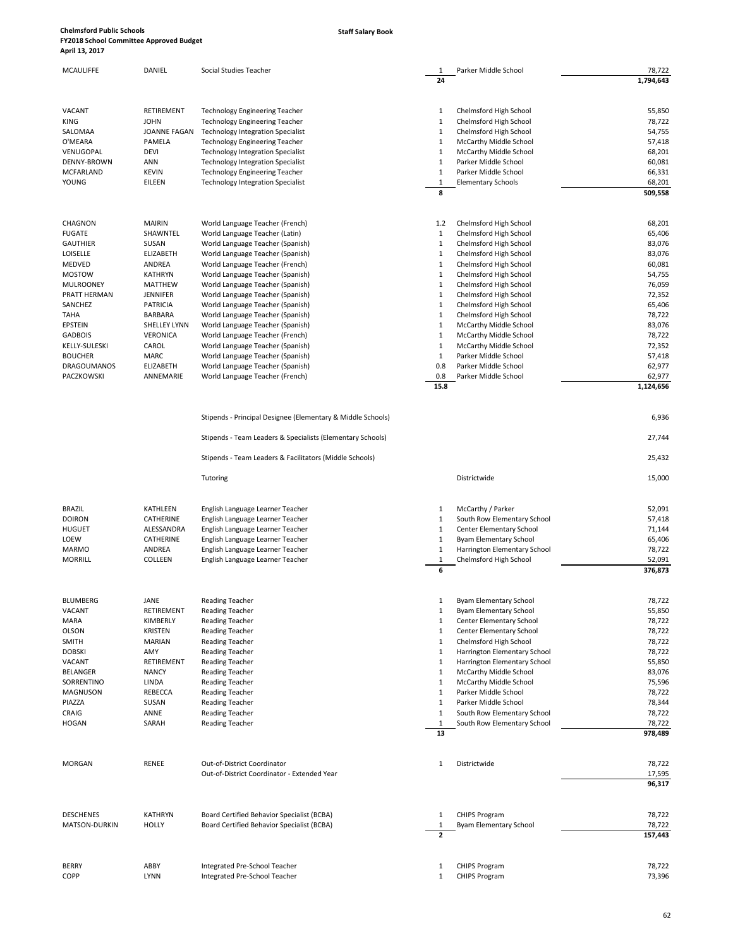**Staff Salary Book**

| <b>MCAULIFFE</b>                     | DANIEL                      | Social Studies Teacher                                                     | 1<br>24           | Parker Middle School                                           | 78,722<br>1,794,643 |
|--------------------------------------|-----------------------------|----------------------------------------------------------------------------|-------------------|----------------------------------------------------------------|---------------------|
|                                      |                             |                                                                            |                   |                                                                |                     |
| VACANT                               | RETIREMENT                  | <b>Technology Engineering Teacher</b>                                      | 1                 | Chelmsford High School                                         | 55,850              |
| KING<br>SALOMAA                      | <b>JOHN</b><br>JOANNE FAGAN | Technology Engineering Teacher                                             | $\mathbf{1}$<br>1 | Chelmsford High School<br>Chelmsford High School               | 78,722<br>54,755    |
| O'MEARA                              | PAMELA                      | Technology Integration Specialist<br><b>Technology Engineering Teacher</b> | 1                 | McCarthy Middle School                                         | 57,418              |
| VENUGOPAL                            | <b>DEVI</b>                 | <b>Technology Integration Specialist</b>                                   | 1                 | McCarthy Middle School                                         | 68,201              |
| DENNY-BROWN                          | ANN                         | <b>Technology Integration Specialist</b>                                   | $\mathbf{1}$      | Parker Middle School                                           | 60,081              |
| <b>MCFARLAND</b>                     | <b>KEVIN</b>                | <b>Technology Engineering Teacher</b>                                      | $\mathbf{1}$      | Parker Middle School                                           | 66,331              |
| YOUNG                                | EILEEN                      | <b>Technology Integration Specialist</b>                                   | $\mathbf{1}$      | <b>Elementary Schools</b>                                      | 68,201              |
|                                      |                             |                                                                            | 8                 |                                                                | 509,558             |
| CHAGNON                              | <b>MAIRIN</b>               | World Language Teacher (French)                                            | 1.2               | Chelmsford High School                                         | 68,201              |
| <b>FUGATE</b>                        | SHAWNTEL                    | World Language Teacher (Latin)                                             | $\mathbf{1}$      | Chelmsford High School                                         | 65,406              |
| <b>GAUTHIER</b>                      | SUSAN                       | World Language Teacher (Spanish)                                           | 1                 | Chelmsford High School                                         | 83,076              |
| LOISELLE                             | ELIZABETH                   | World Language Teacher (Spanish)                                           | $\mathbf{1}$      | Chelmsford High School                                         | 83,076              |
| MEDVED                               | ANDREA                      | World Language Teacher (French)                                            | 1                 | Chelmsford High School                                         | 60,081              |
| <b>MOSTOW</b>                        | <b>KATHRYN</b>              | World Language Teacher (Spanish)                                           | $\mathbf{1}$      | Chelmsford High School                                         | 54,755              |
| <b>MULROONEY</b>                     | <b>MATTHEW</b>              | World Language Teacher (Spanish)                                           | $\mathbf{1}$      | Chelmsford High School                                         | 76,059              |
| PRATT HERMAN                         | <b>JENNIFER</b>             | World Language Teacher (Spanish)                                           | 1                 | Chelmsford High School                                         | 72,352              |
| SANCHEZ                              | PATRICIA                    | World Language Teacher (Spanish)                                           | $\mathbf{1}$      | Chelmsford High School                                         | 65,406              |
| TAHA                                 | BARBARA                     | World Language Teacher (Spanish)                                           | $1\,$             | Chelmsford High School                                         | 78,722              |
| EPSTEIN                              | <b>SHELLEY LYNN</b>         | World Language Teacher (Spanish)                                           | $\mathbf{1}$      | McCarthy Middle School                                         | 83,076              |
| <b>GADBOIS</b>                       | <b>VERONICA</b>             | World Language Teacher (French)                                            | 1                 | <b>McCarthy Middle School</b>                                  | 78,722              |
| KELLY-SULESKI                        | CAROL                       | World Language Teacher (Spanish)                                           | $\mathbf{1}$      | McCarthy Middle School                                         | 72,352              |
| <b>BOUCHER</b><br><b>DRAGOUMANOS</b> | MARC<br><b>ELIZABETH</b>    | World Language Teacher (Spanish)                                           | 1                 | Parker Middle School                                           | 57,418              |
| PACZKOWSKI                           | ANNEMARIE                   | World Language Teacher (Spanish)                                           | 0.8               | Parker Middle School<br>Parker Middle School                   | 62,977<br>62,977    |
|                                      |                             | World Language Teacher (French)                                            | 0.8<br>15.8       |                                                                | 1,124,656           |
|                                      |                             |                                                                            |                   |                                                                |                     |
|                                      |                             | Stipends - Principal Designee (Elementary & Middle Schools)                |                   |                                                                | 6,936               |
|                                      |                             | Stipends - Team Leaders & Specialists (Elementary Schools)                 |                   |                                                                | 27,744              |
|                                      |                             | Stipends - Team Leaders & Facilitators (Middle Schools)                    |                   |                                                                | 25,432              |
|                                      |                             | Tutoring                                                                   |                   | Districtwide                                                   | 15,000              |
| <b>BRAZIL</b>                        | KATHLEEN                    | English Language Learner Teacher                                           | 1                 | McCarthy / Parker                                              | 52,091              |
| <b>DOIRON</b>                        | CATHERINE                   | English Language Learner Teacher                                           | 1                 | South Row Elementary School                                    | 57,418              |
| <b>HUGUET</b>                        | ALESSANDRA                  | English Language Learner Teacher                                           | 1                 | Center Elementary School                                       | 71,144              |
| LOEW                                 | CATHERINE                   | English Language Learner Teacher                                           | $\mathbf{1}$      | Byam Elementary School                                         | 65,406              |
| <b>MARMO</b>                         | ANDREA                      | English Language Learner Teacher                                           | $\mathbf{1}$      | Harrington Elementary School                                   | 78,722              |
| <b>MORRILL</b>                       | COLLEEN                     | English Language Learner Teacher                                           | 1<br>6            | Chelmsford High School                                         | 52,091<br>376,873   |
|                                      |                             |                                                                            |                   |                                                                |                     |
| <b>BLUMBERG</b><br>VACANT            | JANE<br>RETIREMENT          | Reading Teacher<br>Reading Teacher                                         | 1<br>$\mathbf{1}$ | <b>Byam Elementary School</b><br><b>Byam Elementary School</b> | 78,722<br>55,850    |
| MARA                                 | KIMBERLY                    | Reading Teacher                                                            | 1                 | Center Elementary School                                       | 78,722              |
| OLSON                                | <b>KRISTEN</b>              | Reading Teacher                                                            | $\mathbf{1}$      | Center Elementary School                                       | 78,722              |
| <b>SMITH</b>                         | <b>MARIAN</b>               | <b>Reading Teacher</b>                                                     | $\mathbf{1}$      | Chelmsford High School                                         | 78,722              |
| <b>DOBSKI</b>                        | AMY                         | Reading Teacher                                                            | $\mathbf{1}$      | Harrington Elementary School                                   | 78,722              |
| VACANT                               | RETIREMENT                  | Reading Teacher                                                            | 1                 | Harrington Elementary School                                   | 55,850              |
| <b>BELANGER</b>                      | <b>NANCY</b>                | <b>Reading Teacher</b>                                                     | $\mathbf{1}$      | <b>McCarthy Middle School</b>                                  | 83,076              |
| SORRENTINO                           | LINDA                       | Reading Teacher                                                            | $\mathbf{1}$      | McCarthy Middle School                                         | 75,596              |
| MAGNUSON                             | REBECCA                     | Reading Teacher                                                            | $\mathbf{1}$      | Parker Middle School                                           | 78,722              |
| PIAZZA                               | SUSAN                       | Reading Teacher                                                            | $\mathbf{1}$      | Parker Middle School                                           | 78,344              |
| CRAIG                                | ANNE                        | Reading Teacher                                                            | $\mathbf{1}$      | South Row Elementary School                                    | 78,722              |
| <b>HOGAN</b>                         | SARAH                       | <b>Reading Teacher</b>                                                     | 1<br>13           | South Row Elementary School                                    | 78,722<br>978,489   |
|                                      |                             |                                                                            |                   |                                                                |                     |
| <b>MORGAN</b>                        | RENEE                       | Out-of-District Coordinator                                                | 1                 | Districtwide                                                   | 78,722              |
|                                      |                             | Out-of-District Coordinator - Extended Year                                |                   |                                                                | 17,595<br>96,317    |
|                                      |                             |                                                                            |                   |                                                                |                     |
| <b>DESCHENES</b>                     | <b>KATHRYN</b>              | Board Certified Behavior Specialist (BCBA)                                 | 1                 | <b>CHIPS Program</b>                                           | 78,722              |
| <b>MATSON-DURKIN</b>                 | <b>HOLLY</b>                | Board Certified Behavior Specialist (BCBA)                                 | 1                 | Byam Elementary School                                         | 78,722              |
|                                      |                             |                                                                            | $\overline{2}$    |                                                                | 157,443             |
| <b>BERRY</b>                         | ABBY                        | Integrated Pre-School Teacher                                              | 1                 | <b>CHIPS Program</b>                                           | 78,722              |
| COPP                                 | <b>LYNN</b>                 | Integrated Pre-School Teacher                                              | $\mathbf{1}$      | <b>CHIPS Program</b>                                           | 73,396              |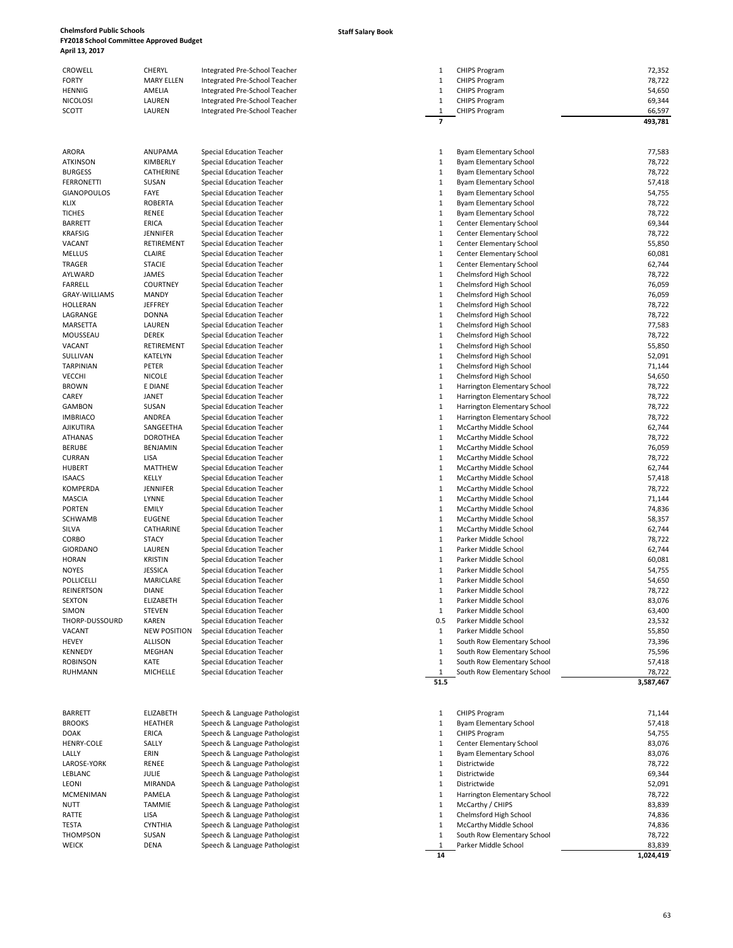### **Staff Salary Book**

|                 |                   |                               |                      | 493,781 |
|-----------------|-------------------|-------------------------------|----------------------|---------|
| SCOTT           | LAUREN            | Integrated Pre-School Teacher | <b>CHIPS Program</b> | 66,597  |
| <b>NICOLOSI</b> | LAUREN            | Integrated Pre-School Teacher | <b>CHIPS Program</b> | 69.344  |
| <b>HENNIG</b>   | AMELIA            | Integrated Pre-School Teacher | <b>CHIPS Program</b> | 54,650  |
| <b>FORTY</b>    | <b>MARY ELLEN</b> | Integrated Pre-School Teacher | <b>CHIPS Program</b> | 78,722  |
| <b>CROWELL</b>  | CHERYL            | Integrated Pre-School Teacher | <b>CHIPS Program</b> | 72,352  |

| ARORA                | ANUPAMA             | <b>Special Education Teacher</b> |
|----------------------|---------------------|----------------------------------|
| <b>ATKINSON</b>      | KIMBERLY            | <b>Special Education Teacher</b> |
| <b>BURGESS</b>       | CATHERINE           | <b>Special Education Teacher</b> |
| <b>FERRONETTI</b>    | SUSAN               | <b>Special Education Teacher</b> |
| <b>GIANOPOULOS</b>   | FAYE                | <b>Special Education Teacher</b> |
| <b>KLIX</b>          | <b>ROBERTA</b>      | <b>Special Education Teacher</b> |
| <b>TICHES</b>        | <b>RENEE</b>        | <b>Special Education Teacher</b> |
| <b>BARRETT</b>       | <b>ERICA</b>        | <b>Special Education Teacher</b> |
| <b>KRAFSIG</b>       | <b>JENNIFER</b>     | <b>Special Education Teacher</b> |
| VACANT               | RETIREMENT          | <b>Special Education Teacher</b> |
| <b>MELLUS</b>        | <b>CLAIRE</b>       | <b>Special Education Teacher</b> |
| <b>TRAGER</b>        | <b>STACIE</b>       | <b>Special Education Teacher</b> |
| AYLWARD              | <b>JAMES</b>        | <b>Special Education Teacher</b> |
| <b>FARRELL</b>       | <b>COURTNEY</b>     | <b>Special Education Teacher</b> |
| <b>GRAY-WILLIAMS</b> | <b>MANDY</b>        | <b>Special Education Teacher</b> |
| <b>HOLLERAN</b>      | <b>JEFFREY</b>      | <b>Special Education Teacher</b> |
| LAGRANGE             | <b>DONNA</b>        | <b>Special Education Teacher</b> |
| MARSETTA             | LAUREN              | <b>Special Education Teacher</b> |
| MOUSSEAU             | <b>DEREK</b>        | <b>Special Education Teacher</b> |
| VACANT               | RETIREMENT          | <b>Special Education Teacher</b> |
| SULLIVAN             | KATELYN             | <b>Special Education Teacher</b> |
|                      |                     |                                  |
| <b>TARPINIAN</b>     | PETER               | <b>Special Education Teacher</b> |
| VECCHI               | <b>NICOLE</b>       | <b>Special Education Teacher</b> |
| <b>BROWN</b>         | E DIANE             | <b>Special Education Teacher</b> |
| CAREY                | <b>JANET</b>        | <b>Special Education Teacher</b> |
| <b>GAMBON</b>        | SUSAN               | <b>Special Education Teacher</b> |
| <b>IMBRIACO</b>      | ANDREA              | <b>Special Education Teacher</b> |
| AJIKUTIRA            | SANGEETHA           | <b>Special Education Teacher</b> |
| <b>ATHANAS</b>       | DOROTHEA            | <b>Special Education Teacher</b> |
| <b>BERUBE</b>        | <b>BENJAMIN</b>     | <b>Special Education Teacher</b> |
| <b>CURRAN</b>        | LISA                | <b>Special Education Teacher</b> |
| <b>HUBERT</b>        | MATTHEW             | <b>Special Education Teacher</b> |
| <b>ISAACS</b>        | KELLY               | <b>Special Education Teacher</b> |
| KOMPERDA             | <b>JENNIFER</b>     | <b>Special Education Teacher</b> |
| <b>MASCIA</b>        | LYNNE               | <b>Special Education Teacher</b> |
| <b>PORTEN</b>        | <b>EMILY</b>        | <b>Special Education Teacher</b> |
| <b>SCHWAMB</b>       | <b>EUGENE</b>       | <b>Special Education Teacher</b> |
| SILVA                | CATHARINE           | <b>Special Education Teacher</b> |
| CORBO                | <b>STACY</b>        | <b>Special Education Teacher</b> |
| <b>GIORDANO</b>      | LAUREN              | <b>Special Education Teacher</b> |
| <b>HORAN</b>         | <b>KRISTIN</b>      | <b>Special Education Teacher</b> |
| NOYES                | <b>JESSICA</b>      | <b>Special Education Teacher</b> |
| <b>POLLICELLI</b>    | <b>MARICLARE</b>    | <b>Special Education Teacher</b> |
| <b>REINERTSON</b>    | <b>DIANE</b>        | <b>Special Education Teacher</b> |
| <b>SEXTON</b>        | ELIZABETH           | <b>Special Education Teacher</b> |
| SIMON                | STEVEN              | <b>Special Education Teacher</b> |
| THORP-DUSSOURD       | <b>KAREN</b>        | <b>Special Education Teacher</b> |
| VACANT               | <b>NEW POSITION</b> | <b>Special Education Teacher</b> |
| <b>HEVEY</b>         | <b>ALLISON</b>      | <b>Special Education Teacher</b> |
| <b>KENNEDY</b>       | <b>MEGHAN</b>       | <b>Special Education Teacher</b> |
| <b>ROBINSON</b>      | <b>KATF</b>         |                                  |
|                      |                     | <b>Special Education Teacher</b> |
| <b>RUHMANN</b>       | <b>MICHELLE</b>     | <b>Special Education Teacher</b> |
|                      |                     |                                  |
| <b>BARRETT</b>       | ELIZABETH           | Speech & Language Pathol         |
| <b>BROOKS</b>        | HEATHER             | Speech & Language Pathol         |
| <b>DOAK</b>          | ERICA               | Speech & Language Pathol         |
| <b>HENRY-COLE</b>    | SALLY               | Speech & Language Pathol         |
| LALLY                | ERIN                | Speech & Language Pathol         |
| LAROSE-YORK          | RENEE               | Speech & Language Pathol         |
| LEBLANC              | JULIE               | Speech & Language Pathol         |
| LEONI                | <b>MIRANDA</b>      | Speech & Language Pathol         |
| <b>MCMENIMAN</b>     | PAMELA              | Speech & Language Pathol         |
|                      |                     |                                  |

| SULLIVAN          | KATELYN             | <b>Special Education Teacher</b> | $\mathbf{1}$ | Chelmsford High School          | 52,091    |
|-------------------|---------------------|----------------------------------|--------------|---------------------------------|-----------|
| <b>TARPINIAN</b>  | PETER               | <b>Special Education Teacher</b> | $\mathbf{1}$ | Chelmsford High School          | 71,144    |
| <b>VECCHI</b>     | <b>NICOLE</b>       | <b>Special Education Teacher</b> | $\mathbf{1}$ | Chelmsford High School          | 54,650    |
| <b>BROWN</b>      | E DIANE             | <b>Special Education Teacher</b> | $\mathbf{1}$ | Harrington Elementary School    | 78,722    |
| CAREY             | JANET               | <b>Special Education Teacher</b> | $\,1\,$      | Harrington Elementary School    | 78,722    |
| <b>GAMBON</b>     | SUSAN               | <b>Special Education Teacher</b> | $\mathbf 1$  | Harrington Elementary School    | 78,722    |
| <b>IMBRIACO</b>   | ANDREA              | <b>Special Education Teacher</b> | $\mathbf{1}$ | Harrington Elementary School    | 78,722    |
| <b>AJIKUTIRA</b>  | SANGEETHA           | <b>Special Education Teacher</b> | $\mathbf{1}$ | McCarthy Middle School          | 62,744    |
| <b>ATHANAS</b>    | <b>DOROTHEA</b>     | <b>Special Education Teacher</b> | $1\,$        | McCarthy Middle School          | 78,722    |
| <b>BERUBE</b>     | <b>BENJAMIN</b>     | <b>Special Education Teacher</b> | $\mathbf 1$  | McCarthy Middle School          | 76,059    |
| <b>CURRAN</b>     | LISA                | <b>Special Education Teacher</b> | $\mathbf{1}$ | McCarthy Middle School          | 78,722    |
| <b>HUBERT</b>     | <b>MATTHEW</b>      | <b>Special Education Teacher</b> | $\mathbf{1}$ | McCarthy Middle School          | 62,744    |
| <b>ISAACS</b>     | KELLY               | <b>Special Education Teacher</b> | $1\,$        | McCarthy Middle School          | 57,418    |
| <b>KOMPERDA</b>   | <b>JENNIFER</b>     | <b>Special Education Teacher</b> | $\mathbf 1$  | McCarthy Middle School          | 78,722    |
| <b>MASCIA</b>     | LYNNE               | <b>Special Education Teacher</b> | $\mathbf{1}$ | McCarthy Middle School          | 71,144    |
| <b>PORTEN</b>     | <b>EMILY</b>        | <b>Special Education Teacher</b> | $\mathbf{1}$ | McCarthy Middle School          | 74,836    |
| <b>SCHWAMB</b>    | <b>EUGENE</b>       | <b>Special Education Teacher</b> | $1\,$        | McCarthy Middle School          | 58,357    |
| SILVA             | CATHARINE           | <b>Special Education Teacher</b> | $\mathbf{1}$ | McCarthy Middle School          | 62,744    |
| CORBO             | <b>STACY</b>        | <b>Special Education Teacher</b> | $\mathbf{1}$ | Parker Middle School            | 78,722    |
| <b>GIORDANO</b>   | LAUREN              | <b>Special Education Teacher</b> | $\mathbf{1}$ | Parker Middle School            | 62,744    |
| <b>HORAN</b>      | <b>KRISTIN</b>      | <b>Special Education Teacher</b> | $\mathbf{1}$ | Parker Middle School            | 60,081    |
| <b>NOYES</b>      | <b>JESSICA</b>      | <b>Special Education Teacher</b> | $\mathbf{1}$ | Parker Middle School            | 54,755    |
| <b>POLLICELLI</b> | MARICLARE           | <b>Special Education Teacher</b> | $\mathbf{1}$ | Parker Middle School            | 54,650    |
| <b>REINERTSON</b> | <b>DIANE</b>        | <b>Special Education Teacher</b> | $\mathbf{1}$ | Parker Middle School            | 78,722    |
| <b>SEXTON</b>     | <b>ELIZABETH</b>    | <b>Special Education Teacher</b> | $\mathbf{1}$ | Parker Middle School            | 83,076    |
| SIMON             | <b>STEVEN</b>       | <b>Special Education Teacher</b> | $\mathbf{1}$ | Parker Middle School            | 63,400    |
| THORP-DUSSOURD    | <b>KAREN</b>        | <b>Special Education Teacher</b> | 0.5          | Parker Middle School            | 23,532    |
| VACANT            | <b>NEW POSITION</b> | Special Education Teacher        | $\mathbf 1$  | Parker Middle School            | 55,850    |
| <b>HEVEY</b>      | <b>ALLISON</b>      | <b>Special Education Teacher</b> | $\mathbf{1}$ | South Row Elementary School     | 73,396    |
| <b>KENNEDY</b>    | <b>MEGHAN</b>       | <b>Special Education Teacher</b> | $\mathbf{1}$ | South Row Elementary School     | 75,596    |
| <b>ROBINSON</b>   | KATE                | <b>Special Education Teacher</b> | $\mathbf{1}$ | South Row Elementary School     | 57,418    |
| RUHMANN           | MICHELLE            | <b>Special Education Teacher</b> | $1\,$        | South Row Elementary School     | 78,722    |
|                   |                     |                                  | 51.5         |                                 | 3,587,467 |
|                   |                     |                                  |              |                                 |           |
| <b>BARRETT</b>    | <b>ELIZABETH</b>    | Speech & Language Pathologist    | 1            | <b>CHIPS Program</b>            | 71,144    |
| <b>BROOKS</b>     | <b>HEATHER</b>      | Speech & Language Pathologist    | $\mathbf{1}$ | Byam Elementary School          | 57,418    |
| DOAK              | <b>ERICA</b>        | Speech & Language Pathologist    | $\mathbf{1}$ | <b>CHIPS Program</b>            | 54,755    |
| <b>HENRY-COLE</b> | SALLY               | Speech & Language Pathologist    | $\mathbf{1}$ | <b>Center Elementary School</b> | 83,076    |
| LALLY             | ERIN                | Speech & Language Pathologist    | $\,1\,$      | Byam Elementary School          | 83,076    |
| LAROSE-YORK       | RENEE               | Speech & Language Pathologist    | $\mathbf{1}$ | Districtwide                    | 78,722    |
| LEBLANC           | <b>JULIE</b>        | Speech & Language Pathologist    | $\mathbf{1}$ | Districtwide                    | 69,344    |
| LEONI             | <b>MIRANDA</b>      | Speech & Language Pathologist    | $\mathbf{1}$ | Districtwide                    | 52,091    |
| <b>MCMENIMAN</b>  | PAMELA              | Speech & Language Pathologist    | $\mathbf 1$  | Harrington Elementary School    | 78,722    |
| <b>NUTT</b>       | TAMMIE              | Speech & Language Pathologist    | $\mathbf{1}$ | McCarthy / CHIPS                | 83,839    |
| RATTE             | LISA                | Speech & Language Pathologist    | $\mathbf{1}$ | Chelmsford High School          | 74,836    |
| <b>TESTA</b>      | <b>CYNTHIA</b>      | Speech & Language Pathologist    | $\mathbf 1$  | McCarthy Middle School          | 74,836    |
| <b>THOMPSON</b>   | SUSAN               | Speech & Language Pathologist    | $1\,$        | South Row Elementary School     | 78,722    |
| <b>WEICK</b>      | <b>DENA</b>         | Speech & Language Pathologist    | 1            | Parker Middle School            | 83,839    |
|                   |                     |                                  | 14           |                                 | 1,024,419 |
|                   |                     |                                  |              |                                 |           |

|                      |                             |                                                                |                              |                                                              | 493,781             |
|----------------------|-----------------------------|----------------------------------------------------------------|------------------------------|--------------------------------------------------------------|---------------------|
| ARORA                | ANUPAMA                     | Special Education Teacher                                      | 1                            | <b>Byam Elementary School</b>                                | 77,583              |
| ATKINSON             | KIMBERLY                    | Special Education Teacher                                      | $\mathbf{1}$                 | <b>Byam Elementary School</b>                                | 78,722              |
| BURGESS              | CATHERINE                   | Special Education Teacher                                      | 1                            | <b>Byam Elementary School</b>                                | 78,722              |
| FERRONETTI           | SUSAN                       | Special Education Teacher                                      | 1                            | <b>Byam Elementary School</b>                                | 57,418              |
| GIANOPOULOS          | FAYE                        | Special Education Teacher                                      | 1                            | <b>Byam Elementary School</b>                                | 54,755              |
| KLIX                 | <b>ROBERTA</b>              | Special Education Teacher                                      | $\mathbf{1}$                 | <b>Byam Elementary School</b>                                | 78,722              |
| TICHES               | RENEE                       | Special Education Teacher                                      | $\mathbf{1}$                 | <b>Byam Elementary School</b>                                | 78,722              |
| BARRETT              | ERICA                       | Special Education Teacher                                      | $\mathbf{1}$                 | Center Elementary School                                     | 69,344              |
| KRAFSIG              | <b>JENNIFER</b>             | Special Education Teacher                                      | $\mathbf{1}$                 | <b>Center Elementary School</b>                              | 78,722              |
| VACANT<br>MELLUS     | RETIREMENT<br><b>CLAIRE</b> | Special Education Teacher<br>Special Education Teacher         | 1<br>$\mathbf{1}$            | <b>Center Elementary School</b><br>Center Elementary School  | 55,850<br>60,081    |
| TRAGER               | <b>STACIE</b>               | Special Education Teacher                                      | 1                            | Center Elementary School                                     | 62,744              |
| AYLWARD              | JAMES                       | Special Education Teacher                                      | $\mathbf{1}$                 | Chelmsford High School                                       | 78,722              |
| FARRELL              | <b>COURTNEY</b>             | <b>Special Education Teacher</b>                               | $\mathbf{1}$                 | Chelmsford High School                                       | 76,059              |
| <b>GRAY-WILLIAMS</b> | <b>MANDY</b>                | Special Education Teacher                                      | $\mathbf{1}$                 | Chelmsford High School                                       | 76,059              |
| HOLLERAN             | <b>JEFFREY</b>              | Special Education Teacher                                      | $\mathbf{1}$                 | Chelmsford High School                                       | 78,722              |
| LAGRANGE             | <b>DONNA</b>                | Special Education Teacher                                      | 1                            | Chelmsford High School                                       | 78,722              |
| MARSETTA             | LAUREN                      | Special Education Teacher                                      | $\mathbf{1}$                 | Chelmsford High School                                       | 77,583              |
| MOUSSEAU             | <b>DEREK</b>                | Special Education Teacher                                      | $\mathbf{1}$                 | Chelmsford High School                                       | 78,722              |
| VACANT               | RETIREMENT                  | Special Education Teacher                                      | $\mathbf{1}$                 | Chelmsford High School                                       | 55,850              |
| SULLIVAN             | <b>KATELYN</b>              | Special Education Teacher                                      | $\mathbf{1}$                 | Chelmsford High School                                       | 52,091              |
| TARPINIAN            | PETER                       | Special Education Teacher                                      | $\mathbf{1}$                 | Chelmsford High School                                       | 71,144              |
| VECCHI               | <b>NICOLE</b>               | Special Education Teacher                                      | $\mathbf{1}$                 | Chelmsford High School                                       | 54,650              |
| <b>BROWN</b>         | E DIANE                     | Special Education Teacher                                      | 1                            | Harrington Elementary School                                 | 78,722              |
| CAREY<br>GAMBON      | JANET<br>SUSAN              | Special Education Teacher<br>Special Education Teacher         | $\mathbf{1}$<br>$\mathbf{1}$ | Harrington Elementary School<br>Harrington Elementary School | 78,722<br>78,722    |
| IMBRIACO             | ANDREA                      | Special Education Teacher                                      | $\mathbf{1}$                 | Harrington Elementary School                                 | 78,722              |
| AJIKUTIRA            | SANGEETHA                   | Special Education Teacher                                      | $\mathbf{1}$                 | McCarthy Middle School                                       | 62,744              |
| ATHANAS              | <b>DOROTHEA</b>             | Special Education Teacher                                      | 1                            | McCarthy Middle School                                       | 78,722              |
| BERUBE               | <b>BENJAMIN</b>             | Special Education Teacher                                      | $\mathbf{1}$                 | McCarthy Middle School                                       | 76,059              |
| CURRAN               | LISA                        | Special Education Teacher                                      | 1                            | McCarthy Middle School                                       | 78,722              |
| HUBERT               | <b>MATTHEW</b>              | Special Education Teacher                                      | $\mathbf{1}$                 | McCarthy Middle School                                       | 62,744              |
| ISAACS               | KELLY                       | Special Education Teacher                                      | $\mathbf{1}$                 | McCarthy Middle School                                       | 57,418              |
| KOMPERDA             | <b>JENNIFER</b>             | Special Education Teacher                                      | $\mathbf{1}$                 | McCarthy Middle School                                       | 78,722              |
| MASCIA               | LYNNE                       | Special Education Teacher                                      | $\mathbf{1}$                 | McCarthy Middle School                                       | 71,144              |
| PORTEN               | <b>EMILY</b>                | Special Education Teacher                                      | 1                            | McCarthy Middle School                                       | 74,836              |
| <b>SCHWAMB</b>       | <b>EUGENE</b>               | Special Education Teacher                                      | $\mathbf{1}$                 | McCarthy Middle School                                       | 58,357              |
| SILVA                | CATHARINE                   | Special Education Teacher                                      | $\mathbf{1}$                 | McCarthy Middle School                                       | 62,744              |
| CORBO<br>GIORDANO    | <b>STACY</b><br>LAUREN      | Special Education Teacher<br>Special Education Teacher         | $\mathbf{1}$<br>$\mathbf{1}$ | Parker Middle School<br>Parker Middle School                 | 78,722<br>62,744    |
| HORAN                | <b>KRISTIN</b>              | Special Education Teacher                                      | $\mathbf{1}$                 | Parker Middle School                                         | 60,081              |
| NOYES                | <b>JESSICA</b>              | Special Education Teacher                                      | $\mathbf{1}$                 | Parker Middle School                                         | 54,755              |
| POLLICELLI           | <b>MARICLARE</b>            | Special Education Teacher                                      | $\mathbf{1}$                 | Parker Middle School                                         | 54,650              |
| REINERTSON           | <b>DIANE</b>                | Special Education Teacher                                      | $\mathbf{1}$                 | Parker Middle School                                         | 78,722              |
| SEXTON               | ELIZABETH                   | Special Education Teacher                                      | $\mathbf{1}$                 | Parker Middle School                                         | 83,076              |
| SIMON                | <b>STEVEN</b>               | Special Education Teacher                                      | $\mathbf{1}$                 | Parker Middle School                                         | 63,400              |
| THORP-DUSSOURD       | <b>KAREN</b>                | Special Education Teacher                                      | 0.5                          | Parker Middle School                                         | 23,532              |
| VACANT               | <b>NEW POSITION</b>         | Special Education Teacher                                      | $\mathbf{1}$                 | Parker Middle School                                         | 55,850              |
| HEVEY                | ALLISON                     | <b>Special Education Teacher</b>                               | $\mathbf{1}$                 | South Row Elementary School                                  | 73,396              |
| KENNEDY              | <b>MEGHAN</b>               | Special Education Teacher                                      | $\mathbf{1}$                 | South Row Elementary School                                  | 75,596              |
| ROBINSON             | KATE<br>MICHELLE            | Special Education Teacher                                      | 1                            | South Row Elementary School                                  | 57,418              |
| RUHMANN              |                             | <b>Special Education Teacher</b>                               | $\mathbf{1}$<br>51.5         | South Row Elementary School                                  | 78,722<br>3,587,467 |
| BARRETT              | ELIZABETH                   | Speech & Language Pathologist                                  | $\mathbf{1}$                 | <b>CHIPS Program</b>                                         | 71,144              |
| <b>BROOKS</b>        | <b>HEATHER</b>              | Speech & Language Pathologist                                  | 1                            | <b>Byam Elementary School</b>                                | 57,418              |
| DOAK                 | <b>ERICA</b>                | Speech & Language Pathologist                                  | 1                            | <b>CHIPS Program</b>                                         | 54,755              |
| HENRY-COLE           | SALLY                       | Speech & Language Pathologist                                  | $\mathbf{1}$                 | Center Elementary School                                     | 83,076              |
| LALLY                | ERIN                        | Speech & Language Pathologist                                  | $\mathbf{1}$                 | Byam Elementary School                                       | 83,076              |
| LAROSE-YORK          | RENEE                       | Speech & Language Pathologist                                  | 1                            | Districtwide                                                 | 78,722              |
| LEBLANC              | <b>JULIE</b>                | Speech & Language Pathologist                                  | $\mathbf{1}$                 | Districtwide                                                 | 69,344              |
| LEONI                | MIRANDA                     | Speech & Language Pathologist                                  | 1                            | Districtwide                                                 | 52,091              |
| <b>MCMENIMAN</b>     | PAMELA                      | Speech & Language Pathologist                                  | 1                            | Harrington Elementary School                                 | 78,722              |
| NUTT<br>RATTE        | TAMMIE<br>LISA              | Speech & Language Pathologist<br>Speech & Language Pathologist | $\mathbf{1}$<br>$\mathbf{1}$ | McCarthy / CHIPS<br>Chelmsford High School                   | 83,839<br>74,836    |
| TESTA                | <b>CYNTHIA</b>              | Speech & Language Pathologist                                  | 1                            | McCarthy Middle School                                       | 74,836              |
|                      |                             |                                                                |                              |                                                              |                     |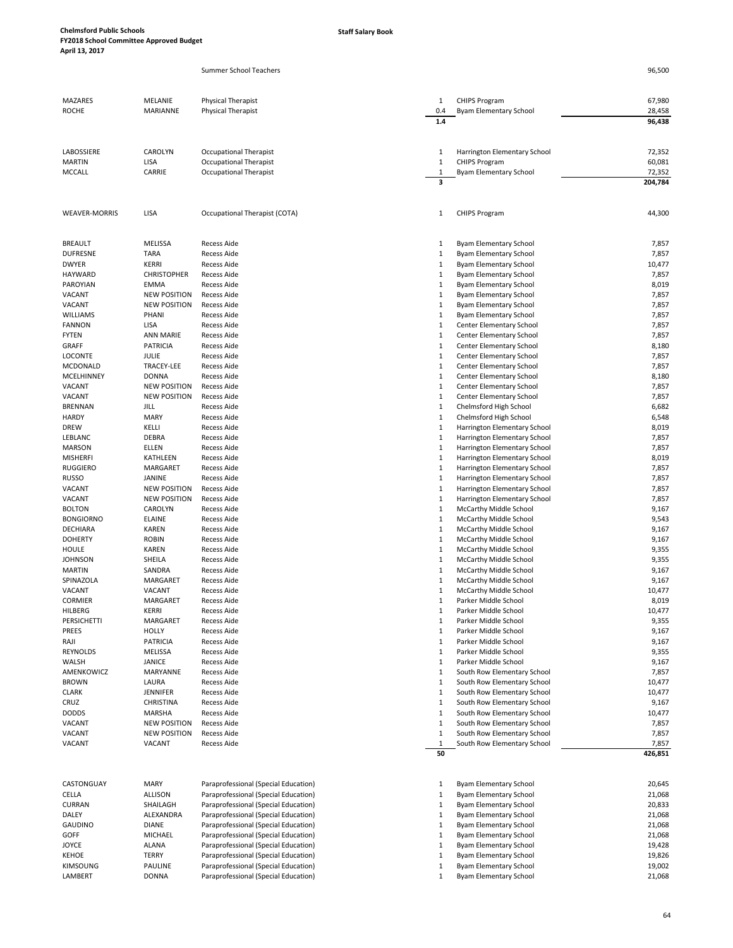Summer School Teachers

| MAZARES              | MELANIE                                    | Physical Therapist                   | 1                            | <b>CHIPS Program</b>                             | 67,980           |
|----------------------|--------------------------------------------|--------------------------------------|------------------------------|--------------------------------------------------|------------------|
| <b>ROCHE</b>         | MARIANNE                                   | Physical Therapist                   | 0.4                          | Byam Elementary School                           | 28,458           |
|                      |                                            |                                      | 1.4                          |                                                  | 96,438           |
|                      |                                            |                                      |                              |                                                  |                  |
| LABOSSIERE           | CAROLYN                                    | Occupational Therapist               | 1                            | Harrington Elementary School                     | 72,352           |
| <b>MARTIN</b>        | LISA                                       | <b>Occupational Therapist</b>        | $\mathbf{1}$                 | <b>CHIPS Program</b>                             | 60,081           |
| <b>MCCALL</b>        | CARRIE                                     | Occupational Therapist               | 1                            | Byam Elementary School                           | 72,352           |
|                      |                                            |                                      | 3                            |                                                  | 204,784          |
|                      |                                            |                                      |                              |                                                  |                  |
| <b>WEAVER-MORRIS</b> | LISA                                       | Occupational Therapist (COTA)        | 1                            | <b>CHIPS Program</b>                             | 44,300           |
|                      |                                            |                                      |                              |                                                  |                  |
| <b>BREAULT</b>       | <b>MELISSA</b>                             | <b>Recess Aide</b>                   | 1                            | Byam Elementary School                           | 7,857            |
| <b>DUFRESNE</b>      | <b>TARA</b>                                | <b>Recess Aide</b>                   | $\mathbf{1}$                 | <b>Byam Elementary School</b>                    | 7,857            |
| <b>DWYER</b>         | <b>KERRI</b>                               | <b>Recess Aide</b>                   | 1                            | Byam Elementary School                           | 10,477           |
| <b>HAYWARD</b>       | <b>CHRISTOPHER</b>                         | <b>Recess Aide</b>                   | 1                            | Byam Elementary School                           | 7,857            |
| PAROYIAN             | <b>EMMA</b>                                | Recess Aide                          | $\mathbf{1}$                 | Byam Elementary School                           | 8,019            |
| VACANT<br>VACANT     | <b>NEW POSITION</b><br><b>NEW POSITION</b> | Recess Aide<br>Recess Aide           | $\mathbf{1}$<br>$\mathbf{1}$ | Byam Elementary School                           | 7,857<br>7,857   |
| WILLIAMS             | PHANI                                      | <b>Recess Aide</b>                   | $\mathbf{1}$                 | Byam Elementary School<br>Byam Elementary School | 7,857            |
| <b>FANNON</b>        | LISA                                       | <b>Recess Aide</b>                   | $\mathbf{1}$                 | Center Elementary School                         | 7,857            |
| <b>FYTEN</b>         | <b>ANN MARIE</b>                           | <b>Recess Aide</b>                   | $\mathbf{1}$                 | Center Elementary School                         | 7,857            |
| GRAFF                | <b>PATRICIA</b>                            | Recess Aide                          | $\mathbf{1}$                 | Center Elementary School                         | 8,180            |
| <b>LOCONTE</b>       | JULIE                                      | Recess Aide                          | $\mathbf{1}$                 | Center Elementary School                         | 7,857            |
| <b>MCDONALD</b>      | TRACEY-LEE                                 | <b>Recess Aide</b>                   | $\mathbf{1}$                 | Center Elementary School                         | 7,857            |
| MCELHINNEY           | <b>DONNA</b>                               | <b>Recess Aide</b>                   | $\mathbf{1}$                 | Center Elementary School                         | 8,180            |
| VACANT               | <b>NEW POSITION</b>                        | Recess Aide                          | $\mathbf{1}$                 | Center Elementary School                         | 7,857            |
| VACANT               | <b>NEW POSITION</b>                        | <b>Recess Aide</b>                   | 1                            | Center Elementary School                         | 7,857            |
| <b>BRENNAN</b>       | JILL                                       | <b>Recess Aide</b>                   | $\mathbf{1}$                 | Chelmsford High School                           | 6,682            |
| <b>HARDY</b>         | <b>MARY</b>                                | Recess Aide                          | $\mathbf{1}$                 | Chelmsford High School                           | 6,548            |
| <b>DREW</b>          | KELLI                                      | <b>Recess Aide</b>                   | $\mathbf{1}$                 | Harrington Elementary School                     | 8,019            |
| LEBLANC              | DEBRA                                      | <b>Recess Aide</b>                   | $\mathbf{1}$                 | Harrington Elementary School                     | 7,857            |
| <b>MARSON</b>        | ELLEN                                      | <b>Recess Aide</b>                   | $\mathbf{1}$                 | Harrington Elementary School                     | 7,857            |
| <b>MISHERFI</b>      | KATHLEEN                                   | <b>Recess Aide</b>                   | $\mathbf{1}$                 | Harrington Elementary School                     | 8,019            |
| <b>RUGGIERO</b>      | MARGARET                                   | <b>Recess Aide</b>                   | $\mathbf{1}$                 | Harrington Elementary School                     | 7,857            |
| <b>RUSSO</b>         | JANINE                                     | Recess Aide                          | $\mathbf{1}$                 | Harrington Elementary School                     | 7,857            |
| VACANT               | <b>NEW POSITION</b>                        | Recess Aide                          | $\mathbf{1}$                 | Harrington Elementary School                     | 7,857            |
| VACANT               | <b>NEW POSITION</b>                        | <b>Recess Aide</b>                   | $\mathbf{1}$                 | Harrington Elementary School                     | 7,857            |
| <b>BOLTON</b>        | CAROLYN                                    | Recess Aide                          | $\mathbf{1}$                 | McCarthy Middle School                           | 9,167            |
| <b>BONGIORNO</b>     | <b>ELAINE</b>                              | <b>Recess Aide</b>                   | $\mathbf{1}$                 | McCarthy Middle School                           | 9,543            |
| DECHIARA             | KAREN                                      | <b>Recess Aide</b>                   | $\mathbf{1}$                 | McCarthy Middle School                           | 9,167            |
| <b>DOHERTY</b>       | <b>ROBIN</b>                               | Recess Aide                          | 1                            | McCarthy Middle School                           | 9,167            |
| <b>HOULE</b>         | KAREN                                      | Recess Aide                          | $\mathbf{1}$                 | McCarthy Middle School                           | 9,355            |
| <b>JOHNSON</b>       | SHEILA                                     | <b>Recess Aide</b>                   | $\mathbf{1}$                 | McCarthy Middle School                           | 9,355            |
| <b>MARTIN</b>        | SANDRA                                     | Recess Aide                          | $\mathbf{1}$                 | McCarthy Middle School                           | 9,167            |
| SPINAZOLA            | MARGARET                                   | <b>Recess Aide</b>                   | $\mathbf{1}$                 | McCarthy Middle School                           | 9,167            |
| VACANT               | VACANT                                     | <b>Recess Aide</b>                   | 1                            | McCarthy Middle School                           | 10,477           |
| <b>CORMIER</b>       | MARGARET                                   | <b>Recess Aide</b>                   | $\mathbf{1}$                 | Parker Middle School                             | 8,019            |
| HILBERG              | <b>KERRI</b>                               | Recess Aide                          | $\mathbf{1}$                 | Parker Middle School                             | 10,477           |
| PERSICHETTI          | MARGARET                                   | Recess Aide                          | 1                            | Parker Middle School                             | 9,355            |
| PREES                | <b>HOLLY</b>                               | <b>Recess Aide</b>                   | $\mathbf{1}$                 | Parker Middle School                             | 9,167            |
| RAJI                 | <b>PATRICIA</b>                            | Recess Aide                          | $\mathbf{1}$                 | Parker Middle School                             | 9,167            |
| REYNOLDS             | <b>MELISSA</b>                             | Recess Aide                          | $\mathbf{1}$                 | Parker Middle School                             | 9,355            |
| WALSH                | <b>JANICE</b>                              | Recess Aide                          | $\mathbf{1}$                 | Parker Middle School                             | 9,167            |
| AMENKOWICZ           | MARYANNE                                   | Recess Aide                          | $\mathbf{1}$                 | South Row Elementary School                      | 7,857            |
| <b>BROWN</b>         | LAURA                                      | <b>Recess Aide</b>                   | $\mathbf{1}$                 | South Row Elementary School                      | 10,477           |
| <b>CLARK</b>         | JENNIFER                                   | <b>Recess Aide</b>                   | $\mathbf{1}$                 | South Row Elementary School                      | 10,477           |
| CRUZ                 | CHRISTINA                                  | Recess Aide                          | $\mathbf{1}$                 | South Row Elementary School                      | 9,167            |
| <b>DODDS</b>         | MARSHA                                     | Recess Aide                          | $\mathbf{1}$                 | South Row Elementary School                      | 10,477           |
| VACANT               | <b>NEW POSITION</b>                        | <b>Recess Aide</b>                   | $\mathbf{1}$                 | South Row Elementary School                      | 7,857            |
| VACANT               | <b>NEW POSITION</b>                        | Recess Aide                          | $\mathbf{1}$                 | South Row Elementary School                      | 7,857            |
| VACANT               | VACANT                                     | Recess Aide                          | $\mathbf{1}$<br>50           | South Row Elementary School                      | 7,857<br>426,851 |
|                      |                                            |                                      |                              |                                                  |                  |
| CASTONGUAY           | MARY                                       | Paraprofessional (Special Education) | 1                            | Byam Elementary School                           | 20,645           |
| CELLA                | <b>ALLISON</b>                             | Paraprofessional (Special Education) | $\mathbf{1}$                 | Byam Elementary School                           | 21,068           |
| <b>CURRAN</b>        | SHAILAGH                                   | Paraprofessional (Special Education) | 1                            | Byam Elementary School                           | 20,833           |
| DALEY                | ALEXANDRA                                  | Paraprofessional (Special Education) | $\mathbf{1}$                 | Byam Elementary School                           | 21,068           |
| <b>GAUDINO</b>       | <b>DIANE</b>                               | Paraprofessional (Special Education) | $\mathbf{1}$                 | Byam Elementary School                           | 21,068           |
| GOFF                 | MICHAEL                                    | Paraprofessional (Special Education) | $\mathbf{1}$                 | Byam Elementary School                           | 21,068           |
| <b>JOYCE</b>         | ALANA                                      | Paraprofessional (Special Education) | $\mathbf{1}$                 | Byam Elementary School                           | 19,428           |
| <b>KEHOE</b>         | <b>TERRY</b>                               | Paraprofessional (Special Education) | $\mathbf{1}$                 | Byam Elementary School                           | 19,826           |
| <b>KIMSOUNG</b>      | PAULINE                                    | Paraprofessional (Special Education) | $\mathbf{1}$                 | Byam Elementary School                           | 19,002           |
| LAMBERT              | <b>DONNA</b>                               | Paraprofessional (Special Education) | $\mathbf{1}$                 | Byam Elementary School                           | 21,068           |
|                      |                                            |                                      |                              |                                                  |                  |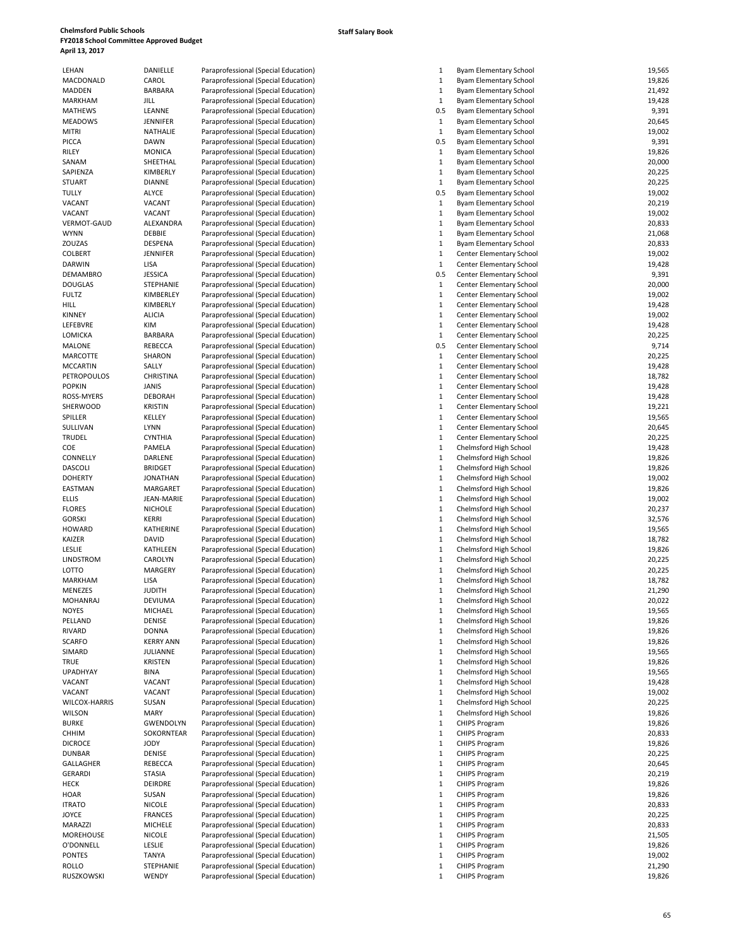|    | Paraprofessional (Special Educati |  |
|----|-----------------------------------|--|
|    | Paraprofessional (Special Educati |  |
|    | Paraprofessional (Special Educati |  |
|    | Paraprofessional (Special Educati |  |
|    | Paraprofessional (Special Educati |  |
|    | Paraprofessional (Special Educati |  |
|    | Paraprofessional (Special Educati |  |
|    | Paraprofessional (Special Educati |  |
|    | Paraprofessional (Special Educati |  |
|    | Paraprofessional (Special Educati |  |
|    | Paraprofessional (Special Educati |  |
|    | Paraprofessional (Special Educati |  |
|    | Paraprofessional (Special Educati |  |
|    | Paraprofessional (Special Educati |  |
|    | Paraprofessional (Special Educati |  |
|    | Paraprofessional (Special Educati |  |
|    | Paraprofessional (Special Educati |  |
|    |                                   |  |
|    | Paraprofessional (Special Educati |  |
|    | Paraprofessional (Special Educati |  |
|    | Paraprofessional (Special Educati |  |
|    | Paraprofessional (Special Educati |  |
|    | Paraprofessional (Special Educati |  |
|    | Paraprofessional (Special Educati |  |
|    | Paraprofessional (Special Educati |  |
|    | Paraprofessional (Special Educati |  |
|    | Paraprofessional (Special Educati |  |
|    | Paraprofessional (Special Educati |  |
|    | Paraprofessional (Special Educati |  |
|    | Paraprofessional (Special Educati |  |
|    | Paraprofessional (Special Educati |  |
|    | Paraprofessional (Special Educati |  |
|    | Paraprofessional (Special Educati |  |
|    | Paraprofessional (Special Educati |  |
|    | Paraprofessional (Special Educati |  |
|    | Paraprofessional (Special Educati |  |
|    | Paraprofessional (Special Educati |  |
|    | Paraprofessional (Special Educati |  |
|    | Paraprofessional (Special Educati |  |
|    | Paraprofessional (Special Educati |  |
|    | Paraprofessional (Special Educati |  |
|    | Paraprofessional (Special Educati |  |
|    | Paraprofessional (Special Educati |  |
| E  | Paraprofessional (Special Educati |  |
|    | Paraprofessional (Special Educati |  |
|    | Paraprofessional (Special Educati |  |
|    | Paraprofessional (Special Educati |  |
|    | Paraprofessional (Special Educati |  |
|    | Paraprofessional (Special Educati |  |
|    |                                   |  |
|    | Paraprofessional (Special Educati |  |
|    | Paraprofessional (Special Educati |  |
|    | Paraprofessional (Special Educati |  |
|    | Paraprofessional (Special Educati |  |
|    | Paraprofessional (Special Educati |  |
|    | Paraprofessional (Special Educati |  |
|    | Paraprofessional (Special Educati |  |
|    | Paraprofessional (Special Educati |  |
|    | Paraprofessional (Special Educati |  |
|    | Paraprofessional (Special Educati |  |
|    | Paraprofessional (Special Educati |  |
|    | Paraprofessional (Special Educati |  |
|    | Paraprofessional (Special Educati |  |
|    | Paraprofessional (Special Educati |  |
|    | Paraprofessional (Special Educati |  |
|    | Paraprofessional (Special Educati |  |
| 'N | Paraprofessional (Special Educati |  |
| ١R | Paraprofessional (Special Educati |  |
|    | Paraprofessional (Special Educati |  |
|    | Paraprofessional (Special Educati |  |
|    | Paraprofessional (Special Educati |  |
|    | Paraprofessional (Special Educati |  |
|    | Paraprofessional (Special Educati |  |
|    | Paraprofessional (Special Educati |  |
|    | Paraprofessional (Special Educati |  |
|    | Paraprofessional (Special Educati |  |
|    | Paraprofessional (Special Educati |  |
|    | Paraprofessional (Special Educati |  |
|    | Paraprofessional (Special Educati |  |
|    | Paraprofessional (Special Educati |  |
|    | Paraprofessional (Special Educati |  |
|    |                                   |  |

| 19,826<br>MACDONALD<br>CAROL<br>Paraprofessional (Special Education)<br>$\mathbf{1}$<br>Byam Elementary School<br>MADDEN<br><b>BARBARA</b><br>Paraprofessional (Special Education)<br>$\mathbf{1}$<br>Byam Elementary School<br>21,492<br>$\mathbf 1$<br><b>MARKHAM</b><br>19,428<br>JILL<br>Paraprofessional (Special Education)<br>Byam Elementary School<br><b>MATHEWS</b><br>LEANNE<br>Paraprofessional (Special Education)<br>0.5<br>Byam Elementary School<br>9,391<br><b>JENNIFER</b><br>Paraprofessional (Special Education)<br>$\mathbf{1}$<br>Byam Elementary School<br>20,645<br>$\mathbf{1}$<br>19,002<br>NATHALIE<br>Paraprofessional (Special Education)<br>Byam Elementary School<br>0.5<br>9,391<br>PICCA<br><b>DAWN</b><br>Paraprofessional (Special Education)<br>Byam Elementary School<br><b>MONICA</b><br>Paraprofessional (Special Education)<br>Byam Elementary School<br>19,826<br>RILEY<br>1<br>$\mathbf{1}$<br>20,000<br>SANAM<br>SHEETHAL<br>Paraprofessional (Special Education)<br>Byam Elementary School<br>20,225<br>SAPIENZA<br>KIMBERLY<br>$\mathbf{1}$<br>Paraprofessional (Special Education)<br>Byam Elementary School<br><b>STUART</b><br><b>DIANNE</b><br>Paraprofessional (Special Education)<br>$\mathbf{1}$<br><b>Byam Elementary School</b><br>20,225<br><b>ALYCE</b><br>0.5<br>19,002<br>TULLY<br>Paraprofessional (Special Education)<br>Byam Elementary School<br>20,219<br>VACANT<br>$\mathbf{1}$<br>Paraprofessional (Special Education)<br>Byam Elementary School<br>VACANT<br>VACANT<br>Paraprofessional (Special Education)<br>$\mathbf{1}$<br><b>Byam Elementary School</b><br>19,002<br>VERMOT-GAUD<br>ALEXANDRA<br>Paraprofessional (Special Education)<br>$\mathbf{1}$<br>Byam Elementary School<br>20,833<br><b>WYNN</b><br>DEBBIE<br>$\mathbf{1}$<br>21,068<br>Paraprofessional (Special Education)<br>Byam Elementary School<br>ZOUZAS<br>DESPENA<br>Paraprofessional (Special Education)<br>$\mathbf{1}$<br>20,833<br>Byam Elementary School<br>19,002<br><b>COLBERT</b><br><b>JENNIFER</b><br>Paraprofessional (Special Education)<br>1<br>Center Elementary School<br>19,428<br><b>DARWIN</b><br>$\mathbf{1}$<br>LISA<br>Paraprofessional (Special Education)<br>Center Elementary School<br>9,391<br><b>JESSICA</b><br>Paraprofessional (Special Education)<br>0.5<br>Center Elementary School<br>STEPHANIE<br>Paraprofessional (Special Education)<br>$\mathbf{1}$<br>Center Elementary School<br>20,000<br>$\mathbf{1}$<br>19,002<br><b>FULTZ</b><br>KIMBERLEY<br>Paraprofessional (Special Education)<br>Center Elementary School<br>KIMBERLY<br>$\mathbf{1}$<br>19,428<br>HILL<br>Paraprofessional (Special Education)<br>Center Elementary School<br><b>KINNEY</b><br><b>ALICIA</b><br>$\mathbf{1}$<br>Center Elementary School<br>19,002<br>Paraprofessional (Special Education)<br>$\mathbf{1}$<br>LEFEBVRE<br>KIM<br>19,428<br>Paraprofessional (Special Education)<br>Center Elementary School<br>$\mathbf{1}$<br>20,225<br>LOMICKA<br><b>BARBARA</b><br>Paraprofessional (Special Education)<br>Center Elementary School<br>REBECCA<br>Paraprofessional (Special Education)<br>0.5<br>9,714<br>Center Elementary School<br>MARCOTTE<br>SHARON<br>$\mathbf{1}$<br>20,225<br>Paraprofessional (Special Education)<br>Center Elementary School<br><b>MCCARTIN</b><br>SALLY<br>$\mathbf{1}$<br>Center Elementary School<br>19,428<br>Paraprofessional (Special Education)<br>PETROPOULOS<br><b>CHRISTINA</b><br>Paraprofessional (Special Education)<br>$\mathbf{1}$<br>Center Elementary School<br>18,782<br>19,428<br><b>POPKIN</b><br><b>JANIS</b><br>$\mathbf{1}$<br>Paraprofessional (Special Education)<br>Center Elementary School<br><b>DEBORAH</b><br>Paraprofessional (Special Education)<br>$\mathbf{1}$<br>Center Elementary School<br>19,428<br>ROSS-MYERS<br><b>KRISTIN</b><br>Paraprofessional (Special Education)<br>$\mathbf{1}$<br>Center Elementary School<br>19,221<br>$\mathbf{1}$<br>19,565<br>KELLEY<br>Paraprofessional (Special Education)<br>Center Elementary School<br>SULLIVAN<br><b>LYNN</b><br>$\mathbf{1}$<br>20,645<br>Paraprofessional (Special Education)<br>Center Elementary School<br><b>TRUDEL</b><br><b>CYNTHIA</b><br>Paraprofessional (Special Education)<br>$\mathbf{1}$<br>Center Elementary School<br>20,225<br>COE<br>PAMELA<br>Paraprofessional (Special Education)<br>1<br>Chelmsford High School<br>19,428<br>CONNELLY<br>DARLENE<br>$\mathbf{1}$<br>19,826<br>Paraprofessional (Special Education)<br>Chelmsford High School<br><b>DASCOLI</b><br><b>BRIDGET</b><br>Paraprofessional (Special Education)<br>$\mathbf{1}$<br>Chelmsford High School<br>19,826<br><b>JONATHAN</b><br>Paraprofessional (Special Education)<br>$\mathbf{1}$<br>Chelmsford High School<br>19,002<br>$\mathbf{1}$<br>19,826<br>MARGARET<br>Paraprofessional (Special Education)<br>Chelmsford High School<br><b>ELLIS</b><br><b>JEAN-MARIE</b><br>$\mathbf{1}$<br>19,002<br>Paraprofessional (Special Education)<br>Chelmsford High School<br><b>FLORES</b><br><b>NICHOLE</b><br>Paraprofessional (Special Education)<br>$\mathbf{1}$<br>Chelmsford High School<br>20,237<br><b>GORSKI</b><br><b>KERRI</b><br>1<br>32,576<br>Paraprofessional (Special Education)<br>Chelmsford High School<br><b>HOWARD</b><br>KATHERINE<br>Paraprofessional (Special Education)<br>$\mathbf{1}$<br>19,565<br>Chelmsford High School<br>KAIZER<br><b>DAVID</b><br>$\mathbf{1}$<br>18,782<br>Paraprofessional (Special Education)<br>Chelmsford High School<br>$\mathbf{1}$<br>LESLIE<br><b>KATHLEEN</b><br>19,826<br>Paraprofessional (Special Education)<br>Chelmsford High School<br>20,225<br>LINDSTROM<br>CAROLYN<br>Paraprofessional (Special Education)<br>$\mathbf{1}$<br>Chelmsford High School<br>LOTTO<br>MARGERY<br>$\mathbf{1}$<br>20,225<br>Paraprofessional (Special Education)<br>Chelmsford High School<br>$\mathbf{1}$<br>18,782<br>MARKHAM<br>LISA<br>Chelmsford High School<br>Paraprofessional (Special Education)<br>21,290<br>MENEZES<br><b>JUDITH</b><br>Paraprofessional (Special Education)<br>1<br>Chelmsford High School<br>20,022<br><b>MOHANRAJ</b><br><b>DEVIUMA</b><br>Paraprofessional (Special Education)<br>$\mathbf{1}$<br>Chelmsford High School<br>19,565<br><b>NOYES</b><br>Paraprofessional (Special Education)<br>$\mathbf{1}$<br>Chelmsford High School<br>MICHAEL<br>PELLAND<br>DENISE<br>Paraprofessional (Special Education)<br>1<br>19,826<br>Chelmsford High School<br><b>DONNA</b><br>Paraprofessional (Special Education)<br>$\mathbf{1}$<br>Chelmsford High School<br>19,826<br><b>SCARFO</b><br><b>KERRY ANN</b><br>Paraprofessional (Special Education)<br>$\mathbf{1}$<br>Chelmsford High School<br>19,826<br>SIMARD<br>JULIANNE<br>Paraprofessional (Special Education)<br>$\mathbf{1}$<br>19,565<br>Chelmsford High School<br><b>KRISTEN</b><br>Paraprofessional (Special Education)<br>$\mathbf{1}$<br>Chelmsford High School<br>19,826<br>TRUE<br><b>UPADHYAY</b><br><b>BINA</b><br>Paraprofessional (Special Education)<br>$\mathbf{1}$<br>Chelmsford High School<br>19,565<br>VACANT<br>Paraprofessional (Special Education)<br>$\mathbf{1}$<br>19,428<br>VACANT<br>Chelmsford High School<br>VACANT<br>VACANT<br>Paraprofessional (Special Education)<br>$\mathbf{1}$<br>Chelmsford High School<br>19,002<br>SUSAN<br>Paraprofessional (Special Education)<br>$\mathbf{1}$<br>Chelmsford High School<br>20,225<br>MARY<br>Paraprofessional (Special Education)<br>$\mathbf{1}$<br>Chelmsford High School<br>19,826<br><b>BURKE</b><br><b>GWENDOLYN</b><br>Paraprofessional (Special Education)<br>$\mathbf{1}$<br><b>CHIPS Program</b><br>19,826<br>SOKORNTEAR<br>Paraprofessional (Special Education)<br>$\mathbf{1}$<br><b>CHIPS Program</b><br>20,833<br><b>CHHIM</b><br>$\mathbf{1}$<br>19,826<br><b>DICROCE</b><br>JODY<br>Paraprofessional (Special Education)<br><b>CHIPS Program</b><br>20,225<br><b>DUNBAR</b><br>DENISE<br>Paraprofessional (Special Education)<br>$\mathbf{1}$<br><b>CHIPS Program</b><br>REBECCA<br>Paraprofessional (Special Education)<br>CHIPS Program<br>20,645<br>1<br><b>STASIA</b><br>Paraprofessional (Special Education)<br>$\mathbf{1}$<br>20,219<br><b>CHIPS Program</b><br>DEIRDRE<br>Paraprofessional (Special Education)<br>$\mathbf{1}$<br><b>CHIPS Program</b><br>19,826<br>HECK<br>SUSAN<br>Paraprofessional (Special Education)<br>19,826<br>1<br><b>CHIPS Program</b><br>$\mathbf{1}$<br>20,833<br><b>ITRATO</b><br><b>NICOLE</b><br>Paraprofessional (Special Education)<br><b>CHIPS Program</b><br><b>JOYCE</b><br><b>FRANCES</b><br>Paraprofessional (Special Education)<br>$\mathbf{1}$<br><b>CHIPS Program</b><br>20,225<br>MARAZZI<br>MICHELE<br>Paraprofessional (Special Education)<br>$\mathbf{1}$<br><b>CHIPS Program</b><br>20,833<br><b>MOREHOUSE</b><br><b>NICOLE</b><br>1<br>21,505<br>Paraprofessional (Special Education)<br><b>CHIPS Program</b><br><b>LESLIE</b><br>Paraprofessional (Special Education)<br>$\mathbf{1}$<br>19,826<br><b>CHIPS Program</b><br>19,002<br><b>TANYA</b><br>Paraprofessional (Special Education)<br>$\mathbf{1}$<br><b>CHIPS Program</b><br>STEPHANIE<br>Paraprofessional (Special Education)<br>$\mathbf{1}$<br><b>CHIPS Program</b><br>21,290 | LEHAN                | DANIELLE | Paraprofessional (Special Education) | $\mathbf{1}$ | <b>Byam Elementary School</b> | 19,565 |
|-----------------------------------------------------------------------------------------------------------------------------------------------------------------------------------------------------------------------------------------------------------------------------------------------------------------------------------------------------------------------------------------------------------------------------------------------------------------------------------------------------------------------------------------------------------------------------------------------------------------------------------------------------------------------------------------------------------------------------------------------------------------------------------------------------------------------------------------------------------------------------------------------------------------------------------------------------------------------------------------------------------------------------------------------------------------------------------------------------------------------------------------------------------------------------------------------------------------------------------------------------------------------------------------------------------------------------------------------------------------------------------------------------------------------------------------------------------------------------------------------------------------------------------------------------------------------------------------------------------------------------------------------------------------------------------------------------------------------------------------------------------------------------------------------------------------------------------------------------------------------------------------------------------------------------------------------------------------------------------------------------------------------------------------------------------------------------------------------------------------------------------------------------------------------------------------------------------------------------------------------------------------------------------------------------------------------------------------------------------------------------------------------------------------------------------------------------------------------------------------------------------------------------------------------------------------------------------------------------------------------------------------------------------------------------------------------------------------------------------------------------------------------------------------------------------------------------------------------------------------------------------------------------------------------------------------------------------------------------------------------------------------------------------------------------------------------------------------------------------------------------------------------------------------------------------------------------------------------------------------------------------------------------------------------------------------------------------------------------------------------------------------------------------------------------------------------------------------------------------------------------------------------------------------------------------------------------------------------------------------------------------------------------------------------------------------------------------------------------------------------------------------------------------------------------------------------------------------------------------------------------------------------------------------------------------------------------------------------------------------------------------------------------------------------------------------------------------------------------------------------------------------------------------------------------------------------------------------------------------------------------------------------------------------------------------------------------------------------------------------------------------------------------------------------------------------------------------------------------------------------------------------------------------------------------------------------------------------------------------------------------------------------------------------------------------------------------------------------------------------------------------------------------------------------------------------------------------------------------------------------------------------------------------------------------------------------------------------------------------------------------------------------------------------------------------------------------------------------------------------------------------------------------------------------------------------------------------------------------------------------------------------------------------------------------------------------------------------------------------------------------------------------------------------------------------------------------------------------------------------------------------------------------------------------------------------------------------------------------------------------------------------------------------------------------------------------------------------------------------------------------------------------------------------------------------------------------------------------------------------------------------------------------------------------------------------------------------------------------------------------------------------------------------------------------------------------------------------------------------------------------------------------------------------------------------------------------------------------------------------------------------------------------------------------------------------------------------------------------------------------------------------------------------------------------------------------------------------------------------------------------------------------------------------------------------------------------------------------------------------------------------------------------------------------------------------------------------------------------------------------------------------------------------------------------------------------------------------------------------------------------------------------------------------------------------------------------------------------------------------------------------------------------------------------------------------------------------------------------------------------------------------------------------------------------------------------------------------------------------------------------------------------------------------------------------------------------------------------------------------------------------------------------------------------------------------------------------------------------------------------------------------------------------------------------------------------------------------------------------------------------------------------------------------------------------------------------------------------------------------------------------------------------------------------------------------------------------------------------------------------------------------------------------------------------------------------------------------------------------------------------------------------------------------------------------------------------------------------------------------------------------------------------------------------------------------------------------------------------------------------------------------------------------------------------------------------------------------------------------------------------------------------------------------------------------------------------------------------------------------------------------------------------------------------------------------------------------------------------------------------------------------------------------------------------------------------------------------------------------------------------------------------------------------------------------------------------------------------------------------------------------------------------------------------------------------------------------------------------------------------------------------------------------------------------------------------------------------------------------------------------------------------------------------------------------------------------------------------------------------------------------------------------------------|----------------------|----------|--------------------------------------|--------------|-------------------------------|--------|
|                                                                                                                                                                                                                                                                                                                                                                                                                                                                                                                                                                                                                                                                                                                                                                                                                                                                                                                                                                                                                                                                                                                                                                                                                                                                                                                                                                                                                                                                                                                                                                                                                                                                                                                                                                                                                                                                                                                                                                                                                                                                                                                                                                                                                                                                                                                                                                                                                                                                                                                                                                                                                                                                                                                                                                                                                                                                                                                                                                                                                                                                                                                                                                                                                                                                                                                                                                                                                                                                                                                                                                                                                                                                                                                                                                                                                                                                                                                                                                                                                                                                                                                                                                                                                                                                                                                                                                                                                                                                                                                                                                                                                                                                                                                                                                                                                                                                                                                                                                                                                                                                                                                                                                                                                                                                                                                                                                                                                                                                                                                                                                                                                                                                                                                                                                                                                                                                                                                                                                                                                                                                                                                                                                                                                                                                                                                                                                                                                                                                                                                                                                                                                                                                                                                                                                                                                                                                                                                                                                                                                                                                                                                                                                                                                                                                                                                                                                                                                                                                                                                                                                                                                                                                                                                                                                                                                                                                                                                                                                                                                                                                                                                                                                                                                                                                                                                                                                                                                                                                                                                                                                                                                                                                                                                                                                                                                                                                                                                                                                                                                                                                                                                                                                                                                                                                                         |                      |          |                                      |              |                               |        |
|                                                                                                                                                                                                                                                                                                                                                                                                                                                                                                                                                                                                                                                                                                                                                                                                                                                                                                                                                                                                                                                                                                                                                                                                                                                                                                                                                                                                                                                                                                                                                                                                                                                                                                                                                                                                                                                                                                                                                                                                                                                                                                                                                                                                                                                                                                                                                                                                                                                                                                                                                                                                                                                                                                                                                                                                                                                                                                                                                                                                                                                                                                                                                                                                                                                                                                                                                                                                                                                                                                                                                                                                                                                                                                                                                                                                                                                                                                                                                                                                                                                                                                                                                                                                                                                                                                                                                                                                                                                                                                                                                                                                                                                                                                                                                                                                                                                                                                                                                                                                                                                                                                                                                                                                                                                                                                                                                                                                                                                                                                                                                                                                                                                                                                                                                                                                                                                                                                                                                                                                                                                                                                                                                                                                                                                                                                                                                                                                                                                                                                                                                                                                                                                                                                                                                                                                                                                                                                                                                                                                                                                                                                                                                                                                                                                                                                                                                                                                                                                                                                                                                                                                                                                                                                                                                                                                                                                                                                                                                                                                                                                                                                                                                                                                                                                                                                                                                                                                                                                                                                                                                                                                                                                                                                                                                                                                                                                                                                                                                                                                                                                                                                                                                                                                                                                                                         |                      |          |                                      |              |                               |        |
|                                                                                                                                                                                                                                                                                                                                                                                                                                                                                                                                                                                                                                                                                                                                                                                                                                                                                                                                                                                                                                                                                                                                                                                                                                                                                                                                                                                                                                                                                                                                                                                                                                                                                                                                                                                                                                                                                                                                                                                                                                                                                                                                                                                                                                                                                                                                                                                                                                                                                                                                                                                                                                                                                                                                                                                                                                                                                                                                                                                                                                                                                                                                                                                                                                                                                                                                                                                                                                                                                                                                                                                                                                                                                                                                                                                                                                                                                                                                                                                                                                                                                                                                                                                                                                                                                                                                                                                                                                                                                                                                                                                                                                                                                                                                                                                                                                                                                                                                                                                                                                                                                                                                                                                                                                                                                                                                                                                                                                                                                                                                                                                                                                                                                                                                                                                                                                                                                                                                                                                                                                                                                                                                                                                                                                                                                                                                                                                                                                                                                                                                                                                                                                                                                                                                                                                                                                                                                                                                                                                                                                                                                                                                                                                                                                                                                                                                                                                                                                                                                                                                                                                                                                                                                                                                                                                                                                                                                                                                                                                                                                                                                                                                                                                                                                                                                                                                                                                                                                                                                                                                                                                                                                                                                                                                                                                                                                                                                                                                                                                                                                                                                                                                                                                                                                                                                         |                      |          |                                      |              |                               |        |
|                                                                                                                                                                                                                                                                                                                                                                                                                                                                                                                                                                                                                                                                                                                                                                                                                                                                                                                                                                                                                                                                                                                                                                                                                                                                                                                                                                                                                                                                                                                                                                                                                                                                                                                                                                                                                                                                                                                                                                                                                                                                                                                                                                                                                                                                                                                                                                                                                                                                                                                                                                                                                                                                                                                                                                                                                                                                                                                                                                                                                                                                                                                                                                                                                                                                                                                                                                                                                                                                                                                                                                                                                                                                                                                                                                                                                                                                                                                                                                                                                                                                                                                                                                                                                                                                                                                                                                                                                                                                                                                                                                                                                                                                                                                                                                                                                                                                                                                                                                                                                                                                                                                                                                                                                                                                                                                                                                                                                                                                                                                                                                                                                                                                                                                                                                                                                                                                                                                                                                                                                                                                                                                                                                                                                                                                                                                                                                                                                                                                                                                                                                                                                                                                                                                                                                                                                                                                                                                                                                                                                                                                                                                                                                                                                                                                                                                                                                                                                                                                                                                                                                                                                                                                                                                                                                                                                                                                                                                                                                                                                                                                                                                                                                                                                                                                                                                                                                                                                                                                                                                                                                                                                                                                                                                                                                                                                                                                                                                                                                                                                                                                                                                                                                                                                                                                                         |                      |          |                                      |              |                               |        |
|                                                                                                                                                                                                                                                                                                                                                                                                                                                                                                                                                                                                                                                                                                                                                                                                                                                                                                                                                                                                                                                                                                                                                                                                                                                                                                                                                                                                                                                                                                                                                                                                                                                                                                                                                                                                                                                                                                                                                                                                                                                                                                                                                                                                                                                                                                                                                                                                                                                                                                                                                                                                                                                                                                                                                                                                                                                                                                                                                                                                                                                                                                                                                                                                                                                                                                                                                                                                                                                                                                                                                                                                                                                                                                                                                                                                                                                                                                                                                                                                                                                                                                                                                                                                                                                                                                                                                                                                                                                                                                                                                                                                                                                                                                                                                                                                                                                                                                                                                                                                                                                                                                                                                                                                                                                                                                                                                                                                                                                                                                                                                                                                                                                                                                                                                                                                                                                                                                                                                                                                                                                                                                                                                                                                                                                                                                                                                                                                                                                                                                                                                                                                                                                                                                                                                                                                                                                                                                                                                                                                                                                                                                                                                                                                                                                                                                                                                                                                                                                                                                                                                                                                                                                                                                                                                                                                                                                                                                                                                                                                                                                                                                                                                                                                                                                                                                                                                                                                                                                                                                                                                                                                                                                                                                                                                                                                                                                                                                                                                                                                                                                                                                                                                                                                                                                                                         |                      |          |                                      |              |                               |        |
|                                                                                                                                                                                                                                                                                                                                                                                                                                                                                                                                                                                                                                                                                                                                                                                                                                                                                                                                                                                                                                                                                                                                                                                                                                                                                                                                                                                                                                                                                                                                                                                                                                                                                                                                                                                                                                                                                                                                                                                                                                                                                                                                                                                                                                                                                                                                                                                                                                                                                                                                                                                                                                                                                                                                                                                                                                                                                                                                                                                                                                                                                                                                                                                                                                                                                                                                                                                                                                                                                                                                                                                                                                                                                                                                                                                                                                                                                                                                                                                                                                                                                                                                                                                                                                                                                                                                                                                                                                                                                                                                                                                                                                                                                                                                                                                                                                                                                                                                                                                                                                                                                                                                                                                                                                                                                                                                                                                                                                                                                                                                                                                                                                                                                                                                                                                                                                                                                                                                                                                                                                                                                                                                                                                                                                                                                                                                                                                                                                                                                                                                                                                                                                                                                                                                                                                                                                                                                                                                                                                                                                                                                                                                                                                                                                                                                                                                                                                                                                                                                                                                                                                                                                                                                                                                                                                                                                                                                                                                                                                                                                                                                                                                                                                                                                                                                                                                                                                                                                                                                                                                                                                                                                                                                                                                                                                                                                                                                                                                                                                                                                                                                                                                                                                                                                                                                         | <b>MEADOWS</b>       |          |                                      |              |                               |        |
|                                                                                                                                                                                                                                                                                                                                                                                                                                                                                                                                                                                                                                                                                                                                                                                                                                                                                                                                                                                                                                                                                                                                                                                                                                                                                                                                                                                                                                                                                                                                                                                                                                                                                                                                                                                                                                                                                                                                                                                                                                                                                                                                                                                                                                                                                                                                                                                                                                                                                                                                                                                                                                                                                                                                                                                                                                                                                                                                                                                                                                                                                                                                                                                                                                                                                                                                                                                                                                                                                                                                                                                                                                                                                                                                                                                                                                                                                                                                                                                                                                                                                                                                                                                                                                                                                                                                                                                                                                                                                                                                                                                                                                                                                                                                                                                                                                                                                                                                                                                                                                                                                                                                                                                                                                                                                                                                                                                                                                                                                                                                                                                                                                                                                                                                                                                                                                                                                                                                                                                                                                                                                                                                                                                                                                                                                                                                                                                                                                                                                                                                                                                                                                                                                                                                                                                                                                                                                                                                                                                                                                                                                                                                                                                                                                                                                                                                                                                                                                                                                                                                                                                                                                                                                                                                                                                                                                                                                                                                                                                                                                                                                                                                                                                                                                                                                                                                                                                                                                                                                                                                                                                                                                                                                                                                                                                                                                                                                                                                                                                                                                                                                                                                                                                                                                                                                         | <b>MITRI</b>         |          |                                      |              |                               |        |
|                                                                                                                                                                                                                                                                                                                                                                                                                                                                                                                                                                                                                                                                                                                                                                                                                                                                                                                                                                                                                                                                                                                                                                                                                                                                                                                                                                                                                                                                                                                                                                                                                                                                                                                                                                                                                                                                                                                                                                                                                                                                                                                                                                                                                                                                                                                                                                                                                                                                                                                                                                                                                                                                                                                                                                                                                                                                                                                                                                                                                                                                                                                                                                                                                                                                                                                                                                                                                                                                                                                                                                                                                                                                                                                                                                                                                                                                                                                                                                                                                                                                                                                                                                                                                                                                                                                                                                                                                                                                                                                                                                                                                                                                                                                                                                                                                                                                                                                                                                                                                                                                                                                                                                                                                                                                                                                                                                                                                                                                                                                                                                                                                                                                                                                                                                                                                                                                                                                                                                                                                                                                                                                                                                                                                                                                                                                                                                                                                                                                                                                                                                                                                                                                                                                                                                                                                                                                                                                                                                                                                                                                                                                                                                                                                                                                                                                                                                                                                                                                                                                                                                                                                                                                                                                                                                                                                                                                                                                                                                                                                                                                                                                                                                                                                                                                                                                                                                                                                                                                                                                                                                                                                                                                                                                                                                                                                                                                                                                                                                                                                                                                                                                                                                                                                                                                                         |                      |          |                                      |              |                               |        |
|                                                                                                                                                                                                                                                                                                                                                                                                                                                                                                                                                                                                                                                                                                                                                                                                                                                                                                                                                                                                                                                                                                                                                                                                                                                                                                                                                                                                                                                                                                                                                                                                                                                                                                                                                                                                                                                                                                                                                                                                                                                                                                                                                                                                                                                                                                                                                                                                                                                                                                                                                                                                                                                                                                                                                                                                                                                                                                                                                                                                                                                                                                                                                                                                                                                                                                                                                                                                                                                                                                                                                                                                                                                                                                                                                                                                                                                                                                                                                                                                                                                                                                                                                                                                                                                                                                                                                                                                                                                                                                                                                                                                                                                                                                                                                                                                                                                                                                                                                                                                                                                                                                                                                                                                                                                                                                                                                                                                                                                                                                                                                                                                                                                                                                                                                                                                                                                                                                                                                                                                                                                                                                                                                                                                                                                                                                                                                                                                                                                                                                                                                                                                                                                                                                                                                                                                                                                                                                                                                                                                                                                                                                                                                                                                                                                                                                                                                                                                                                                                                                                                                                                                                                                                                                                                                                                                                                                                                                                                                                                                                                                                                                                                                                                                                                                                                                                                                                                                                                                                                                                                                                                                                                                                                                                                                                                                                                                                                                                                                                                                                                                                                                                                                                                                                                                                                         |                      |          |                                      |              |                               |        |
|                                                                                                                                                                                                                                                                                                                                                                                                                                                                                                                                                                                                                                                                                                                                                                                                                                                                                                                                                                                                                                                                                                                                                                                                                                                                                                                                                                                                                                                                                                                                                                                                                                                                                                                                                                                                                                                                                                                                                                                                                                                                                                                                                                                                                                                                                                                                                                                                                                                                                                                                                                                                                                                                                                                                                                                                                                                                                                                                                                                                                                                                                                                                                                                                                                                                                                                                                                                                                                                                                                                                                                                                                                                                                                                                                                                                                                                                                                                                                                                                                                                                                                                                                                                                                                                                                                                                                                                                                                                                                                                                                                                                                                                                                                                                                                                                                                                                                                                                                                                                                                                                                                                                                                                                                                                                                                                                                                                                                                                                                                                                                                                                                                                                                                                                                                                                                                                                                                                                                                                                                                                                                                                                                                                                                                                                                                                                                                                                                                                                                                                                                                                                                                                                                                                                                                                                                                                                                                                                                                                                                                                                                                                                                                                                                                                                                                                                                                                                                                                                                                                                                                                                                                                                                                                                                                                                                                                                                                                                                                                                                                                                                                                                                                                                                                                                                                                                                                                                                                                                                                                                                                                                                                                                                                                                                                                                                                                                                                                                                                                                                                                                                                                                                                                                                                                                                         |                      |          |                                      |              |                               |        |
|                                                                                                                                                                                                                                                                                                                                                                                                                                                                                                                                                                                                                                                                                                                                                                                                                                                                                                                                                                                                                                                                                                                                                                                                                                                                                                                                                                                                                                                                                                                                                                                                                                                                                                                                                                                                                                                                                                                                                                                                                                                                                                                                                                                                                                                                                                                                                                                                                                                                                                                                                                                                                                                                                                                                                                                                                                                                                                                                                                                                                                                                                                                                                                                                                                                                                                                                                                                                                                                                                                                                                                                                                                                                                                                                                                                                                                                                                                                                                                                                                                                                                                                                                                                                                                                                                                                                                                                                                                                                                                                                                                                                                                                                                                                                                                                                                                                                                                                                                                                                                                                                                                                                                                                                                                                                                                                                                                                                                                                                                                                                                                                                                                                                                                                                                                                                                                                                                                                                                                                                                                                                                                                                                                                                                                                                                                                                                                                                                                                                                                                                                                                                                                                                                                                                                                                                                                                                                                                                                                                                                                                                                                                                                                                                                                                                                                                                                                                                                                                                                                                                                                                                                                                                                                                                                                                                                                                                                                                                                                                                                                                                                                                                                                                                                                                                                                                                                                                                                                                                                                                                                                                                                                                                                                                                                                                                                                                                                                                                                                                                                                                                                                                                                                                                                                                                                         |                      |          |                                      |              |                               |        |
|                                                                                                                                                                                                                                                                                                                                                                                                                                                                                                                                                                                                                                                                                                                                                                                                                                                                                                                                                                                                                                                                                                                                                                                                                                                                                                                                                                                                                                                                                                                                                                                                                                                                                                                                                                                                                                                                                                                                                                                                                                                                                                                                                                                                                                                                                                                                                                                                                                                                                                                                                                                                                                                                                                                                                                                                                                                                                                                                                                                                                                                                                                                                                                                                                                                                                                                                                                                                                                                                                                                                                                                                                                                                                                                                                                                                                                                                                                                                                                                                                                                                                                                                                                                                                                                                                                                                                                                                                                                                                                                                                                                                                                                                                                                                                                                                                                                                                                                                                                                                                                                                                                                                                                                                                                                                                                                                                                                                                                                                                                                                                                                                                                                                                                                                                                                                                                                                                                                                                                                                                                                                                                                                                                                                                                                                                                                                                                                                                                                                                                                                                                                                                                                                                                                                                                                                                                                                                                                                                                                                                                                                                                                                                                                                                                                                                                                                                                                                                                                                                                                                                                                                                                                                                                                                                                                                                                                                                                                                                                                                                                                                                                                                                                                                                                                                                                                                                                                                                                                                                                                                                                                                                                                                                                                                                                                                                                                                                                                                                                                                                                                                                                                                                                                                                                                                                         |                      |          |                                      |              |                               |        |
|                                                                                                                                                                                                                                                                                                                                                                                                                                                                                                                                                                                                                                                                                                                                                                                                                                                                                                                                                                                                                                                                                                                                                                                                                                                                                                                                                                                                                                                                                                                                                                                                                                                                                                                                                                                                                                                                                                                                                                                                                                                                                                                                                                                                                                                                                                                                                                                                                                                                                                                                                                                                                                                                                                                                                                                                                                                                                                                                                                                                                                                                                                                                                                                                                                                                                                                                                                                                                                                                                                                                                                                                                                                                                                                                                                                                                                                                                                                                                                                                                                                                                                                                                                                                                                                                                                                                                                                                                                                                                                                                                                                                                                                                                                                                                                                                                                                                                                                                                                                                                                                                                                                                                                                                                                                                                                                                                                                                                                                                                                                                                                                                                                                                                                                                                                                                                                                                                                                                                                                                                                                                                                                                                                                                                                                                                                                                                                                                                                                                                                                                                                                                                                                                                                                                                                                                                                                                                                                                                                                                                                                                                                                                                                                                                                                                                                                                                                                                                                                                                                                                                                                                                                                                                                                                                                                                                                                                                                                                                                                                                                                                                                                                                                                                                                                                                                                                                                                                                                                                                                                                                                                                                                                                                                                                                                                                                                                                                                                                                                                                                                                                                                                                                                                                                                                                                         |                      |          |                                      |              |                               |        |
|                                                                                                                                                                                                                                                                                                                                                                                                                                                                                                                                                                                                                                                                                                                                                                                                                                                                                                                                                                                                                                                                                                                                                                                                                                                                                                                                                                                                                                                                                                                                                                                                                                                                                                                                                                                                                                                                                                                                                                                                                                                                                                                                                                                                                                                                                                                                                                                                                                                                                                                                                                                                                                                                                                                                                                                                                                                                                                                                                                                                                                                                                                                                                                                                                                                                                                                                                                                                                                                                                                                                                                                                                                                                                                                                                                                                                                                                                                                                                                                                                                                                                                                                                                                                                                                                                                                                                                                                                                                                                                                                                                                                                                                                                                                                                                                                                                                                                                                                                                                                                                                                                                                                                                                                                                                                                                                                                                                                                                                                                                                                                                                                                                                                                                                                                                                                                                                                                                                                                                                                                                                                                                                                                                                                                                                                                                                                                                                                                                                                                                                                                                                                                                                                                                                                                                                                                                                                                                                                                                                                                                                                                                                                                                                                                                                                                                                                                                                                                                                                                                                                                                                                                                                                                                                                                                                                                                                                                                                                                                                                                                                                                                                                                                                                                                                                                                                                                                                                                                                                                                                                                                                                                                                                                                                                                                                                                                                                                                                                                                                                                                                                                                                                                                                                                                                                                         |                      |          |                                      |              |                               |        |
|                                                                                                                                                                                                                                                                                                                                                                                                                                                                                                                                                                                                                                                                                                                                                                                                                                                                                                                                                                                                                                                                                                                                                                                                                                                                                                                                                                                                                                                                                                                                                                                                                                                                                                                                                                                                                                                                                                                                                                                                                                                                                                                                                                                                                                                                                                                                                                                                                                                                                                                                                                                                                                                                                                                                                                                                                                                                                                                                                                                                                                                                                                                                                                                                                                                                                                                                                                                                                                                                                                                                                                                                                                                                                                                                                                                                                                                                                                                                                                                                                                                                                                                                                                                                                                                                                                                                                                                                                                                                                                                                                                                                                                                                                                                                                                                                                                                                                                                                                                                                                                                                                                                                                                                                                                                                                                                                                                                                                                                                                                                                                                                                                                                                                                                                                                                                                                                                                                                                                                                                                                                                                                                                                                                                                                                                                                                                                                                                                                                                                                                                                                                                                                                                                                                                                                                                                                                                                                                                                                                                                                                                                                                                                                                                                                                                                                                                                                                                                                                                                                                                                                                                                                                                                                                                                                                                                                                                                                                                                                                                                                                                                                                                                                                                                                                                                                                                                                                                                                                                                                                                                                                                                                                                                                                                                                                                                                                                                                                                                                                                                                                                                                                                                                                                                                                                                         | VACANT               |          |                                      |              |                               |        |
|                                                                                                                                                                                                                                                                                                                                                                                                                                                                                                                                                                                                                                                                                                                                                                                                                                                                                                                                                                                                                                                                                                                                                                                                                                                                                                                                                                                                                                                                                                                                                                                                                                                                                                                                                                                                                                                                                                                                                                                                                                                                                                                                                                                                                                                                                                                                                                                                                                                                                                                                                                                                                                                                                                                                                                                                                                                                                                                                                                                                                                                                                                                                                                                                                                                                                                                                                                                                                                                                                                                                                                                                                                                                                                                                                                                                                                                                                                                                                                                                                                                                                                                                                                                                                                                                                                                                                                                                                                                                                                                                                                                                                                                                                                                                                                                                                                                                                                                                                                                                                                                                                                                                                                                                                                                                                                                                                                                                                                                                                                                                                                                                                                                                                                                                                                                                                                                                                                                                                                                                                                                                                                                                                                                                                                                                                                                                                                                                                                                                                                                                                                                                                                                                                                                                                                                                                                                                                                                                                                                                                                                                                                                                                                                                                                                                                                                                                                                                                                                                                                                                                                                                                                                                                                                                                                                                                                                                                                                                                                                                                                                                                                                                                                                                                                                                                                                                                                                                                                                                                                                                                                                                                                                                                                                                                                                                                                                                                                                                                                                                                                                                                                                                                                                                                                                                                         |                      |          |                                      |              |                               |        |
|                                                                                                                                                                                                                                                                                                                                                                                                                                                                                                                                                                                                                                                                                                                                                                                                                                                                                                                                                                                                                                                                                                                                                                                                                                                                                                                                                                                                                                                                                                                                                                                                                                                                                                                                                                                                                                                                                                                                                                                                                                                                                                                                                                                                                                                                                                                                                                                                                                                                                                                                                                                                                                                                                                                                                                                                                                                                                                                                                                                                                                                                                                                                                                                                                                                                                                                                                                                                                                                                                                                                                                                                                                                                                                                                                                                                                                                                                                                                                                                                                                                                                                                                                                                                                                                                                                                                                                                                                                                                                                                                                                                                                                                                                                                                                                                                                                                                                                                                                                                                                                                                                                                                                                                                                                                                                                                                                                                                                                                                                                                                                                                                                                                                                                                                                                                                                                                                                                                                                                                                                                                                                                                                                                                                                                                                                                                                                                                                                                                                                                                                                                                                                                                                                                                                                                                                                                                                                                                                                                                                                                                                                                                                                                                                                                                                                                                                                                                                                                                                                                                                                                                                                                                                                                                                                                                                                                                                                                                                                                                                                                                                                                                                                                                                                                                                                                                                                                                                                                                                                                                                                                                                                                                                                                                                                                                                                                                                                                                                                                                                                                                                                                                                                                                                                                                                                         |                      |          |                                      |              |                               |        |
|                                                                                                                                                                                                                                                                                                                                                                                                                                                                                                                                                                                                                                                                                                                                                                                                                                                                                                                                                                                                                                                                                                                                                                                                                                                                                                                                                                                                                                                                                                                                                                                                                                                                                                                                                                                                                                                                                                                                                                                                                                                                                                                                                                                                                                                                                                                                                                                                                                                                                                                                                                                                                                                                                                                                                                                                                                                                                                                                                                                                                                                                                                                                                                                                                                                                                                                                                                                                                                                                                                                                                                                                                                                                                                                                                                                                                                                                                                                                                                                                                                                                                                                                                                                                                                                                                                                                                                                                                                                                                                                                                                                                                                                                                                                                                                                                                                                                                                                                                                                                                                                                                                                                                                                                                                                                                                                                                                                                                                                                                                                                                                                                                                                                                                                                                                                                                                                                                                                                                                                                                                                                                                                                                                                                                                                                                                                                                                                                                                                                                                                                                                                                                                                                                                                                                                                                                                                                                                                                                                                                                                                                                                                                                                                                                                                                                                                                                                                                                                                                                                                                                                                                                                                                                                                                                                                                                                                                                                                                                                                                                                                                                                                                                                                                                                                                                                                                                                                                                                                                                                                                                                                                                                                                                                                                                                                                                                                                                                                                                                                                                                                                                                                                                                                                                                                                                         |                      |          |                                      |              |                               |        |
|                                                                                                                                                                                                                                                                                                                                                                                                                                                                                                                                                                                                                                                                                                                                                                                                                                                                                                                                                                                                                                                                                                                                                                                                                                                                                                                                                                                                                                                                                                                                                                                                                                                                                                                                                                                                                                                                                                                                                                                                                                                                                                                                                                                                                                                                                                                                                                                                                                                                                                                                                                                                                                                                                                                                                                                                                                                                                                                                                                                                                                                                                                                                                                                                                                                                                                                                                                                                                                                                                                                                                                                                                                                                                                                                                                                                                                                                                                                                                                                                                                                                                                                                                                                                                                                                                                                                                                                                                                                                                                                                                                                                                                                                                                                                                                                                                                                                                                                                                                                                                                                                                                                                                                                                                                                                                                                                                                                                                                                                                                                                                                                                                                                                                                                                                                                                                                                                                                                                                                                                                                                                                                                                                                                                                                                                                                                                                                                                                                                                                                                                                                                                                                                                                                                                                                                                                                                                                                                                                                                                                                                                                                                                                                                                                                                                                                                                                                                                                                                                                                                                                                                                                                                                                                                                                                                                                                                                                                                                                                                                                                                                                                                                                                                                                                                                                                                                                                                                                                                                                                                                                                                                                                                                                                                                                                                                                                                                                                                                                                                                                                                                                                                                                                                                                                                                                         |                      |          |                                      |              |                               |        |
|                                                                                                                                                                                                                                                                                                                                                                                                                                                                                                                                                                                                                                                                                                                                                                                                                                                                                                                                                                                                                                                                                                                                                                                                                                                                                                                                                                                                                                                                                                                                                                                                                                                                                                                                                                                                                                                                                                                                                                                                                                                                                                                                                                                                                                                                                                                                                                                                                                                                                                                                                                                                                                                                                                                                                                                                                                                                                                                                                                                                                                                                                                                                                                                                                                                                                                                                                                                                                                                                                                                                                                                                                                                                                                                                                                                                                                                                                                                                                                                                                                                                                                                                                                                                                                                                                                                                                                                                                                                                                                                                                                                                                                                                                                                                                                                                                                                                                                                                                                                                                                                                                                                                                                                                                                                                                                                                                                                                                                                                                                                                                                                                                                                                                                                                                                                                                                                                                                                                                                                                                                                                                                                                                                                                                                                                                                                                                                                                                                                                                                                                                                                                                                                                                                                                                                                                                                                                                                                                                                                                                                                                                                                                                                                                                                                                                                                                                                                                                                                                                                                                                                                                                                                                                                                                                                                                                                                                                                                                                                                                                                                                                                                                                                                                                                                                                                                                                                                                                                                                                                                                                                                                                                                                                                                                                                                                                                                                                                                                                                                                                                                                                                                                                                                                                                                                                         |                      |          |                                      |              |                               |        |
|                                                                                                                                                                                                                                                                                                                                                                                                                                                                                                                                                                                                                                                                                                                                                                                                                                                                                                                                                                                                                                                                                                                                                                                                                                                                                                                                                                                                                                                                                                                                                                                                                                                                                                                                                                                                                                                                                                                                                                                                                                                                                                                                                                                                                                                                                                                                                                                                                                                                                                                                                                                                                                                                                                                                                                                                                                                                                                                                                                                                                                                                                                                                                                                                                                                                                                                                                                                                                                                                                                                                                                                                                                                                                                                                                                                                                                                                                                                                                                                                                                                                                                                                                                                                                                                                                                                                                                                                                                                                                                                                                                                                                                                                                                                                                                                                                                                                                                                                                                                                                                                                                                                                                                                                                                                                                                                                                                                                                                                                                                                                                                                                                                                                                                                                                                                                                                                                                                                                                                                                                                                                                                                                                                                                                                                                                                                                                                                                                                                                                                                                                                                                                                                                                                                                                                                                                                                                                                                                                                                                                                                                                                                                                                                                                                                                                                                                                                                                                                                                                                                                                                                                                                                                                                                                                                                                                                                                                                                                                                                                                                                                                                                                                                                                                                                                                                                                                                                                                                                                                                                                                                                                                                                                                                                                                                                                                                                                                                                                                                                                                                                                                                                                                                                                                                                                                         |                      |          |                                      |              |                               |        |
|                                                                                                                                                                                                                                                                                                                                                                                                                                                                                                                                                                                                                                                                                                                                                                                                                                                                                                                                                                                                                                                                                                                                                                                                                                                                                                                                                                                                                                                                                                                                                                                                                                                                                                                                                                                                                                                                                                                                                                                                                                                                                                                                                                                                                                                                                                                                                                                                                                                                                                                                                                                                                                                                                                                                                                                                                                                                                                                                                                                                                                                                                                                                                                                                                                                                                                                                                                                                                                                                                                                                                                                                                                                                                                                                                                                                                                                                                                                                                                                                                                                                                                                                                                                                                                                                                                                                                                                                                                                                                                                                                                                                                                                                                                                                                                                                                                                                                                                                                                                                                                                                                                                                                                                                                                                                                                                                                                                                                                                                                                                                                                                                                                                                                                                                                                                                                                                                                                                                                                                                                                                                                                                                                                                                                                                                                                                                                                                                                                                                                                                                                                                                                                                                                                                                                                                                                                                                                                                                                                                                                                                                                                                                                                                                                                                                                                                                                                                                                                                                                                                                                                                                                                                                                                                                                                                                                                                                                                                                                                                                                                                                                                                                                                                                                                                                                                                                                                                                                                                                                                                                                                                                                                                                                                                                                                                                                                                                                                                                                                                                                                                                                                                                                                                                                                                                                         |                      |          |                                      |              |                               |        |
|                                                                                                                                                                                                                                                                                                                                                                                                                                                                                                                                                                                                                                                                                                                                                                                                                                                                                                                                                                                                                                                                                                                                                                                                                                                                                                                                                                                                                                                                                                                                                                                                                                                                                                                                                                                                                                                                                                                                                                                                                                                                                                                                                                                                                                                                                                                                                                                                                                                                                                                                                                                                                                                                                                                                                                                                                                                                                                                                                                                                                                                                                                                                                                                                                                                                                                                                                                                                                                                                                                                                                                                                                                                                                                                                                                                                                                                                                                                                                                                                                                                                                                                                                                                                                                                                                                                                                                                                                                                                                                                                                                                                                                                                                                                                                                                                                                                                                                                                                                                                                                                                                                                                                                                                                                                                                                                                                                                                                                                                                                                                                                                                                                                                                                                                                                                                                                                                                                                                                                                                                                                                                                                                                                                                                                                                                                                                                                                                                                                                                                                                                                                                                                                                                                                                                                                                                                                                                                                                                                                                                                                                                                                                                                                                                                                                                                                                                                                                                                                                                                                                                                                                                                                                                                                                                                                                                                                                                                                                                                                                                                                                                                                                                                                                                                                                                                                                                                                                                                                                                                                                                                                                                                                                                                                                                                                                                                                                                                                                                                                                                                                                                                                                                                                                                                                                                         | DEMAMBRO             |          |                                      |              |                               |        |
|                                                                                                                                                                                                                                                                                                                                                                                                                                                                                                                                                                                                                                                                                                                                                                                                                                                                                                                                                                                                                                                                                                                                                                                                                                                                                                                                                                                                                                                                                                                                                                                                                                                                                                                                                                                                                                                                                                                                                                                                                                                                                                                                                                                                                                                                                                                                                                                                                                                                                                                                                                                                                                                                                                                                                                                                                                                                                                                                                                                                                                                                                                                                                                                                                                                                                                                                                                                                                                                                                                                                                                                                                                                                                                                                                                                                                                                                                                                                                                                                                                                                                                                                                                                                                                                                                                                                                                                                                                                                                                                                                                                                                                                                                                                                                                                                                                                                                                                                                                                                                                                                                                                                                                                                                                                                                                                                                                                                                                                                                                                                                                                                                                                                                                                                                                                                                                                                                                                                                                                                                                                                                                                                                                                                                                                                                                                                                                                                                                                                                                                                                                                                                                                                                                                                                                                                                                                                                                                                                                                                                                                                                                                                                                                                                                                                                                                                                                                                                                                                                                                                                                                                                                                                                                                                                                                                                                                                                                                                                                                                                                                                                                                                                                                                                                                                                                                                                                                                                                                                                                                                                                                                                                                                                                                                                                                                                                                                                                                                                                                                                                                                                                                                                                                                                                                                                         | <b>DOUGLAS</b>       |          |                                      |              |                               |        |
|                                                                                                                                                                                                                                                                                                                                                                                                                                                                                                                                                                                                                                                                                                                                                                                                                                                                                                                                                                                                                                                                                                                                                                                                                                                                                                                                                                                                                                                                                                                                                                                                                                                                                                                                                                                                                                                                                                                                                                                                                                                                                                                                                                                                                                                                                                                                                                                                                                                                                                                                                                                                                                                                                                                                                                                                                                                                                                                                                                                                                                                                                                                                                                                                                                                                                                                                                                                                                                                                                                                                                                                                                                                                                                                                                                                                                                                                                                                                                                                                                                                                                                                                                                                                                                                                                                                                                                                                                                                                                                                                                                                                                                                                                                                                                                                                                                                                                                                                                                                                                                                                                                                                                                                                                                                                                                                                                                                                                                                                                                                                                                                                                                                                                                                                                                                                                                                                                                                                                                                                                                                                                                                                                                                                                                                                                                                                                                                                                                                                                                                                                                                                                                                                                                                                                                                                                                                                                                                                                                                                                                                                                                                                                                                                                                                                                                                                                                                                                                                                                                                                                                                                                                                                                                                                                                                                                                                                                                                                                                                                                                                                                                                                                                                                                                                                                                                                                                                                                                                                                                                                                                                                                                                                                                                                                                                                                                                                                                                                                                                                                                                                                                                                                                                                                                                                                         |                      |          |                                      |              |                               |        |
|                                                                                                                                                                                                                                                                                                                                                                                                                                                                                                                                                                                                                                                                                                                                                                                                                                                                                                                                                                                                                                                                                                                                                                                                                                                                                                                                                                                                                                                                                                                                                                                                                                                                                                                                                                                                                                                                                                                                                                                                                                                                                                                                                                                                                                                                                                                                                                                                                                                                                                                                                                                                                                                                                                                                                                                                                                                                                                                                                                                                                                                                                                                                                                                                                                                                                                                                                                                                                                                                                                                                                                                                                                                                                                                                                                                                                                                                                                                                                                                                                                                                                                                                                                                                                                                                                                                                                                                                                                                                                                                                                                                                                                                                                                                                                                                                                                                                                                                                                                                                                                                                                                                                                                                                                                                                                                                                                                                                                                                                                                                                                                                                                                                                                                                                                                                                                                                                                                                                                                                                                                                                                                                                                                                                                                                                                                                                                                                                                                                                                                                                                                                                                                                                                                                                                                                                                                                                                                                                                                                                                                                                                                                                                                                                                                                                                                                                                                                                                                                                                                                                                                                                                                                                                                                                                                                                                                                                                                                                                                                                                                                                                                                                                                                                                                                                                                                                                                                                                                                                                                                                                                                                                                                                                                                                                                                                                                                                                                                                                                                                                                                                                                                                                                                                                                                                                         |                      |          |                                      |              |                               |        |
|                                                                                                                                                                                                                                                                                                                                                                                                                                                                                                                                                                                                                                                                                                                                                                                                                                                                                                                                                                                                                                                                                                                                                                                                                                                                                                                                                                                                                                                                                                                                                                                                                                                                                                                                                                                                                                                                                                                                                                                                                                                                                                                                                                                                                                                                                                                                                                                                                                                                                                                                                                                                                                                                                                                                                                                                                                                                                                                                                                                                                                                                                                                                                                                                                                                                                                                                                                                                                                                                                                                                                                                                                                                                                                                                                                                                                                                                                                                                                                                                                                                                                                                                                                                                                                                                                                                                                                                                                                                                                                                                                                                                                                                                                                                                                                                                                                                                                                                                                                                                                                                                                                                                                                                                                                                                                                                                                                                                                                                                                                                                                                                                                                                                                                                                                                                                                                                                                                                                                                                                                                                                                                                                                                                                                                                                                                                                                                                                                                                                                                                                                                                                                                                                                                                                                                                                                                                                                                                                                                                                                                                                                                                                                                                                                                                                                                                                                                                                                                                                                                                                                                                                                                                                                                                                                                                                                                                                                                                                                                                                                                                                                                                                                                                                                                                                                                                                                                                                                                                                                                                                                                                                                                                                                                                                                                                                                                                                                                                                                                                                                                                                                                                                                                                                                                                                                         |                      |          |                                      |              |                               |        |
|                                                                                                                                                                                                                                                                                                                                                                                                                                                                                                                                                                                                                                                                                                                                                                                                                                                                                                                                                                                                                                                                                                                                                                                                                                                                                                                                                                                                                                                                                                                                                                                                                                                                                                                                                                                                                                                                                                                                                                                                                                                                                                                                                                                                                                                                                                                                                                                                                                                                                                                                                                                                                                                                                                                                                                                                                                                                                                                                                                                                                                                                                                                                                                                                                                                                                                                                                                                                                                                                                                                                                                                                                                                                                                                                                                                                                                                                                                                                                                                                                                                                                                                                                                                                                                                                                                                                                                                                                                                                                                                                                                                                                                                                                                                                                                                                                                                                                                                                                                                                                                                                                                                                                                                                                                                                                                                                                                                                                                                                                                                                                                                                                                                                                                                                                                                                                                                                                                                                                                                                                                                                                                                                                                                                                                                                                                                                                                                                                                                                                                                                                                                                                                                                                                                                                                                                                                                                                                                                                                                                                                                                                                                                                                                                                                                                                                                                                                                                                                                                                                                                                                                                                                                                                                                                                                                                                                                                                                                                                                                                                                                                                                                                                                                                                                                                                                                                                                                                                                                                                                                                                                                                                                                                                                                                                                                                                                                                                                                                                                                                                                                                                                                                                                                                                                                                                         |                      |          |                                      |              |                               |        |
|                                                                                                                                                                                                                                                                                                                                                                                                                                                                                                                                                                                                                                                                                                                                                                                                                                                                                                                                                                                                                                                                                                                                                                                                                                                                                                                                                                                                                                                                                                                                                                                                                                                                                                                                                                                                                                                                                                                                                                                                                                                                                                                                                                                                                                                                                                                                                                                                                                                                                                                                                                                                                                                                                                                                                                                                                                                                                                                                                                                                                                                                                                                                                                                                                                                                                                                                                                                                                                                                                                                                                                                                                                                                                                                                                                                                                                                                                                                                                                                                                                                                                                                                                                                                                                                                                                                                                                                                                                                                                                                                                                                                                                                                                                                                                                                                                                                                                                                                                                                                                                                                                                                                                                                                                                                                                                                                                                                                                                                                                                                                                                                                                                                                                                                                                                                                                                                                                                                                                                                                                                                                                                                                                                                                                                                                                                                                                                                                                                                                                                                                                                                                                                                                                                                                                                                                                                                                                                                                                                                                                                                                                                                                                                                                                                                                                                                                                                                                                                                                                                                                                                                                                                                                                                                                                                                                                                                                                                                                                                                                                                                                                                                                                                                                                                                                                                                                                                                                                                                                                                                                                                                                                                                                                                                                                                                                                                                                                                                                                                                                                                                                                                                                                                                                                                                                                         |                      |          |                                      |              |                               |        |
|                                                                                                                                                                                                                                                                                                                                                                                                                                                                                                                                                                                                                                                                                                                                                                                                                                                                                                                                                                                                                                                                                                                                                                                                                                                                                                                                                                                                                                                                                                                                                                                                                                                                                                                                                                                                                                                                                                                                                                                                                                                                                                                                                                                                                                                                                                                                                                                                                                                                                                                                                                                                                                                                                                                                                                                                                                                                                                                                                                                                                                                                                                                                                                                                                                                                                                                                                                                                                                                                                                                                                                                                                                                                                                                                                                                                                                                                                                                                                                                                                                                                                                                                                                                                                                                                                                                                                                                                                                                                                                                                                                                                                                                                                                                                                                                                                                                                                                                                                                                                                                                                                                                                                                                                                                                                                                                                                                                                                                                                                                                                                                                                                                                                                                                                                                                                                                                                                                                                                                                                                                                                                                                                                                                                                                                                                                                                                                                                                                                                                                                                                                                                                                                                                                                                                                                                                                                                                                                                                                                                                                                                                                                                                                                                                                                                                                                                                                                                                                                                                                                                                                                                                                                                                                                                                                                                                                                                                                                                                                                                                                                                                                                                                                                                                                                                                                                                                                                                                                                                                                                                                                                                                                                                                                                                                                                                                                                                                                                                                                                                                                                                                                                                                                                                                                                                                         |                      |          |                                      |              |                               |        |
|                                                                                                                                                                                                                                                                                                                                                                                                                                                                                                                                                                                                                                                                                                                                                                                                                                                                                                                                                                                                                                                                                                                                                                                                                                                                                                                                                                                                                                                                                                                                                                                                                                                                                                                                                                                                                                                                                                                                                                                                                                                                                                                                                                                                                                                                                                                                                                                                                                                                                                                                                                                                                                                                                                                                                                                                                                                                                                                                                                                                                                                                                                                                                                                                                                                                                                                                                                                                                                                                                                                                                                                                                                                                                                                                                                                                                                                                                                                                                                                                                                                                                                                                                                                                                                                                                                                                                                                                                                                                                                                                                                                                                                                                                                                                                                                                                                                                                                                                                                                                                                                                                                                                                                                                                                                                                                                                                                                                                                                                                                                                                                                                                                                                                                                                                                                                                                                                                                                                                                                                                                                                                                                                                                                                                                                                                                                                                                                                                                                                                                                                                                                                                                                                                                                                                                                                                                                                                                                                                                                                                                                                                                                                                                                                                                                                                                                                                                                                                                                                                                                                                                                                                                                                                                                                                                                                                                                                                                                                                                                                                                                                                                                                                                                                                                                                                                                                                                                                                                                                                                                                                                                                                                                                                                                                                                                                                                                                                                                                                                                                                                                                                                                                                                                                                                                                                         | MALONE               |          |                                      |              |                               |        |
|                                                                                                                                                                                                                                                                                                                                                                                                                                                                                                                                                                                                                                                                                                                                                                                                                                                                                                                                                                                                                                                                                                                                                                                                                                                                                                                                                                                                                                                                                                                                                                                                                                                                                                                                                                                                                                                                                                                                                                                                                                                                                                                                                                                                                                                                                                                                                                                                                                                                                                                                                                                                                                                                                                                                                                                                                                                                                                                                                                                                                                                                                                                                                                                                                                                                                                                                                                                                                                                                                                                                                                                                                                                                                                                                                                                                                                                                                                                                                                                                                                                                                                                                                                                                                                                                                                                                                                                                                                                                                                                                                                                                                                                                                                                                                                                                                                                                                                                                                                                                                                                                                                                                                                                                                                                                                                                                                                                                                                                                                                                                                                                                                                                                                                                                                                                                                                                                                                                                                                                                                                                                                                                                                                                                                                                                                                                                                                                                                                                                                                                                                                                                                                                                                                                                                                                                                                                                                                                                                                                                                                                                                                                                                                                                                                                                                                                                                                                                                                                                                                                                                                                                                                                                                                                                                                                                                                                                                                                                                                                                                                                                                                                                                                                                                                                                                                                                                                                                                                                                                                                                                                                                                                                                                                                                                                                                                                                                                                                                                                                                                                                                                                                                                                                                                                                                                         |                      |          |                                      |              |                               |        |
|                                                                                                                                                                                                                                                                                                                                                                                                                                                                                                                                                                                                                                                                                                                                                                                                                                                                                                                                                                                                                                                                                                                                                                                                                                                                                                                                                                                                                                                                                                                                                                                                                                                                                                                                                                                                                                                                                                                                                                                                                                                                                                                                                                                                                                                                                                                                                                                                                                                                                                                                                                                                                                                                                                                                                                                                                                                                                                                                                                                                                                                                                                                                                                                                                                                                                                                                                                                                                                                                                                                                                                                                                                                                                                                                                                                                                                                                                                                                                                                                                                                                                                                                                                                                                                                                                                                                                                                                                                                                                                                                                                                                                                                                                                                                                                                                                                                                                                                                                                                                                                                                                                                                                                                                                                                                                                                                                                                                                                                                                                                                                                                                                                                                                                                                                                                                                                                                                                                                                                                                                                                                                                                                                                                                                                                                                                                                                                                                                                                                                                                                                                                                                                                                                                                                                                                                                                                                                                                                                                                                                                                                                                                                                                                                                                                                                                                                                                                                                                                                                                                                                                                                                                                                                                                                                                                                                                                                                                                                                                                                                                                                                                                                                                                                                                                                                                                                                                                                                                                                                                                                                                                                                                                                                                                                                                                                                                                                                                                                                                                                                                                                                                                                                                                                                                                                                         |                      |          |                                      |              |                               |        |
|                                                                                                                                                                                                                                                                                                                                                                                                                                                                                                                                                                                                                                                                                                                                                                                                                                                                                                                                                                                                                                                                                                                                                                                                                                                                                                                                                                                                                                                                                                                                                                                                                                                                                                                                                                                                                                                                                                                                                                                                                                                                                                                                                                                                                                                                                                                                                                                                                                                                                                                                                                                                                                                                                                                                                                                                                                                                                                                                                                                                                                                                                                                                                                                                                                                                                                                                                                                                                                                                                                                                                                                                                                                                                                                                                                                                                                                                                                                                                                                                                                                                                                                                                                                                                                                                                                                                                                                                                                                                                                                                                                                                                                                                                                                                                                                                                                                                                                                                                                                                                                                                                                                                                                                                                                                                                                                                                                                                                                                                                                                                                                                                                                                                                                                                                                                                                                                                                                                                                                                                                                                                                                                                                                                                                                                                                                                                                                                                                                                                                                                                                                                                                                                                                                                                                                                                                                                                                                                                                                                                                                                                                                                                                                                                                                                                                                                                                                                                                                                                                                                                                                                                                                                                                                                                                                                                                                                                                                                                                                                                                                                                                                                                                                                                                                                                                                                                                                                                                                                                                                                                                                                                                                                                                                                                                                                                                                                                                                                                                                                                                                                                                                                                                                                                                                                                                         |                      |          |                                      |              |                               |        |
|                                                                                                                                                                                                                                                                                                                                                                                                                                                                                                                                                                                                                                                                                                                                                                                                                                                                                                                                                                                                                                                                                                                                                                                                                                                                                                                                                                                                                                                                                                                                                                                                                                                                                                                                                                                                                                                                                                                                                                                                                                                                                                                                                                                                                                                                                                                                                                                                                                                                                                                                                                                                                                                                                                                                                                                                                                                                                                                                                                                                                                                                                                                                                                                                                                                                                                                                                                                                                                                                                                                                                                                                                                                                                                                                                                                                                                                                                                                                                                                                                                                                                                                                                                                                                                                                                                                                                                                                                                                                                                                                                                                                                                                                                                                                                                                                                                                                                                                                                                                                                                                                                                                                                                                                                                                                                                                                                                                                                                                                                                                                                                                                                                                                                                                                                                                                                                                                                                                                                                                                                                                                                                                                                                                                                                                                                                                                                                                                                                                                                                                                                                                                                                                                                                                                                                                                                                                                                                                                                                                                                                                                                                                                                                                                                                                                                                                                                                                                                                                                                                                                                                                                                                                                                                                                                                                                                                                                                                                                                                                                                                                                                                                                                                                                                                                                                                                                                                                                                                                                                                                                                                                                                                                                                                                                                                                                                                                                                                                                                                                                                                                                                                                                                                                                                                                                                         |                      |          |                                      |              |                               |        |
|                                                                                                                                                                                                                                                                                                                                                                                                                                                                                                                                                                                                                                                                                                                                                                                                                                                                                                                                                                                                                                                                                                                                                                                                                                                                                                                                                                                                                                                                                                                                                                                                                                                                                                                                                                                                                                                                                                                                                                                                                                                                                                                                                                                                                                                                                                                                                                                                                                                                                                                                                                                                                                                                                                                                                                                                                                                                                                                                                                                                                                                                                                                                                                                                                                                                                                                                                                                                                                                                                                                                                                                                                                                                                                                                                                                                                                                                                                                                                                                                                                                                                                                                                                                                                                                                                                                                                                                                                                                                                                                                                                                                                                                                                                                                                                                                                                                                                                                                                                                                                                                                                                                                                                                                                                                                                                                                                                                                                                                                                                                                                                                                                                                                                                                                                                                                                                                                                                                                                                                                                                                                                                                                                                                                                                                                                                                                                                                                                                                                                                                                                                                                                                                                                                                                                                                                                                                                                                                                                                                                                                                                                                                                                                                                                                                                                                                                                                                                                                                                                                                                                                                                                                                                                                                                                                                                                                                                                                                                                                                                                                                                                                                                                                                                                                                                                                                                                                                                                                                                                                                                                                                                                                                                                                                                                                                                                                                                                                                                                                                                                                                                                                                                                                                                                                                                                         |                      |          |                                      |              |                               |        |
|                                                                                                                                                                                                                                                                                                                                                                                                                                                                                                                                                                                                                                                                                                                                                                                                                                                                                                                                                                                                                                                                                                                                                                                                                                                                                                                                                                                                                                                                                                                                                                                                                                                                                                                                                                                                                                                                                                                                                                                                                                                                                                                                                                                                                                                                                                                                                                                                                                                                                                                                                                                                                                                                                                                                                                                                                                                                                                                                                                                                                                                                                                                                                                                                                                                                                                                                                                                                                                                                                                                                                                                                                                                                                                                                                                                                                                                                                                                                                                                                                                                                                                                                                                                                                                                                                                                                                                                                                                                                                                                                                                                                                                                                                                                                                                                                                                                                                                                                                                                                                                                                                                                                                                                                                                                                                                                                                                                                                                                                                                                                                                                                                                                                                                                                                                                                                                                                                                                                                                                                                                                                                                                                                                                                                                                                                                                                                                                                                                                                                                                                                                                                                                                                                                                                                                                                                                                                                                                                                                                                                                                                                                                                                                                                                                                                                                                                                                                                                                                                                                                                                                                                                                                                                                                                                                                                                                                                                                                                                                                                                                                                                                                                                                                                                                                                                                                                                                                                                                                                                                                                                                                                                                                                                                                                                                                                                                                                                                                                                                                                                                                                                                                                                                                                                                                                                         |                      |          |                                      |              |                               |        |
|                                                                                                                                                                                                                                                                                                                                                                                                                                                                                                                                                                                                                                                                                                                                                                                                                                                                                                                                                                                                                                                                                                                                                                                                                                                                                                                                                                                                                                                                                                                                                                                                                                                                                                                                                                                                                                                                                                                                                                                                                                                                                                                                                                                                                                                                                                                                                                                                                                                                                                                                                                                                                                                                                                                                                                                                                                                                                                                                                                                                                                                                                                                                                                                                                                                                                                                                                                                                                                                                                                                                                                                                                                                                                                                                                                                                                                                                                                                                                                                                                                                                                                                                                                                                                                                                                                                                                                                                                                                                                                                                                                                                                                                                                                                                                                                                                                                                                                                                                                                                                                                                                                                                                                                                                                                                                                                                                                                                                                                                                                                                                                                                                                                                                                                                                                                                                                                                                                                                                                                                                                                                                                                                                                                                                                                                                                                                                                                                                                                                                                                                                                                                                                                                                                                                                                                                                                                                                                                                                                                                                                                                                                                                                                                                                                                                                                                                                                                                                                                                                                                                                                                                                                                                                                                                                                                                                                                                                                                                                                                                                                                                                                                                                                                                                                                                                                                                                                                                                                                                                                                                                                                                                                                                                                                                                                                                                                                                                                                                                                                                                                                                                                                                                                                                                                                                                         | SHERWOOD             |          |                                      |              |                               |        |
|                                                                                                                                                                                                                                                                                                                                                                                                                                                                                                                                                                                                                                                                                                                                                                                                                                                                                                                                                                                                                                                                                                                                                                                                                                                                                                                                                                                                                                                                                                                                                                                                                                                                                                                                                                                                                                                                                                                                                                                                                                                                                                                                                                                                                                                                                                                                                                                                                                                                                                                                                                                                                                                                                                                                                                                                                                                                                                                                                                                                                                                                                                                                                                                                                                                                                                                                                                                                                                                                                                                                                                                                                                                                                                                                                                                                                                                                                                                                                                                                                                                                                                                                                                                                                                                                                                                                                                                                                                                                                                                                                                                                                                                                                                                                                                                                                                                                                                                                                                                                                                                                                                                                                                                                                                                                                                                                                                                                                                                                                                                                                                                                                                                                                                                                                                                                                                                                                                                                                                                                                                                                                                                                                                                                                                                                                                                                                                                                                                                                                                                                                                                                                                                                                                                                                                                                                                                                                                                                                                                                                                                                                                                                                                                                                                                                                                                                                                                                                                                                                                                                                                                                                                                                                                                                                                                                                                                                                                                                                                                                                                                                                                                                                                                                                                                                                                                                                                                                                                                                                                                                                                                                                                                                                                                                                                                                                                                                                                                                                                                                                                                                                                                                                                                                                                                                                         | SPILLER              |          |                                      |              |                               |        |
|                                                                                                                                                                                                                                                                                                                                                                                                                                                                                                                                                                                                                                                                                                                                                                                                                                                                                                                                                                                                                                                                                                                                                                                                                                                                                                                                                                                                                                                                                                                                                                                                                                                                                                                                                                                                                                                                                                                                                                                                                                                                                                                                                                                                                                                                                                                                                                                                                                                                                                                                                                                                                                                                                                                                                                                                                                                                                                                                                                                                                                                                                                                                                                                                                                                                                                                                                                                                                                                                                                                                                                                                                                                                                                                                                                                                                                                                                                                                                                                                                                                                                                                                                                                                                                                                                                                                                                                                                                                                                                                                                                                                                                                                                                                                                                                                                                                                                                                                                                                                                                                                                                                                                                                                                                                                                                                                                                                                                                                                                                                                                                                                                                                                                                                                                                                                                                                                                                                                                                                                                                                                                                                                                                                                                                                                                                                                                                                                                                                                                                                                                                                                                                                                                                                                                                                                                                                                                                                                                                                                                                                                                                                                                                                                                                                                                                                                                                                                                                                                                                                                                                                                                                                                                                                                                                                                                                                                                                                                                                                                                                                                                                                                                                                                                                                                                                                                                                                                                                                                                                                                                                                                                                                                                                                                                                                                                                                                                                                                                                                                                                                                                                                                                                                                                                                                                         |                      |          |                                      |              |                               |        |
|                                                                                                                                                                                                                                                                                                                                                                                                                                                                                                                                                                                                                                                                                                                                                                                                                                                                                                                                                                                                                                                                                                                                                                                                                                                                                                                                                                                                                                                                                                                                                                                                                                                                                                                                                                                                                                                                                                                                                                                                                                                                                                                                                                                                                                                                                                                                                                                                                                                                                                                                                                                                                                                                                                                                                                                                                                                                                                                                                                                                                                                                                                                                                                                                                                                                                                                                                                                                                                                                                                                                                                                                                                                                                                                                                                                                                                                                                                                                                                                                                                                                                                                                                                                                                                                                                                                                                                                                                                                                                                                                                                                                                                                                                                                                                                                                                                                                                                                                                                                                                                                                                                                                                                                                                                                                                                                                                                                                                                                                                                                                                                                                                                                                                                                                                                                                                                                                                                                                                                                                                                                                                                                                                                                                                                                                                                                                                                                                                                                                                                                                                                                                                                                                                                                                                                                                                                                                                                                                                                                                                                                                                                                                                                                                                                                                                                                                                                                                                                                                                                                                                                                                                                                                                                                                                                                                                                                                                                                                                                                                                                                                                                                                                                                                                                                                                                                                                                                                                                                                                                                                                                                                                                                                                                                                                                                                                                                                                                                                                                                                                                                                                                                                                                                                                                                                                         |                      |          |                                      |              |                               |        |
|                                                                                                                                                                                                                                                                                                                                                                                                                                                                                                                                                                                                                                                                                                                                                                                                                                                                                                                                                                                                                                                                                                                                                                                                                                                                                                                                                                                                                                                                                                                                                                                                                                                                                                                                                                                                                                                                                                                                                                                                                                                                                                                                                                                                                                                                                                                                                                                                                                                                                                                                                                                                                                                                                                                                                                                                                                                                                                                                                                                                                                                                                                                                                                                                                                                                                                                                                                                                                                                                                                                                                                                                                                                                                                                                                                                                                                                                                                                                                                                                                                                                                                                                                                                                                                                                                                                                                                                                                                                                                                                                                                                                                                                                                                                                                                                                                                                                                                                                                                                                                                                                                                                                                                                                                                                                                                                                                                                                                                                                                                                                                                                                                                                                                                                                                                                                                                                                                                                                                                                                                                                                                                                                                                                                                                                                                                                                                                                                                                                                                                                                                                                                                                                                                                                                                                                                                                                                                                                                                                                                                                                                                                                                                                                                                                                                                                                                                                                                                                                                                                                                                                                                                                                                                                                                                                                                                                                                                                                                                                                                                                                                                                                                                                                                                                                                                                                                                                                                                                                                                                                                                                                                                                                                                                                                                                                                                                                                                                                                                                                                                                                                                                                                                                                                                                                                                         |                      |          |                                      |              |                               |        |
|                                                                                                                                                                                                                                                                                                                                                                                                                                                                                                                                                                                                                                                                                                                                                                                                                                                                                                                                                                                                                                                                                                                                                                                                                                                                                                                                                                                                                                                                                                                                                                                                                                                                                                                                                                                                                                                                                                                                                                                                                                                                                                                                                                                                                                                                                                                                                                                                                                                                                                                                                                                                                                                                                                                                                                                                                                                                                                                                                                                                                                                                                                                                                                                                                                                                                                                                                                                                                                                                                                                                                                                                                                                                                                                                                                                                                                                                                                                                                                                                                                                                                                                                                                                                                                                                                                                                                                                                                                                                                                                                                                                                                                                                                                                                                                                                                                                                                                                                                                                                                                                                                                                                                                                                                                                                                                                                                                                                                                                                                                                                                                                                                                                                                                                                                                                                                                                                                                                                                                                                                                                                                                                                                                                                                                                                                                                                                                                                                                                                                                                                                                                                                                                                                                                                                                                                                                                                                                                                                                                                                                                                                                                                                                                                                                                                                                                                                                                                                                                                                                                                                                                                                                                                                                                                                                                                                                                                                                                                                                                                                                                                                                                                                                                                                                                                                                                                                                                                                                                                                                                                                                                                                                                                                                                                                                                                                                                                                                                                                                                                                                                                                                                                                                                                                                                                                         |                      |          |                                      |              |                               |        |
|                                                                                                                                                                                                                                                                                                                                                                                                                                                                                                                                                                                                                                                                                                                                                                                                                                                                                                                                                                                                                                                                                                                                                                                                                                                                                                                                                                                                                                                                                                                                                                                                                                                                                                                                                                                                                                                                                                                                                                                                                                                                                                                                                                                                                                                                                                                                                                                                                                                                                                                                                                                                                                                                                                                                                                                                                                                                                                                                                                                                                                                                                                                                                                                                                                                                                                                                                                                                                                                                                                                                                                                                                                                                                                                                                                                                                                                                                                                                                                                                                                                                                                                                                                                                                                                                                                                                                                                                                                                                                                                                                                                                                                                                                                                                                                                                                                                                                                                                                                                                                                                                                                                                                                                                                                                                                                                                                                                                                                                                                                                                                                                                                                                                                                                                                                                                                                                                                                                                                                                                                                                                                                                                                                                                                                                                                                                                                                                                                                                                                                                                                                                                                                                                                                                                                                                                                                                                                                                                                                                                                                                                                                                                                                                                                                                                                                                                                                                                                                                                                                                                                                                                                                                                                                                                                                                                                                                                                                                                                                                                                                                                                                                                                                                                                                                                                                                                                                                                                                                                                                                                                                                                                                                                                                                                                                                                                                                                                                                                                                                                                                                                                                                                                                                                                                                                                         |                      |          |                                      |              |                               |        |
|                                                                                                                                                                                                                                                                                                                                                                                                                                                                                                                                                                                                                                                                                                                                                                                                                                                                                                                                                                                                                                                                                                                                                                                                                                                                                                                                                                                                                                                                                                                                                                                                                                                                                                                                                                                                                                                                                                                                                                                                                                                                                                                                                                                                                                                                                                                                                                                                                                                                                                                                                                                                                                                                                                                                                                                                                                                                                                                                                                                                                                                                                                                                                                                                                                                                                                                                                                                                                                                                                                                                                                                                                                                                                                                                                                                                                                                                                                                                                                                                                                                                                                                                                                                                                                                                                                                                                                                                                                                                                                                                                                                                                                                                                                                                                                                                                                                                                                                                                                                                                                                                                                                                                                                                                                                                                                                                                                                                                                                                                                                                                                                                                                                                                                                                                                                                                                                                                                                                                                                                                                                                                                                                                                                                                                                                                                                                                                                                                                                                                                                                                                                                                                                                                                                                                                                                                                                                                                                                                                                                                                                                                                                                                                                                                                                                                                                                                                                                                                                                                                                                                                                                                                                                                                                                                                                                                                                                                                                                                                                                                                                                                                                                                                                                                                                                                                                                                                                                                                                                                                                                                                                                                                                                                                                                                                                                                                                                                                                                                                                                                                                                                                                                                                                                                                                                                         |                      |          |                                      |              |                               |        |
|                                                                                                                                                                                                                                                                                                                                                                                                                                                                                                                                                                                                                                                                                                                                                                                                                                                                                                                                                                                                                                                                                                                                                                                                                                                                                                                                                                                                                                                                                                                                                                                                                                                                                                                                                                                                                                                                                                                                                                                                                                                                                                                                                                                                                                                                                                                                                                                                                                                                                                                                                                                                                                                                                                                                                                                                                                                                                                                                                                                                                                                                                                                                                                                                                                                                                                                                                                                                                                                                                                                                                                                                                                                                                                                                                                                                                                                                                                                                                                                                                                                                                                                                                                                                                                                                                                                                                                                                                                                                                                                                                                                                                                                                                                                                                                                                                                                                                                                                                                                                                                                                                                                                                                                                                                                                                                                                                                                                                                                                                                                                                                                                                                                                                                                                                                                                                                                                                                                                                                                                                                                                                                                                                                                                                                                                                                                                                                                                                                                                                                                                                                                                                                                                                                                                                                                                                                                                                                                                                                                                                                                                                                                                                                                                                                                                                                                                                                                                                                                                                                                                                                                                                                                                                                                                                                                                                                                                                                                                                                                                                                                                                                                                                                                                                                                                                                                                                                                                                                                                                                                                                                                                                                                                                                                                                                                                                                                                                                                                                                                                                                                                                                                                                                                                                                                                                         | <b>DOHERTY</b>       |          |                                      |              |                               |        |
|                                                                                                                                                                                                                                                                                                                                                                                                                                                                                                                                                                                                                                                                                                                                                                                                                                                                                                                                                                                                                                                                                                                                                                                                                                                                                                                                                                                                                                                                                                                                                                                                                                                                                                                                                                                                                                                                                                                                                                                                                                                                                                                                                                                                                                                                                                                                                                                                                                                                                                                                                                                                                                                                                                                                                                                                                                                                                                                                                                                                                                                                                                                                                                                                                                                                                                                                                                                                                                                                                                                                                                                                                                                                                                                                                                                                                                                                                                                                                                                                                                                                                                                                                                                                                                                                                                                                                                                                                                                                                                                                                                                                                                                                                                                                                                                                                                                                                                                                                                                                                                                                                                                                                                                                                                                                                                                                                                                                                                                                                                                                                                                                                                                                                                                                                                                                                                                                                                                                                                                                                                                                                                                                                                                                                                                                                                                                                                                                                                                                                                                                                                                                                                                                                                                                                                                                                                                                                                                                                                                                                                                                                                                                                                                                                                                                                                                                                                                                                                                                                                                                                                                                                                                                                                                                                                                                                                                                                                                                                                                                                                                                                                                                                                                                                                                                                                                                                                                                                                                                                                                                                                                                                                                                                                                                                                                                                                                                                                                                                                                                                                                                                                                                                                                                                                                                                         | EASTMAN              |          |                                      |              |                               |        |
|                                                                                                                                                                                                                                                                                                                                                                                                                                                                                                                                                                                                                                                                                                                                                                                                                                                                                                                                                                                                                                                                                                                                                                                                                                                                                                                                                                                                                                                                                                                                                                                                                                                                                                                                                                                                                                                                                                                                                                                                                                                                                                                                                                                                                                                                                                                                                                                                                                                                                                                                                                                                                                                                                                                                                                                                                                                                                                                                                                                                                                                                                                                                                                                                                                                                                                                                                                                                                                                                                                                                                                                                                                                                                                                                                                                                                                                                                                                                                                                                                                                                                                                                                                                                                                                                                                                                                                                                                                                                                                                                                                                                                                                                                                                                                                                                                                                                                                                                                                                                                                                                                                                                                                                                                                                                                                                                                                                                                                                                                                                                                                                                                                                                                                                                                                                                                                                                                                                                                                                                                                                                                                                                                                                                                                                                                                                                                                                                                                                                                                                                                                                                                                                                                                                                                                                                                                                                                                                                                                                                                                                                                                                                                                                                                                                                                                                                                                                                                                                                                                                                                                                                                                                                                                                                                                                                                                                                                                                                                                                                                                                                                                                                                                                                                                                                                                                                                                                                                                                                                                                                                                                                                                                                                                                                                                                                                                                                                                                                                                                                                                                                                                                                                                                                                                                                                         |                      |          |                                      |              |                               |        |
|                                                                                                                                                                                                                                                                                                                                                                                                                                                                                                                                                                                                                                                                                                                                                                                                                                                                                                                                                                                                                                                                                                                                                                                                                                                                                                                                                                                                                                                                                                                                                                                                                                                                                                                                                                                                                                                                                                                                                                                                                                                                                                                                                                                                                                                                                                                                                                                                                                                                                                                                                                                                                                                                                                                                                                                                                                                                                                                                                                                                                                                                                                                                                                                                                                                                                                                                                                                                                                                                                                                                                                                                                                                                                                                                                                                                                                                                                                                                                                                                                                                                                                                                                                                                                                                                                                                                                                                                                                                                                                                                                                                                                                                                                                                                                                                                                                                                                                                                                                                                                                                                                                                                                                                                                                                                                                                                                                                                                                                                                                                                                                                                                                                                                                                                                                                                                                                                                                                                                                                                                                                                                                                                                                                                                                                                                                                                                                                                                                                                                                                                                                                                                                                                                                                                                                                                                                                                                                                                                                                                                                                                                                                                                                                                                                                                                                                                                                                                                                                                                                                                                                                                                                                                                                                                                                                                                                                                                                                                                                                                                                                                                                                                                                                                                                                                                                                                                                                                                                                                                                                                                                                                                                                                                                                                                                                                                                                                                                                                                                                                                                                                                                                                                                                                                                                                                         |                      |          |                                      |              |                               |        |
|                                                                                                                                                                                                                                                                                                                                                                                                                                                                                                                                                                                                                                                                                                                                                                                                                                                                                                                                                                                                                                                                                                                                                                                                                                                                                                                                                                                                                                                                                                                                                                                                                                                                                                                                                                                                                                                                                                                                                                                                                                                                                                                                                                                                                                                                                                                                                                                                                                                                                                                                                                                                                                                                                                                                                                                                                                                                                                                                                                                                                                                                                                                                                                                                                                                                                                                                                                                                                                                                                                                                                                                                                                                                                                                                                                                                                                                                                                                                                                                                                                                                                                                                                                                                                                                                                                                                                                                                                                                                                                                                                                                                                                                                                                                                                                                                                                                                                                                                                                                                                                                                                                                                                                                                                                                                                                                                                                                                                                                                                                                                                                                                                                                                                                                                                                                                                                                                                                                                                                                                                                                                                                                                                                                                                                                                                                                                                                                                                                                                                                                                                                                                                                                                                                                                                                                                                                                                                                                                                                                                                                                                                                                                                                                                                                                                                                                                                                                                                                                                                                                                                                                                                                                                                                                                                                                                                                                                                                                                                                                                                                                                                                                                                                                                                                                                                                                                                                                                                                                                                                                                                                                                                                                                                                                                                                                                                                                                                                                                                                                                                                                                                                                                                                                                                                                                                         |                      |          |                                      |              |                               |        |
|                                                                                                                                                                                                                                                                                                                                                                                                                                                                                                                                                                                                                                                                                                                                                                                                                                                                                                                                                                                                                                                                                                                                                                                                                                                                                                                                                                                                                                                                                                                                                                                                                                                                                                                                                                                                                                                                                                                                                                                                                                                                                                                                                                                                                                                                                                                                                                                                                                                                                                                                                                                                                                                                                                                                                                                                                                                                                                                                                                                                                                                                                                                                                                                                                                                                                                                                                                                                                                                                                                                                                                                                                                                                                                                                                                                                                                                                                                                                                                                                                                                                                                                                                                                                                                                                                                                                                                                                                                                                                                                                                                                                                                                                                                                                                                                                                                                                                                                                                                                                                                                                                                                                                                                                                                                                                                                                                                                                                                                                                                                                                                                                                                                                                                                                                                                                                                                                                                                                                                                                                                                                                                                                                                                                                                                                                                                                                                                                                                                                                                                                                                                                                                                                                                                                                                                                                                                                                                                                                                                                                                                                                                                                                                                                                                                                                                                                                                                                                                                                                                                                                                                                                                                                                                                                                                                                                                                                                                                                                                                                                                                                                                                                                                                                                                                                                                                                                                                                                                                                                                                                                                                                                                                                                                                                                                                                                                                                                                                                                                                                                                                                                                                                                                                                                                                                                         |                      |          |                                      |              |                               |        |
|                                                                                                                                                                                                                                                                                                                                                                                                                                                                                                                                                                                                                                                                                                                                                                                                                                                                                                                                                                                                                                                                                                                                                                                                                                                                                                                                                                                                                                                                                                                                                                                                                                                                                                                                                                                                                                                                                                                                                                                                                                                                                                                                                                                                                                                                                                                                                                                                                                                                                                                                                                                                                                                                                                                                                                                                                                                                                                                                                                                                                                                                                                                                                                                                                                                                                                                                                                                                                                                                                                                                                                                                                                                                                                                                                                                                                                                                                                                                                                                                                                                                                                                                                                                                                                                                                                                                                                                                                                                                                                                                                                                                                                                                                                                                                                                                                                                                                                                                                                                                                                                                                                                                                                                                                                                                                                                                                                                                                                                                                                                                                                                                                                                                                                                                                                                                                                                                                                                                                                                                                                                                                                                                                                                                                                                                                                                                                                                                                                                                                                                                                                                                                                                                                                                                                                                                                                                                                                                                                                                                                                                                                                                                                                                                                                                                                                                                                                                                                                                                                                                                                                                                                                                                                                                                                                                                                                                                                                                                                                                                                                                                                                                                                                                                                                                                                                                                                                                                                                                                                                                                                                                                                                                                                                                                                                                                                                                                                                                                                                                                                                                                                                                                                                                                                                                                                         |                      |          |                                      |              |                               |        |
|                                                                                                                                                                                                                                                                                                                                                                                                                                                                                                                                                                                                                                                                                                                                                                                                                                                                                                                                                                                                                                                                                                                                                                                                                                                                                                                                                                                                                                                                                                                                                                                                                                                                                                                                                                                                                                                                                                                                                                                                                                                                                                                                                                                                                                                                                                                                                                                                                                                                                                                                                                                                                                                                                                                                                                                                                                                                                                                                                                                                                                                                                                                                                                                                                                                                                                                                                                                                                                                                                                                                                                                                                                                                                                                                                                                                                                                                                                                                                                                                                                                                                                                                                                                                                                                                                                                                                                                                                                                                                                                                                                                                                                                                                                                                                                                                                                                                                                                                                                                                                                                                                                                                                                                                                                                                                                                                                                                                                                                                                                                                                                                                                                                                                                                                                                                                                                                                                                                                                                                                                                                                                                                                                                                                                                                                                                                                                                                                                                                                                                                                                                                                                                                                                                                                                                                                                                                                                                                                                                                                                                                                                                                                                                                                                                                                                                                                                                                                                                                                                                                                                                                                                                                                                                                                                                                                                                                                                                                                                                                                                                                                                                                                                                                                                                                                                                                                                                                                                                                                                                                                                                                                                                                                                                                                                                                                                                                                                                                                                                                                                                                                                                                                                                                                                                                                                         |                      |          |                                      |              |                               |        |
|                                                                                                                                                                                                                                                                                                                                                                                                                                                                                                                                                                                                                                                                                                                                                                                                                                                                                                                                                                                                                                                                                                                                                                                                                                                                                                                                                                                                                                                                                                                                                                                                                                                                                                                                                                                                                                                                                                                                                                                                                                                                                                                                                                                                                                                                                                                                                                                                                                                                                                                                                                                                                                                                                                                                                                                                                                                                                                                                                                                                                                                                                                                                                                                                                                                                                                                                                                                                                                                                                                                                                                                                                                                                                                                                                                                                                                                                                                                                                                                                                                                                                                                                                                                                                                                                                                                                                                                                                                                                                                                                                                                                                                                                                                                                                                                                                                                                                                                                                                                                                                                                                                                                                                                                                                                                                                                                                                                                                                                                                                                                                                                                                                                                                                                                                                                                                                                                                                                                                                                                                                                                                                                                                                                                                                                                                                                                                                                                                                                                                                                                                                                                                                                                                                                                                                                                                                                                                                                                                                                                                                                                                                                                                                                                                                                                                                                                                                                                                                                                                                                                                                                                                                                                                                                                                                                                                                                                                                                                                                                                                                                                                                                                                                                                                                                                                                                                                                                                                                                                                                                                                                                                                                                                                                                                                                                                                                                                                                                                                                                                                                                                                                                                                                                                                                                                                         |                      |          |                                      |              |                               |        |
|                                                                                                                                                                                                                                                                                                                                                                                                                                                                                                                                                                                                                                                                                                                                                                                                                                                                                                                                                                                                                                                                                                                                                                                                                                                                                                                                                                                                                                                                                                                                                                                                                                                                                                                                                                                                                                                                                                                                                                                                                                                                                                                                                                                                                                                                                                                                                                                                                                                                                                                                                                                                                                                                                                                                                                                                                                                                                                                                                                                                                                                                                                                                                                                                                                                                                                                                                                                                                                                                                                                                                                                                                                                                                                                                                                                                                                                                                                                                                                                                                                                                                                                                                                                                                                                                                                                                                                                                                                                                                                                                                                                                                                                                                                                                                                                                                                                                                                                                                                                                                                                                                                                                                                                                                                                                                                                                                                                                                                                                                                                                                                                                                                                                                                                                                                                                                                                                                                                                                                                                                                                                                                                                                                                                                                                                                                                                                                                                                                                                                                                                                                                                                                                                                                                                                                                                                                                                                                                                                                                                                                                                                                                                                                                                                                                                                                                                                                                                                                                                                                                                                                                                                                                                                                                                                                                                                                                                                                                                                                                                                                                                                                                                                                                                                                                                                                                                                                                                                                                                                                                                                                                                                                                                                                                                                                                                                                                                                                                                                                                                                                                                                                                                                                                                                                                                                         |                      |          |                                      |              |                               |        |
|                                                                                                                                                                                                                                                                                                                                                                                                                                                                                                                                                                                                                                                                                                                                                                                                                                                                                                                                                                                                                                                                                                                                                                                                                                                                                                                                                                                                                                                                                                                                                                                                                                                                                                                                                                                                                                                                                                                                                                                                                                                                                                                                                                                                                                                                                                                                                                                                                                                                                                                                                                                                                                                                                                                                                                                                                                                                                                                                                                                                                                                                                                                                                                                                                                                                                                                                                                                                                                                                                                                                                                                                                                                                                                                                                                                                                                                                                                                                                                                                                                                                                                                                                                                                                                                                                                                                                                                                                                                                                                                                                                                                                                                                                                                                                                                                                                                                                                                                                                                                                                                                                                                                                                                                                                                                                                                                                                                                                                                                                                                                                                                                                                                                                                                                                                                                                                                                                                                                                                                                                                                                                                                                                                                                                                                                                                                                                                                                                                                                                                                                                                                                                                                                                                                                                                                                                                                                                                                                                                                                                                                                                                                                                                                                                                                                                                                                                                                                                                                                                                                                                                                                                                                                                                                                                                                                                                                                                                                                                                                                                                                                                                                                                                                                                                                                                                                                                                                                                                                                                                                                                                                                                                                                                                                                                                                                                                                                                                                                                                                                                                                                                                                                                                                                                                                                                         |                      |          |                                      |              |                               |        |
|                                                                                                                                                                                                                                                                                                                                                                                                                                                                                                                                                                                                                                                                                                                                                                                                                                                                                                                                                                                                                                                                                                                                                                                                                                                                                                                                                                                                                                                                                                                                                                                                                                                                                                                                                                                                                                                                                                                                                                                                                                                                                                                                                                                                                                                                                                                                                                                                                                                                                                                                                                                                                                                                                                                                                                                                                                                                                                                                                                                                                                                                                                                                                                                                                                                                                                                                                                                                                                                                                                                                                                                                                                                                                                                                                                                                                                                                                                                                                                                                                                                                                                                                                                                                                                                                                                                                                                                                                                                                                                                                                                                                                                                                                                                                                                                                                                                                                                                                                                                                                                                                                                                                                                                                                                                                                                                                                                                                                                                                                                                                                                                                                                                                                                                                                                                                                                                                                                                                                                                                                                                                                                                                                                                                                                                                                                                                                                                                                                                                                                                                                                                                                                                                                                                                                                                                                                                                                                                                                                                                                                                                                                                                                                                                                                                                                                                                                                                                                                                                                                                                                                                                                                                                                                                                                                                                                                                                                                                                                                                                                                                                                                                                                                                                                                                                                                                                                                                                                                                                                                                                                                                                                                                                                                                                                                                                                                                                                                                                                                                                                                                                                                                                                                                                                                                                                         |                      |          |                                      |              |                               |        |
|                                                                                                                                                                                                                                                                                                                                                                                                                                                                                                                                                                                                                                                                                                                                                                                                                                                                                                                                                                                                                                                                                                                                                                                                                                                                                                                                                                                                                                                                                                                                                                                                                                                                                                                                                                                                                                                                                                                                                                                                                                                                                                                                                                                                                                                                                                                                                                                                                                                                                                                                                                                                                                                                                                                                                                                                                                                                                                                                                                                                                                                                                                                                                                                                                                                                                                                                                                                                                                                                                                                                                                                                                                                                                                                                                                                                                                                                                                                                                                                                                                                                                                                                                                                                                                                                                                                                                                                                                                                                                                                                                                                                                                                                                                                                                                                                                                                                                                                                                                                                                                                                                                                                                                                                                                                                                                                                                                                                                                                                                                                                                                                                                                                                                                                                                                                                                                                                                                                                                                                                                                                                                                                                                                                                                                                                                                                                                                                                                                                                                                                                                                                                                                                                                                                                                                                                                                                                                                                                                                                                                                                                                                                                                                                                                                                                                                                                                                                                                                                                                                                                                                                                                                                                                                                                                                                                                                                                                                                                                                                                                                                                                                                                                                                                                                                                                                                                                                                                                                                                                                                                                                                                                                                                                                                                                                                                                                                                                                                                                                                                                                                                                                                                                                                                                                                                                         |                      |          |                                      |              |                               |        |
|                                                                                                                                                                                                                                                                                                                                                                                                                                                                                                                                                                                                                                                                                                                                                                                                                                                                                                                                                                                                                                                                                                                                                                                                                                                                                                                                                                                                                                                                                                                                                                                                                                                                                                                                                                                                                                                                                                                                                                                                                                                                                                                                                                                                                                                                                                                                                                                                                                                                                                                                                                                                                                                                                                                                                                                                                                                                                                                                                                                                                                                                                                                                                                                                                                                                                                                                                                                                                                                                                                                                                                                                                                                                                                                                                                                                                                                                                                                                                                                                                                                                                                                                                                                                                                                                                                                                                                                                                                                                                                                                                                                                                                                                                                                                                                                                                                                                                                                                                                                                                                                                                                                                                                                                                                                                                                                                                                                                                                                                                                                                                                                                                                                                                                                                                                                                                                                                                                                                                                                                                                                                                                                                                                                                                                                                                                                                                                                                                                                                                                                                                                                                                                                                                                                                                                                                                                                                                                                                                                                                                                                                                                                                                                                                                                                                                                                                                                                                                                                                                                                                                                                                                                                                                                                                                                                                                                                                                                                                                                                                                                                                                                                                                                                                                                                                                                                                                                                                                                                                                                                                                                                                                                                                                                                                                                                                                                                                                                                                                                                                                                                                                                                                                                                                                                                                                         |                      |          |                                      |              |                               |        |
|                                                                                                                                                                                                                                                                                                                                                                                                                                                                                                                                                                                                                                                                                                                                                                                                                                                                                                                                                                                                                                                                                                                                                                                                                                                                                                                                                                                                                                                                                                                                                                                                                                                                                                                                                                                                                                                                                                                                                                                                                                                                                                                                                                                                                                                                                                                                                                                                                                                                                                                                                                                                                                                                                                                                                                                                                                                                                                                                                                                                                                                                                                                                                                                                                                                                                                                                                                                                                                                                                                                                                                                                                                                                                                                                                                                                                                                                                                                                                                                                                                                                                                                                                                                                                                                                                                                                                                                                                                                                                                                                                                                                                                                                                                                                                                                                                                                                                                                                                                                                                                                                                                                                                                                                                                                                                                                                                                                                                                                                                                                                                                                                                                                                                                                                                                                                                                                                                                                                                                                                                                                                                                                                                                                                                                                                                                                                                                                                                                                                                                                                                                                                                                                                                                                                                                                                                                                                                                                                                                                                                                                                                                                                                                                                                                                                                                                                                                                                                                                                                                                                                                                                                                                                                                                                                                                                                                                                                                                                                                                                                                                                                                                                                                                                                                                                                                                                                                                                                                                                                                                                                                                                                                                                                                                                                                                                                                                                                                                                                                                                                                                                                                                                                                                                                                                                                         |                      |          |                                      |              |                               |        |
|                                                                                                                                                                                                                                                                                                                                                                                                                                                                                                                                                                                                                                                                                                                                                                                                                                                                                                                                                                                                                                                                                                                                                                                                                                                                                                                                                                                                                                                                                                                                                                                                                                                                                                                                                                                                                                                                                                                                                                                                                                                                                                                                                                                                                                                                                                                                                                                                                                                                                                                                                                                                                                                                                                                                                                                                                                                                                                                                                                                                                                                                                                                                                                                                                                                                                                                                                                                                                                                                                                                                                                                                                                                                                                                                                                                                                                                                                                                                                                                                                                                                                                                                                                                                                                                                                                                                                                                                                                                                                                                                                                                                                                                                                                                                                                                                                                                                                                                                                                                                                                                                                                                                                                                                                                                                                                                                                                                                                                                                                                                                                                                                                                                                                                                                                                                                                                                                                                                                                                                                                                                                                                                                                                                                                                                                                                                                                                                                                                                                                                                                                                                                                                                                                                                                                                                                                                                                                                                                                                                                                                                                                                                                                                                                                                                                                                                                                                                                                                                                                                                                                                                                                                                                                                                                                                                                                                                                                                                                                                                                                                                                                                                                                                                                                                                                                                                                                                                                                                                                                                                                                                                                                                                                                                                                                                                                                                                                                                                                                                                                                                                                                                                                                                                                                                                                                         |                      |          |                                      |              |                               |        |
|                                                                                                                                                                                                                                                                                                                                                                                                                                                                                                                                                                                                                                                                                                                                                                                                                                                                                                                                                                                                                                                                                                                                                                                                                                                                                                                                                                                                                                                                                                                                                                                                                                                                                                                                                                                                                                                                                                                                                                                                                                                                                                                                                                                                                                                                                                                                                                                                                                                                                                                                                                                                                                                                                                                                                                                                                                                                                                                                                                                                                                                                                                                                                                                                                                                                                                                                                                                                                                                                                                                                                                                                                                                                                                                                                                                                                                                                                                                                                                                                                                                                                                                                                                                                                                                                                                                                                                                                                                                                                                                                                                                                                                                                                                                                                                                                                                                                                                                                                                                                                                                                                                                                                                                                                                                                                                                                                                                                                                                                                                                                                                                                                                                                                                                                                                                                                                                                                                                                                                                                                                                                                                                                                                                                                                                                                                                                                                                                                                                                                                                                                                                                                                                                                                                                                                                                                                                                                                                                                                                                                                                                                                                                                                                                                                                                                                                                                                                                                                                                                                                                                                                                                                                                                                                                                                                                                                                                                                                                                                                                                                                                                                                                                                                                                                                                                                                                                                                                                                                                                                                                                                                                                                                                                                                                                                                                                                                                                                                                                                                                                                                                                                                                                                                                                                                                                         |                      |          |                                      |              |                               |        |
|                                                                                                                                                                                                                                                                                                                                                                                                                                                                                                                                                                                                                                                                                                                                                                                                                                                                                                                                                                                                                                                                                                                                                                                                                                                                                                                                                                                                                                                                                                                                                                                                                                                                                                                                                                                                                                                                                                                                                                                                                                                                                                                                                                                                                                                                                                                                                                                                                                                                                                                                                                                                                                                                                                                                                                                                                                                                                                                                                                                                                                                                                                                                                                                                                                                                                                                                                                                                                                                                                                                                                                                                                                                                                                                                                                                                                                                                                                                                                                                                                                                                                                                                                                                                                                                                                                                                                                                                                                                                                                                                                                                                                                                                                                                                                                                                                                                                                                                                                                                                                                                                                                                                                                                                                                                                                                                                                                                                                                                                                                                                                                                                                                                                                                                                                                                                                                                                                                                                                                                                                                                                                                                                                                                                                                                                                                                                                                                                                                                                                                                                                                                                                                                                                                                                                                                                                                                                                                                                                                                                                                                                                                                                                                                                                                                                                                                                                                                                                                                                                                                                                                                                                                                                                                                                                                                                                                                                                                                                                                                                                                                                                                                                                                                                                                                                                                                                                                                                                                                                                                                                                                                                                                                                                                                                                                                                                                                                                                                                                                                                                                                                                                                                                                                                                                                                                         | <b>RIVARD</b>        |          |                                      |              |                               |        |
|                                                                                                                                                                                                                                                                                                                                                                                                                                                                                                                                                                                                                                                                                                                                                                                                                                                                                                                                                                                                                                                                                                                                                                                                                                                                                                                                                                                                                                                                                                                                                                                                                                                                                                                                                                                                                                                                                                                                                                                                                                                                                                                                                                                                                                                                                                                                                                                                                                                                                                                                                                                                                                                                                                                                                                                                                                                                                                                                                                                                                                                                                                                                                                                                                                                                                                                                                                                                                                                                                                                                                                                                                                                                                                                                                                                                                                                                                                                                                                                                                                                                                                                                                                                                                                                                                                                                                                                                                                                                                                                                                                                                                                                                                                                                                                                                                                                                                                                                                                                                                                                                                                                                                                                                                                                                                                                                                                                                                                                                                                                                                                                                                                                                                                                                                                                                                                                                                                                                                                                                                                                                                                                                                                                                                                                                                                                                                                                                                                                                                                                                                                                                                                                                                                                                                                                                                                                                                                                                                                                                                                                                                                                                                                                                                                                                                                                                                                                                                                                                                                                                                                                                                                                                                                                                                                                                                                                                                                                                                                                                                                                                                                                                                                                                                                                                                                                                                                                                                                                                                                                                                                                                                                                                                                                                                                                                                                                                                                                                                                                                                                                                                                                                                                                                                                                                                         |                      |          |                                      |              |                               |        |
|                                                                                                                                                                                                                                                                                                                                                                                                                                                                                                                                                                                                                                                                                                                                                                                                                                                                                                                                                                                                                                                                                                                                                                                                                                                                                                                                                                                                                                                                                                                                                                                                                                                                                                                                                                                                                                                                                                                                                                                                                                                                                                                                                                                                                                                                                                                                                                                                                                                                                                                                                                                                                                                                                                                                                                                                                                                                                                                                                                                                                                                                                                                                                                                                                                                                                                                                                                                                                                                                                                                                                                                                                                                                                                                                                                                                                                                                                                                                                                                                                                                                                                                                                                                                                                                                                                                                                                                                                                                                                                                                                                                                                                                                                                                                                                                                                                                                                                                                                                                                                                                                                                                                                                                                                                                                                                                                                                                                                                                                                                                                                                                                                                                                                                                                                                                                                                                                                                                                                                                                                                                                                                                                                                                                                                                                                                                                                                                                                                                                                                                                                                                                                                                                                                                                                                                                                                                                                                                                                                                                                                                                                                                                                                                                                                                                                                                                                                                                                                                                                                                                                                                                                                                                                                                                                                                                                                                                                                                                                                                                                                                                                                                                                                                                                                                                                                                                                                                                                                                                                                                                                                                                                                                                                                                                                                                                                                                                                                                                                                                                                                                                                                                                                                                                                                                                                         |                      |          |                                      |              |                               |        |
|                                                                                                                                                                                                                                                                                                                                                                                                                                                                                                                                                                                                                                                                                                                                                                                                                                                                                                                                                                                                                                                                                                                                                                                                                                                                                                                                                                                                                                                                                                                                                                                                                                                                                                                                                                                                                                                                                                                                                                                                                                                                                                                                                                                                                                                                                                                                                                                                                                                                                                                                                                                                                                                                                                                                                                                                                                                                                                                                                                                                                                                                                                                                                                                                                                                                                                                                                                                                                                                                                                                                                                                                                                                                                                                                                                                                                                                                                                                                                                                                                                                                                                                                                                                                                                                                                                                                                                                                                                                                                                                                                                                                                                                                                                                                                                                                                                                                                                                                                                                                                                                                                                                                                                                                                                                                                                                                                                                                                                                                                                                                                                                                                                                                                                                                                                                                                                                                                                                                                                                                                                                                                                                                                                                                                                                                                                                                                                                                                                                                                                                                                                                                                                                                                                                                                                                                                                                                                                                                                                                                                                                                                                                                                                                                                                                                                                                                                                                                                                                                                                                                                                                                                                                                                                                                                                                                                                                                                                                                                                                                                                                                                                                                                                                                                                                                                                                                                                                                                                                                                                                                                                                                                                                                                                                                                                                                                                                                                                                                                                                                                                                                                                                                                                                                                                                                                         |                      |          |                                      |              |                               |        |
|                                                                                                                                                                                                                                                                                                                                                                                                                                                                                                                                                                                                                                                                                                                                                                                                                                                                                                                                                                                                                                                                                                                                                                                                                                                                                                                                                                                                                                                                                                                                                                                                                                                                                                                                                                                                                                                                                                                                                                                                                                                                                                                                                                                                                                                                                                                                                                                                                                                                                                                                                                                                                                                                                                                                                                                                                                                                                                                                                                                                                                                                                                                                                                                                                                                                                                                                                                                                                                                                                                                                                                                                                                                                                                                                                                                                                                                                                                                                                                                                                                                                                                                                                                                                                                                                                                                                                                                                                                                                                                                                                                                                                                                                                                                                                                                                                                                                                                                                                                                                                                                                                                                                                                                                                                                                                                                                                                                                                                                                                                                                                                                                                                                                                                                                                                                                                                                                                                                                                                                                                                                                                                                                                                                                                                                                                                                                                                                                                                                                                                                                                                                                                                                                                                                                                                                                                                                                                                                                                                                                                                                                                                                                                                                                                                                                                                                                                                                                                                                                                                                                                                                                                                                                                                                                                                                                                                                                                                                                                                                                                                                                                                                                                                                                                                                                                                                                                                                                                                                                                                                                                                                                                                                                                                                                                                                                                                                                                                                                                                                                                                                                                                                                                                                                                                                                                         |                      |          |                                      |              |                               |        |
|                                                                                                                                                                                                                                                                                                                                                                                                                                                                                                                                                                                                                                                                                                                                                                                                                                                                                                                                                                                                                                                                                                                                                                                                                                                                                                                                                                                                                                                                                                                                                                                                                                                                                                                                                                                                                                                                                                                                                                                                                                                                                                                                                                                                                                                                                                                                                                                                                                                                                                                                                                                                                                                                                                                                                                                                                                                                                                                                                                                                                                                                                                                                                                                                                                                                                                                                                                                                                                                                                                                                                                                                                                                                                                                                                                                                                                                                                                                                                                                                                                                                                                                                                                                                                                                                                                                                                                                                                                                                                                                                                                                                                                                                                                                                                                                                                                                                                                                                                                                                                                                                                                                                                                                                                                                                                                                                                                                                                                                                                                                                                                                                                                                                                                                                                                                                                                                                                                                                                                                                                                                                                                                                                                                                                                                                                                                                                                                                                                                                                                                                                                                                                                                                                                                                                                                                                                                                                                                                                                                                                                                                                                                                                                                                                                                                                                                                                                                                                                                                                                                                                                                                                                                                                                                                                                                                                                                                                                                                                                                                                                                                                                                                                                                                                                                                                                                                                                                                                                                                                                                                                                                                                                                                                                                                                                                                                                                                                                                                                                                                                                                                                                                                                                                                                                                                                         |                      |          |                                      |              |                               |        |
|                                                                                                                                                                                                                                                                                                                                                                                                                                                                                                                                                                                                                                                                                                                                                                                                                                                                                                                                                                                                                                                                                                                                                                                                                                                                                                                                                                                                                                                                                                                                                                                                                                                                                                                                                                                                                                                                                                                                                                                                                                                                                                                                                                                                                                                                                                                                                                                                                                                                                                                                                                                                                                                                                                                                                                                                                                                                                                                                                                                                                                                                                                                                                                                                                                                                                                                                                                                                                                                                                                                                                                                                                                                                                                                                                                                                                                                                                                                                                                                                                                                                                                                                                                                                                                                                                                                                                                                                                                                                                                                                                                                                                                                                                                                                                                                                                                                                                                                                                                                                                                                                                                                                                                                                                                                                                                                                                                                                                                                                                                                                                                                                                                                                                                                                                                                                                                                                                                                                                                                                                                                                                                                                                                                                                                                                                                                                                                                                                                                                                                                                                                                                                                                                                                                                                                                                                                                                                                                                                                                                                                                                                                                                                                                                                                                                                                                                                                                                                                                                                                                                                                                                                                                                                                                                                                                                                                                                                                                                                                                                                                                                                                                                                                                                                                                                                                                                                                                                                                                                                                                                                                                                                                                                                                                                                                                                                                                                                                                                                                                                                                                                                                                                                                                                                                                                                         |                      |          |                                      |              |                               |        |
|                                                                                                                                                                                                                                                                                                                                                                                                                                                                                                                                                                                                                                                                                                                                                                                                                                                                                                                                                                                                                                                                                                                                                                                                                                                                                                                                                                                                                                                                                                                                                                                                                                                                                                                                                                                                                                                                                                                                                                                                                                                                                                                                                                                                                                                                                                                                                                                                                                                                                                                                                                                                                                                                                                                                                                                                                                                                                                                                                                                                                                                                                                                                                                                                                                                                                                                                                                                                                                                                                                                                                                                                                                                                                                                                                                                                                                                                                                                                                                                                                                                                                                                                                                                                                                                                                                                                                                                                                                                                                                                                                                                                                                                                                                                                                                                                                                                                                                                                                                                                                                                                                                                                                                                                                                                                                                                                                                                                                                                                                                                                                                                                                                                                                                                                                                                                                                                                                                                                                                                                                                                                                                                                                                                                                                                                                                                                                                                                                                                                                                                                                                                                                                                                                                                                                                                                                                                                                                                                                                                                                                                                                                                                                                                                                                                                                                                                                                                                                                                                                                                                                                                                                                                                                                                                                                                                                                                                                                                                                                                                                                                                                                                                                                                                                                                                                                                                                                                                                                                                                                                                                                                                                                                                                                                                                                                                                                                                                                                                                                                                                                                                                                                                                                                                                                                                                         |                      |          |                                      |              |                               |        |
|                                                                                                                                                                                                                                                                                                                                                                                                                                                                                                                                                                                                                                                                                                                                                                                                                                                                                                                                                                                                                                                                                                                                                                                                                                                                                                                                                                                                                                                                                                                                                                                                                                                                                                                                                                                                                                                                                                                                                                                                                                                                                                                                                                                                                                                                                                                                                                                                                                                                                                                                                                                                                                                                                                                                                                                                                                                                                                                                                                                                                                                                                                                                                                                                                                                                                                                                                                                                                                                                                                                                                                                                                                                                                                                                                                                                                                                                                                                                                                                                                                                                                                                                                                                                                                                                                                                                                                                                                                                                                                                                                                                                                                                                                                                                                                                                                                                                                                                                                                                                                                                                                                                                                                                                                                                                                                                                                                                                                                                                                                                                                                                                                                                                                                                                                                                                                                                                                                                                                                                                                                                                                                                                                                                                                                                                                                                                                                                                                                                                                                                                                                                                                                                                                                                                                                                                                                                                                                                                                                                                                                                                                                                                                                                                                                                                                                                                                                                                                                                                                                                                                                                                                                                                                                                                                                                                                                                                                                                                                                                                                                                                                                                                                                                                                                                                                                                                                                                                                                                                                                                                                                                                                                                                                                                                                                                                                                                                                                                                                                                                                                                                                                                                                                                                                                                                                         | <b>WILCOX-HARRIS</b> |          |                                      |              |                               |        |
|                                                                                                                                                                                                                                                                                                                                                                                                                                                                                                                                                                                                                                                                                                                                                                                                                                                                                                                                                                                                                                                                                                                                                                                                                                                                                                                                                                                                                                                                                                                                                                                                                                                                                                                                                                                                                                                                                                                                                                                                                                                                                                                                                                                                                                                                                                                                                                                                                                                                                                                                                                                                                                                                                                                                                                                                                                                                                                                                                                                                                                                                                                                                                                                                                                                                                                                                                                                                                                                                                                                                                                                                                                                                                                                                                                                                                                                                                                                                                                                                                                                                                                                                                                                                                                                                                                                                                                                                                                                                                                                                                                                                                                                                                                                                                                                                                                                                                                                                                                                                                                                                                                                                                                                                                                                                                                                                                                                                                                                                                                                                                                                                                                                                                                                                                                                                                                                                                                                                                                                                                                                                                                                                                                                                                                                                                                                                                                                                                                                                                                                                                                                                                                                                                                                                                                                                                                                                                                                                                                                                                                                                                                                                                                                                                                                                                                                                                                                                                                                                                                                                                                                                                                                                                                                                                                                                                                                                                                                                                                                                                                                                                                                                                                                                                                                                                                                                                                                                                                                                                                                                                                                                                                                                                                                                                                                                                                                                                                                                                                                                                                                                                                                                                                                                                                                                                         | <b>WILSON</b>        |          |                                      |              |                               |        |
|                                                                                                                                                                                                                                                                                                                                                                                                                                                                                                                                                                                                                                                                                                                                                                                                                                                                                                                                                                                                                                                                                                                                                                                                                                                                                                                                                                                                                                                                                                                                                                                                                                                                                                                                                                                                                                                                                                                                                                                                                                                                                                                                                                                                                                                                                                                                                                                                                                                                                                                                                                                                                                                                                                                                                                                                                                                                                                                                                                                                                                                                                                                                                                                                                                                                                                                                                                                                                                                                                                                                                                                                                                                                                                                                                                                                                                                                                                                                                                                                                                                                                                                                                                                                                                                                                                                                                                                                                                                                                                                                                                                                                                                                                                                                                                                                                                                                                                                                                                                                                                                                                                                                                                                                                                                                                                                                                                                                                                                                                                                                                                                                                                                                                                                                                                                                                                                                                                                                                                                                                                                                                                                                                                                                                                                                                                                                                                                                                                                                                                                                                                                                                                                                                                                                                                                                                                                                                                                                                                                                                                                                                                                                                                                                                                                                                                                                                                                                                                                                                                                                                                                                                                                                                                                                                                                                                                                                                                                                                                                                                                                                                                                                                                                                                                                                                                                                                                                                                                                                                                                                                                                                                                                                                                                                                                                                                                                                                                                                                                                                                                                                                                                                                                                                                                                                                         |                      |          |                                      |              |                               |        |
|                                                                                                                                                                                                                                                                                                                                                                                                                                                                                                                                                                                                                                                                                                                                                                                                                                                                                                                                                                                                                                                                                                                                                                                                                                                                                                                                                                                                                                                                                                                                                                                                                                                                                                                                                                                                                                                                                                                                                                                                                                                                                                                                                                                                                                                                                                                                                                                                                                                                                                                                                                                                                                                                                                                                                                                                                                                                                                                                                                                                                                                                                                                                                                                                                                                                                                                                                                                                                                                                                                                                                                                                                                                                                                                                                                                                                                                                                                                                                                                                                                                                                                                                                                                                                                                                                                                                                                                                                                                                                                                                                                                                                                                                                                                                                                                                                                                                                                                                                                                                                                                                                                                                                                                                                                                                                                                                                                                                                                                                                                                                                                                                                                                                                                                                                                                                                                                                                                                                                                                                                                                                                                                                                                                                                                                                                                                                                                                                                                                                                                                                                                                                                                                                                                                                                                                                                                                                                                                                                                                                                                                                                                                                                                                                                                                                                                                                                                                                                                                                                                                                                                                                                                                                                                                                                                                                                                                                                                                                                                                                                                                                                                                                                                                                                                                                                                                                                                                                                                                                                                                                                                                                                                                                                                                                                                                                                                                                                                                                                                                                                                                                                                                                                                                                                                                                                         |                      |          |                                      |              |                               |        |
|                                                                                                                                                                                                                                                                                                                                                                                                                                                                                                                                                                                                                                                                                                                                                                                                                                                                                                                                                                                                                                                                                                                                                                                                                                                                                                                                                                                                                                                                                                                                                                                                                                                                                                                                                                                                                                                                                                                                                                                                                                                                                                                                                                                                                                                                                                                                                                                                                                                                                                                                                                                                                                                                                                                                                                                                                                                                                                                                                                                                                                                                                                                                                                                                                                                                                                                                                                                                                                                                                                                                                                                                                                                                                                                                                                                                                                                                                                                                                                                                                                                                                                                                                                                                                                                                                                                                                                                                                                                                                                                                                                                                                                                                                                                                                                                                                                                                                                                                                                                                                                                                                                                                                                                                                                                                                                                                                                                                                                                                                                                                                                                                                                                                                                                                                                                                                                                                                                                                                                                                                                                                                                                                                                                                                                                                                                                                                                                                                                                                                                                                                                                                                                                                                                                                                                                                                                                                                                                                                                                                                                                                                                                                                                                                                                                                                                                                                                                                                                                                                                                                                                                                                                                                                                                                                                                                                                                                                                                                                                                                                                                                                                                                                                                                                                                                                                                                                                                                                                                                                                                                                                                                                                                                                                                                                                                                                                                                                                                                                                                                                                                                                                                                                                                                                                                                                         |                      |          |                                      |              |                               |        |
|                                                                                                                                                                                                                                                                                                                                                                                                                                                                                                                                                                                                                                                                                                                                                                                                                                                                                                                                                                                                                                                                                                                                                                                                                                                                                                                                                                                                                                                                                                                                                                                                                                                                                                                                                                                                                                                                                                                                                                                                                                                                                                                                                                                                                                                                                                                                                                                                                                                                                                                                                                                                                                                                                                                                                                                                                                                                                                                                                                                                                                                                                                                                                                                                                                                                                                                                                                                                                                                                                                                                                                                                                                                                                                                                                                                                                                                                                                                                                                                                                                                                                                                                                                                                                                                                                                                                                                                                                                                                                                                                                                                                                                                                                                                                                                                                                                                                                                                                                                                                                                                                                                                                                                                                                                                                                                                                                                                                                                                                                                                                                                                                                                                                                                                                                                                                                                                                                                                                                                                                                                                                                                                                                                                                                                                                                                                                                                                                                                                                                                                                                                                                                                                                                                                                                                                                                                                                                                                                                                                                                                                                                                                                                                                                                                                                                                                                                                                                                                                                                                                                                                                                                                                                                                                                                                                                                                                                                                                                                                                                                                                                                                                                                                                                                                                                                                                                                                                                                                                                                                                                                                                                                                                                                                                                                                                                                                                                                                                                                                                                                                                                                                                                                                                                                                                                                         |                      |          |                                      |              |                               |        |
|                                                                                                                                                                                                                                                                                                                                                                                                                                                                                                                                                                                                                                                                                                                                                                                                                                                                                                                                                                                                                                                                                                                                                                                                                                                                                                                                                                                                                                                                                                                                                                                                                                                                                                                                                                                                                                                                                                                                                                                                                                                                                                                                                                                                                                                                                                                                                                                                                                                                                                                                                                                                                                                                                                                                                                                                                                                                                                                                                                                                                                                                                                                                                                                                                                                                                                                                                                                                                                                                                                                                                                                                                                                                                                                                                                                                                                                                                                                                                                                                                                                                                                                                                                                                                                                                                                                                                                                                                                                                                                                                                                                                                                                                                                                                                                                                                                                                                                                                                                                                                                                                                                                                                                                                                                                                                                                                                                                                                                                                                                                                                                                                                                                                                                                                                                                                                                                                                                                                                                                                                                                                                                                                                                                                                                                                                                                                                                                                                                                                                                                                                                                                                                                                                                                                                                                                                                                                                                                                                                                                                                                                                                                                                                                                                                                                                                                                                                                                                                                                                                                                                                                                                                                                                                                                                                                                                                                                                                                                                                                                                                                                                                                                                                                                                                                                                                                                                                                                                                                                                                                                                                                                                                                                                                                                                                                                                                                                                                                                                                                                                                                                                                                                                                                                                                                                                         |                      |          |                                      |              |                               |        |
|                                                                                                                                                                                                                                                                                                                                                                                                                                                                                                                                                                                                                                                                                                                                                                                                                                                                                                                                                                                                                                                                                                                                                                                                                                                                                                                                                                                                                                                                                                                                                                                                                                                                                                                                                                                                                                                                                                                                                                                                                                                                                                                                                                                                                                                                                                                                                                                                                                                                                                                                                                                                                                                                                                                                                                                                                                                                                                                                                                                                                                                                                                                                                                                                                                                                                                                                                                                                                                                                                                                                                                                                                                                                                                                                                                                                                                                                                                                                                                                                                                                                                                                                                                                                                                                                                                                                                                                                                                                                                                                                                                                                                                                                                                                                                                                                                                                                                                                                                                                                                                                                                                                                                                                                                                                                                                                                                                                                                                                                                                                                                                                                                                                                                                                                                                                                                                                                                                                                                                                                                                                                                                                                                                                                                                                                                                                                                                                                                                                                                                                                                                                                                                                                                                                                                                                                                                                                                                                                                                                                                                                                                                                                                                                                                                                                                                                                                                                                                                                                                                                                                                                                                                                                                                                                                                                                                                                                                                                                                                                                                                                                                                                                                                                                                                                                                                                                                                                                                                                                                                                                                                                                                                                                                                                                                                                                                                                                                                                                                                                                                                                                                                                                                                                                                                                                                         | GALLAGHER            |          |                                      |              |                               |        |
|                                                                                                                                                                                                                                                                                                                                                                                                                                                                                                                                                                                                                                                                                                                                                                                                                                                                                                                                                                                                                                                                                                                                                                                                                                                                                                                                                                                                                                                                                                                                                                                                                                                                                                                                                                                                                                                                                                                                                                                                                                                                                                                                                                                                                                                                                                                                                                                                                                                                                                                                                                                                                                                                                                                                                                                                                                                                                                                                                                                                                                                                                                                                                                                                                                                                                                                                                                                                                                                                                                                                                                                                                                                                                                                                                                                                                                                                                                                                                                                                                                                                                                                                                                                                                                                                                                                                                                                                                                                                                                                                                                                                                                                                                                                                                                                                                                                                                                                                                                                                                                                                                                                                                                                                                                                                                                                                                                                                                                                                                                                                                                                                                                                                                                                                                                                                                                                                                                                                                                                                                                                                                                                                                                                                                                                                                                                                                                                                                                                                                                                                                                                                                                                                                                                                                                                                                                                                                                                                                                                                                                                                                                                                                                                                                                                                                                                                                                                                                                                                                                                                                                                                                                                                                                                                                                                                                                                                                                                                                                                                                                                                                                                                                                                                                                                                                                                                                                                                                                                                                                                                                                                                                                                                                                                                                                                                                                                                                                                                                                                                                                                                                                                                                                                                                                                                                         | <b>GERARDI</b>       |          |                                      |              |                               |        |
|                                                                                                                                                                                                                                                                                                                                                                                                                                                                                                                                                                                                                                                                                                                                                                                                                                                                                                                                                                                                                                                                                                                                                                                                                                                                                                                                                                                                                                                                                                                                                                                                                                                                                                                                                                                                                                                                                                                                                                                                                                                                                                                                                                                                                                                                                                                                                                                                                                                                                                                                                                                                                                                                                                                                                                                                                                                                                                                                                                                                                                                                                                                                                                                                                                                                                                                                                                                                                                                                                                                                                                                                                                                                                                                                                                                                                                                                                                                                                                                                                                                                                                                                                                                                                                                                                                                                                                                                                                                                                                                                                                                                                                                                                                                                                                                                                                                                                                                                                                                                                                                                                                                                                                                                                                                                                                                                                                                                                                                                                                                                                                                                                                                                                                                                                                                                                                                                                                                                                                                                                                                                                                                                                                                                                                                                                                                                                                                                                                                                                                                                                                                                                                                                                                                                                                                                                                                                                                                                                                                                                                                                                                                                                                                                                                                                                                                                                                                                                                                                                                                                                                                                                                                                                                                                                                                                                                                                                                                                                                                                                                                                                                                                                                                                                                                                                                                                                                                                                                                                                                                                                                                                                                                                                                                                                                                                                                                                                                                                                                                                                                                                                                                                                                                                                                                                                         |                      |          |                                      |              |                               |        |
|                                                                                                                                                                                                                                                                                                                                                                                                                                                                                                                                                                                                                                                                                                                                                                                                                                                                                                                                                                                                                                                                                                                                                                                                                                                                                                                                                                                                                                                                                                                                                                                                                                                                                                                                                                                                                                                                                                                                                                                                                                                                                                                                                                                                                                                                                                                                                                                                                                                                                                                                                                                                                                                                                                                                                                                                                                                                                                                                                                                                                                                                                                                                                                                                                                                                                                                                                                                                                                                                                                                                                                                                                                                                                                                                                                                                                                                                                                                                                                                                                                                                                                                                                                                                                                                                                                                                                                                                                                                                                                                                                                                                                                                                                                                                                                                                                                                                                                                                                                                                                                                                                                                                                                                                                                                                                                                                                                                                                                                                                                                                                                                                                                                                                                                                                                                                                                                                                                                                                                                                                                                                                                                                                                                                                                                                                                                                                                                                                                                                                                                                                                                                                                                                                                                                                                                                                                                                                                                                                                                                                                                                                                                                                                                                                                                                                                                                                                                                                                                                                                                                                                                                                                                                                                                                                                                                                                                                                                                                                                                                                                                                                                                                                                                                                                                                                                                                                                                                                                                                                                                                                                                                                                                                                                                                                                                                                                                                                                                                                                                                                                                                                                                                                                                                                                                                                         | HOAR                 |          |                                      |              |                               |        |
|                                                                                                                                                                                                                                                                                                                                                                                                                                                                                                                                                                                                                                                                                                                                                                                                                                                                                                                                                                                                                                                                                                                                                                                                                                                                                                                                                                                                                                                                                                                                                                                                                                                                                                                                                                                                                                                                                                                                                                                                                                                                                                                                                                                                                                                                                                                                                                                                                                                                                                                                                                                                                                                                                                                                                                                                                                                                                                                                                                                                                                                                                                                                                                                                                                                                                                                                                                                                                                                                                                                                                                                                                                                                                                                                                                                                                                                                                                                                                                                                                                                                                                                                                                                                                                                                                                                                                                                                                                                                                                                                                                                                                                                                                                                                                                                                                                                                                                                                                                                                                                                                                                                                                                                                                                                                                                                                                                                                                                                                                                                                                                                                                                                                                                                                                                                                                                                                                                                                                                                                                                                                                                                                                                                                                                                                                                                                                                                                                                                                                                                                                                                                                                                                                                                                                                                                                                                                                                                                                                                                                                                                                                                                                                                                                                                                                                                                                                                                                                                                                                                                                                                                                                                                                                                                                                                                                                                                                                                                                                                                                                                                                                                                                                                                                                                                                                                                                                                                                                                                                                                                                                                                                                                                                                                                                                                                                                                                                                                                                                                                                                                                                                                                                                                                                                                                                         |                      |          |                                      |              |                               |        |
|                                                                                                                                                                                                                                                                                                                                                                                                                                                                                                                                                                                                                                                                                                                                                                                                                                                                                                                                                                                                                                                                                                                                                                                                                                                                                                                                                                                                                                                                                                                                                                                                                                                                                                                                                                                                                                                                                                                                                                                                                                                                                                                                                                                                                                                                                                                                                                                                                                                                                                                                                                                                                                                                                                                                                                                                                                                                                                                                                                                                                                                                                                                                                                                                                                                                                                                                                                                                                                                                                                                                                                                                                                                                                                                                                                                                                                                                                                                                                                                                                                                                                                                                                                                                                                                                                                                                                                                                                                                                                                                                                                                                                                                                                                                                                                                                                                                                                                                                                                                                                                                                                                                                                                                                                                                                                                                                                                                                                                                                                                                                                                                                                                                                                                                                                                                                                                                                                                                                                                                                                                                                                                                                                                                                                                                                                                                                                                                                                                                                                                                                                                                                                                                                                                                                                                                                                                                                                                                                                                                                                                                                                                                                                                                                                                                                                                                                                                                                                                                                                                                                                                                                                                                                                                                                                                                                                                                                                                                                                                                                                                                                                                                                                                                                                                                                                                                                                                                                                                                                                                                                                                                                                                                                                                                                                                                                                                                                                                                                                                                                                                                                                                                                                                                                                                                                                         |                      |          |                                      |              |                               |        |
|                                                                                                                                                                                                                                                                                                                                                                                                                                                                                                                                                                                                                                                                                                                                                                                                                                                                                                                                                                                                                                                                                                                                                                                                                                                                                                                                                                                                                                                                                                                                                                                                                                                                                                                                                                                                                                                                                                                                                                                                                                                                                                                                                                                                                                                                                                                                                                                                                                                                                                                                                                                                                                                                                                                                                                                                                                                                                                                                                                                                                                                                                                                                                                                                                                                                                                                                                                                                                                                                                                                                                                                                                                                                                                                                                                                                                                                                                                                                                                                                                                                                                                                                                                                                                                                                                                                                                                                                                                                                                                                                                                                                                                                                                                                                                                                                                                                                                                                                                                                                                                                                                                                                                                                                                                                                                                                                                                                                                                                                                                                                                                                                                                                                                                                                                                                                                                                                                                                                                                                                                                                                                                                                                                                                                                                                                                                                                                                                                                                                                                                                                                                                                                                                                                                                                                                                                                                                                                                                                                                                                                                                                                                                                                                                                                                                                                                                                                                                                                                                                                                                                                                                                                                                                                                                                                                                                                                                                                                                                                                                                                                                                                                                                                                                                                                                                                                                                                                                                                                                                                                                                                                                                                                                                                                                                                                                                                                                                                                                                                                                                                                                                                                                                                                                                                                                                         |                      |          |                                      |              |                               |        |
|                                                                                                                                                                                                                                                                                                                                                                                                                                                                                                                                                                                                                                                                                                                                                                                                                                                                                                                                                                                                                                                                                                                                                                                                                                                                                                                                                                                                                                                                                                                                                                                                                                                                                                                                                                                                                                                                                                                                                                                                                                                                                                                                                                                                                                                                                                                                                                                                                                                                                                                                                                                                                                                                                                                                                                                                                                                                                                                                                                                                                                                                                                                                                                                                                                                                                                                                                                                                                                                                                                                                                                                                                                                                                                                                                                                                                                                                                                                                                                                                                                                                                                                                                                                                                                                                                                                                                                                                                                                                                                                                                                                                                                                                                                                                                                                                                                                                                                                                                                                                                                                                                                                                                                                                                                                                                                                                                                                                                                                                                                                                                                                                                                                                                                                                                                                                                                                                                                                                                                                                                                                                                                                                                                                                                                                                                                                                                                                                                                                                                                                                                                                                                                                                                                                                                                                                                                                                                                                                                                                                                                                                                                                                                                                                                                                                                                                                                                                                                                                                                                                                                                                                                                                                                                                                                                                                                                                                                                                                                                                                                                                                                                                                                                                                                                                                                                                                                                                                                                                                                                                                                                                                                                                                                                                                                                                                                                                                                                                                                                                                                                                                                                                                                                                                                                                                                         |                      |          |                                      |              |                               |        |
|                                                                                                                                                                                                                                                                                                                                                                                                                                                                                                                                                                                                                                                                                                                                                                                                                                                                                                                                                                                                                                                                                                                                                                                                                                                                                                                                                                                                                                                                                                                                                                                                                                                                                                                                                                                                                                                                                                                                                                                                                                                                                                                                                                                                                                                                                                                                                                                                                                                                                                                                                                                                                                                                                                                                                                                                                                                                                                                                                                                                                                                                                                                                                                                                                                                                                                                                                                                                                                                                                                                                                                                                                                                                                                                                                                                                                                                                                                                                                                                                                                                                                                                                                                                                                                                                                                                                                                                                                                                                                                                                                                                                                                                                                                                                                                                                                                                                                                                                                                                                                                                                                                                                                                                                                                                                                                                                                                                                                                                                                                                                                                                                                                                                                                                                                                                                                                                                                                                                                                                                                                                                                                                                                                                                                                                                                                                                                                                                                                                                                                                                                                                                                                                                                                                                                                                                                                                                                                                                                                                                                                                                                                                                                                                                                                                                                                                                                                                                                                                                                                                                                                                                                                                                                                                                                                                                                                                                                                                                                                                                                                                                                                                                                                                                                                                                                                                                                                                                                                                                                                                                                                                                                                                                                                                                                                                                                                                                                                                                                                                                                                                                                                                                                                                                                                                                                         |                      |          |                                      |              |                               |        |
|                                                                                                                                                                                                                                                                                                                                                                                                                                                                                                                                                                                                                                                                                                                                                                                                                                                                                                                                                                                                                                                                                                                                                                                                                                                                                                                                                                                                                                                                                                                                                                                                                                                                                                                                                                                                                                                                                                                                                                                                                                                                                                                                                                                                                                                                                                                                                                                                                                                                                                                                                                                                                                                                                                                                                                                                                                                                                                                                                                                                                                                                                                                                                                                                                                                                                                                                                                                                                                                                                                                                                                                                                                                                                                                                                                                                                                                                                                                                                                                                                                                                                                                                                                                                                                                                                                                                                                                                                                                                                                                                                                                                                                                                                                                                                                                                                                                                                                                                                                                                                                                                                                                                                                                                                                                                                                                                                                                                                                                                                                                                                                                                                                                                                                                                                                                                                                                                                                                                                                                                                                                                                                                                                                                                                                                                                                                                                                                                                                                                                                                                                                                                                                                                                                                                                                                                                                                                                                                                                                                                                                                                                                                                                                                                                                                                                                                                                                                                                                                                                                                                                                                                                                                                                                                                                                                                                                                                                                                                                                                                                                                                                                                                                                                                                                                                                                                                                                                                                                                                                                                                                                                                                                                                                                                                                                                                                                                                                                                                                                                                                                                                                                                                                                                                                                                                                         | O'DONNELL            |          |                                      |              |                               |        |
|                                                                                                                                                                                                                                                                                                                                                                                                                                                                                                                                                                                                                                                                                                                                                                                                                                                                                                                                                                                                                                                                                                                                                                                                                                                                                                                                                                                                                                                                                                                                                                                                                                                                                                                                                                                                                                                                                                                                                                                                                                                                                                                                                                                                                                                                                                                                                                                                                                                                                                                                                                                                                                                                                                                                                                                                                                                                                                                                                                                                                                                                                                                                                                                                                                                                                                                                                                                                                                                                                                                                                                                                                                                                                                                                                                                                                                                                                                                                                                                                                                                                                                                                                                                                                                                                                                                                                                                                                                                                                                                                                                                                                                                                                                                                                                                                                                                                                                                                                                                                                                                                                                                                                                                                                                                                                                                                                                                                                                                                                                                                                                                                                                                                                                                                                                                                                                                                                                                                                                                                                                                                                                                                                                                                                                                                                                                                                                                                                                                                                                                                                                                                                                                                                                                                                                                                                                                                                                                                                                                                                                                                                                                                                                                                                                                                                                                                                                                                                                                                                                                                                                                                                                                                                                                                                                                                                                                                                                                                                                                                                                                                                                                                                                                                                                                                                                                                                                                                                                                                                                                                                                                                                                                                                                                                                                                                                                                                                                                                                                                                                                                                                                                                                                                                                                                                                         | <b>PONTES</b>        |          |                                      |              |                               |        |
|                                                                                                                                                                                                                                                                                                                                                                                                                                                                                                                                                                                                                                                                                                                                                                                                                                                                                                                                                                                                                                                                                                                                                                                                                                                                                                                                                                                                                                                                                                                                                                                                                                                                                                                                                                                                                                                                                                                                                                                                                                                                                                                                                                                                                                                                                                                                                                                                                                                                                                                                                                                                                                                                                                                                                                                                                                                                                                                                                                                                                                                                                                                                                                                                                                                                                                                                                                                                                                                                                                                                                                                                                                                                                                                                                                                                                                                                                                                                                                                                                                                                                                                                                                                                                                                                                                                                                                                                                                                                                                                                                                                                                                                                                                                                                                                                                                                                                                                                                                                                                                                                                                                                                                                                                                                                                                                                                                                                                                                                                                                                                                                                                                                                                                                                                                                                                                                                                                                                                                                                                                                                                                                                                                                                                                                                                                                                                                                                                                                                                                                                                                                                                                                                                                                                                                                                                                                                                                                                                                                                                                                                                                                                                                                                                                                                                                                                                                                                                                                                                                                                                                                                                                                                                                                                                                                                                                                                                                                                                                                                                                                                                                                                                                                                                                                                                                                                                                                                                                                                                                                                                                                                                                                                                                                                                                                                                                                                                                                                                                                                                                                                                                                                                                                                                                                                                         | ROLLO                |          |                                      |              |                               |        |
|                                                                                                                                                                                                                                                                                                                                                                                                                                                                                                                                                                                                                                                                                                                                                                                                                                                                                                                                                                                                                                                                                                                                                                                                                                                                                                                                                                                                                                                                                                                                                                                                                                                                                                                                                                                                                                                                                                                                                                                                                                                                                                                                                                                                                                                                                                                                                                                                                                                                                                                                                                                                                                                                                                                                                                                                                                                                                                                                                                                                                                                                                                                                                                                                                                                                                                                                                                                                                                                                                                                                                                                                                                                                                                                                                                                                                                                                                                                                                                                                                                                                                                                                                                                                                                                                                                                                                                                                                                                                                                                                                                                                                                                                                                                                                                                                                                                                                                                                                                                                                                                                                                                                                                                                                                                                                                                                                                                                                                                                                                                                                                                                                                                                                                                                                                                                                                                                                                                                                                                                                                                                                                                                                                                                                                                                                                                                                                                                                                                                                                                                                                                                                                                                                                                                                                                                                                                                                                                                                                                                                                                                                                                                                                                                                                                                                                                                                                                                                                                                                                                                                                                                                                                                                                                                                                                                                                                                                                                                                                                                                                                                                                                                                                                                                                                                                                                                                                                                                                                                                                                                                                                                                                                                                                                                                                                                                                                                                                                                                                                                                                                                                                                                                                                                                                                                                         | RUSZKOWSKI           | WENDY    | Paraprofessional (Special Education) | 1            | <b>CHIPS Program</b>          | 19,826 |

### **Staff Salary Book**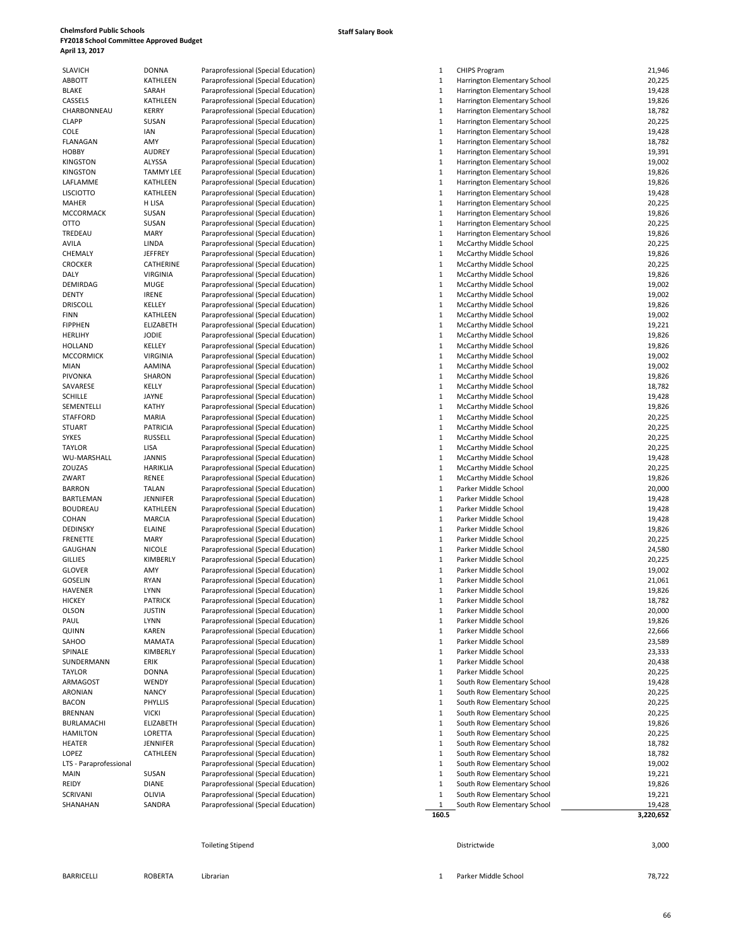| <b>SLAVICH</b>         | DONNA           | Paraprofessional (Special Education) |
|------------------------|-----------------|--------------------------------------|
| <b>ABBOTT</b>          | KATHLEEN        | Paraprofessional (Special Education) |
| <b>BLAKE</b>           | SARAH           | Paraprofessional (Special Education) |
| CASSELS                | <b>KATHLEEN</b> | Paraprofessional (Special Education) |
| CHARBONNEAU            | <b>KERRY</b>    | Paraprofessional (Special Education) |
| <b>CLAPP</b>           | SUSAN           | Paraprofessional (Special Education) |
| COLE                   | <b>IAN</b>      | Paraprofessional (Special Education) |
| FLANAGAN               | AMY             | Paraprofessional (Special Education) |
| <b>HOBBY</b>           | <b>AUDREY</b>   | Paraprofessional (Special Education) |
|                        | <b>ALYSSA</b>   |                                      |
| <b>KINGSTON</b>        |                 | Paraprofessional (Special Education) |
| <b>KINGSTON</b>        | TAMMY LEE       | Paraprofessional (Special Education) |
| LAFLAMME               | <b>KATHLEEN</b> | Paraprofessional (Special Education) |
| <b>LISCIOTTO</b>       | KATHLEEN        | Paraprofessional (Special Education) |
| MAHER                  | H LISA          | Paraprofessional (Special Education) |
| MCCORMACK              | SUSAN           | Paraprofessional (Special Education) |
| <b>OTTO</b>            | SUSAN           | Paraprofessional (Special Education) |
| TREDEAU                | MARY            | Paraprofessional (Special Education) |
| AVILA                  | LINDA           | Paraprofessional (Special Education) |
| CHEMALY                | <b>JEFFREY</b>  | Paraprofessional (Special Education) |
| <b>CROCKER</b>         | CATHERINE       | Paraprofessional (Special Education) |
| DALY                   | <b>VIRGINIA</b> | Paraprofessional (Special Education) |
| DEMIRDAG               | <b>MUGE</b>     | Paraprofessional (Special Education) |
| <b>DENTY</b>           | <b>IRENE</b>    | Paraprofessional (Special Education) |
| <b>DRISCOLL</b>        | KELLEY          | Paraprofessional (Special Education) |
| <b>FINN</b>            | KATHLEEN        | Paraprofessional (Special Education) |
| <b>FIPPHEN</b>         | ELIZABETH       | Paraprofessional (Special Education) |
|                        |                 |                                      |
| <b>HERLIHY</b>         | JODIE           | Paraprofessional (Special Education) |
| <b>HOLLAND</b>         | KELLEY          | Paraprofessional (Special Education) |
| <b>MCCORMICK</b>       | <b>VIRGINIA</b> | Paraprofessional (Special Education) |
| MIAN                   | AAMINA          | Paraprofessional (Special Education) |
| PIVONKA                | <b>SHARON</b>   | Paraprofessional (Special Education) |
| SAVARESE               | KELLY           | Paraprofessional (Special Education) |
| <b>SCHILLE</b>         | JAYNE           | Paraprofessional (Special Education) |
| SEMENTELLI             | <b>KATHY</b>    | Paraprofessional (Special Education) |
| <b>STAFFORD</b>        | <b>MARIA</b>    | Paraprofessional (Special Education) |
| <b>STUART</b>          | PATRICIA        | Paraprofessional (Special Education) |
| <b>SYKES</b>           | <b>RUSSELL</b>  | Paraprofessional (Special Education) |
| <b>TAYLOR</b>          | <b>LISA</b>     | Paraprofessional (Special Education) |
| WU-MARSHALL            | JANNIS          | Paraprofessional (Special Education) |
| ZOUZAS                 | HARIKLIA        | Paraprofessional (Special Education) |
| ZWART                  | RENEE           | Paraprofessional (Special Education) |
| <b>BARRON</b>          | <b>TALAN</b>    |                                      |
|                        |                 | Paraprofessional (Special Education) |
| BARTLEMAN              | JENNIFER        | Paraprofessional (Special Education) |
| <b>BOUDREAU</b>        | <b>KATHLEEN</b> | Paraprofessional (Special Education) |
| <b>COHAN</b>           | <b>MARCIA</b>   | Paraprofessional (Special Education) |
| <b>DEDINSKY</b>        | <b>ELAINE</b>   | Paraprofessional (Special Education) |
| <b>FRENETTE</b>        | MARY            | Paraprofessional (Special Education) |
| GAUGHAN                | <b>NICOLE</b>   | Paraprofessional (Special Education) |
| <b>GILLIES</b>         | KIMBERLY        | Paraprofessional (Special Education) |
| <b>GLOVER</b>          | AMY             | Paraprofessional (Special Education) |
| <b>GOSELIN</b>         | <b>RYAN</b>     | Paraprofessional (Special Education) |
| <b>HAVENER</b>         | <b>LYNN</b>     | Paraprofessional (Special Education) |
| HICKEY                 | <b>PATRICK</b>  | Paraprofessional (Special Education) |
| OLSON                  | JUSTIN          | Paraprofessional (Special Education) |
| PAUL                   | <b>LYNN</b>     | Paraprofessional (Special Education) |
| QUINN                  | KAREN           | Paraprofessional (Special Education) |
| SAHOO                  | <b>MAMATA</b>   | Paraprofessional (Special Education) |
| SPINALE                | KIMBERLY        | Paraprofessional (Special Education) |
|                        |                 |                                      |
| SUNDERMANN             | ERIK            | Paraprofessional (Special Education) |
| <b>TAYLOR</b>          | <b>DONNA</b>    | Paraprofessional (Special Education) |
| ARMAGOST               | WENDY           | Paraprofessional (Special Education) |
| ARONIAN                | <b>NANCY</b>    | Paraprofessional (Special Education) |
| <b>BACON</b>           | PHYLLIS         | Paraprofessional (Special Education) |
| <b>BRENNAN</b>         | <b>VICKI</b>    | Paraprofessional (Special Education) |
| BURLAMACHI             | ELIZABETH       | Paraprofessional (Special Education) |
| <b>HAMILTON</b>        | LORETTA         | Paraprofessional (Special Education) |
| <b>HEATER</b>          | <b>JENNIFER</b> | Paraprofessional (Special Education) |
| LOPEZ                  | CATHLEEN        | Paraprofessional (Special Education) |
| LTS - Paraprofessional |                 | Paraprofessional (Special Education) |
| MAIN                   | SUSAN           | Paraprofessional (Special Education) |
| REIDY                  | <b>DIANE</b>    | Paraprofessional (Special Education) |
| SCRIVANI               | OLIVIA          | Paraprofessional (Special Education) |
| SHANAHAN               | SANDRA          | Paraprofessional (Special Education) |
|                        |                 |                                      |

| SLAVICH                | <b>DONNA</b>     | Paraprofessional (Special Education) | 1<br><b>CHIPS Program</b>                     | 21,946    |
|------------------------|------------------|--------------------------------------|-----------------------------------------------|-----------|
| ABBOTT                 | KATHLEEN         | Paraprofessional (Special Education) | $\mathbf{1}$<br>Harrington Elementary School  | 20,225    |
| BLAKE                  | SARAH            | Paraprofessional (Special Education) | $\mathbf{1}$<br>Harrington Elementary School  | 19,428    |
| CASSELS                | KATHLEEN         | Paraprofessional (Special Education) | $\mathbf{1}$<br>Harrington Elementary School  | 19,826    |
| CHARBONNEAU            | <b>KERRY</b>     | Paraprofessional (Special Education) | Harrington Elementary School<br>1             | 18,782    |
| CLAPP                  | SUSAN            | Paraprofessional (Special Education) | $\mathbf{1}$<br>Harrington Elementary School  | 20,225    |
| COLE                   | IAN              | Paraprofessional (Special Education) | 1<br>Harrington Elementary School             | 19,428    |
| FLANAGAN               | AMY              | Paraprofessional (Special Education) | Harrington Elementary School<br>1             | 18,782    |
| HOBBY                  | <b>AUDREY</b>    | Paraprofessional (Special Education) | $\mathbf{1}$<br>Harrington Elementary School  | 19,391    |
| KINGSTON               | ALYSSA           |                                      | $\mathbf 1$<br>Harrington Elementary School   | 19,002    |
|                        |                  | Paraprofessional (Special Education) |                                               |           |
| KINGSTON               | <b>TAMMY LEE</b> | Paraprofessional (Special Education) | $\mathbf{1}$<br>Harrington Elementary School  | 19,826    |
| LAFLAMME               | KATHLEEN         | Paraprofessional (Special Education) | 1<br>Harrington Elementary School             | 19,826    |
| LISCIOTTO              | <b>KATHLEEN</b>  | Paraprofessional (Special Education) | $\mathbf 1$<br>Harrington Elementary School   | 19,428    |
| MAHER                  | H LISA           | Paraprofessional (Special Education) | 1<br>Harrington Elementary School             | 20,225    |
| MCCORMACK              | SUSAN            | Paraprofessional (Special Education) | $\mathbf{1}$<br>Harrington Elementary School  | 19,826    |
| отто                   | SUSAN            | Paraprofessional (Special Education) | $\mathbf{1}$<br>Harrington Elementary School  | 20,225    |
| TREDEAU                | MARY             | Paraprofessional (Special Education) | Harrington Elementary School<br>1             | 19,826    |
| AVILA                  | LINDA            | Paraprofessional (Special Education) | 1<br>McCarthy Middle School                   | 20,225    |
| CHEMALY                | <b>JEFFREY</b>   | Paraprofessional (Special Education) | 1<br>McCarthy Middle School                   | 19,826    |
| CROCKER                | CATHERINE        | Paraprofessional (Special Education) | 1<br>McCarthy Middle School                   | 20,225    |
| DALY                   | <b>VIRGINIA</b>  | Paraprofessional (Special Education) | $\mathbf{1}$<br>McCarthy Middle School        | 19,826    |
|                        | <b>MUGE</b>      | Paraprofessional (Special Education) | $\mathbf 1$                                   | 19,002    |
| DEMIRDAG               |                  |                                      | McCarthy Middle School                        |           |
| DENTY                  | <b>IRENE</b>     | Paraprofessional (Special Education) | $\mathbf{1}$<br>McCarthy Middle School        | 19,002    |
| DRISCOLL               | KELLEY           | Paraprofessional (Special Education) | 1<br>McCarthy Middle School                   | 19,826    |
| FINN                   | KATHLEEN         | Paraprofessional (Special Education) | $\mathbf{1}$<br><b>McCarthy Middle School</b> | 19,002    |
| <b>FIPPHEN</b>         | <b>ELIZABETH</b> | Paraprofessional (Special Education) | 1<br><b>McCarthy Middle School</b>            | 19,221    |
| HERLIHY                | <b>JODIE</b>     | Paraprofessional (Special Education) | $\mathbf 1$<br>McCarthy Middle School         | 19,826    |
| HOLLAND                | KELLEY           | Paraprofessional (Special Education) | $\mathbf{1}$<br>McCarthy Middle School        | 19,826    |
| MCCORMICK              | <b>VIRGINIA</b>  | Paraprofessional (Special Education) | $\mathbf{1}$<br>McCarthy Middle School        | 19,002    |
| MIAN                   | <b>AAMINA</b>    | Paraprofessional (Special Education) | $\mathbf{1}$<br>McCarthy Middle School        | 19,002    |
| PIVONKA                | SHARON           | Paraprofessional (Special Education) | $\mathbf{1}$<br>McCarthy Middle School        | 19,826    |
| SAVARESE               | KELLY            | Paraprofessional (Special Education) | 1<br>McCarthy Middle School                   | 18,782    |
| SCHILLE                | JAYNE            | Paraprofessional (Special Education) | McCarthy Middle School                        |           |
|                        |                  |                                      | 1                                             | 19,428    |
| SEMENTELLI             | KATHY            | Paraprofessional (Special Education) | $\mathbf{1}$<br>McCarthy Middle School        | 19,826    |
| STAFFORD               | MARIA            | Paraprofessional (Special Education) | $\mathbf{1}$<br>McCarthy Middle School        | 20,225    |
| STUART                 | <b>PATRICIA</b>  | Paraprofessional (Special Education) | 1<br>McCarthy Middle School                   | 20,225    |
| SYKES                  | <b>RUSSELL</b>   | Paraprofessional (Special Education) | $\mathbf{1}$<br>McCarthy Middle School        | 20,225    |
| TAYLOR                 | LISA             | Paraprofessional (Special Education) | 1<br>McCarthy Middle School                   | 20,225    |
| WU-MARSHALL            | JANNIS           | Paraprofessional (Special Education) | 1<br>McCarthy Middle School                   | 19,428    |
| ZOUZAS                 | <b>HARIKLIA</b>  | Paraprofessional (Special Education) | $\mathbf{1}$<br>McCarthy Middle School        | 20,225    |
| ZWART                  | RENEE            | Paraprofessional (Special Education) | $\mathbf 1$<br>McCarthy Middle School         | 19,826    |
| <b>BARRON</b>          | TALAN            | Paraprofessional (Special Education) | $\mathbf{1}$<br>Parker Middle School          | 20,000    |
| BARTLEMAN              | JENNIFER         | Paraprofessional (Special Education) | 1<br>Parker Middle School                     | 19,428    |
| BOUDREAU               | KATHLEEN         | Paraprofessional (Special Education) | $\mathbf 1$<br>Parker Middle School           | 19,428    |
| COHAN                  | <b>MARCIA</b>    | Paraprofessional (Special Education) | 1<br>Parker Middle School                     | 19,428    |
| DEDINSKY               | <b>ELAINE</b>    | Paraprofessional (Special Education) | 1<br>Parker Middle School                     | 19,826    |
| FRENETTE               | MARY             |                                      | $\mathbf{1}$<br>Parker Middle School          | 20,225    |
|                        |                  | Paraprofessional (Special Education) |                                               |           |
| GAUGHAN                | <b>NICOLE</b>    | Paraprofessional (Special Education) | $\mathbf{1}$<br>Parker Middle School          | 24,580    |
| <b>GILLIES</b>         | KIMBERLY         | Paraprofessional (Special Education) | $\mathbf{1}$<br>Parker Middle School          | 20,225    |
| GLOVER                 | AMY              | Paraprofessional (Special Education) | 1<br>Parker Middle School                     | 19,002    |
| GOSELIN                | <b>RYAN</b>      | Paraprofessional (Special Education) | $\mathbf 1$<br>Parker Middle School           | 21,061    |
| HAVENER                | <b>LYNN</b>      | Paraprofessional (Special Education) | $\mathbf{1}$<br>Parker Middle School          | 19,826    |
| <b>HICKEY</b>          | <b>PATRICK</b>   | Paraprofessional (Special Education) | Parker Middle School                          | 18,782    |
| OLSON                  | <b>JUSTIN</b>    | Paraprofessional (Special Education) | $\mathbf{1}$<br>Parker Middle School          | 20,000    |
| PAUL                   | <b>LYNN</b>      | Paraprofessional (Special Education) | $\mathbf{1}$<br>Parker Middle School          | 19,826    |
| QUINN                  | KAREN            | Paraprofessional (Special Education) | $\mathbf{1}$<br>Parker Middle School          | 22,666    |
| SAHOO                  | MAMATA           | Paraprofessional (Special Education) | 1<br>Parker Middle School                     | 23,589    |
| SPINALE                | KIMBERLY         | Paraprofessional (Special Education) | 1<br>Parker Middle School                     | 23,333    |
| SUNDERMANN             | ERIK             | Paraprofessional (Special Education) | $\mathbf{1}$<br>Parker Middle School          | 20,438    |
|                        |                  |                                      |                                               |           |
| TAYLOR                 | <b>DONNA</b>     | Paraprofessional (Special Education) | $\mathbf 1$<br>Parker Middle School           | 20,225    |
| ARMAGOST               | WENDY            | Paraprofessional (Special Education) | 1<br>South Row Elementary School              | 19,428    |
| ARONIAN                | <b>NANCY</b>     | Paraprofessional (Special Education) | 1<br>South Row Elementary School              | 20,225    |
| BACON                  | PHYLLIS          | Paraprofessional (Special Education) | $\mathbf{1}$<br>South Row Elementary School   | 20,225    |
| BRENNAN                | <b>VICKI</b>     | Paraprofessional (Special Education) | South Row Elementary School<br>1              | 20,225    |
| BURLAMACHI             | <b>ELIZABETH</b> | Paraprofessional (Special Education) | 1<br>South Row Elementary School              | 19,826    |
| HAMILTON               | LORETTA          | Paraprofessional (Special Education) | $\mathbf{1}$<br>South Row Elementary School   | 20,225    |
| HEATER                 | <b>JENNIFER</b>  | Paraprofessional (Special Education) | $\mathbf 1$<br>South Row Elementary School    | 18,782    |
| LOPEZ                  | CATHLEEN         | Paraprofessional (Special Education) | $\mathbf{1}$<br>South Row Elementary School   | 18,782    |
| LTS - Paraprofessional |                  | Paraprofessional (Special Education) | 1<br>South Row Elementary School              | 19,002    |
| MAIN                   | SUSAN            | Paraprofessional (Special Education) | $\mathbf 1$<br>South Row Elementary School    | 19,221    |
| REIDY                  | <b>DIANE</b>     | Paraprofessional (Special Education) | $\mathbf 1$<br>South Row Elementary School    | 19,826    |
| SCRIVANI               | OLIVIA           | Paraprofessional (Special Education) | $\mathbf{1}$<br>South Row Elementary School   | 19,221    |
|                        |                  |                                      | $\mathbf{1}$                                  |           |
| SHANAHAN               | SANDRA           | Paraprofessional (Special Education) | South Row Elementary School                   | 19,428    |
|                        |                  |                                      | 160.5                                         | 3,220,652 |

Toileting Stipend 3,000 and 3,000 and 3,000 and 3,000 and 3,000 and 3,000 and 3,000 and 3,000 and 3,000 and 3,000 and 3,000 and 3,000 and 3,000 and 3,000 and 3,000 and 3,000 and 3,000 and 3,000 and 3,000 and 3,000 and 3,00

BARRICELLI ROBERTA Librarian 1 Parker Middle School 78,722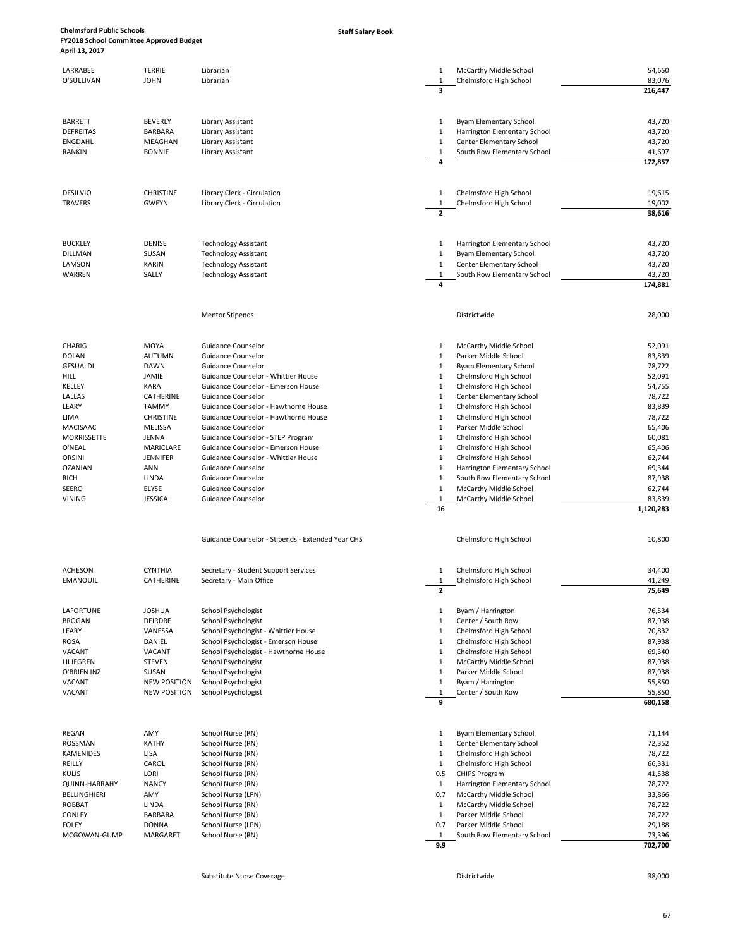### **Staff Salary Book**

| LARRABEE<br>O'SULLIVAN               | TERRIE<br><b>JOHN</b>        | Librarian<br>Librarian                                                    | 1<br>1<br>3                  | McCarthy Middle School<br>Chelmsford High School         | 54,650<br>83,076<br>216,447 |
|--------------------------------------|------------------------------|---------------------------------------------------------------------------|------------------------------|----------------------------------------------------------|-----------------------------|
|                                      |                              |                                                                           |                              |                                                          |                             |
|                                      |                              |                                                                           |                              |                                                          |                             |
| <b>BARRETT</b>                       | <b>BEVERLY</b>               | Library Assistant                                                         | 1                            | <b>Byam Elementary School</b>                            | 43,720                      |
| <b>DEFREITAS</b><br><b>ENGDAHL</b>   | <b>BARBARA</b><br>MEAGHAN    | Library Assistant<br>Library Assistant                                    | 1<br>1                       | Harrington Elementary School<br>Center Elementary School | 43,720<br>43,720            |
| RANKIN                               | <b>BONNIE</b>                | Library Assistant                                                         | 1                            | South Row Elementary School                              | 41,697                      |
|                                      |                              |                                                                           | 4                            |                                                          | 172,857                     |
|                                      |                              |                                                                           |                              |                                                          |                             |
| <b>DESILVIO</b>                      | <b>CHRISTINE</b>             | Library Clerk - Circulation                                               | 1                            | Chelmsford High School                                   | 19,615                      |
| <b>TRAVERS</b>                       | <b>GWEYN</b>                 | Library Clerk - Circulation                                               | 1                            | Chelmsford High School                                   | 19,002                      |
|                                      |                              |                                                                           | $\overline{2}$               |                                                          | 38,616                      |
|                                      |                              |                                                                           |                              |                                                          |                             |
| <b>BUCKLEY</b><br><b>DILLMAN</b>     | DENISE<br>SUSAN              | <b>Technology Assistant</b><br><b>Technology Assistant</b>                | 1<br>$\mathbf{1}$            | Harrington Elementary School<br>Byam Elementary School   | 43,720<br>43,720            |
| LAMSON                               | KARIN                        | <b>Technology Assistant</b>                                               | 1                            | Center Elementary School                                 | 43,720                      |
| WARREN                               | SALLY                        | <b>Technology Assistant</b>                                               | 1                            | South Row Elementary School                              | 43,720                      |
|                                      |                              |                                                                           | 4                            |                                                          | 174,881                     |
|                                      |                              | <b>Mentor Stipends</b>                                                    |                              | Districtwide                                             | 28,000                      |
|                                      |                              |                                                                           |                              |                                                          |                             |
| CHARIG                               | MOYA                         | Guidance Counselor                                                        | 1                            | McCarthy Middle School                                   | 52,091                      |
| <b>DOLAN</b>                         | <b>AUTUMN</b>                | Guidance Counselor                                                        | 1                            | Parker Middle School                                     | 83,839                      |
| <b>GESUALDI</b>                      | <b>DAWN</b>                  | Guidance Counselor                                                        | 1                            | <b>Byam Elementary School</b>                            | 78,722                      |
| HILL<br>KELLEY                       | JAMIE<br>KARA                | Guidance Counselor - Whittier House<br>Guidance Counselor - Emerson House | $\mathbf{1}$<br>1            | Chelmsford High School<br>Chelmsford High School         | 52,091<br>54,755            |
| LALLAS                               | CATHERINE                    | Guidance Counselor                                                        | $\mathbf{1}$                 | Center Elementary School                                 | 78,722                      |
| LEARY                                | <b>TAMMY</b>                 | Guidance Counselor - Hawthorne House                                      | 1                            | Chelmsford High School                                   | 83,839                      |
| LIMA                                 | <b>CHRISTINE</b>             | Guidance Counselor - Hawthorne House                                      | $\mathbf{1}$                 | Chelmsford High School                                   | 78,722                      |
| <b>MACISAAC</b>                      | <b>MELISSA</b>               | Guidance Counselor                                                        | $\mathbf{1}$                 | Parker Middle School                                     | 65,406                      |
| MORRISSETTE                          | JENNA                        | Guidance Counselor - STEP Program                                         | $\mathbf{1}$                 | Chelmsford High School                                   | 60,081                      |
| O'NEAL<br><b>ORSINI</b>              | <b>MARICLARE</b><br>JENNIFER | Guidance Counselor - Emerson House<br>Guidance Counselor - Whittier House | $\mathbf{1}$<br>1            | Chelmsford High School                                   | 65,406<br>62,744            |
| <b>OZANIAN</b>                       | ANN                          | Guidance Counselor                                                        | $\mathbf{1}$                 | Chelmsford High School<br>Harrington Elementary School   | 69,344                      |
| RICH                                 | LINDA                        | Guidance Counselor                                                        | $\mathbf{1}$                 | South Row Elementary School                              | 87,938                      |
| SEERO                                | ELYSE                        | Guidance Counselor                                                        | $\mathbf{1}$                 | McCarthy Middle School                                   | 62,744                      |
| <b>VINING</b>                        | <b>JESSICA</b>               | Guidance Counselor                                                        | 1                            | McCarthy Middle School                                   | 83,839                      |
|                                      |                              |                                                                           | 16                           |                                                          | 1,120,283                   |
|                                      |                              | Guidance Counselor - Stipends - Extended Year CHS                         |                              | Chelmsford High School                                   | 10,800                      |
|                                      |                              |                                                                           |                              |                                                          |                             |
| <b>ACHESON</b>                       | <b>CYNTHIA</b>               | Secretary - Student Support Services                                      | 1                            | Chelmsford High School                                   | 34,400                      |
| <b>EMANOUIL</b>                      | CATHERINE                    | Secretary - Main Office                                                   | 1                            | Chelmsford High School                                   | 41,249                      |
|                                      |                              |                                                                           | $\mathbf{2}$                 |                                                          | 75,649                      |
| LAFORTUNE                            | <b>JOSHUA</b>                | School Psychologist                                                       | 1                            | Byam / Harrington                                        | 76,534                      |
| <b>BROGAN</b>                        | DEIRDRE                      | School Psychologist                                                       | $\mathbf{1}$                 | Center / South Row                                       | 87,938                      |
| LEARY                                | VANESSA                      | School Psychologist - Whittier House                                      | $\mathbf{1}$                 | Chelmsford High School                                   | 70,832                      |
| <b>ROSA</b>                          | DANIEL<br>VACANT             | School Psychologist - Emerson House                                       | $\mathbf{1}$<br>$\mathbf{1}$ | Chelmsford High School                                   | 87,938<br>69,340            |
| VACANT<br>LILJEGREN                  | <b>STEVEN</b>                | School Psychologist - Hawthorne House<br>School Psychologist              | 1                            | Chelmsford High School<br>McCarthy Middle School         | 87,938                      |
| O'BRIEN INZ                          | SUSAN                        | School Psychologist                                                       | $\mathbf{1}$                 | Parker Middle School                                     | 87,938                      |
| VACANT                               | <b>NEW POSITION</b>          | School Psychologist                                                       | $\mathbf{1}$                 | Byam / Harrington                                        | 55,850                      |
| VACANT                               | <b>NEW POSITION</b>          | <b>School Psychologist</b>                                                | $\mathbf{1}$<br>9            | Center / South Row                                       | 55,850<br>680,158           |
|                                      |                              |                                                                           |                              |                                                          |                             |
| REGAN                                | AMY                          | School Nurse (RN)                                                         | 1                            | <b>Byam Elementary School</b>                            | 71,144                      |
| ROSSMAN                              | <b>KATHY</b>                 | School Nurse (RN)                                                         | $\mathbf{1}$                 | Center Elementary School                                 | 72,352                      |
| KAMENIDES                            | LISA                         | School Nurse (RN)                                                         | $\mathbf{1}$                 | Chelmsford High School                                   | 78,722                      |
| REILLY                               | CAROL                        | School Nurse (RN)                                                         | $\mathbf{1}$                 | Chelmsford High School                                   | 66,331                      |
| <b>KULIS</b><br><b>QUINN-HARRAHY</b> | LORI<br><b>NANCY</b>         | School Nurse (RN)<br>School Nurse (RN)                                    | 0.5<br>$\mathbf{1}$          | <b>CHIPS Program</b><br>Harrington Elementary School     | 41,538<br>78,722            |
| <b>BELLINGHIERI</b>                  | AMY                          | School Nurse (LPN)                                                        | 0.7                          | McCarthy Middle School                                   | 33,866                      |
| <b>ROBBAT</b>                        | LINDA                        | School Nurse (RN)                                                         | $\mathbf{1}$                 | McCarthy Middle School                                   | 78,722                      |
| <b>CONLEY</b>                        | BARBARA                      | School Nurse (RN)                                                         | $\mathbf{1}$                 | Parker Middle School                                     | 78,722                      |
| <b>FOLEY</b>                         | <b>DONNA</b>                 | School Nurse (LPN)                                                        | 0.7                          | Parker Middle School                                     | 29,188                      |
| MCGOWAN-GUMP                         | MARGARET                     | School Nurse (RN)                                                         | 1<br>9.9                     | South Row Elementary School                              | 73,396<br>702,700           |
|                                      |                              |                                                                           |                              |                                                          |                             |

Substitute Nurse Coverage Districtwide 38,000